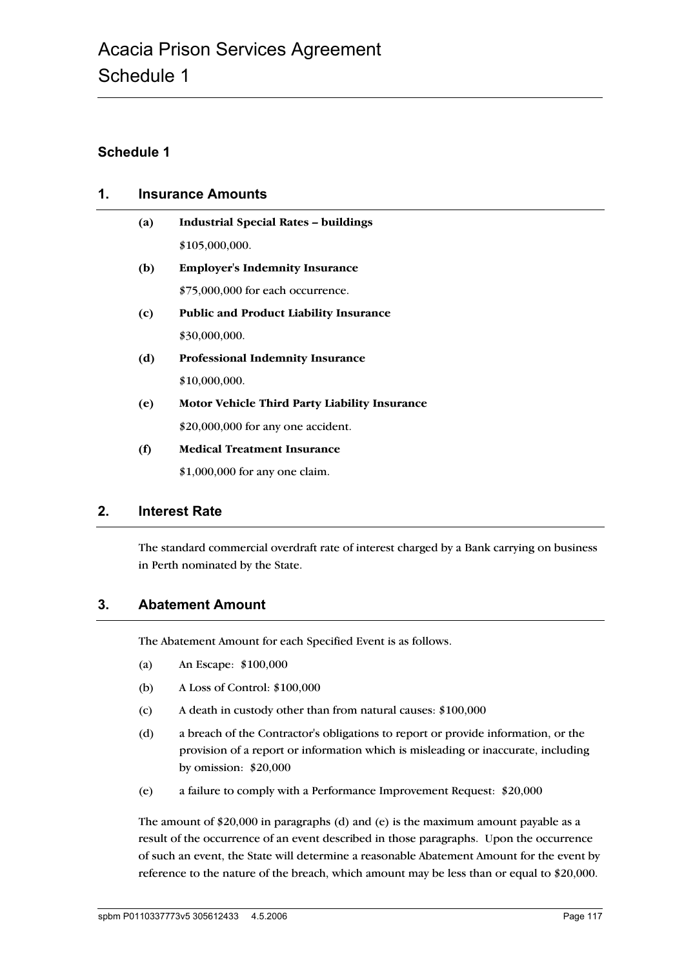### **Schedule 1**

# **1. Insurance Amounts**

| (a) | <b>Industrial Special Rates - buildings</b>          |
|-----|------------------------------------------------------|
|     | \$105,000,000.                                       |
| (b) | <b>Employer's Indemnity Insurance</b>                |
|     | \$75,000,000 for each occurrence.                    |
| (c) | <b>Public and Product Liability Insurance</b>        |
|     | \$30,000,000.                                        |
| (d) | <b>Professional Indemnity Insurance</b>              |
|     | \$10,000,000.                                        |
| (e) | <b>Motor Vehicle Third Party Liability Insurance</b> |
|     | \$20,000,000 for any one accident.                   |
| (f) | <b>Medical Treatment Insurance</b>                   |
|     | \$1,000,000 for any one claim.                       |

### **2. Interest Rate**

The standard commercial overdraft rate of interest charged by a Bank carrying on business in Perth nominated by the State.

### **3. Abatement Amount**

The Abatement Amount for each Specified Event is as follows.

- (a) An Escape: \$100,000
- (b) A Loss of Control: \$100,000
- (c) A death in custody other than from natural causes: \$100,000
- (d) a breach of the Contractor's obligations to report or provide information, or the provision of a report or information which is misleading or inaccurate, including by omission: \$20,000
- (e) a failure to comply with a Performance Improvement Request: \$20,000

The amount of \$20,000 in paragraphs (d) and (e) is the maximum amount payable as a result of the occurrence of an event described in those paragraphs. Upon the occurrence of such an event, the State will determine a reasonable Abatement Amount for the event by reference to the nature of the breach, which amount may be less than or equal to \$20,000.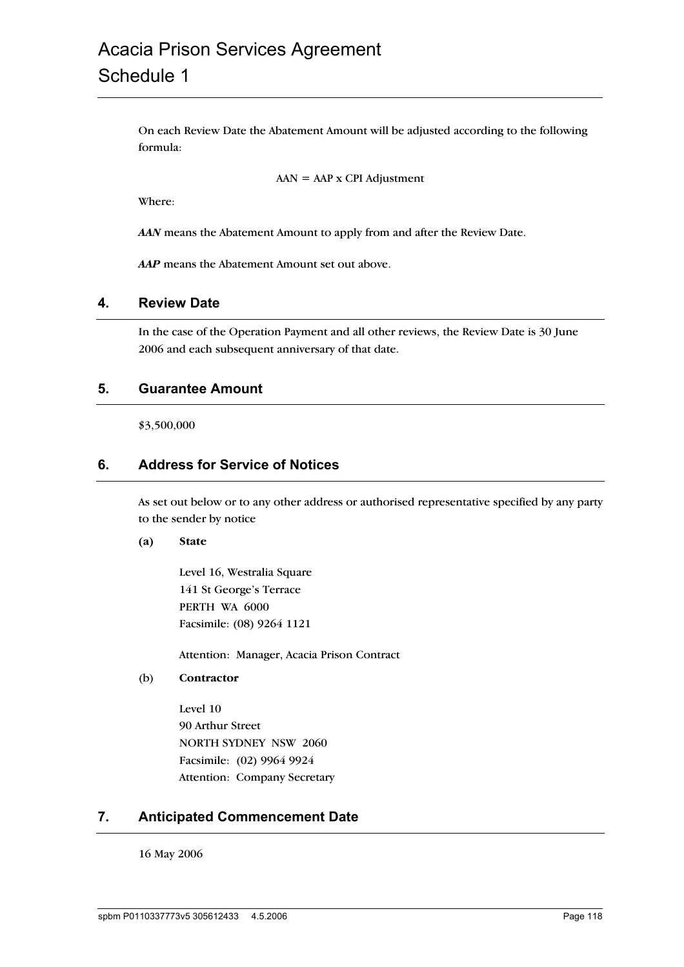# Acacia Prison Services Agreement Schedule 1

On each Review Date the Abatement Amount will be adjusted according to the following formula:

 $AAN = AAP \times CPI$  Adjustment

Where:

*AAN* means the Abatement Amount to apply from and after the Review Date.

*AAP* means the Abatement Amount set out above.

#### **4. Review Date**

In the case of the Operation Payment and all other reviews, the Review Date is 30 June 2006 and each subsequent anniversary of that date.

#### **5. Guarantee Amount**

\$3,500,000

#### **6. Address for Service of Notices**

As set out below or to any other address or authorised representative specified by any party to the sender by notice

#### **(a) State**

Level 16, Westralia Square 141 St George's Terrace PERTH WA 6000 Facsimile: (08) 9264 1121

Attention: Manager, Acacia Prison Contract

(b) **Contractor**

Level 10 90 Arthur Street NORTH SYDNEY NSW 2060 Facsimile: (02) 9964 9924 Attention: Company Secretary

#### **7. Anticipated Commencement Date**

16 May 2006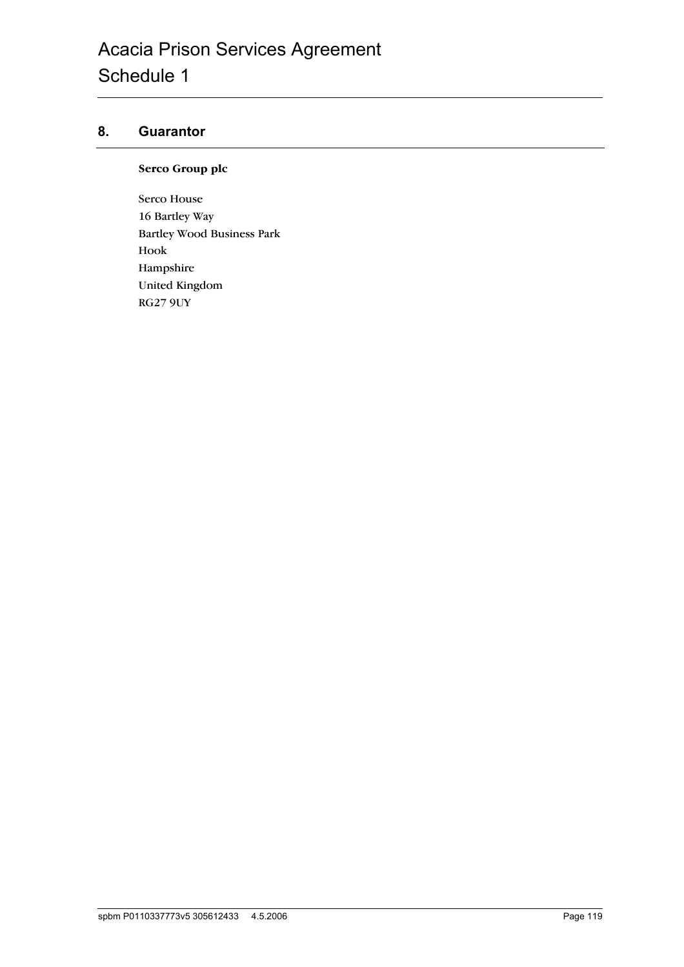## **8. Guarantor**

#### **Serco Group plc**

Serco House 16 Bartley Way Bartley Wood Business Park Hook Hampshire United Kingdom RG27 9UY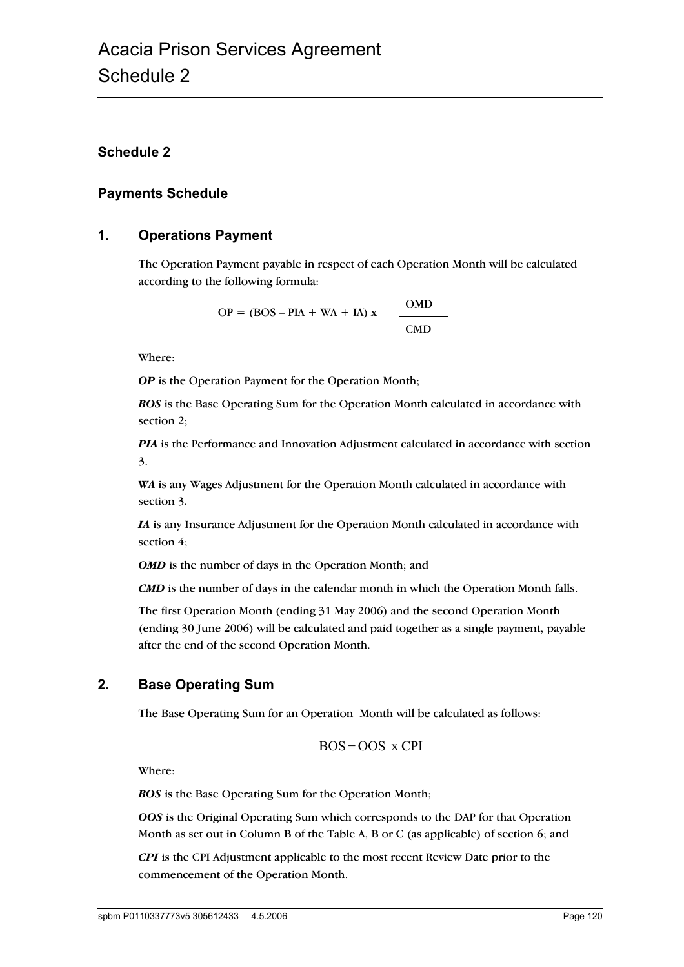### **Schedule 2**

#### **Payments Schedule**

#### **1. Operations Payment**

The Operation Payment payable in respect of each Operation Month will be calculated according to the following formula:

> OMD  $OP = (BOS - PIA + WA + IA) x$ CMD

Where:

**OP** is the Operation Payment for the Operation Month;

*BOS* is the Base Operating Sum for the Operation Month calculated in accordance with section 2;

*PIA* is the Performance and Innovation Adjustment calculated in accordance with section 3.

*WA* is any Wages Adjustment for the Operation Month calculated in accordance with section 3.

*IA* is any Insurance Adjustment for the Operation Month calculated in accordance with section  $4$ ;

**OMD** is the number of days in the Operation Month; and

*CMD* is the number of days in the calendar month in which the Operation Month falls.

The first Operation Month (ending 31 May 2006) and the second Operation Month (ending 30 June 2006) will be calculated and paid together as a single payment, payable after the end of the second Operation Month.

# **2. Base Operating Sum**

The Base Operating Sum for an Operation Month will be calculated as follows:

$$
BOS = OOS \times CPI
$$

Where:

*BOS* is the Base Operating Sum for the Operation Month;

*OOS* is the Original Operating Sum which corresponds to the DAP for that Operation Month as set out in Column B of the Table A, B or C (as applicable) of section 6; and

*CPI* is the CPI Adjustment applicable to the most recent Review Date prior to the commencement of the Operation Month.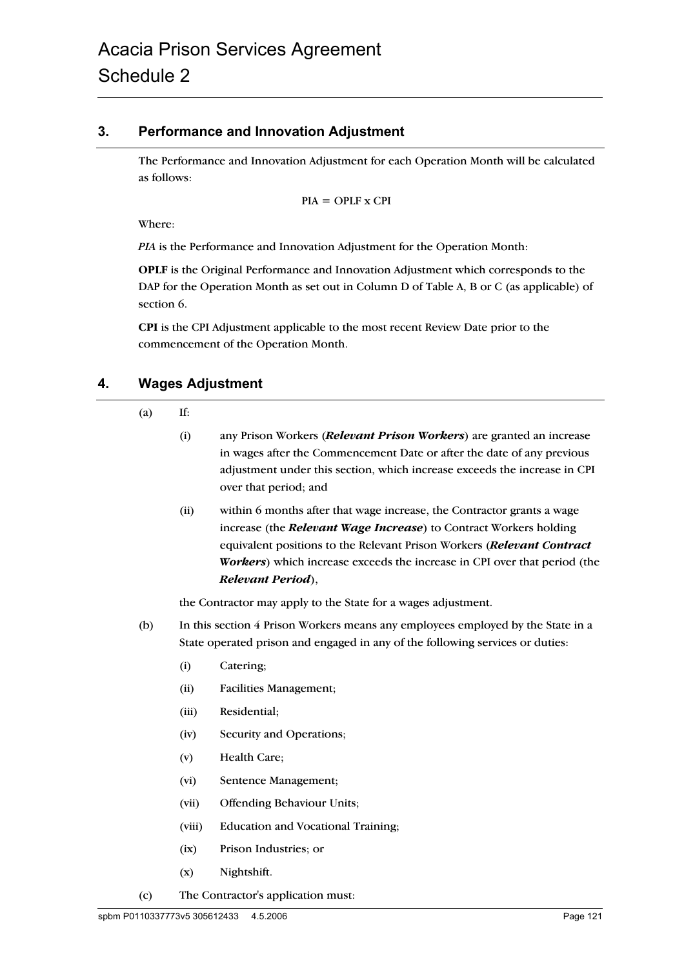### **3. Performance and Innovation Adjustment**

The Performance and Innovation Adjustment for each Operation Month will be calculated as follows:

$$
PIA = OPLF \times CPI
$$

Where:

*PIA* is the Performance and Innovation Adjustment for the Operation Month:

**OPLF** is the Original Performance and Innovation Adjustment which corresponds to the DAP for the Operation Month as set out in Column D of Table A, B or C (as applicable) of section 6.

**CPI** is the CPI Adjustment applicable to the most recent Review Date prior to the commencement of the Operation Month.

## **4. Wages Adjustment**

 $(a)$  If:

- (i) any Prison Workers (*Relevant Prison Workers*) are granted an increase in wages after the Commencement Date or after the date of any previous adjustment under this section, which increase exceeds the increase in CPI over that period; and
- (ii) within 6 months after that wage increase, the Contractor grants a wage increase (the *Relevant Wage Increase*) to Contract Workers holding equivalent positions to the Relevant Prison Workers (*Relevant Contract Workers*) which increase exceeds the increase in CPI over that period (the *Relevant Period*),

the Contractor may apply to the State for a wages adjustment.

- (b) In this section 4 Prison Workers means any employees employed by the State in a State operated prison and engaged in any of the following services or duties:
	- (i) Catering;
	- (ii) Facilities Management;
	- (iii) Residential;
	- (iv) Security and Operations;
	- (v) Health Care;
	- (vi) Sentence Management;
	- (vii) Offending Behaviour Units;
	- (viii) Education and Vocational Training;
	- (ix) Prison Industries; or
	- (x) Nightshift.
- (c) The Contractor's application must: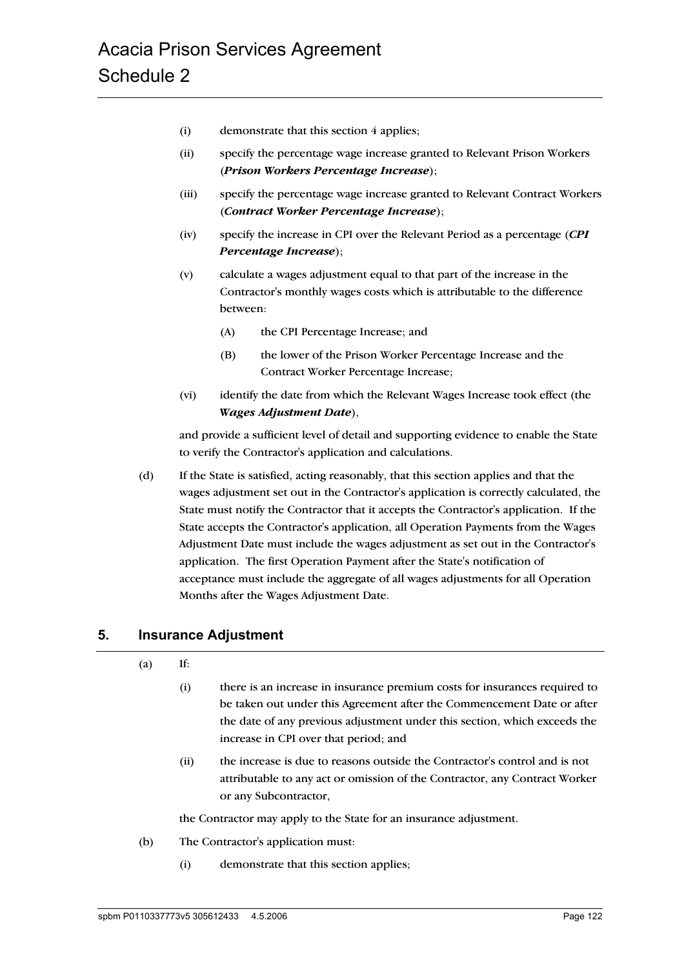- (i) demonstrate that this section 4 applies;
- (ii) specify the percentage wage increase granted to Relevant Prison Workers (*Prison Workers Percentage Increase*);
- (iii) specify the percentage wage increase granted to Relevant Contract Workers (*Contract Worker Percentage Increase*);
- (iv) specify the increase in CPI over the Relevant Period as a percentage (*CPI Percentage Increase*);
- (v) calculate a wages adjustment equal to that part of the increase in the Contractor's monthly wages costs which is attributable to the difference between:
	- (A) the CPI Percentage Increase; and
	- (B) the lower of the Prison Worker Percentage Increase and the Contract Worker Percentage Increase;
- (vi) identify the date from which the Relevant Wages Increase took effect (the *Wages Adjustment Date*),

and provide a sufficient level of detail and supporting evidence to enable the State to verify the Contractor's application and calculations.

(d) If the State is satisfied, acting reasonably, that this section applies and that the wages adjustment set out in the Contractor's application is correctly calculated, the State must notify the Contractor that it accepts the Contractor's application. If the State accepts the Contractor's application, all Operation Payments from the Wages Adjustment Date must include the wages adjustment as set out in the Contractor's application. The first Operation Payment after the State's notification of acceptance must include the aggregate of all wages adjustments for all Operation Months after the Wages Adjustment Date.

#### **5. Insurance Adjustment**

| (a) | If: |
|-----|-----|
|-----|-----|

- (i) there is an increase in insurance premium costs for insurances required to be taken out under this Agreement after the Commencement Date or after the date of any previous adjustment under this section, which exceeds the increase in CPI over that period; and
- (ii) the increase is due to reasons outside the Contractor's control and is not attributable to any act or omission of the Contractor, any Contract Worker or any Subcontractor,

the Contractor may apply to the State for an insurance adjustment.

- (b) The Contractor's application must:
	- (i) demonstrate that this section applies;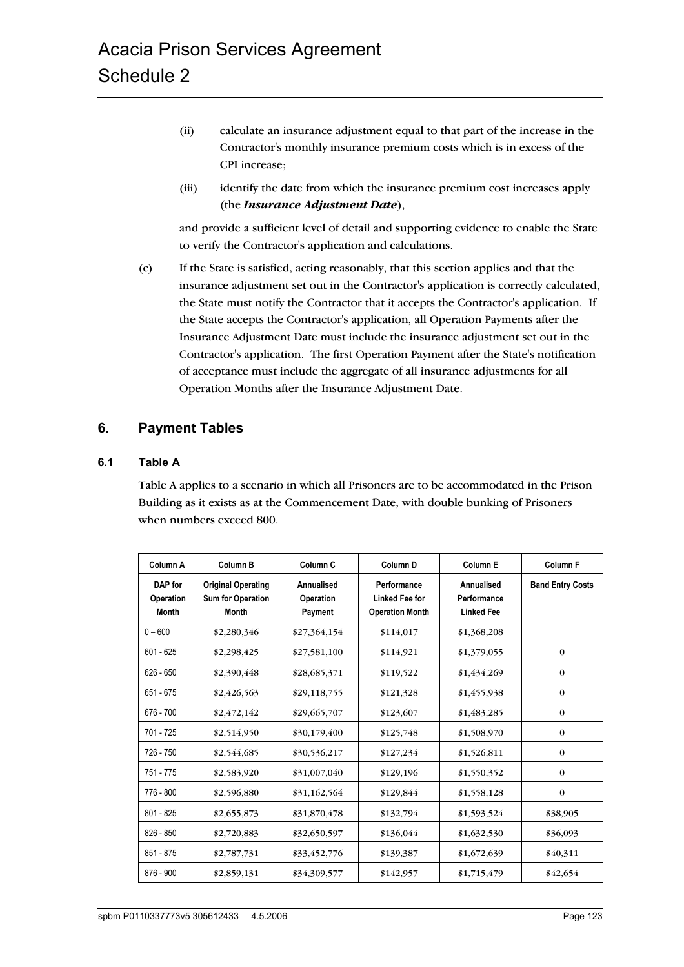- (ii) calculate an insurance adjustment equal to that part of the increase in the Contractor's monthly insurance premium costs which is in excess of the CPI increase;
- (iii) identify the date from which the insurance premium cost increases apply (the *Insurance Adjustment Date*),

and provide a sufficient level of detail and supporting evidence to enable the State to verify the Contractor's application and calculations.

(c) If the State is satisfied, acting reasonably, that this section applies and that the insurance adjustment set out in the Contractor's application is correctly calculated, the State must notify the Contractor that it accepts the Contractor's application. If the State accepts the Contractor's application, all Operation Payments after the Insurance Adjustment Date must include the insurance adjustment set out in the Contractor's application. The first Operation Payment after the State's notification of acceptance must include the aggregate of all insurance adjustments for all Operation Months after the Insurance Adjustment Date.

#### **6. Payment Tables**

#### **6.1 Table A**

Table A applies to a scenario in which all Prisoners are to be accommodated in the Prison Building as it exists as at the Commencement Date, with double bunking of Prisoners when numbers exceed 800.

| Column A                                    | Column B                                                              | Column <sub>C</sub>                       | Column <sub>D</sub>                                            | Column <sub>E</sub>                            | Column <sub>F</sub>     |
|---------------------------------------------|-----------------------------------------------------------------------|-------------------------------------------|----------------------------------------------------------------|------------------------------------------------|-------------------------|
| DAP for<br><b>Operation</b><br><b>Month</b> | <b>Original Operating</b><br><b>Sum for Operation</b><br><b>Month</b> | Annualised<br><b>Operation</b><br>Payment | Performance<br><b>Linked Fee for</b><br><b>Operation Month</b> | Annualised<br>Performance<br><b>Linked Fee</b> | <b>Band Entry Costs</b> |
| $0 - 600$                                   | \$2,280,346                                                           | \$27,364,154                              | \$114,017                                                      | \$1,368,208                                    |                         |
| $601 - 625$                                 | \$2,298,425                                                           | \$27,581,100                              | \$114,921                                                      | \$1,379,055                                    | $\theta$                |
| $626 - 650$                                 | \$2,390,448                                                           | \$28,685,371                              | \$119,522                                                      | \$1,434,269                                    | $\bf{0}$                |
| 651 - 675                                   | \$2,426,563                                                           | \$29,118,755                              | \$121,328                                                      | \$1,455,938                                    | $\theta$                |
| 676 - 700                                   | \$2,472,142                                                           | \$29,665,707                              | \$123,607                                                      | \$1,483,285                                    | $\bf{0}$                |
| 701 - 725                                   | \$2,514,950                                                           | \$30,179,400                              | \$125,748                                                      | \$1,508,970                                    | $\theta$                |
| 726 - 750                                   | \$2,544,685                                                           | \$30,536,217                              | \$127,234                                                      | \$1,526,811                                    | $\bf{0}$                |
| 751 - 775                                   | \$2,583,920                                                           | \$31,007,040                              | \$129,196                                                      | \$1,550,352                                    | $\theta$                |
| 776 - 800                                   | \$2,596,880                                                           | \$31,162,564                              | \$129,844                                                      | \$1,558,128                                    | $\theta$                |
| 801 - 825                                   | \$2,655,873                                                           | \$31,870,478                              | \$132,794                                                      | \$1,593,524                                    | \$38,905                |
| $826 - 850$                                 | \$2,720,883                                                           | \$32,650,597                              | \$136,044                                                      | \$1,632,530                                    | \$36,093                |
| 851 - 875                                   | \$2,787,731                                                           | \$33,452,776                              | \$139,387                                                      | \$1,672,639                                    | \$40,311                |
| 876 - 900                                   | \$2,859,131                                                           | \$34,309,577                              | \$142,957                                                      | \$1,715,479                                    | \$42,654                |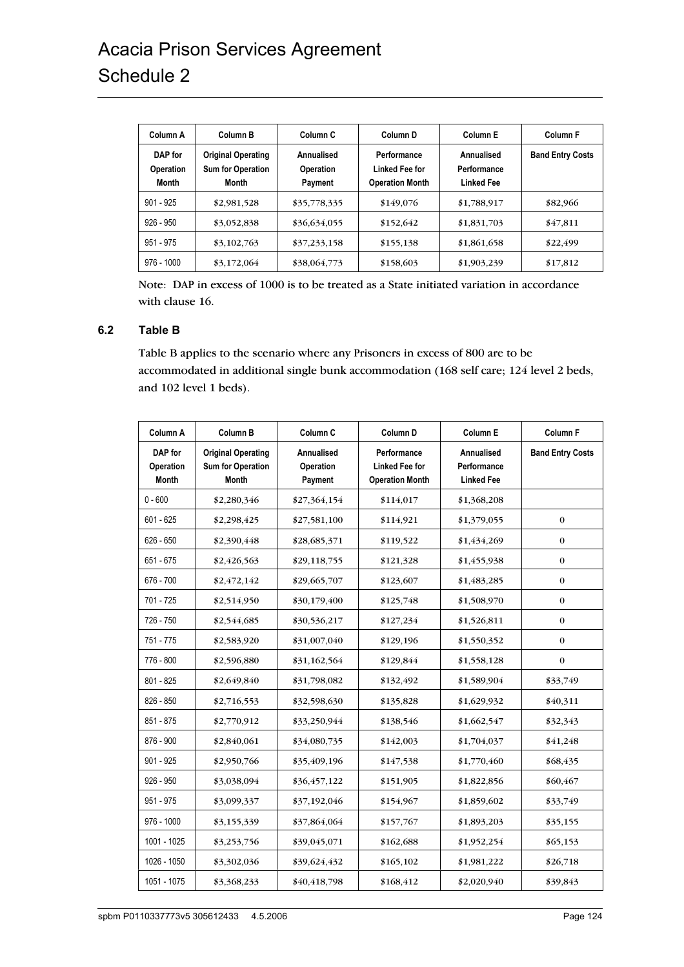| Column A                                    | Column B                                                              | Column <sub>C</sub>                       | Column <sub>D</sub>                                            | Column E                                       | <b>Column F</b>         |
|---------------------------------------------|-----------------------------------------------------------------------|-------------------------------------------|----------------------------------------------------------------|------------------------------------------------|-------------------------|
| DAP for<br><b>Operation</b><br><b>Month</b> | <b>Original Operating</b><br><b>Sum for Operation</b><br><b>Month</b> | Annualised<br><b>Operation</b><br>Payment | Performance<br><b>Linked Fee for</b><br><b>Operation Month</b> | Annualised<br>Performance<br><b>Linked Fee</b> | <b>Band Entry Costs</b> |
| $901 - 925$                                 | \$2,981,528                                                           | \$35,778,335                              | \$149,076                                                      | \$1,788,917                                    | \$82,966                |
| $926 - 950$                                 | \$3,052,838                                                           | \$36,634,055                              | \$152,642                                                      | \$1,831,703                                    | \$47,811                |
| 951 - 975                                   | \$3,102,763                                                           | \$37,233,158                              | \$155,138                                                      | \$1,861,658                                    | \$22,499                |
| $976 - 1000$                                | \$3,172,064                                                           | \$38,064,773                              | \$158,603                                                      | \$1,903,239                                    | \$17,812                |

Note: DAP in excess of 1000 is to be treated as a State initiated variation in accordance with clause 16.

#### **6.2 Table B**

Table B applies to the scenario where any Prisoners in excess of 800 are to be accommodated in additional single bunk accommodation (168 self care; 124 level 2 beds, and 102 level 1 beds).

| Column A                      | <b>Column B</b>                                                       | Column C                           | Column D                                                       | <b>Column E</b>                                | <b>Column F</b>         |
|-------------------------------|-----------------------------------------------------------------------|------------------------------------|----------------------------------------------------------------|------------------------------------------------|-------------------------|
| DAP for<br>Operation<br>Month | <b>Original Operating</b><br><b>Sum for Operation</b><br><b>Month</b> | Annualised<br>Operation<br>Payment | Performance<br><b>Linked Fee for</b><br><b>Operation Month</b> | Annualised<br>Performance<br><b>Linked Fee</b> | <b>Band Entry Costs</b> |
| $0 - 600$                     | \$2,280,346                                                           | \$27,364,154                       | \$114,017                                                      | \$1,368,208                                    |                         |
| $601 - 625$                   | \$2,298,425                                                           | \$27,581,100                       | \$114,921                                                      | \$1,379,055                                    | $\bf{0}$                |
| $626 - 650$                   | \$2,390,448                                                           | \$28,685,371                       | \$119,522                                                      | \$1,434,269                                    | $\boldsymbol{0}$        |
| $651 - 675$                   | \$2,426,563                                                           | \$29,118,755                       | \$121,328                                                      | \$1,455,938                                    | $\boldsymbol{0}$        |
| 676 - 700                     | \$2,472,142                                                           | \$29,665,707                       | \$123,607                                                      | \$1,483,285                                    | $\boldsymbol{0}$        |
| 701 - 725                     | \$2,514,950                                                           | \$30,179,400                       | \$125,748                                                      | \$1,508,970                                    | $\mathbf{0}$            |
| 726 - 750                     | \$2,544,685                                                           | \$30,536,217                       | \$127,234                                                      | \$1,526,811                                    | $\mathbf{0}$            |
| 751 - 775                     | \$2,583,920                                                           | \$31,007,040                       | \$129,196                                                      | \$1,550,352                                    | $\mathbf{0}$            |
| 776 - 800                     | \$2,596,880                                                           | \$31,162,564                       | \$129,844                                                      | \$1,558,128                                    | $\mathbf{0}$            |
| 801 - 825                     | \$2,649,840                                                           | \$31,798,082                       | \$132,492                                                      | \$1,589,904                                    | \$33,749                |
| 826 - 850                     | \$2,716,553                                                           | \$32,598,630                       | \$135,828                                                      | \$1,629,932                                    | \$40,311                |
| 851 - 875                     | \$2,770,912                                                           | \$33,250,944                       | \$138,546                                                      | \$1,662,547                                    | \$32,343                |
| 876 - 900                     | \$2,840,061                                                           | \$34,080,735                       | \$142,003                                                      | \$1,704,037                                    | \$41,248                |
| $901 - 925$                   | \$2,950,766                                                           | \$35,409,196                       | \$147,538                                                      | \$1,770,460                                    | \$68,435                |
| $926 - 950$                   | \$3,038,094                                                           | \$36,457,122                       | \$151,905                                                      | \$1,822,856                                    | \$60,467                |
| 951 - 975                     | \$3,099,337                                                           | \$37,192,046                       | \$154,967                                                      | \$1,859,602                                    | \$33,749                |
| $976 - 1000$                  | \$3,155,339                                                           | \$37,864,064                       | \$157,767                                                      | \$1,893,203                                    | \$35,155                |
| 1001 - 1025                   | \$3,253,756                                                           | \$39,045,071                       | \$162,688                                                      | \$1,952,254                                    | \$65,153                |
| 1026 - 1050                   | \$3,302,036                                                           | \$39,624,432                       | \$165,102                                                      | \$1,981,222                                    | \$26,718                |
| 1051 - 1075                   | \$3,368,233                                                           | \$40,418,798                       | \$168,412                                                      | \$2,020,940                                    | \$39,843                |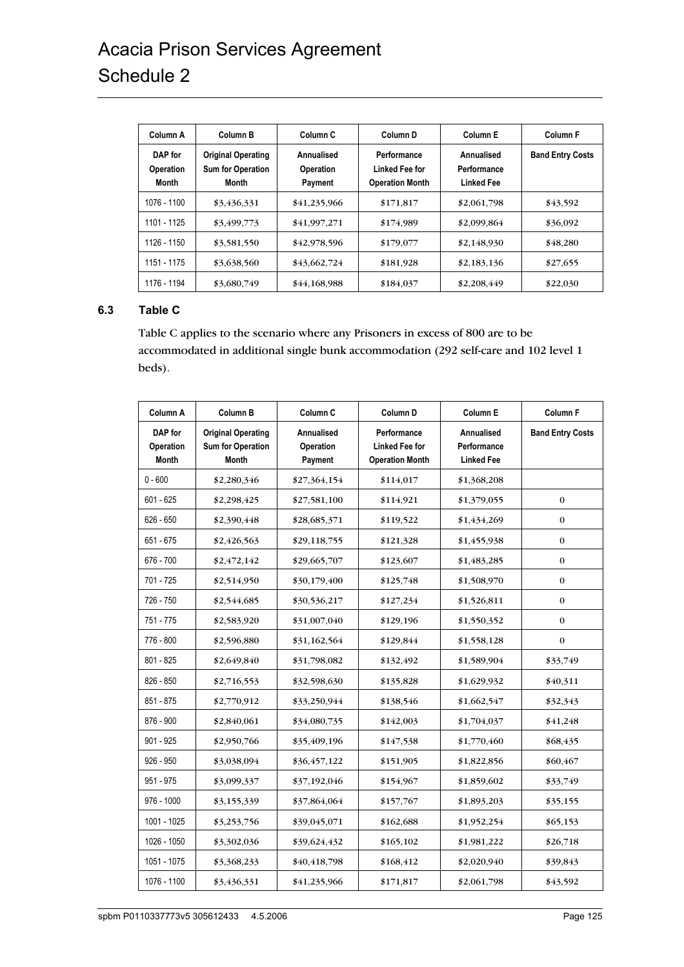# Acacia Prison Services Agreement Schedule 2

| Column A                             | Column B                                                              | Column <sub>C</sub>                       | Column <sub>D</sub>                                     | Column E                                       | Column <sub>F</sub>     |
|--------------------------------------|-----------------------------------------------------------------------|-------------------------------------------|---------------------------------------------------------|------------------------------------------------|-------------------------|
| DAP for<br>Operation<br><b>Month</b> | <b>Original Operating</b><br><b>Sum for Operation</b><br><b>Month</b> | Annualised<br><b>Operation</b><br>Payment | Performance<br>Linked Fee for<br><b>Operation Month</b> | Annualised<br>Performance<br><b>Linked Fee</b> | <b>Band Entry Costs</b> |
| 1076 - 1100                          | \$3,436,331                                                           | \$41,235,966                              | \$171,817                                               | \$2,061,798                                    | \$43,592                |
| 1101 - 1125                          | \$3,499,773                                                           | \$41,997,271                              | \$174,989                                               | \$2,099,864                                    | \$36,092                |
| 1126 - 1150                          | \$3,581,550                                                           | \$42,978,596                              | \$179,077                                               | \$2,148,930                                    | \$48,280                |
| 1151 - 1175                          | \$3,638,560                                                           | \$43,662,724                              | \$181,928                                               | \$2,183,136                                    | \$27,655                |
| 1176 - 1194                          | \$3,680,749                                                           | \$44,168,988                              | \$184,037                                               | \$2,208,449                                    | \$22,030                |

#### **6.3 Table C**

Table C applies to the scenario where any Prisoners in excess of 800 are to be accommodated in additional single bunk accommodation (292 self-care and 102 level 1 beds).

| Column A                      | Column B                                                              | Column C                                  | Column D                                                       | Column E                                       | Column F                |
|-------------------------------|-----------------------------------------------------------------------|-------------------------------------------|----------------------------------------------------------------|------------------------------------------------|-------------------------|
| DAP for<br>Operation<br>Month | <b>Original Operating</b><br><b>Sum for Operation</b><br><b>Month</b> | Annualised<br><b>Operation</b><br>Payment | Performance<br><b>Linked Fee for</b><br><b>Operation Month</b> | Annualised<br>Performance<br><b>Linked Fee</b> | <b>Band Entry Costs</b> |
| $0 - 600$                     | \$2,280,346                                                           | \$27,364,154                              | \$114,017                                                      | \$1,368,208                                    |                         |
| $601 - 625$                   | \$2,298,425                                                           | \$27,581,100                              | \$114,921                                                      | \$1,379,055                                    | $\bf{0}$                |
| $626 - 650$                   | \$2,390,448                                                           | \$28,685,371                              | \$119,522                                                      | \$1,434,269                                    | $\boldsymbol{0}$        |
| $651 - 675$                   | \$2,426,563                                                           | \$29,118,755                              | \$121,328                                                      | \$1,455,938                                    | $\boldsymbol{0}$        |
| 676 - 700                     | \$2,472,142                                                           | \$29,665,707                              | \$123,607                                                      | \$1,483,285                                    | $\bf{0}$                |
| 701 - 725                     | \$2,514,950                                                           | \$30,179,400                              | \$125,748                                                      | \$1,508,970                                    | $\bf{0}$                |
| 726 - 750                     | \$2,544,685                                                           | \$30,536,217                              | \$127,234                                                      | \$1,526,811                                    | $\bf{0}$                |
| 751 - 775                     | \$2,583,920                                                           | \$31,007,040                              | \$129,196                                                      | \$1,550,352                                    | $\bf{0}$                |
| 776 - 800                     | \$2,596,880                                                           | \$31,162,564                              | \$129,844                                                      | \$1,558,128                                    | $\mathbf{0}$            |
| 801 - 825                     | \$2,649,840                                                           | \$31,798,082                              | \$132,492                                                      | \$1,589,904                                    | \$33,749                |
| 826 - 850                     | \$2,716,553                                                           | \$32,598,630                              | \$135,828                                                      | \$1,629,932                                    | \$40,311                |
| 851 - 875                     | \$2,770,912                                                           | \$33,250,944                              | \$138,546                                                      | \$1,662,547                                    | \$32,343                |
| 876 - 900                     | \$2,840,061                                                           | \$34,080,735                              | \$142,003                                                      | \$1,704,037                                    | \$41,248                |
| 901 - 925                     | \$2,950,766                                                           | \$35,409,196                              | \$147,538                                                      | \$1,770,460                                    | \$68,435                |
| 926 - 950                     | \$3,038,094                                                           | \$36,457,122                              | \$151,905                                                      | \$1,822,856                                    | \$60,467                |
| $951 - 975$                   | \$3,099,337                                                           | \$37,192,046                              | \$154,967                                                      | \$1,859,602                                    | \$33,749                |
| 976 - 1000                    | \$3,155,339                                                           | \$37,864,064                              | \$157,767                                                      | \$1,893,203                                    | \$35,155                |
| 1001 - 1025                   | \$3,253,756                                                           | \$39,045,071                              | \$162,688                                                      | \$1,952,254                                    | \$65,153                |
| 1026 - 1050                   | \$3,302,036                                                           | \$39,624,432                              | \$165,102                                                      | \$1,981,222                                    | \$26,718                |
| 1051 - 1075                   | \$3,368,233                                                           | \$40,418,798                              | \$168,412                                                      | \$2,020,940                                    | \$39,843                |
| 1076 - 1100                   | \$3,436,331                                                           | \$41,235,966                              | \$171,817                                                      | \$2,061,798                                    | \$43,592                |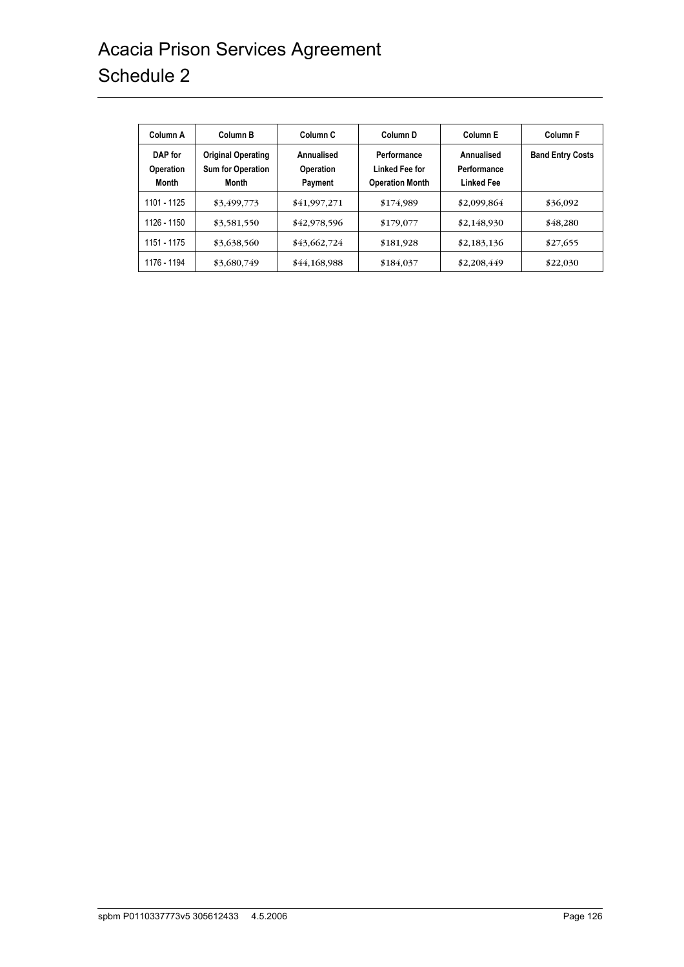# Acacia Prison Services Agreement Schedule 2

| Column A                                    | Column B                                                       | Column <sub>C</sub>                       | Column <sub>D</sub>                                     | Column E                                       | Column <sub>F</sub>     |
|---------------------------------------------|----------------------------------------------------------------|-------------------------------------------|---------------------------------------------------------|------------------------------------------------|-------------------------|
| DAP for<br><b>Operation</b><br><b>Month</b> | <b>Original Operating</b><br><b>Sum for Operation</b><br>Month | Annualised<br><b>Operation</b><br>Payment | Performance<br>Linked Fee for<br><b>Operation Month</b> | Annualised<br>Performance<br><b>Linked Fee</b> | <b>Band Entry Costs</b> |
| 1101 - 1125                                 | \$3,499,773                                                    | \$41,997,271                              | \$174,989                                               | \$2,099,864                                    | \$36,092                |
| 1126 - 1150                                 | \$3,581,550                                                    | \$42,978,596                              | \$179,077                                               | \$2,148,930                                    | \$48,280                |
| 1151 - 1175                                 | \$3,638,560                                                    | \$43,662,724                              | \$181,928                                               | \$2,183,136                                    | \$27,655                |
| 1176 - 1194                                 | \$3,680,749                                                    | \$44,168,988                              | \$184,037                                               | \$2,208,449                                    | \$22,030                |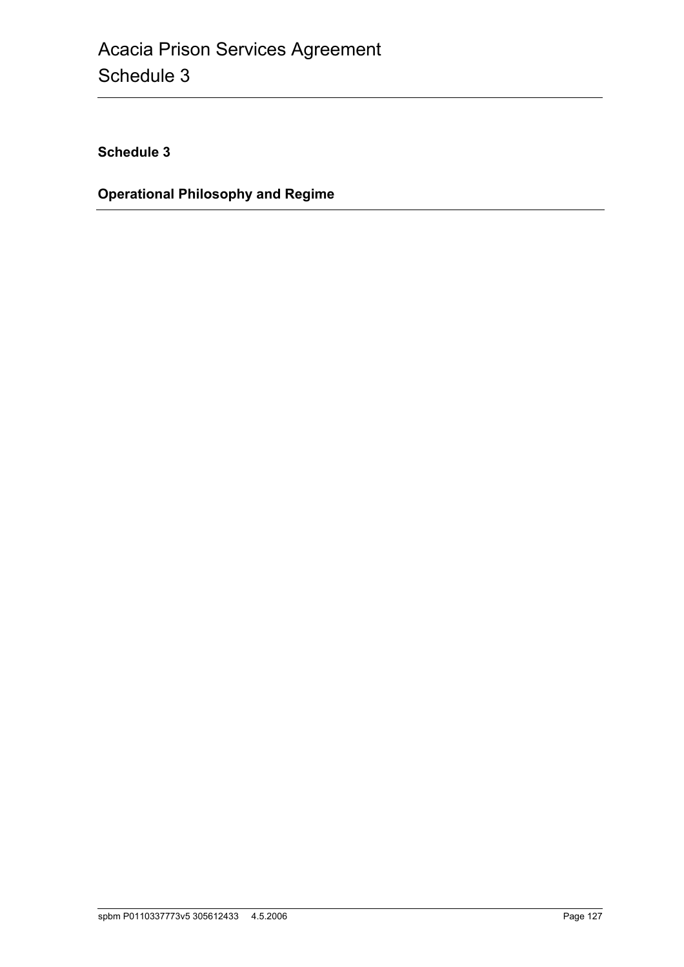**Schedule 3**

**Operational Philosophy and Regime**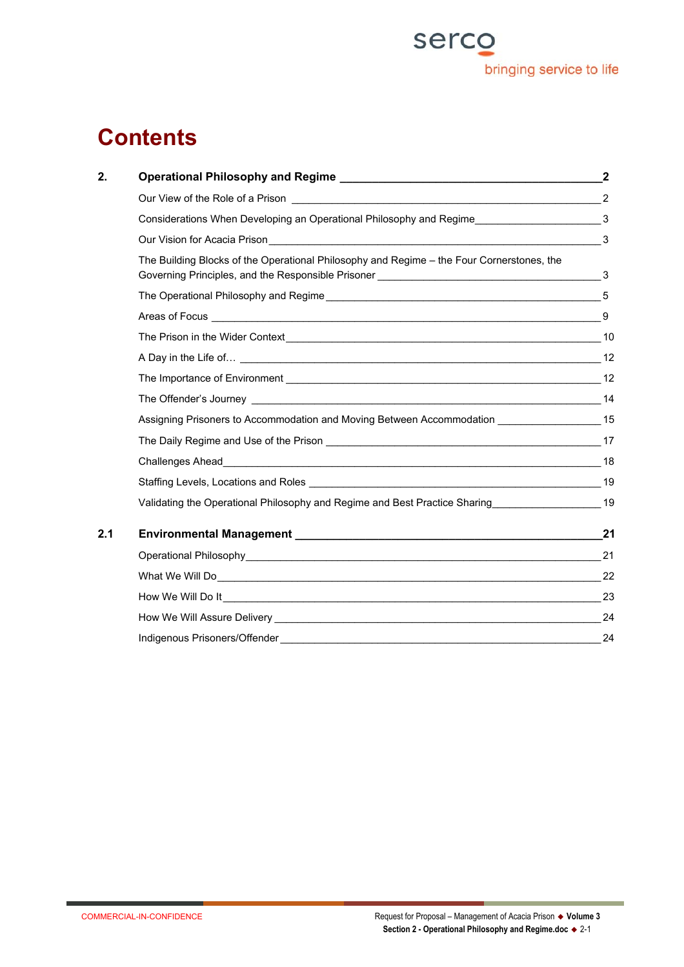

# **Contents**

| 2.  |                                                                                                                                                                                                                                      |    |
|-----|--------------------------------------------------------------------------------------------------------------------------------------------------------------------------------------------------------------------------------------|----|
|     |                                                                                                                                                                                                                                      |    |
|     |                                                                                                                                                                                                                                      |    |
|     | Our Vision for Acacia Prison 2011 Vision for Acacia Prison 2011                                                                                                                                                                      |    |
|     | The Building Blocks of the Operational Philosophy and Regime - the Four Cornerstones, the                                                                                                                                            |    |
|     | The Operational Philosophy and Regime <b>contained a manufacture of the Contract of the Contract of the Contract of the Contract of the Contract of the Contract of the Contract of the Contract of the Contract of the Contract</b> |    |
|     |                                                                                                                                                                                                                                      |    |
|     |                                                                                                                                                                                                                                      |    |
|     |                                                                                                                                                                                                                                      |    |
|     |                                                                                                                                                                                                                                      |    |
|     |                                                                                                                                                                                                                                      |    |
|     | Assigning Prisoners to Accommodation and Moving Between Accommodation ____________________15                                                                                                                                         |    |
|     | The Daily Regime and Use of the Prison <b>contained a manufacture of the Use of the Prison</b> 17                                                                                                                                    |    |
|     |                                                                                                                                                                                                                                      |    |
|     |                                                                                                                                                                                                                                      |    |
|     | Validating the Operational Philosophy and Regime and Best Practice Sharing_______________________19                                                                                                                                  |    |
| 2.1 |                                                                                                                                                                                                                                      | 21 |
|     |                                                                                                                                                                                                                                      |    |
|     |                                                                                                                                                                                                                                      | 22 |
|     |                                                                                                                                                                                                                                      |    |
|     |                                                                                                                                                                                                                                      | 24 |
|     | Indigenous Prisoners/Offender                                                                                                                                                                                                        | 24 |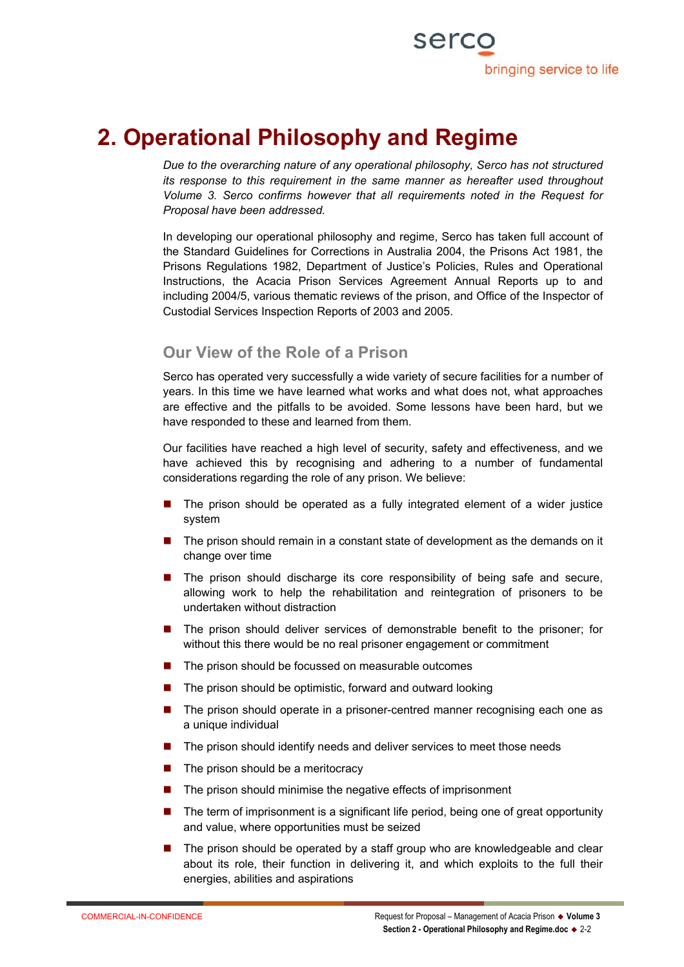

# **2. Operational Philosophy and Regime**

*Due to the overarching nature of any operational philosophy, Serco has not structured its response to this requirement in the same manner as hereafter used throughout Volume 3. Serco confirms however that all requirements noted in the Request for Proposal have been addressed.*

In developing our operational philosophy and regime, Serco has taken full account of the Standard Guidelines for Corrections in Australia 2004, the Prisons Act 1981, the Prisons Regulations 1982, Department of Justice's Policies, Rules and Operational Instructions, the Acacia Prison Services Agreement Annual Reports up to and including 2004/5, various thematic reviews of the prison, and Office of the Inspector of Custodial Services Inspection Reports of 2003 and 2005.

# **Our View of the Role of a Prison**

Serco has operated very successfully a wide variety of secure facilities for a number of years. In this time we have learned what works and what does not, what approaches are effective and the pitfalls to be avoided. Some lessons have been hard, but we have responded to these and learned from them.

Our facilities have reached a high level of security, safety and effectiveness, and we have achieved this by recognising and adhering to a number of fundamental considerations regarding the role of any prison. We believe:

- **The prison should be operated as a fully integrated element of a wider justice** system
- The prison should remain in a constant state of development as the demands on it change over time
- **The prison should discharge its core responsibility of being safe and secure,** allowing work to help the rehabilitation and reintegration of prisoners to be undertaken without distraction
- **The prison should deliver services of demonstrable benefit to the prisoner; for** without this there would be no real prisoner engagement or commitment
- $\blacksquare$  The prison should be focussed on measurable outcomes
- The prison should be optimistic, forward and outward looking
- **The prison should operate in a prisoner-centred manner recognising each one as** a unique individual
- The prison should identify needs and deliver services to meet those needs
- $\blacksquare$  The prison should be a meritocracy
- The prison should minimise the negative effects of imprisonment
- The term of imprisonment is a significant life period, being one of great opportunity and value, where opportunities must be seized
- The prison should be operated by a staff group who are knowledgeable and clear about its role, their function in delivering it, and which exploits to the full their energies, abilities and aspirations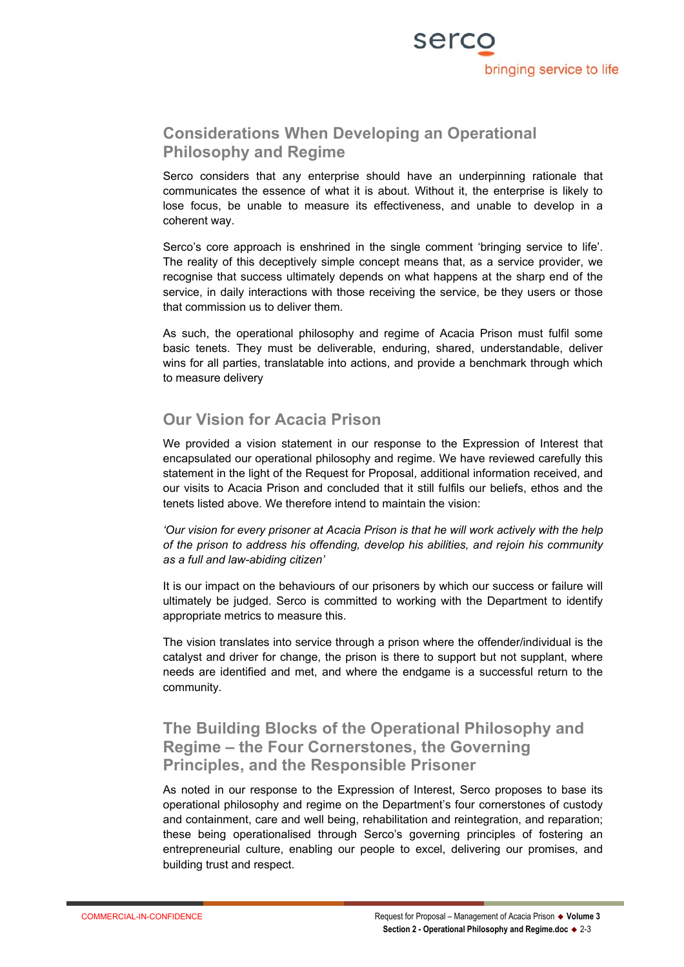

# **Considerations When Developing an Operational Philosophy and Regime**

Serco considers that any enterprise should have an underpinning rationale that communicates the essence of what it is about. Without it, the enterprise is likely to lose focus, be unable to measure its effectiveness, and unable to develop in a coherent way.

Serco's core approach is enshrined in the single comment 'bringing service to life'. The reality of this deceptively simple concept means that, as a service provider, we recognise that success ultimately depends on what happens at the sharp end of the service, in daily interactions with those receiving the service, be they users or those that commission us to deliver them.

As such, the operational philosophy and regime of Acacia Prison must fulfil some basic tenets. They must be deliverable, enduring, shared, understandable, deliver wins for all parties, translatable into actions, and provide a benchmark through which to measure delivery

# **Our Vision for Acacia Prison**

We provided a vision statement in our response to the Expression of Interest that encapsulated our operational philosophy and regime. We have reviewed carefully this statement in the light of the Request for Proposal, additional information received, and our visits to Acacia Prison and concluded that it still fulfils our beliefs, ethos and the tenets listed above. We therefore intend to maintain the vision:

*'Our vision for every prisoner at Acacia Prison is that he will work actively with the help of the prison to address his offending, develop his abilities, and rejoin his community as a full and law-abiding citizen'*

It is our impact on the behaviours of our prisoners by which our success or failure will ultimately be judged. Serco is committed to working with the Department to identify appropriate metrics to measure this.

The vision translates into service through a prison where the offender/individual is the catalyst and driver for change, the prison is there to support but not supplant, where needs are identified and met, and where the endgame is a successful return to the community.

# **The Building Blocks of the Operational Philosophy and Regime – the Four Cornerstones, the Governing Principles, and the Responsible Prisoner**

As noted in our response to the Expression of Interest, Serco proposes to base its operational philosophy and regime on the Department's four cornerstones of custody and containment, care and well being, rehabilitation and reintegration, and reparation; these being operationalised through Serco's governing principles of fostering an entrepreneurial culture, enabling our people to excel, delivering our promises, and building trust and respect.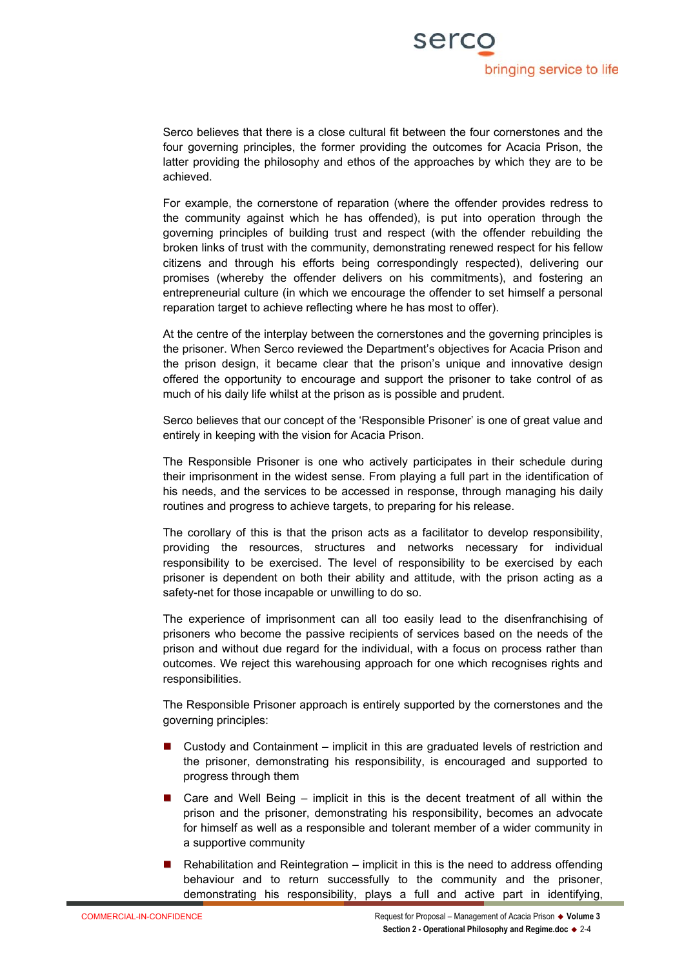

Serco believes that there is a close cultural fit between the four cornerstones and the four governing principles, the former providing the outcomes for Acacia Prison, the latter providing the philosophy and ethos of the approaches by which they are to be achieved.

For example, the cornerstone of reparation (where the offender provides redress to the community against which he has offended), is put into operation through the governing principles of building trust and respect (with the offender rebuilding the broken links of trust with the community, demonstrating renewed respect for his fellow citizens and through his efforts being correspondingly respected), delivering our promises (whereby the offender delivers on his commitments), and fostering an entrepreneurial culture (in which we encourage the offender to set himself a personal reparation target to achieve reflecting where he has most to offer).

At the centre of the interplay between the cornerstones and the governing principles is the prisoner. When Serco reviewed the Department's objectives for Acacia Prison and the prison design, it became clear that the prison's unique and innovative design offered the opportunity to encourage and support the prisoner to take control of as much of his daily life whilst at the prison as is possible and prudent.

Serco believes that our concept of the 'Responsible Prisoner' is one of great value and entirely in keeping with the vision for Acacia Prison.

The Responsible Prisoner is one who actively participates in their schedule during their imprisonment in the widest sense. From playing a full part in the identification of his needs, and the services to be accessed in response, through managing his daily routines and progress to achieve targets, to preparing for his release.

The corollary of this is that the prison acts as a facilitator to develop responsibility, providing the resources, structures and networks necessary for individual responsibility to be exercised. The level of responsibility to be exercised by each prisoner is dependent on both their ability and attitude, with the prison acting as a safety-net for those incapable or unwilling to do so.

The experience of imprisonment can all too easily lead to the disenfranchising of prisoners who become the passive recipients of services based on the needs of the prison and without due regard for the individual, with a focus on process rather than outcomes. We reject this warehousing approach for one which recognises rights and responsibilities.

The Responsible Prisoner approach is entirely supported by the cornerstones and the governing principles:

- Custody and Containment implicit in this are graduated levels of restriction and the prisoner, demonstrating his responsibility, is encouraged and supported to progress through them
- $\blacksquare$  Care and Well Being implicit in this is the decent treatment of all within the prison and the prisoner, demonstrating his responsibility, becomes an advocate for himself as well as a responsible and tolerant member of a wider community in a supportive community
- Rehabilitation and Reintegration implicit in this is the need to address offending behaviour and to return successfully to the community and the prisoner, demonstrating his responsibility, plays a full and active part in identifying,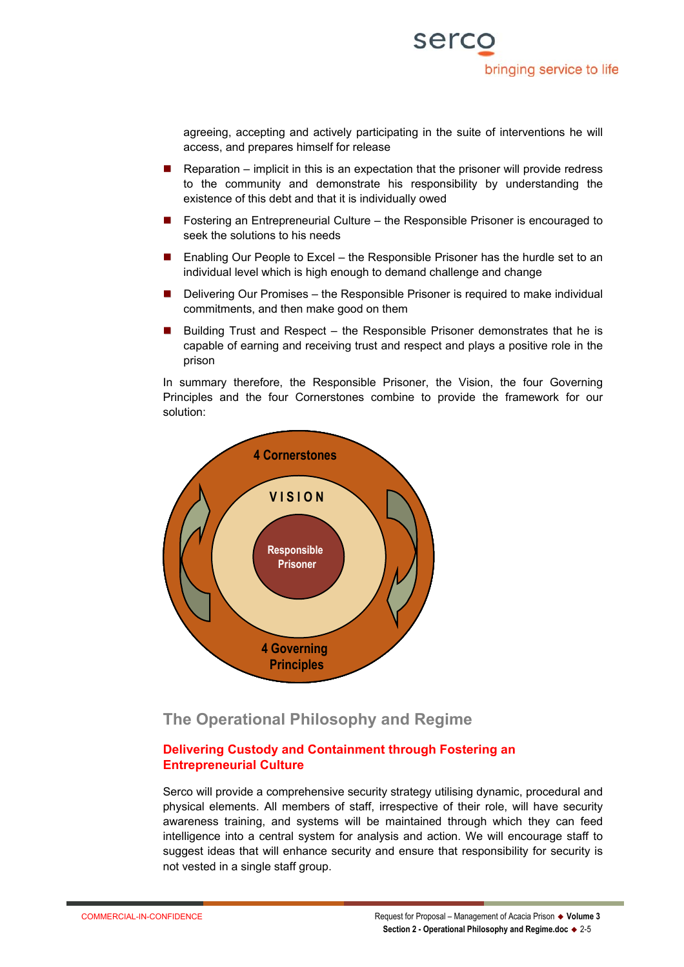

agreeing, accepting and actively participating in the suite of interventions he will access, and prepares himself for release

- Reparation implicit in this is an expectation that the prisoner will provide redress to the community and demonstrate his responsibility by understanding the existence of this debt and that it is individually owed
- Fostering an Entrepreneurial Culture the Responsible Prisoner is encouraged to seek the solutions to his needs
- Enabling Our People to Excel the Responsible Prisoner has the hurdle set to an individual level which is high enough to demand challenge and change
- Delivering Our Promises the Responsible Prisoner is required to make individual commitments, and then make good on them
- Building Trust and Respect the Responsible Prisoner demonstrates that he is capable of earning and receiving trust and respect and plays a positive role in the prison

In summary therefore, the Responsible Prisoner, the Vision, the four Governing Principles and the four Cornerstones combine to provide the framework for our solution:



# **The Operational Philosophy and Regime**

#### **Delivering Custody and Containment through Fostering an Entrepreneurial Culture**

Serco will provide a comprehensive security strategy utilising dynamic, procedural and physical elements. All members of staff, irrespective of their role, will have security awareness training, and systems will be maintained through which they can feed intelligence into a central system for analysis and action. We will encourage staff to suggest ideas that will enhance security and ensure that responsibility for security is not vested in a single staff group.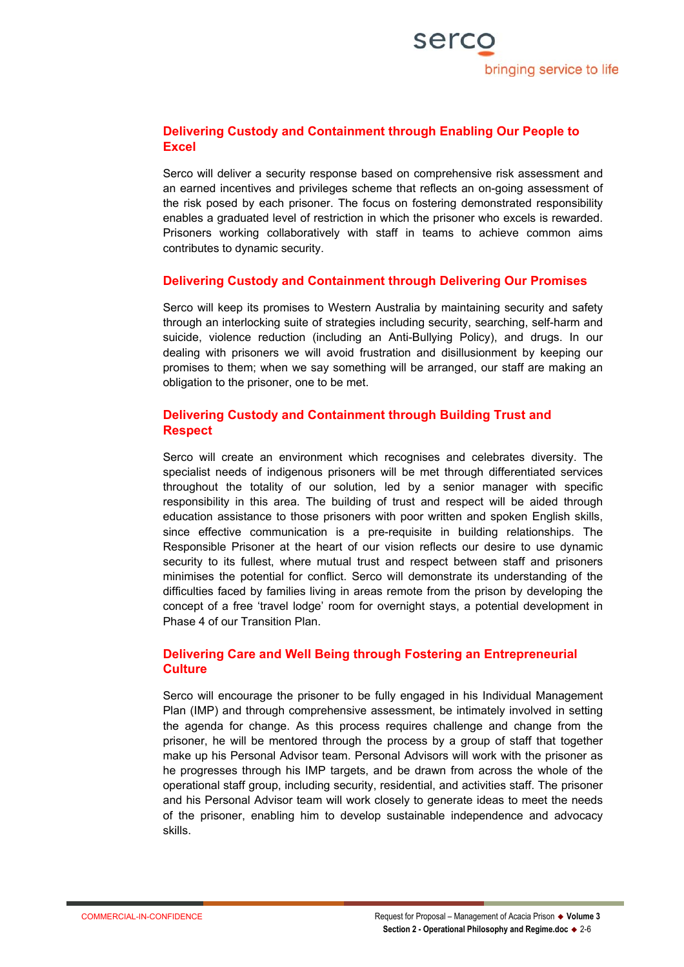#### **Delivering Custody and Containment through Enabling Our People to Excel**

Serco will deliver a security response based on comprehensive risk assessment and an earned incentives and privileges scheme that reflects an on-going assessment of the risk posed by each prisoner. The focus on fostering demonstrated responsibility enables a graduated level of restriction in which the prisoner who excels is rewarded. Prisoners working collaboratively with staff in teams to achieve common aims contributes to dynamic security.

#### **Delivering Custody and Containment through Delivering Our Promises**

Serco will keep its promises to Western Australia by maintaining security and safety through an interlocking suite of strategies including security, searching, self-harm and suicide, violence reduction (including an Anti-Bullying Policy), and drugs. In our dealing with prisoners we will avoid frustration and disillusionment by keeping our promises to them; when we say something will be arranged, our staff are making an obligation to the prisoner, one to be met.

#### **Delivering Custody and Containment through Building Trust and Respect**

Serco will create an environment which recognises and celebrates diversity. The specialist needs of indigenous prisoners will be met through differentiated services throughout the totality of our solution, led by a senior manager with specific responsibility in this area. The building of trust and respect will be aided through education assistance to those prisoners with poor written and spoken English skills, since effective communication is a pre-requisite in building relationships. The Responsible Prisoner at the heart of our vision reflects our desire to use dynamic security to its fullest, where mutual trust and respect between staff and prisoners minimises the potential for conflict. Serco will demonstrate its understanding of the difficulties faced by families living in areas remote from the prison by developing the concept of a free 'travel lodge' room for overnight stays, a potential development in Phase 4 of our Transition Plan.

#### **Delivering Care and Well Being through Fostering an Entrepreneurial Culture**

Serco will encourage the prisoner to be fully engaged in his Individual Management Plan (IMP) and through comprehensive assessment, be intimately involved in setting the agenda for change. As this process requires challenge and change from the prisoner, he will be mentored through the process by a group of staff that together make up his Personal Advisor team. Personal Advisors will work with the prisoner as he progresses through his IMP targets, and be drawn from across the whole of the operational staff group, including security, residential, and activities staff. The prisoner and his Personal Advisor team will work closely to generate ideas to meet the needs of the prisoner, enabling him to develop sustainable independence and advocacy skills.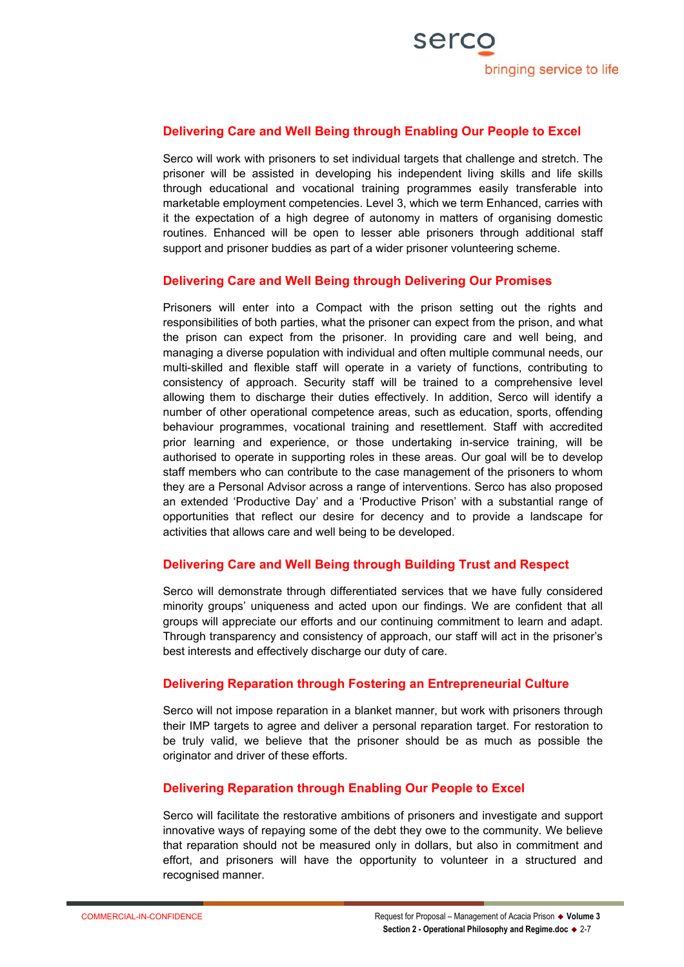#### **Delivering Care and Well Being through Enabling Our People to Excel**

Serco will work with prisoners to set individual targets that challenge and stretch. The prisoner will be assisted in developing his independent living skills and life skills through educational and vocational training programmes easily transferable into marketable employment competencies. Level 3, which we term Enhanced, carries with it the expectation of a high degree of autonomy in matters of organising domestic routines. Enhanced will be open to lesser able prisoners through additional staff support and prisoner buddies as part of a wider prisoner volunteering scheme.

#### **Delivering Care and Well Being through Delivering Our Promises**

Prisoners will enter into a Compact with the prison setting out the rights and responsibilities of both parties, what the prisoner can expect from the prison, and what the prison can expect from the prisoner. In providing care and well being, and managing a diverse population with individual and often multiple communal needs, our multi-skilled and flexible staff will operate in a variety of functions, contributing to consistency of approach. Security staff will be trained to a comprehensive level allowing them to discharge their duties effectively. In addition, Serco will identify a number of other operational competence areas, such as education, sports, offending behaviour programmes, vocational training and resettlement. Staff with accredited prior learning and experience, or those undertaking in-service training, will be authorised to operate in supporting roles in these areas. Our goal will be to develop staff members who can contribute to the case management of the prisoners to whom they are a Personal Advisor across a range of interventions. Serco has also proposed an extended 'Productive Day' and a 'Productive Prison' with a substantial range of opportunities that reflect our desire for decency and to provide a landscape for activities that allows care and well being to be developed.

#### **Delivering Care and Well Being through Building Trust and Respect**

Serco will demonstrate through differentiated services that we have fully considered minority groups' uniqueness and acted upon our findings. We are confident that all groups will appreciate our efforts and our continuing commitment to learn and adapt. Through transparency and consistency of approach, our staff will act in the prisoner's best interests and effectively discharge our duty of care.

#### **Delivering Reparation through Fostering an Entrepreneurial Culture**

Serco will not impose reparation in a blanket manner, but work with prisoners through their IMP targets to agree and deliver a personal reparation target. For restoration to be truly valid, we believe that the prisoner should be as much as possible the originator and driver of these efforts.

#### **Delivering Reparation through Enabling Our People to Excel**

Serco will facilitate the restorative ambitions of prisoners and investigate and support innovative ways of repaying some of the debt they owe to the community. We believe that reparation should not be measured only in dollars, but also in commitment and effort, and prisoners will have the opportunity to volunteer in a structured and recognised manner.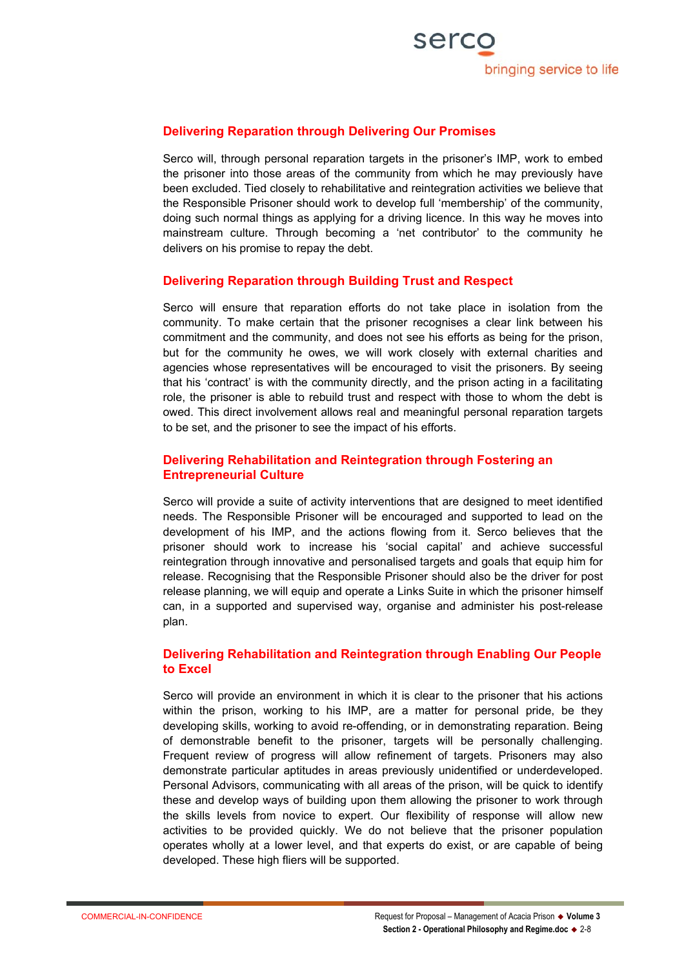#### **Delivering Reparation through Delivering Our Promises**

Serco will, through personal reparation targets in the prisoner's IMP, work to embed the prisoner into those areas of the community from which he may previously have been excluded. Tied closely to rehabilitative and reintegration activities we believe that the Responsible Prisoner should work to develop full 'membership' of the community, doing such normal things as applying for a driving licence. In this way he moves into mainstream culture. Through becoming a 'net contributor' to the community he delivers on his promise to repay the debt.

#### **Delivering Reparation through Building Trust and Respect**

Serco will ensure that reparation efforts do not take place in isolation from the community. To make certain that the prisoner recognises a clear link between his commitment and the community, and does not see his efforts as being for the prison, but for the community he owes, we will work closely with external charities and agencies whose representatives will be encouraged to visit the prisoners. By seeing that his 'contract' is with the community directly, and the prison acting in a facilitating role, the prisoner is able to rebuild trust and respect with those to whom the debt is owed. This direct involvement allows real and meaningful personal reparation targets to be set, and the prisoner to see the impact of his efforts.

#### **Delivering Rehabilitation and Reintegration through Fostering an Entrepreneurial Culture**

Serco will provide a suite of activity interventions that are designed to meet identified needs. The Responsible Prisoner will be encouraged and supported to lead on the development of his IMP, and the actions flowing from it. Serco believes that the prisoner should work to increase his 'social capital' and achieve successful reintegration through innovative and personalised targets and goals that equip him for release. Recognising that the Responsible Prisoner should also be the driver for post release planning, we will equip and operate a Links Suite in which the prisoner himself can, in a supported and supervised way, organise and administer his post-release plan.

#### **Delivering Rehabilitation and Reintegration through Enabling Our People to Excel**

Serco will provide an environment in which it is clear to the prisoner that his actions within the prison, working to his IMP, are a matter for personal pride, be they developing skills, working to avoid re-offending, or in demonstrating reparation. Being of demonstrable benefit to the prisoner, targets will be personally challenging. Frequent review of progress will allow refinement of targets. Prisoners may also demonstrate particular aptitudes in areas previously unidentified or underdeveloped. Personal Advisors, communicating with all areas of the prison, will be quick to identify these and develop ways of building upon them allowing the prisoner to work through the skills levels from novice to expert. Our flexibility of response will allow new activities to be provided quickly. We do not believe that the prisoner population operates wholly at a lower level, and that experts do exist, or are capable of being developed. These high fliers will be supported.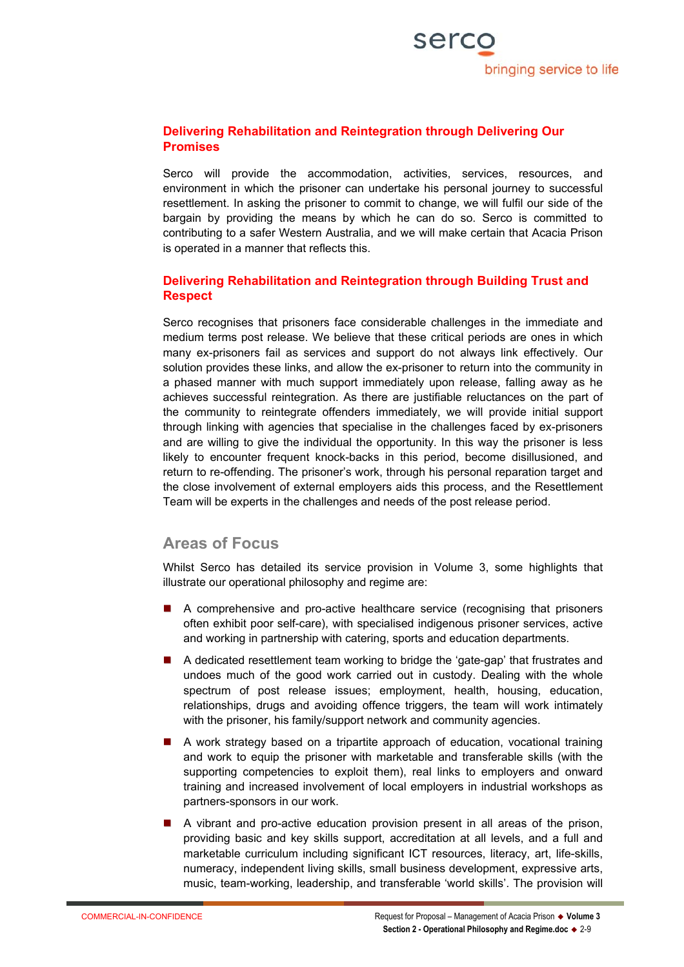#### **Delivering Rehabilitation and Reintegration through Delivering Our Promises**

Serco will provide the accommodation, activities, services, resources, and environment in which the prisoner can undertake his personal journey to successful resettlement. In asking the prisoner to commit to change, we will fulfil our side of the bargain by providing the means by which he can do so. Serco is committed to contributing to a safer Western Australia, and we will make certain that Acacia Prison is operated in a manner that reflects this.

#### **Delivering Rehabilitation and Reintegration through Building Trust and Respect**

Serco recognises that prisoners face considerable challenges in the immediate and medium terms post release. We believe that these critical periods are ones in which many ex-prisoners fail as services and support do not always link effectively. Our solution provides these links, and allow the ex-prisoner to return into the community in a phased manner with much support immediately upon release, falling away as he achieves successful reintegration. As there are justifiable reluctances on the part of the community to reintegrate offenders immediately, we will provide initial support through linking with agencies that specialise in the challenges faced by ex-prisoners and are willing to give the individual the opportunity. In this way the prisoner is less likely to encounter frequent knock-backs in this period, become disillusioned, and return to re-offending. The prisoner's work, through his personal reparation target and the close involvement of external employers aids this process, and the Resettlement Team will be experts in the challenges and needs of the post release period.

# **Areas of Focus**

Whilst Serco has detailed its service provision in Volume 3, some highlights that illustrate our operational philosophy and regime are:

- A comprehensive and pro-active healthcare service (recognising that prisoners often exhibit poor self-care), with specialised indigenous prisoner services, active and working in partnership with catering, sports and education departments.
- A dedicated resettlement team working to bridge the 'gate-gap' that frustrates and undoes much of the good work carried out in custody. Dealing with the whole spectrum of post release issues; employment, health, housing, education, relationships, drugs and avoiding offence triggers, the team will work intimately with the prisoner, his family/support network and community agencies.
- A work strategy based on a tripartite approach of education, vocational training and work to equip the prisoner with marketable and transferable skills (with the supporting competencies to exploit them), real links to employers and onward training and increased involvement of local employers in industrial workshops as partners-sponsors in our work.
- A vibrant and pro-active education provision present in all areas of the prison, providing basic and key skills support, accreditation at all levels, and a full and marketable curriculum including significant ICT resources, literacy, art, life-skills, numeracy, independent living skills, small business development, expressive arts, music, team-working, leadership, and transferable 'world skills'. The provision will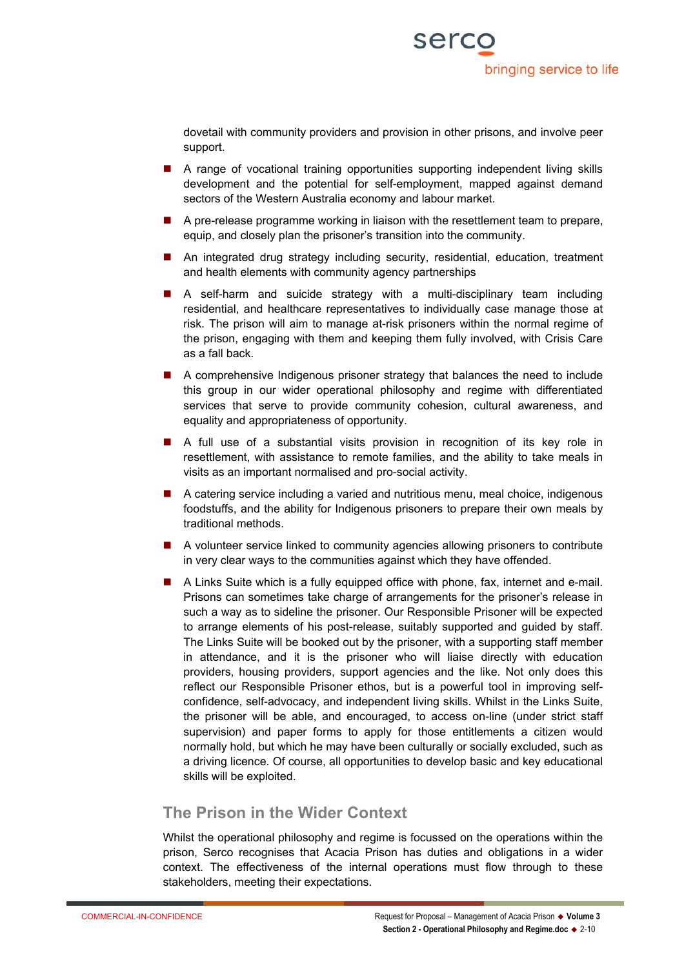dovetail with community providers and provision in other prisons, and involve peer support.

- A range of vocational training opportunities supporting independent living skills development and the potential for self-employment, mapped against demand sectors of the Western Australia economy and labour market.
- A pre-release programme working in liaison with the resettlement team to prepare, equip, and closely plan the prisoner's transition into the community.
- An integrated drug strategy including security, residential, education, treatment and health elements with community agency partnerships
- A self-harm and suicide strategy with a multi-disciplinary team including residential, and healthcare representatives to individually case manage those at risk. The prison will aim to manage at-risk prisoners within the normal regime of the prison, engaging with them and keeping them fully involved, with Crisis Care as a fall back.
- A comprehensive Indigenous prisoner strategy that balances the need to include this group in our wider operational philosophy and regime with differentiated services that serve to provide community cohesion, cultural awareness, and equality and appropriateness of opportunity.
- A full use of a substantial visits provision in recognition of its key role in resettlement, with assistance to remote families, and the ability to take meals in visits as an important normalised and pro-social activity.
- A catering service including a varied and nutritious menu, meal choice, indigenous foodstuffs, and the ability for Indigenous prisoners to prepare their own meals by traditional methods.
- A volunteer service linked to community agencies allowing prisoners to contribute in very clear ways to the communities against which they have offended.
- A Links Suite which is a fully equipped office with phone, fax, internet and e-mail. Prisons can sometimes take charge of arrangements for the prisoner's release in such a way as to sideline the prisoner. Our Responsible Prisoner will be expected to arrange elements of his post-release, suitably supported and guided by staff. The Links Suite will be booked out by the prisoner, with a supporting staff member in attendance, and it is the prisoner who will liaise directly with education providers, housing providers, support agencies and the like. Not only does this reflect our Responsible Prisoner ethos, but is a powerful tool in improving selfconfidence, self-advocacy, and independent living skills. Whilst in the Links Suite, the prisoner will be able, and encouraged, to access on-line (under strict staff supervision) and paper forms to apply for those entitlements a citizen would normally hold, but which he may have been culturally or socially excluded, such as a driving licence. Of course, all opportunities to develop basic and key educational skills will be exploited.

# **The Prison in the Wider Context**

Whilst the operational philosophy and regime is focussed on the operations within the prison, Serco recognises that Acacia Prison has duties and obligations in a wider context. The effectiveness of the internal operations must flow through to these stakeholders, meeting their expectations.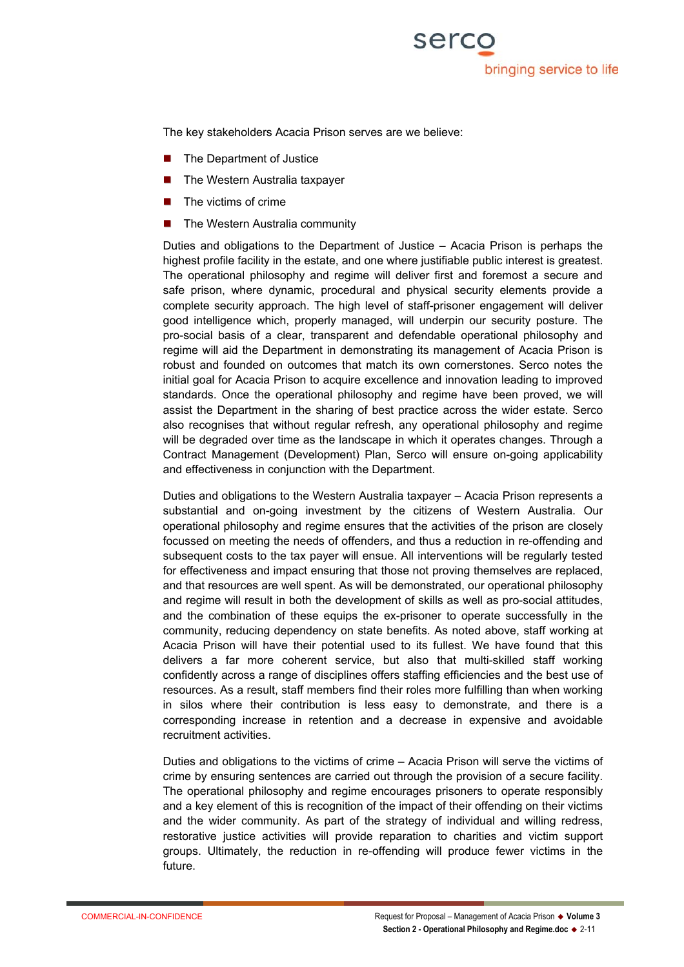The key stakeholders Acacia Prison serves are we believe:

- The Department of Justice
- The Western Australia taxpayer
- The victims of crime
- The Western Australia community

Duties and obligations to the Department of Justice – Acacia Prison is perhaps the highest profile facility in the estate, and one where justifiable public interest is greatest. The operational philosophy and regime will deliver first and foremost a secure and safe prison, where dynamic, procedural and physical security elements provide a complete security approach. The high level of staff-prisoner engagement will deliver good intelligence which, properly managed, will underpin our security posture. The pro-social basis of a clear, transparent and defendable operational philosophy and regime will aid the Department in demonstrating its management of Acacia Prison is robust and founded on outcomes that match its own cornerstones. Serco notes the initial goal for Acacia Prison to acquire excellence and innovation leading to improved standards. Once the operational philosophy and regime have been proved, we will assist the Department in the sharing of best practice across the wider estate. Serco also recognises that without regular refresh, any operational philosophy and regime will be degraded over time as the landscape in which it operates changes. Through a Contract Management (Development) Plan, Serco will ensure on-going applicability and effectiveness in conjunction with the Department.

Duties and obligations to the Western Australia taxpayer – Acacia Prison represents a substantial and on-going investment by the citizens of Western Australia. Our operational philosophy and regime ensures that the activities of the prison are closely focussed on meeting the needs of offenders, and thus a reduction in re-offending and subsequent costs to the tax payer will ensue. All interventions will be regularly tested for effectiveness and impact ensuring that those not proving themselves are replaced, and that resources are well spent. As will be demonstrated, our operational philosophy and regime will result in both the development of skills as well as pro-social attitudes, and the combination of these equips the ex-prisoner to operate successfully in the community, reducing dependency on state benefits. As noted above, staff working at Acacia Prison will have their potential used to its fullest. We have found that this delivers a far more coherent service, but also that multi-skilled staff working confidently across a range of disciplines offers staffing efficiencies and the best use of resources. As a result, staff members find their roles more fulfilling than when working in silos where their contribution is less easy to demonstrate, and there is a corresponding increase in retention and a decrease in expensive and avoidable recruitment activities.

Duties and obligations to the victims of crime – Acacia Prison will serve the victims of crime by ensuring sentences are carried out through the provision of a secure facility. The operational philosophy and regime encourages prisoners to operate responsibly and a key element of this is recognition of the impact of their offending on their victims and the wider community. As part of the strategy of individual and willing redress, restorative justice activities will provide reparation to charities and victim support groups. Ultimately, the reduction in re-offending will produce fewer victims in the future.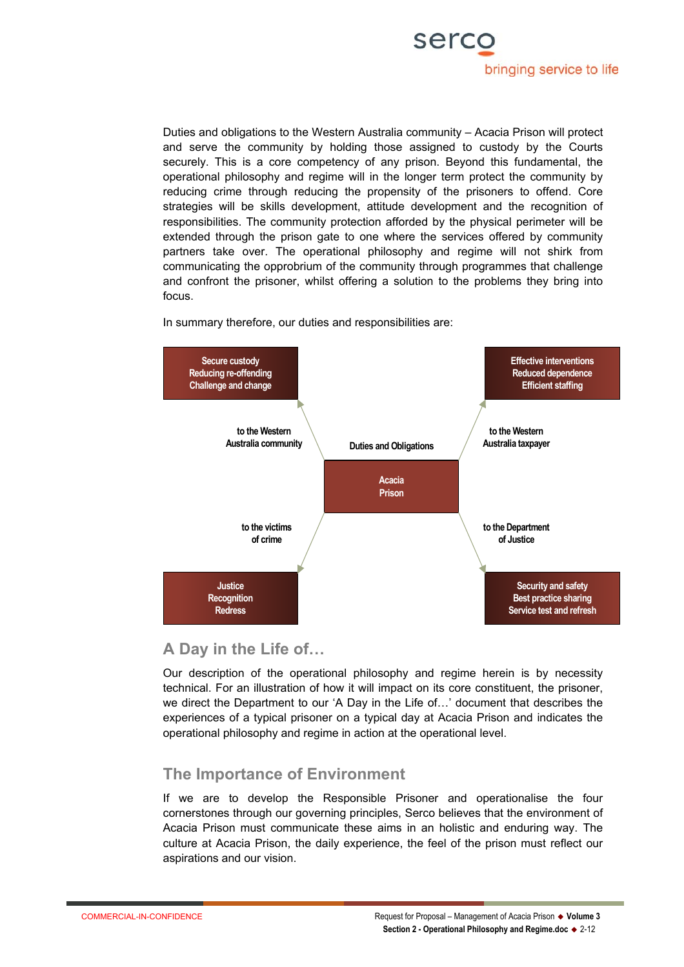

Duties and obligations to the Western Australia community – Acacia Prison will protect and serve the community by holding those assigned to custody by the Courts securely. This is a core competency of any prison. Beyond this fundamental, the operational philosophy and regime will in the longer term protect the community by reducing crime through reducing the propensity of the prisoners to offend. Core strategies will be skills development, attitude development and the recognition of responsibilities. The community protection afforded by the physical perimeter will be extended through the prison gate to one where the services offered by community partners take over. The operational philosophy and regime will not shirk from communicating the opprobrium of the community through programmes that challenge and confront the prisoner, whilst offering a solution to the problems they bring into focus.



In summary therefore, our duties and responsibilities are:

# **A Day in the Life of…**

Our description of the operational philosophy and regime herein is by necessity technical. For an illustration of how it will impact on its core constituent, the prisoner, we direct the Department to our 'A Day in the Life of…' document that describes the experiences of a typical prisoner on a typical day at Acacia Prison and indicates the operational philosophy and regime in action at the operational level.

# **The Importance of Environment**

If we are to develop the Responsible Prisoner and operationalise the four cornerstones through our governing principles, Serco believes that the environment of Acacia Prison must communicate these aims in an holistic and enduring way. The culture at Acacia Prison, the daily experience, the feel of the prison must reflect our aspirations and our vision.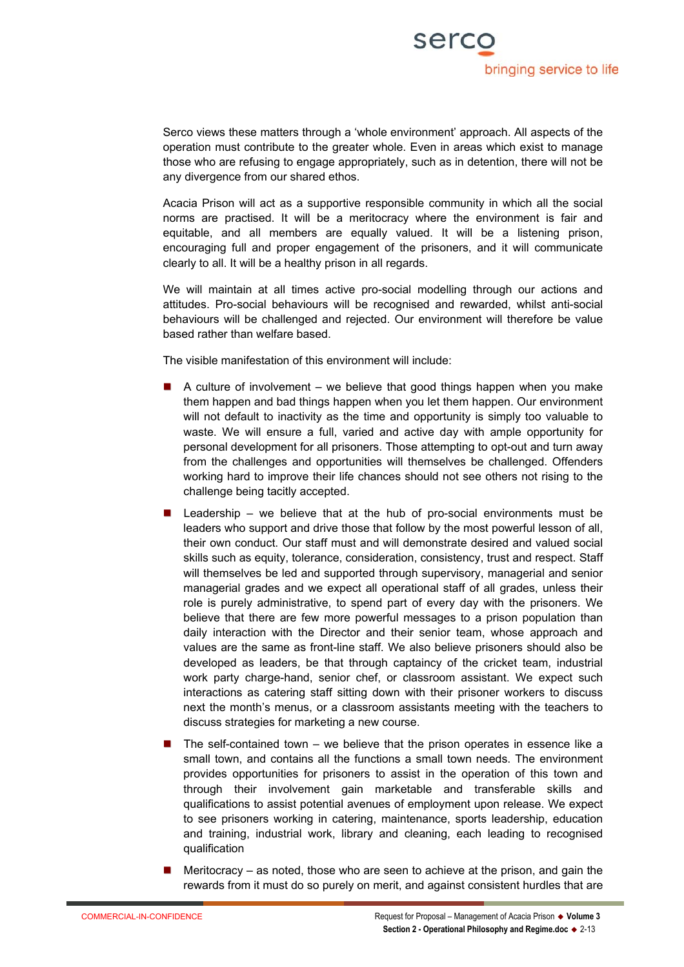

Serco views these matters through a 'whole environment' approach. All aspects of the operation must contribute to the greater whole. Even in areas which exist to manage those who are refusing to engage appropriately, such as in detention, there will not be any divergence from our shared ethos.

Acacia Prison will act as a supportive responsible community in which all the social norms are practised. It will be a meritocracy where the environment is fair and equitable, and all members are equally valued. It will be a listening prison, encouraging full and proper engagement of the prisoners, and it will communicate clearly to all. It will be a healthy prison in all regards.

We will maintain at all times active pro-social modelling through our actions and attitudes. Pro-social behaviours will be recognised and rewarded, whilst anti-social behaviours will be challenged and rejected. Our environment will therefore be value based rather than welfare based.

The visible manifestation of this environment will include:

- A culture of involvement we believe that good things happen when you make them happen and bad things happen when you let them happen. Our environment will not default to inactivity as the time and opportunity is simply too valuable to waste. We will ensure a full, varied and active day with ample opportunity for personal development for all prisoners. Those attempting to opt-out and turn away from the challenges and opportunities will themselves be challenged. Offenders working hard to improve their life chances should not see others not rising to the challenge being tacitly accepted.
- Leadership we believe that at the hub of pro-social environments must be leaders who support and drive those that follow by the most powerful lesson of all, their own conduct. Our staff must and will demonstrate desired and valued social skills such as equity, tolerance, consideration, consistency, trust and respect. Staff will themselves be led and supported through supervisory, managerial and senior managerial grades and we expect all operational staff of all grades, unless their role is purely administrative, to spend part of every day with the prisoners. We believe that there are few more powerful messages to a prison population than daily interaction with the Director and their senior team, whose approach and values are the same as front-line staff. We also believe prisoners should also be developed as leaders, be that through captaincy of the cricket team, industrial work party charge-hand, senior chef, or classroom assistant. We expect such interactions as catering staff sitting down with their prisoner workers to discuss next the month's menus, or a classroom assistants meeting with the teachers to discuss strategies for marketing a new course.
- The self-contained town we believe that the prison operates in essence like a small town, and contains all the functions a small town needs. The environment provides opportunities for prisoners to assist in the operation of this town and through their involvement gain marketable and transferable skills and qualifications to assist potential avenues of employment upon release. We expect to see prisoners working in catering, maintenance, sports leadership, education and training, industrial work, library and cleaning, each leading to recognised qualification
- **Meritocracy** as noted, those who are seen to achieve at the prison, and gain the rewards from it must do so purely on merit, and against consistent hurdles that are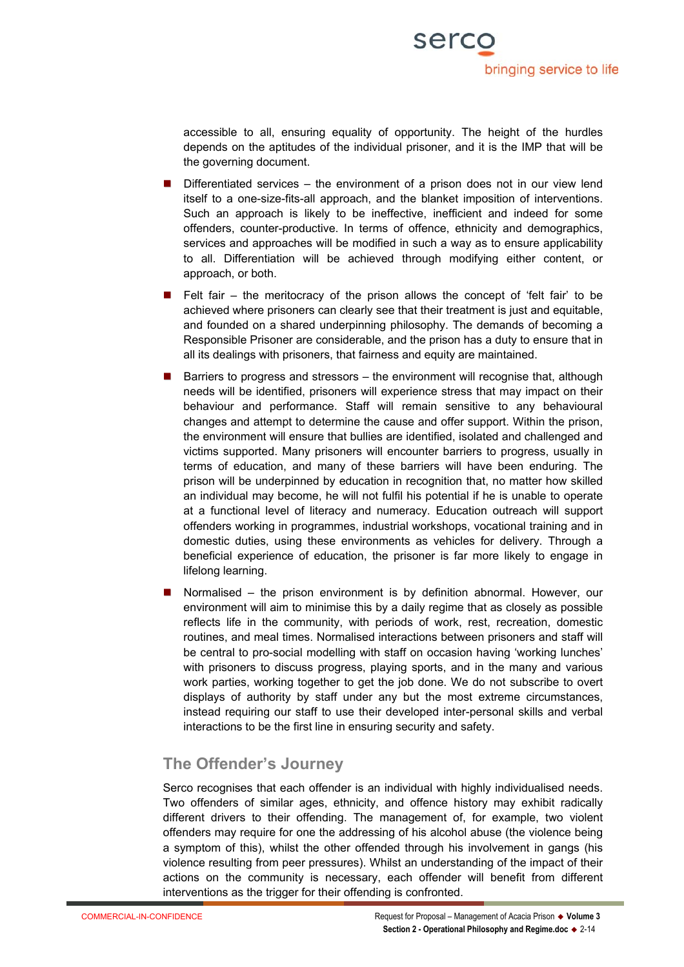accessible to all, ensuring equality of opportunity. The height of the hurdles depends on the aptitudes of the individual prisoner, and it is the IMP that will be the governing document.

- Differentiated services the environment of a prison does not in our view lend itself to a one-size-fits-all approach, and the blanket imposition of interventions. Such an approach is likely to be ineffective, inefficient and indeed for some offenders, counter-productive. In terms of offence, ethnicity and demographics, services and approaches will be modified in such a way as to ensure applicability to all. Differentiation will be achieved through modifying either content, or approach, or both.
- **Felt fair the meritocracy of the prison allows the concept of 'felt fair' to be** achieved where prisoners can clearly see that their treatment is just and equitable, and founded on a shared underpinning philosophy. The demands of becoming a Responsible Prisoner are considerable, and the prison has a duty to ensure that in all its dealings with prisoners, that fairness and equity are maintained.
- Barriers to progress and stressors the environment will recognise that, although needs will be identified, prisoners will experience stress that may impact on their behaviour and performance. Staff will remain sensitive to any behavioural changes and attempt to determine the cause and offer support. Within the prison, the environment will ensure that bullies are identified, isolated and challenged and victims supported. Many prisoners will encounter barriers to progress, usually in terms of education, and many of these barriers will have been enduring. The prison will be underpinned by education in recognition that, no matter how skilled an individual may become, he will not fulfil his potential if he is unable to operate at a functional level of literacy and numeracy. Education outreach will support offenders working in programmes, industrial workshops, vocational training and in domestic duties, using these environments as vehicles for delivery. Through a beneficial experience of education, the prisoner is far more likely to engage in lifelong learning.
- Normalised the prison environment is by definition abnormal. However, our environment will aim to minimise this by a daily regime that as closely as possible reflects life in the community, with periods of work, rest, recreation, domestic routines, and meal times. Normalised interactions between prisoners and staff will be central to pro-social modelling with staff on occasion having 'working lunches' with prisoners to discuss progress, playing sports, and in the many and various work parties, working together to get the job done. We do not subscribe to overt displays of authority by staff under any but the most extreme circumstances, instead requiring our staff to use their developed inter-personal skills and verbal interactions to be the first line in ensuring security and safety.

# **The Offender's Journey**

Serco recognises that each offender is an individual with highly individualised needs. Two offenders of similar ages, ethnicity, and offence history may exhibit radically different drivers to their offending. The management of, for example, two violent offenders may require for one the addressing of his alcohol abuse (the violence being a symptom of this), whilst the other offended through his involvement in gangs (his violence resulting from peer pressures). Whilst an understanding of the impact of their actions on the community is necessary, each offender will benefit from different interventions as the trigger for their offending is confronted.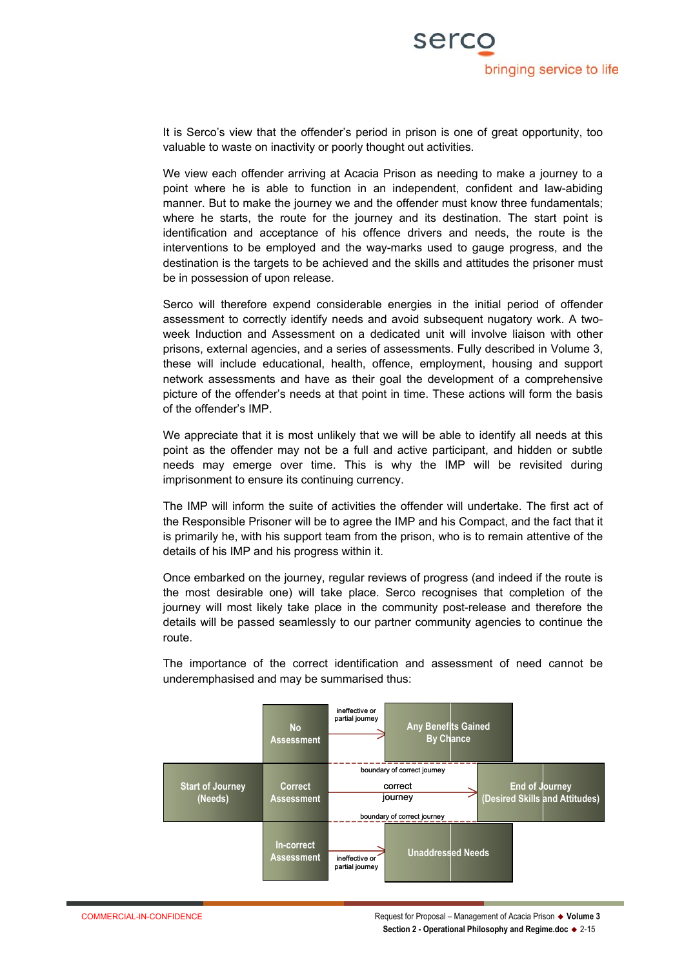

It is Serco's view that the offender's period in prison is one of great opportunity, too valuable to waste on inactivity or poorly thought out activities.

We view each offender arriving at Acacia Prison as needing to make a journey to a point where he is able to function in an independent, confident and law-abiding manner. But to make the journey we and the offender must know three fundamentals; where he starts, the route for the journey and its destination. The start point is identification and acceptance of his offence drivers and needs, the route is the interventions to be employed and the way-marks used to gauge progress, and the destination is the targets to be achieved and the skills and attitudes the prisoner must be in possession of upon release.

Serco will therefore expend considerable energies in the initial period of offender assessment to correctly identify needs and avoid subsequent nugatory work. A twoweek Induction and Assessment on a dedicated unit will involve liaison with other prisons, external agencies, and a series of assessments. Fully described in Volume 3, these will include educational, health, offence, employment, housing and support network assessments and have as their goal the development of a comprehensive picture of the offender's needs at that point in time. These actions will form the basis of the offender's IMP.

We appreciate that it is most unlikely that we will be able to identify all needs at this point as the offender may not be a full and active participant, and hidden or subtle needs may emerge over time. This is why the IMP will be revisited during imprisonment to ensure its continuing currency.

The IMP will inform the suite of activities the offender will undertake. The first act of the Responsible Prisoner will be to agree the IMP and his Compact, and the fact that it is primarily he, with his support team from the prison, who is to remain attentive of the details of his IMP and his progress within it.

Once embarked on the journey, regular reviews of progress (and indeed if the route is the most desirable one) will take place. Serco recognises that completion of the journey will most likely take place in the community post-release and therefore the details will be passed seamlessly to our partner community agencies to continue the route.

The importance of the correct identification and assessment of need cannot be underemphasised and may be summarised thus:

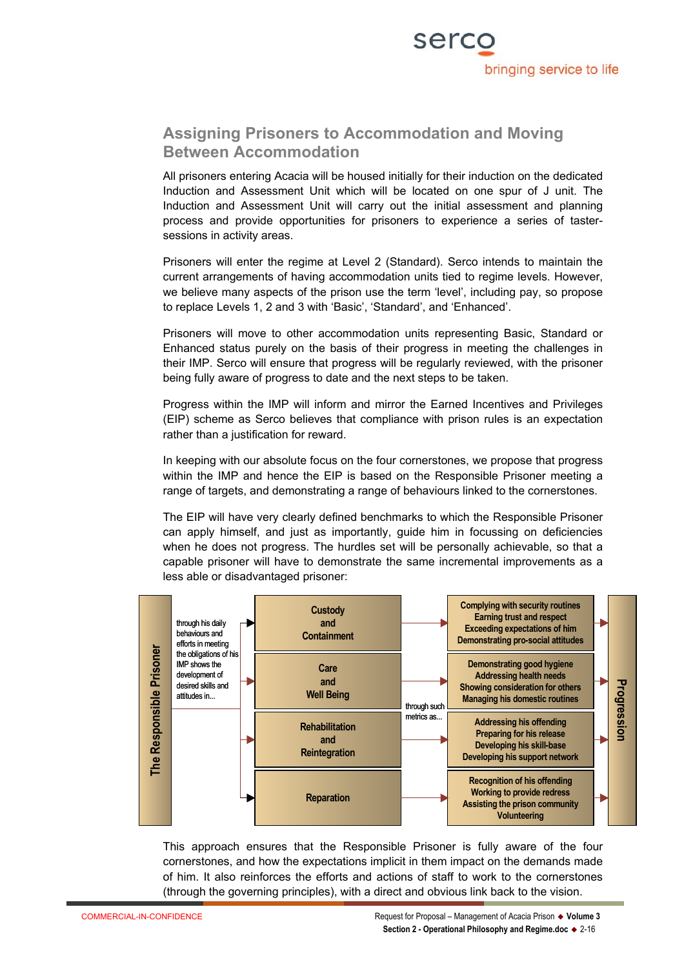

# **Assigning Prisoners to Accommodation and Moving Between Accommodation**

All prisoners entering Acacia will be housed initially for their induction on the dedicated Induction and Assessment Unit which will be located on one spur of J unit. The Induction and Assessment Unit will carry out the initial assessment and planning process and provide opportunities for prisoners to experience a series of tastersessions in activity areas.

Prisoners will enter the regime at Level 2 (Standard). Serco intends to maintain the current arrangements of having accommodation units tied to regime levels. However, we believe many aspects of the prison use the term 'level', including pay, so propose to replace Levels 1, 2 and 3 with 'Basic', 'Standard', and 'Enhanced'.

Prisoners will move to other accommodation units representing Basic, Standard or Enhanced status purely on the basis of their progress in meeting the challenges in their IMP. Serco will ensure that progress will be regularly reviewed, with the prisoner being fully aware of progress to date and the next steps to be taken.

Progress within the IMP will inform and mirror the Earned Incentives and Privileges (EIP) scheme as Serco believes that compliance with prison rules is an expectation rather than a justification for reward.

In keeping with our absolute focus on the four cornerstones, we propose that progress within the IMP and hence the EIP is based on the Responsible Prisoner meeting a range of targets, and demonstrating a range of behaviours linked to the cornerstones.

The EIP will have very clearly defined benchmarks to which the Responsible Prisoner can apply himself, and just as importantly, guide him in focussing on deficiencies when he does not progress. The hurdles set will be personally achievable, so that a capable prisoner will have to demonstrate the same incremental improvements as a less able or disadvantaged prisoner:



This approach ensures that the Responsible Prisoner is fully aware of the four cornerstones, and how the expectations implicit in them impact on the demands made of him. It also reinforces the efforts and actions of staff to work to the cornerstones (through the governing principles), with a direct and obvious link back to the vision.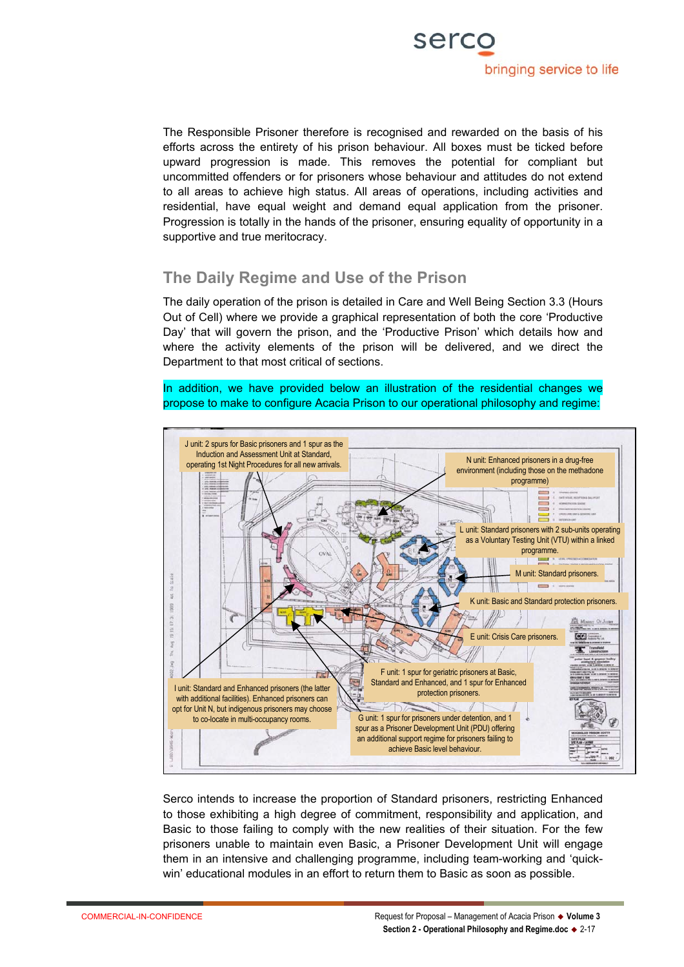

The Responsible Prisoner therefore is recognised and rewarded on the basis of his efforts across the entirety of his prison behaviour. All boxes must be ticked before upward progression is made. This removes the potential for compliant but uncommitted offenders or for prisoners whose behaviour and attitudes do not extend to all areas to achieve high status. All areas of operations, including activities and residential, have equal weight and demand equal application from the prisoner. Progression is totally in the hands of the prisoner, ensuring equality of opportunity in a supportive and true meritocracy.

# **The Daily Regime and Use of the Prison**

The daily operation of the prison is detailed in Care and Well Being Section 3.3 (Hours Out of Cell) where we provide a graphical representation of both the core 'Productive Day' that will govern the prison, and the 'Productive Prison' which details how and where the activity elements of the prison will be delivered, and we direct the Department to that most critical of sections.

In addition, we have provided below an illustration of the residential changes we propose to make to configure Acacia Prison to our operational philosophy and regime:



Serco intends to increase the proportion of Standard prisoners, restricting Enhanced to those exhibiting a high degree of commitment, responsibility and application, and Basic to those failing to comply with the new realities of their situation. For the few prisoners unable to maintain even Basic, a Prisoner Development Unit will engage them in an intensive and challenging programme, including team-working and 'quickwin' educational modules in an effort to return them to Basic as soon as possible.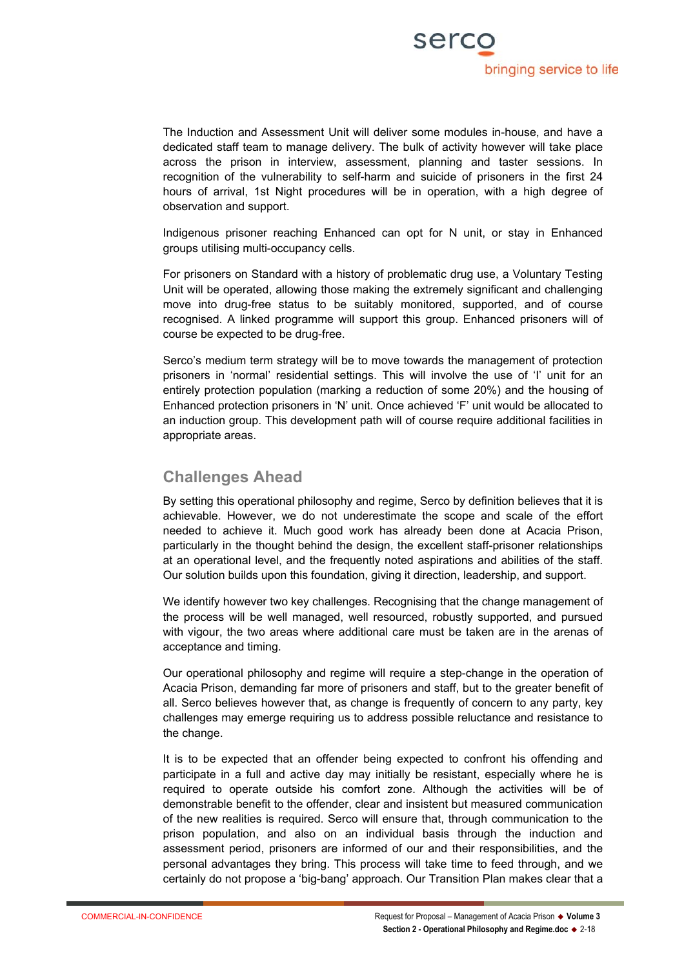

The Induction and Assessment Unit will deliver some modules in-house, and have a dedicated staff team to manage delivery. The bulk of activity however will take place across the prison in interview, assessment, planning and taster sessions. In recognition of the vulnerability to self-harm and suicide of prisoners in the first 24 hours of arrival, 1st Night procedures will be in operation, with a high degree of observation and support.

Indigenous prisoner reaching Enhanced can opt for N unit, or stay in Enhanced groups utilising multi-occupancy cells.

For prisoners on Standard with a history of problematic drug use, a Voluntary Testing Unit will be operated, allowing those making the extremely significant and challenging move into drug-free status to be suitably monitored, supported, and of course recognised. A linked programme will support this group. Enhanced prisoners will of course be expected to be drug-free.

Serco's medium term strategy will be to move towards the management of protection prisoners in 'normal' residential settings. This will involve the use of 'I' unit for an entirely protection population (marking a reduction of some 20%) and the housing of Enhanced protection prisoners in 'N' unit. Once achieved 'F' unit would be allocated to an induction group. This development path will of course require additional facilities in appropriate areas.

# **Challenges Ahead**

By setting this operational philosophy and regime, Serco by definition believes that it is achievable. However, we do not underestimate the scope and scale of the effort needed to achieve it. Much good work has already been done at Acacia Prison, particularly in the thought behind the design, the excellent staff-prisoner relationships at an operational level, and the frequently noted aspirations and abilities of the staff. Our solution builds upon this foundation, giving it direction, leadership, and support.

We identify however two key challenges. Recognising that the change management of the process will be well managed, well resourced, robustly supported, and pursued with vigour, the two areas where additional care must be taken are in the arenas of acceptance and timing.

Our operational philosophy and regime will require a step-change in the operation of Acacia Prison, demanding far more of prisoners and staff, but to the greater benefit of all. Serco believes however that, as change is frequently of concern to any party, key challenges may emerge requiring us to address possible reluctance and resistance to the change.

It is to be expected that an offender being expected to confront his offending and participate in a full and active day may initially be resistant, especially where he is required to operate outside his comfort zone. Although the activities will be of demonstrable benefit to the offender, clear and insistent but measured communication of the new realities is required. Serco will ensure that, through communication to the prison population, and also on an individual basis through the induction and assessment period, prisoners are informed of our and their responsibilities, and the personal advantages they bring. This process will take time to feed through, and we certainly do not propose a 'big-bang' approach. Our Transition Plan makes clear that a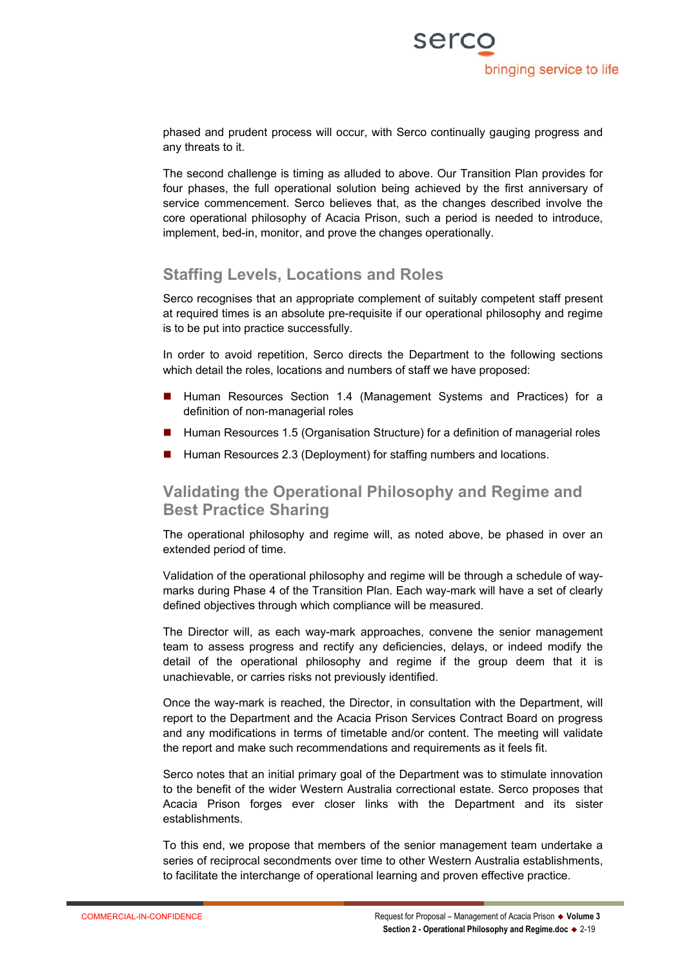phased and prudent process will occur, with Serco continually gauging progress and any threats to it.

The second challenge is timing as alluded to above. Our Transition Plan provides for four phases, the full operational solution being achieved by the first anniversary of service commencement. Serco believes that, as the changes described involve the core operational philosophy of Acacia Prison, such a period is needed to introduce, implement, bed-in, monitor, and prove the changes operationally.

# **Staffing Levels, Locations and Roles**

Serco recognises that an appropriate complement of suitably competent staff present at required times is an absolute pre-requisite if our operational philosophy and regime is to be put into practice successfully.

In order to avoid repetition, Serco directs the Department to the following sections which detail the roles, locations and numbers of staff we have proposed:

- Human Resources Section 1.4 (Management Systems and Practices) for a definition of non-managerial roles
- Human Resources 1.5 (Organisation Structure) for a definition of managerial roles
- Human Resources 2.3 (Deployment) for staffing numbers and locations.

# **Validating the Operational Philosophy and Regime and Best Practice Sharing**

The operational philosophy and regime will, as noted above, be phased in over an extended period of time.

Validation of the operational philosophy and regime will be through a schedule of waymarks during Phase 4 of the Transition Plan. Each way-mark will have a set of clearly defined objectives through which compliance will be measured.

The Director will, as each way-mark approaches, convene the senior management team to assess progress and rectify any deficiencies, delays, or indeed modify the detail of the operational philosophy and regime if the group deem that it is unachievable, or carries risks not previously identified.

Once the way-mark is reached, the Director, in consultation with the Department, will report to the Department and the Acacia Prison Services Contract Board on progress and any modifications in terms of timetable and/or content. The meeting will validate the report and make such recommendations and requirements as it feels fit.

Serco notes that an initial primary goal of the Department was to stimulate innovation to the benefit of the wider Western Australia correctional estate. Serco proposes that Acacia Prison forges ever closer links with the Department and its sister establishments.

To this end, we propose that members of the senior management team undertake a series of reciprocal secondments over time to other Western Australia establishments, to facilitate the interchange of operational learning and proven effective practice.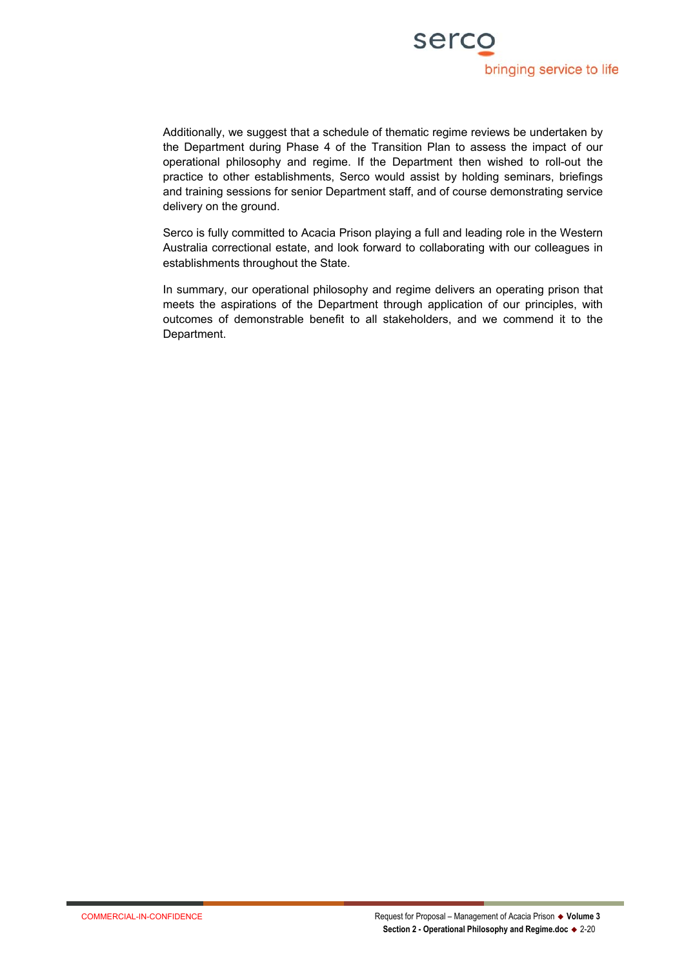

Additionally, we suggest that a schedule of thematic regime reviews be undertaken by the Department during Phase 4 of the Transition Plan to assess the impact of our operational philosophy and regime. If the Department then wished to roll-out the practice to other establishments, Serco would assist by holding seminars, briefings and training sessions for senior Department staff, and of course demonstrating service delivery on the ground.

Serco is fully committed to Acacia Prison playing a full and leading role in the Western Australia correctional estate, and look forward to collaborating with our colleagues in establishments throughout the State.

In summary, our operational philosophy and regime delivers an operating prison that meets the aspirations of the Department through application of our principles, with outcomes of demonstrable benefit to all stakeholders, and we commend it to the Department.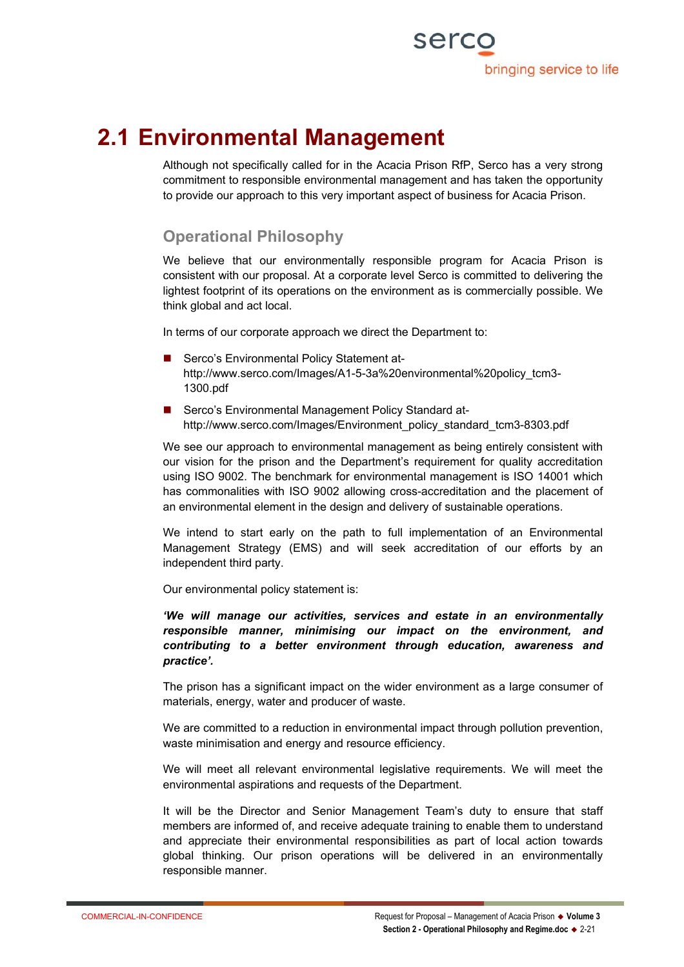

# **2.1 Environmental Management**

Although not specifically called for in the Acacia Prison RfP, Serco has a very strong commitment to responsible environmental management and has taken the opportunity to provide our approach to this very important aspect of business for Acacia Prison.

# **Operational Philosophy**

We believe that our environmentally responsible program for Acacia Prison is consistent with our proposal. At a corporate level Serco is committed to delivering the lightest footprint of its operations on the environment as is commercially possible. We think global and act local.

In terms of our corporate approach we direct the Department to:

- Serco's Environmental Policy Statement athttp://www.serco.com/Images/A1-5-3a%20environmental%20policy\_tcm3-1300.pdf
- Serco's Environmental Management Policy Standard athttp://www.serco.com/Images/Environment\_policy\_standard\_tcm3-8303.pdf

We see our approach to environmental management as being entirely consistent with our vision for the prison and the Department's requirement for quality accreditation using ISO 9002. The benchmark for environmental management is ISO 14001 which has commonalities with ISO 9002 allowing cross-accreditation and the placement of an environmental element in the design and delivery of sustainable operations.

We intend to start early on the path to full implementation of an Environmental Management Strategy (EMS) and will seek accreditation of our efforts by an independent third party.

Our environmental policy statement is:

*'We will manage our activities, services and estate in an environmentally responsible manner, minimising our impact on the environment, and contributing to a better environment through education, awareness and practice'.*

The prison has a significant impact on the wider environment as a large consumer of materials, energy, water and producer of waste.

We are committed to a reduction in environmental impact through pollution prevention, waste minimisation and energy and resource efficiency.

We will meet all relevant environmental legislative requirements. We will meet the environmental aspirations and requests of the Department.

It will be the Director and Senior Management Team's duty to ensure that staff members are informed of, and receive adequate training to enable them to understand and appreciate their environmental responsibilities as part of local action towards global thinking. Our prison operations will be delivered in an environmentally responsible manner.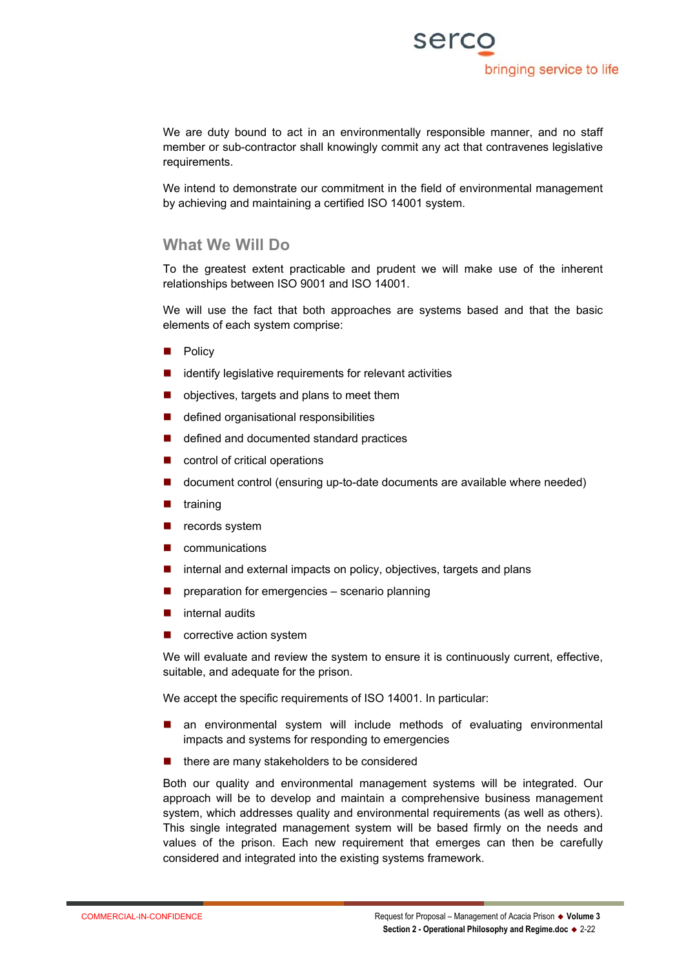

We are duty bound to act in an environmentally responsible manner, and no staff member or sub-contractor shall knowingly commit any act that contravenes legislative requirements.

We intend to demonstrate our commitment in the field of environmental management by achieving and maintaining a certified ISO 14001 system.

#### **What We Will Do**

To the greatest extent practicable and prudent we will make use of the inherent relationships between ISO 9001 and ISO 14001.

We will use the fact that both approaches are systems based and that the basic elements of each system comprise:

- **Policy**
- $\blacksquare$  identify legislative requirements for relevant activities
- objectives, targets and plans to meet them
- defined organisational responsibilities
- defined and documented standard practices
- control of critical operations
- **document control (ensuring up-to-date documents are available where needed)**
- $\blacksquare$  training
- $\blacksquare$  records system
- **n** communications
- internal and external impacts on policy, objectives, targets and plans
- **P** preparation for emergencies scenario planning
- **n** internal audits
- corrective action system

We will evaluate and review the system to ensure it is continuously current, effective, suitable, and adequate for the prison.

We accept the specific requirements of ISO 14001. In particular:

- an environmental system will include methods of evaluating environmental impacts and systems for responding to emergencies
- $\blacksquare$  there are many stakeholders to be considered

Both our quality and environmental management systems will be integrated. Our approach will be to develop and maintain a comprehensive business management system, which addresses quality and environmental requirements (as well as others). This single integrated management system will be based firmly on the needs and values of the prison. Each new requirement that emerges can then be carefully considered and integrated into the existing systems framework.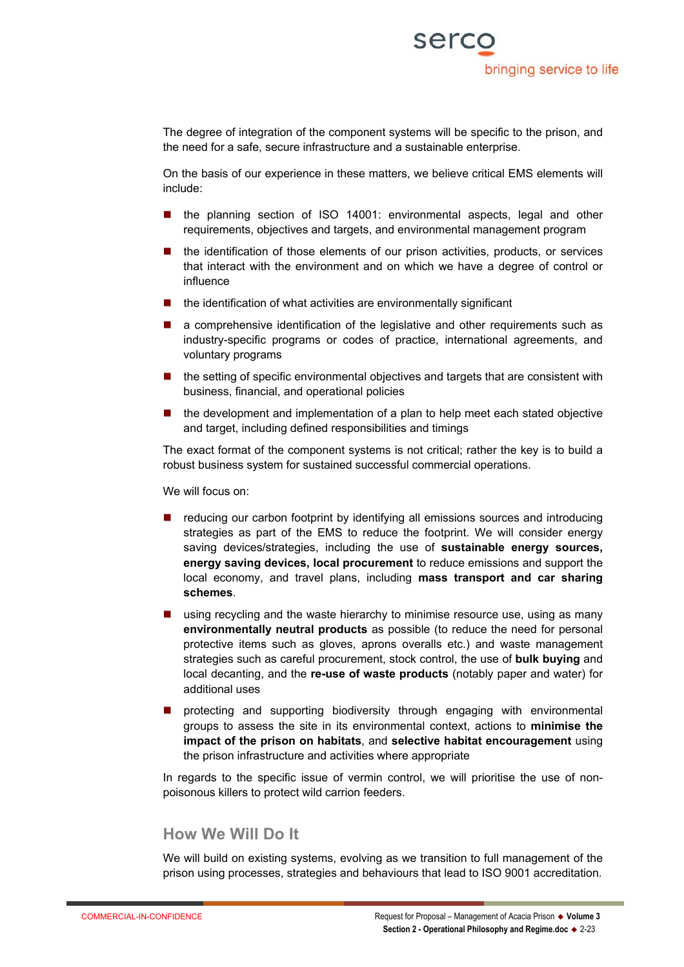The degree of integration of the component systems will be specific to the prison, and the need for a safe, secure infrastructure and a sustainable enterprise.

On the basis of our experience in these matters, we believe critical EMS elements will include:

- the planning section of ISO 14001: environmental aspects, legal and other requirements, objectives and targets, and environmental management program
- the identification of those elements of our prison activities, products, or services that interact with the environment and on which we have a degree of control or influence
- $\blacksquare$  the identification of what activities are environmentally significant
- a comprehensive identification of the legislative and other requirements such as industry-specific programs or codes of practice, international agreements, and voluntary programs
- $\blacksquare$  the setting of specific environmental objectives and targets that are consistent with business, financial, and operational policies
- the development and implementation of a plan to help meet each stated objective and target, including defined responsibilities and timings

The exact format of the component systems is not critical; rather the key is to build a robust business system for sustained successful commercial operations.

#### We will focus on:

- reducing our carbon footprint by identifying all emissions sources and introducing strategies as part of the EMS to reduce the footprint. We will consider energy saving devices/strategies, including the use of **sustainable energy sources, energy saving devices, local procurement** to reduce emissions and support the local economy, and travel plans, including **mass transport and car sharing schemes**.
- **using recycling and the waste hierarchy to minimise resource use, using as many environmentally neutral products** as possible (to reduce the need for personal protective items such as gloves, aprons overalls etc.) and waste management strategies such as careful procurement, stock control, the use of **bulk buying** and local decanting, and the **re-use of waste products** (notably paper and water) for additional uses
- **n** protecting and supporting biodiversity through engaging with environmental groups to assess the site in its environmental context, actions to **minimise the impact of the prison on habitats**, and **selective habitat encouragement** using the prison infrastructure and activities where appropriate

In regards to the specific issue of vermin control, we will prioritise the use of nonpoisonous killers to protect wild carrion feeders.

## **How We Will Do It**

We will build on existing systems, evolving as we transition to full management of the prison using processes, strategies and behaviours that lead to ISO 9001 accreditation.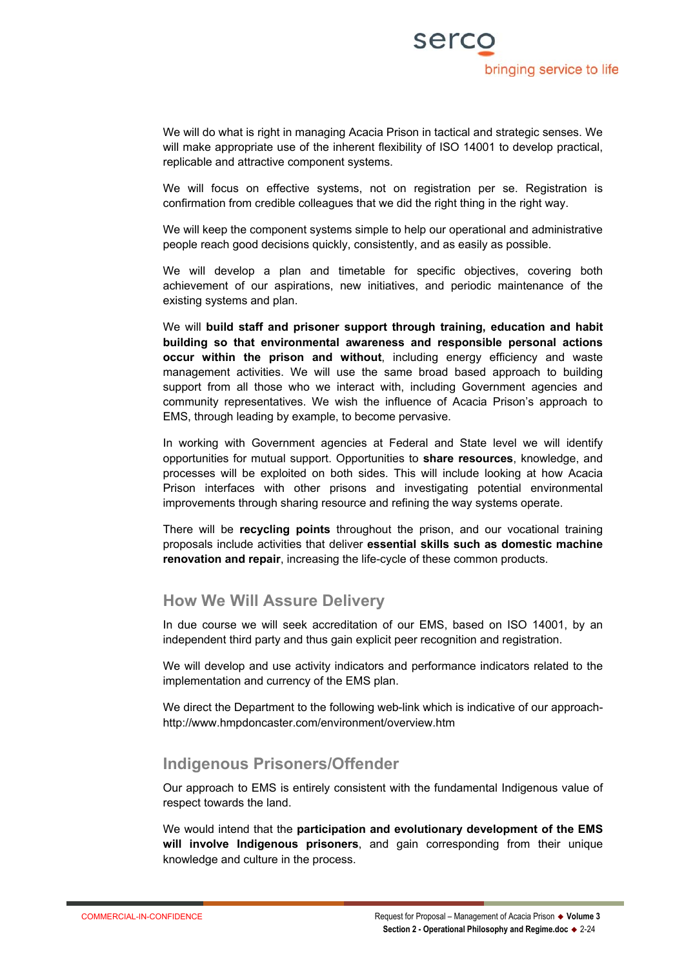

We will do what is right in managing Acacia Prison in tactical and strategic senses. We will make appropriate use of the inherent flexibility of ISO 14001 to develop practical. replicable and attractive component systems.

We will focus on effective systems, not on registration per se. Registration is confirmation from credible colleagues that we did the right thing in the right way.

We will keep the component systems simple to help our operational and administrative people reach good decisions quickly, consistently, and as easily as possible.

We will develop a plan and timetable for specific objectives, covering both achievement of our aspirations, new initiatives, and periodic maintenance of the existing systems and plan.

We will **build staff and prisoner support through training, education and habit building so that environmental awareness and responsible personal actions occur within the prison and without**, including energy efficiency and waste management activities. We will use the same broad based approach to building support from all those who we interact with, including Government agencies and community representatives. We wish the influence of Acacia Prison's approach to EMS, through leading by example, to become pervasive.

In working with Government agencies at Federal and State level we will identify opportunities for mutual support. Opportunities to **share resources**, knowledge, and processes will be exploited on both sides. This will include looking at how Acacia Prison interfaces with other prisons and investigating potential environmental improvements through sharing resource and refining the way systems operate.

There will be **recycling points** throughout the prison, and our vocational training proposals include activities that deliver **essential skills such as domestic machine renovation and repair**, increasing the life-cycle of these common products.

### **How We Will Assure Delivery**

In due course we will seek accreditation of our EMS, based on ISO 14001, by an independent third party and thus gain explicit peer recognition and registration.

We will develop and use activity indicators and performance indicators related to the implementation and currency of the EMS plan.

We direct the Department to the following web-link which is indicative of our approachhttp://www.hmpdoncaster.com/environment/overview.htm

### **Indigenous Prisoners/Offender**

Our approach to EMS is entirely consistent with the fundamental Indigenous value of respect towards the land.

We would intend that the **participation and evolutionary development of the EMS will involve Indigenous prisoners**, and gain corresponding from their unique knowledge and culture in the process.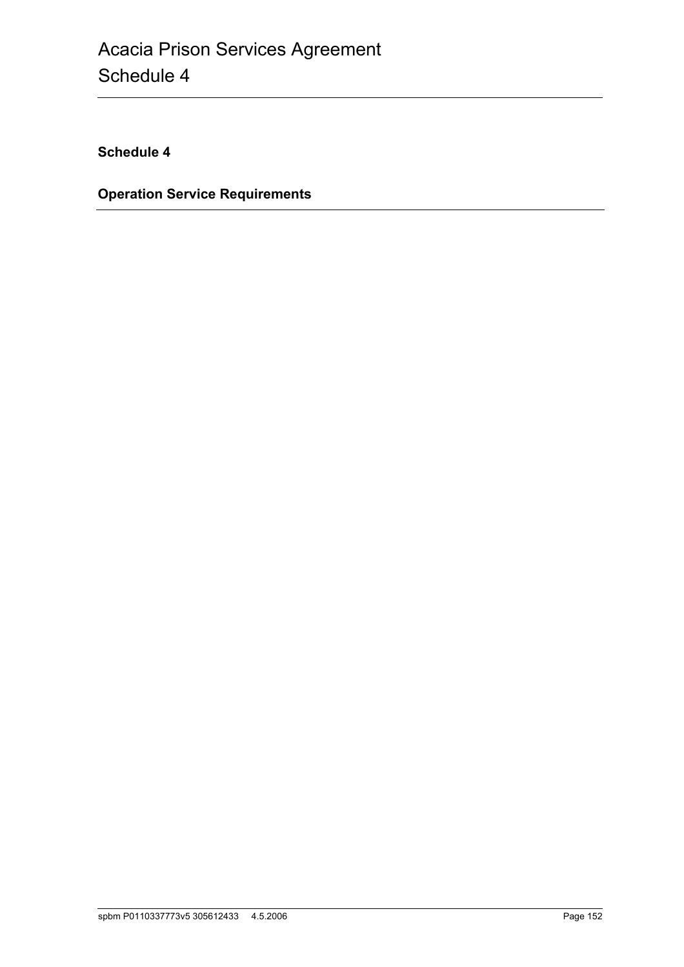**Schedule 4**

**Operation Service Requirements**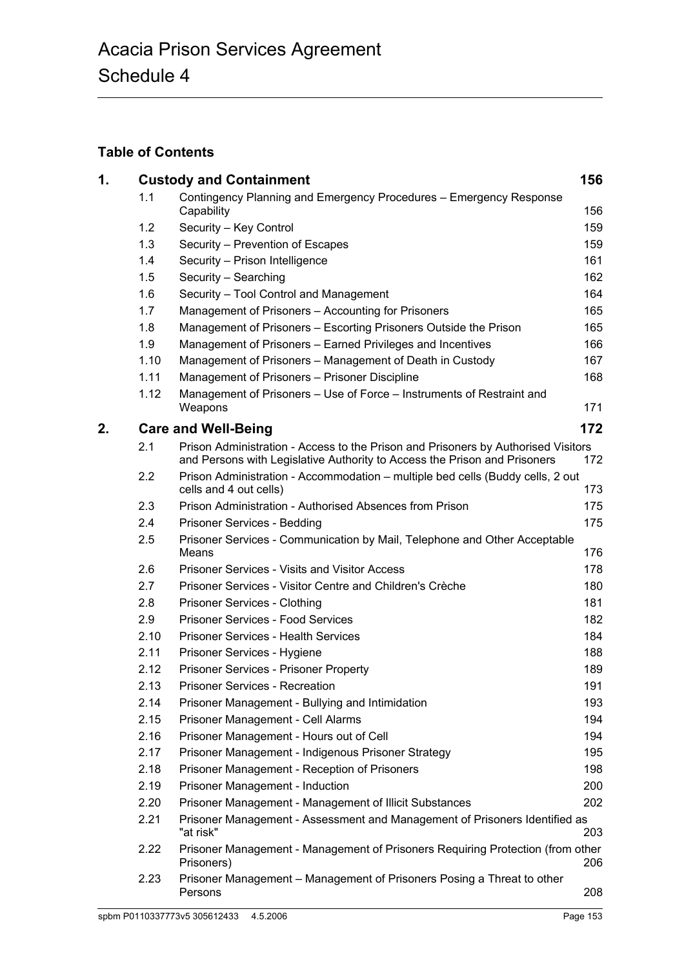# **Table of Contents**

| 1. |                                   | <b>Custody and Containment</b>                                                                                                                                 | 156 |  |  |
|----|-----------------------------------|----------------------------------------------------------------------------------------------------------------------------------------------------------------|-----|--|--|
|    | 1.1                               | Contingency Planning and Emergency Procedures - Emergency Response<br>Capability                                                                               | 156 |  |  |
|    | 1.2                               | Security - Key Control                                                                                                                                         | 159 |  |  |
|    | 1.3                               | Security - Prevention of Escapes                                                                                                                               | 159 |  |  |
|    | 1.4                               | Security - Prison Intelligence                                                                                                                                 | 161 |  |  |
|    | 1.5                               | Security - Searching                                                                                                                                           | 162 |  |  |
|    | 1.6                               | Security - Tool Control and Management                                                                                                                         | 164 |  |  |
|    | 1.7                               | Management of Prisoners - Accounting for Prisoners                                                                                                             | 165 |  |  |
|    | 1.8                               | Management of Prisoners - Escorting Prisoners Outside the Prison                                                                                               | 165 |  |  |
|    | 1.9                               | Management of Prisoners - Earned Privileges and Incentives                                                                                                     | 166 |  |  |
|    | 1.10                              | Management of Prisoners - Management of Death in Custody                                                                                                       | 167 |  |  |
|    | 1.11                              | Management of Prisoners - Prisoner Discipline                                                                                                                  | 168 |  |  |
|    | 1.12                              | Management of Prisoners - Use of Force - Instruments of Restraint and<br>Weapons                                                                               | 171 |  |  |
| 2. | 172<br><b>Care and Well-Being</b> |                                                                                                                                                                |     |  |  |
|    | 2.1                               | Prison Administration - Access to the Prison and Prisoners by Authorised Visitors<br>and Persons with Legislative Authority to Access the Prison and Prisoners | 172 |  |  |
|    | 2.2                               | Prison Administration - Accommodation - multiple bed cells (Buddy cells, 2 out<br>cells and 4 out cells)                                                       | 173 |  |  |
|    | 2.3                               | Prison Administration - Authorised Absences from Prison                                                                                                        | 175 |  |  |
|    | 2.4                               | Prisoner Services - Bedding                                                                                                                                    | 175 |  |  |
|    | 2.5                               | Prisoner Services - Communication by Mail, Telephone and Other Acceptable<br>Means                                                                             | 176 |  |  |
|    | 2.6                               | <b>Prisoner Services - Visits and Visitor Access</b>                                                                                                           | 178 |  |  |
|    | 2.7                               | Prisoner Services - Visitor Centre and Children's Crèche                                                                                                       | 180 |  |  |
|    | 2.8                               | Prisoner Services - Clothing                                                                                                                                   | 181 |  |  |
|    | 2.9                               | <b>Prisoner Services - Food Services</b>                                                                                                                       | 182 |  |  |
|    | 2.10                              | <b>Prisoner Services - Health Services</b>                                                                                                                     | 184 |  |  |
|    | 2.11                              | Prisoner Services - Hygiene                                                                                                                                    | 188 |  |  |
|    | 2.12                              | Prisoner Services - Prisoner Property                                                                                                                          | 189 |  |  |
|    | 2.13                              | <b>Prisoner Services - Recreation</b>                                                                                                                          | 191 |  |  |
|    | 2.14                              | Prisoner Management - Bullying and Intimidation                                                                                                                | 193 |  |  |
|    | 2.15                              | Prisoner Management - Cell Alarms                                                                                                                              | 194 |  |  |
|    | 2.16                              | Prisoner Management - Hours out of Cell                                                                                                                        | 194 |  |  |
|    | 2.17                              | Prisoner Management - Indigenous Prisoner Strategy                                                                                                             | 195 |  |  |
|    | 2.18                              | Prisoner Management - Reception of Prisoners                                                                                                                   | 198 |  |  |
|    | 2.19                              | Prisoner Management - Induction                                                                                                                                | 200 |  |  |
|    | 2.20                              | Prisoner Management - Management of Illicit Substances                                                                                                         | 202 |  |  |
|    | 2.21                              | Prisoner Management - Assessment and Management of Prisoners Identified as<br>"at risk"                                                                        | 203 |  |  |
|    | 2.22                              | Prisoner Management - Management of Prisoners Requiring Protection (from other<br>Prisoners)                                                                   | 206 |  |  |
|    | 2.23                              | Prisoner Management – Management of Prisoners Posing a Threat to other<br>Persons                                                                              | 208 |  |  |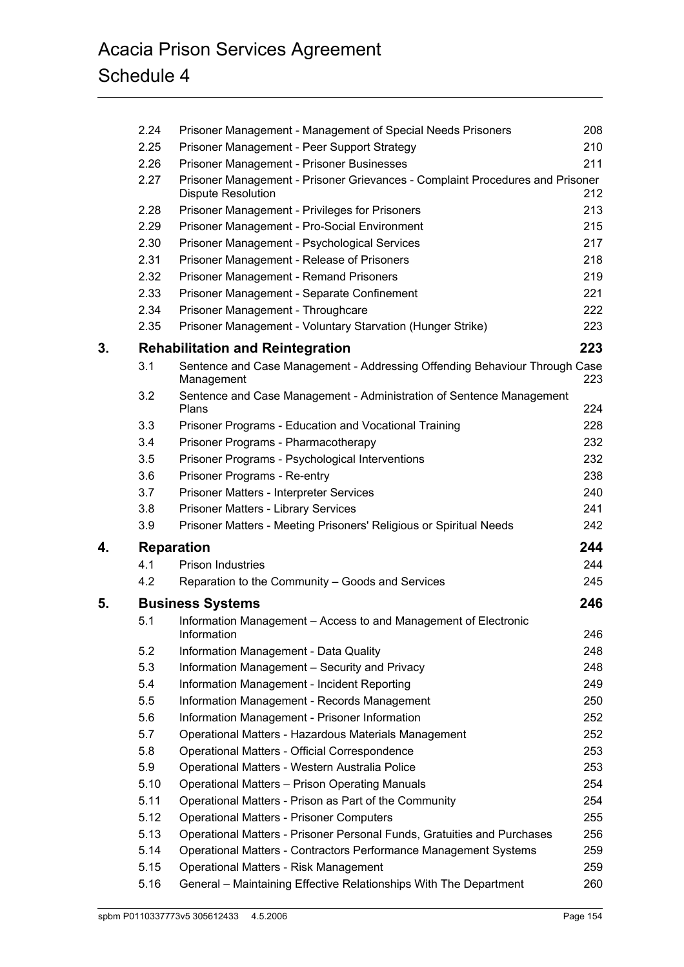# Acacia Prison Services Agreement Schedule 4

|    | 2.24                                           | Prisoner Management - Management of Special Needs Prisoners                                                | 208 |  |  |
|----|------------------------------------------------|------------------------------------------------------------------------------------------------------------|-----|--|--|
|    | 2.25                                           | Prisoner Management - Peer Support Strategy                                                                | 210 |  |  |
|    | 2.26                                           | Prisoner Management - Prisoner Businesses                                                                  | 211 |  |  |
|    | 2.27                                           | Prisoner Management - Prisoner Grievances - Complaint Procedures and Prisoner<br><b>Dispute Resolution</b> | 212 |  |  |
|    | 2.28                                           | Prisoner Management - Privileges for Prisoners                                                             | 213 |  |  |
|    | 2.29                                           | Prisoner Management - Pro-Social Environment                                                               | 215 |  |  |
|    | 2.30                                           | Prisoner Management - Psychological Services                                                               | 217 |  |  |
|    | 2.31                                           | Prisoner Management - Release of Prisoners                                                                 | 218 |  |  |
|    | 2.32                                           | Prisoner Management - Remand Prisoners                                                                     | 219 |  |  |
|    | 2.33                                           | Prisoner Management - Separate Confinement                                                                 | 221 |  |  |
|    | 2.34                                           | Prisoner Management - Throughcare                                                                          | 222 |  |  |
|    | 2.35                                           | Prisoner Management - Voluntary Starvation (Hunger Strike)                                                 | 223 |  |  |
| 3. | 223<br><b>Rehabilitation and Reintegration</b> |                                                                                                            |     |  |  |
|    | 3.1                                            | Sentence and Case Management - Addressing Offending Behaviour Through Case<br>Management                   | 223 |  |  |
|    | 3.2                                            | Sentence and Case Management - Administration of Sentence Management<br>Plans                              | 224 |  |  |
|    | 3.3                                            | Prisoner Programs - Education and Vocational Training                                                      | 228 |  |  |
|    | 3.4                                            | Prisoner Programs - Pharmacotherapy                                                                        | 232 |  |  |
|    | 3.5                                            | Prisoner Programs - Psychological Interventions                                                            | 232 |  |  |
|    | 3.6                                            | Prisoner Programs - Re-entry                                                                               | 238 |  |  |
|    | 3.7                                            | Prisoner Matters - Interpreter Services                                                                    | 240 |  |  |
|    | 3.8                                            | Prisoner Matters - Library Services                                                                        | 241 |  |  |
|    | 3.9                                            | Prisoner Matters - Meeting Prisoners' Religious or Spiritual Needs                                         | 242 |  |  |
| 4. | 244<br><b>Reparation</b>                       |                                                                                                            |     |  |  |
|    | 4.1                                            | <b>Prison Industries</b>                                                                                   | 244 |  |  |
|    | 4.2                                            | Reparation to the Community - Goods and Services                                                           | 245 |  |  |
| 5. | 246<br><b>Business Systems</b>                 |                                                                                                            |     |  |  |
|    | 5.1                                            | Information Management - Access to and Management of Electronic                                            |     |  |  |
|    |                                                | Information                                                                                                | 246 |  |  |
|    | 5.2                                            | Information Management - Data Quality                                                                      | 248 |  |  |
|    | 5.3                                            | Information Management - Security and Privacy                                                              | 248 |  |  |
|    | 5.4                                            | Information Management - Incident Reporting                                                                | 249 |  |  |
|    | 5.5                                            | Information Management - Records Management                                                                | 250 |  |  |
|    | 5.6                                            | Information Management - Prisoner Information                                                              | 252 |  |  |
|    | 5.7                                            | Operational Matters - Hazardous Materials Management                                                       | 252 |  |  |
|    | 5.8                                            | Operational Matters - Official Correspondence                                                              | 253 |  |  |
|    | 5.9                                            | Operational Matters - Western Australia Police                                                             | 253 |  |  |
|    | 5.10                                           | <b>Operational Matters - Prison Operating Manuals</b>                                                      | 254 |  |  |
|    | 5.11                                           | Operational Matters - Prison as Part of the Community                                                      | 254 |  |  |
|    | 5.12                                           | <b>Operational Matters - Prisoner Computers</b>                                                            | 255 |  |  |
|    | 5.13                                           | Operational Matters - Prisoner Personal Funds, Gratuities and Purchases                                    | 256 |  |  |
|    | 5.14                                           | Operational Matters - Contractors Performance Management Systems                                           | 259 |  |  |
|    | 5.15                                           | <b>Operational Matters - Risk Management</b>                                                               | 259 |  |  |
|    | 5.16                                           | General - Maintaining Effective Relationships With The Department                                          | 260 |  |  |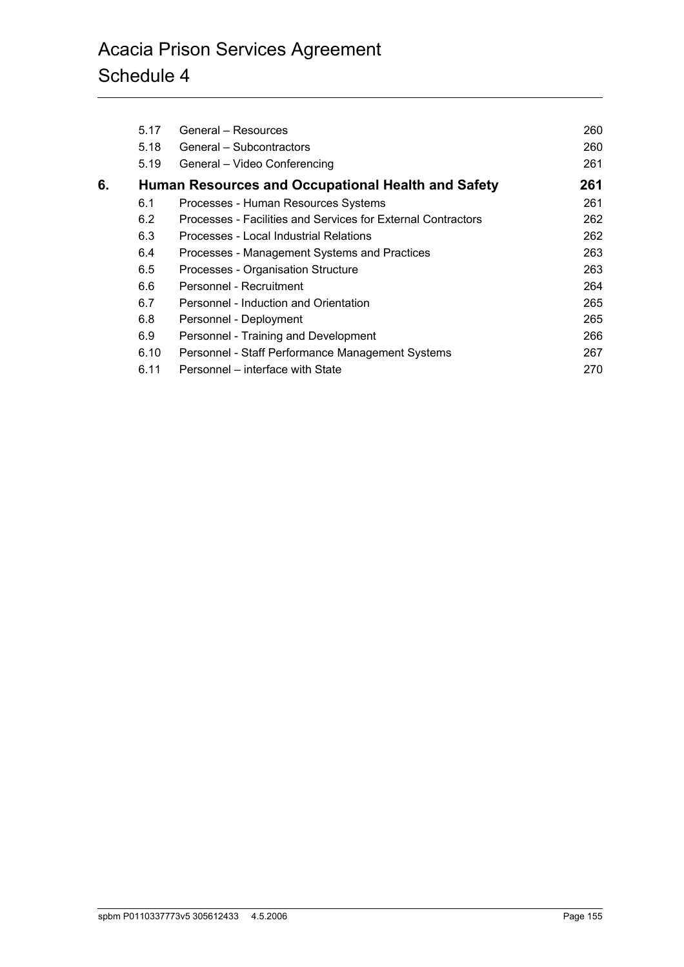|    | 5.17 | General – Resources                                          | 260 |
|----|------|--------------------------------------------------------------|-----|
|    | 5.18 | General – Subcontractors                                     | 260 |
|    | 5.19 | General - Video Conferencing                                 | 261 |
| 6. |      | Human Resources and Occupational Health and Safety           | 261 |
|    | 6.1  | Processes - Human Resources Systems                          | 261 |
|    | 6.2  | Processes - Facilities and Services for External Contractors | 262 |
|    | 6.3  | Processes - Local Industrial Relations                       | 262 |
|    | 6.4  | Processes - Management Systems and Practices                 | 263 |
|    | 6.5  | Processes - Organisation Structure                           | 263 |
|    | 6.6  | Personnel - Recruitment                                      | 264 |
|    | 6.7  | Personnel - Induction and Orientation                        | 265 |
|    | 6.8  | Personnel - Deployment                                       | 265 |
|    | 6.9  | Personnel - Training and Development                         | 266 |
|    | 6.10 | Personnel - Staff Performance Management Systems             | 267 |
|    | 6.11 | Personnel – interface with State                             | 270 |
|    |      |                                                              |     |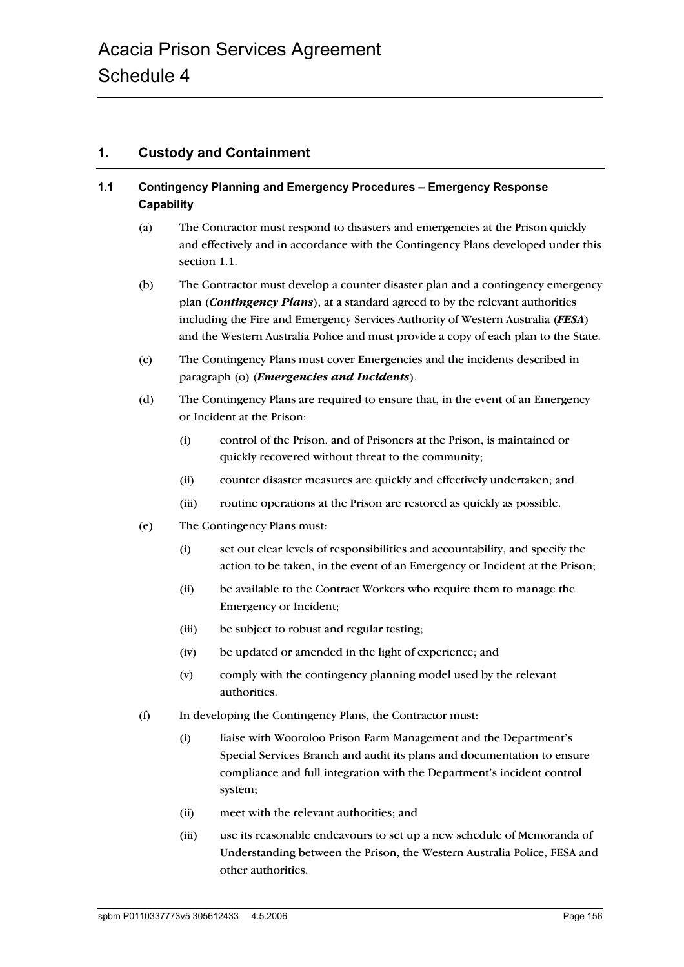# **1. Custody and Containment**

# **1.1 Contingency Planning and Emergency Procedures – Emergency Response Capability**

- (a) The Contractor must respond to disasters and emergencies at the Prison quickly and effectively and in accordance with the Contingency Plans developed under this section 1.1.
- (b) The Contractor must develop a counter disaster plan and a contingency emergency plan (*Contingency Plans*), at a standard agreed to by the relevant authorities including the Fire and Emergency Services Authority of Western Australia (*FESA*) and the Western Australia Police and must provide a copy of each plan to the State.
- (c) The Contingency Plans must cover Emergencies and the incidents described in paragraph (o) (*Emergencies and Incidents*).
- (d) The Contingency Plans are required to ensure that, in the event of an Emergency or Incident at the Prison:
	- (i) control of the Prison, and of Prisoners at the Prison, is maintained or quickly recovered without threat to the community;
	- (ii) counter disaster measures are quickly and effectively undertaken; and
	- (iii) routine operations at the Prison are restored as quickly as possible.
- (e) The Contingency Plans must:
	- (i) set out clear levels of responsibilities and accountability, and specify the action to be taken, in the event of an Emergency or Incident at the Prison;
	- (ii) be available to the Contract Workers who require them to manage the Emergency or Incident;
	- (iii) be subject to robust and regular testing;
	- (iv) be updated or amended in the light of experience; and
	- (v) comply with the contingency planning model used by the relevant authorities.
- (f) In developing the Contingency Plans, the Contractor must:
	- (i) liaise with Wooroloo Prison Farm Management and the Department's Special Services Branch and audit its plans and documentation to ensure compliance and full integration with the Department's incident control system;
	- (ii) meet with the relevant authorities; and
	- (iii) use its reasonable endeavours to set up a new schedule of Memoranda of Understanding between the Prison, the Western Australia Police, FESA and other authorities.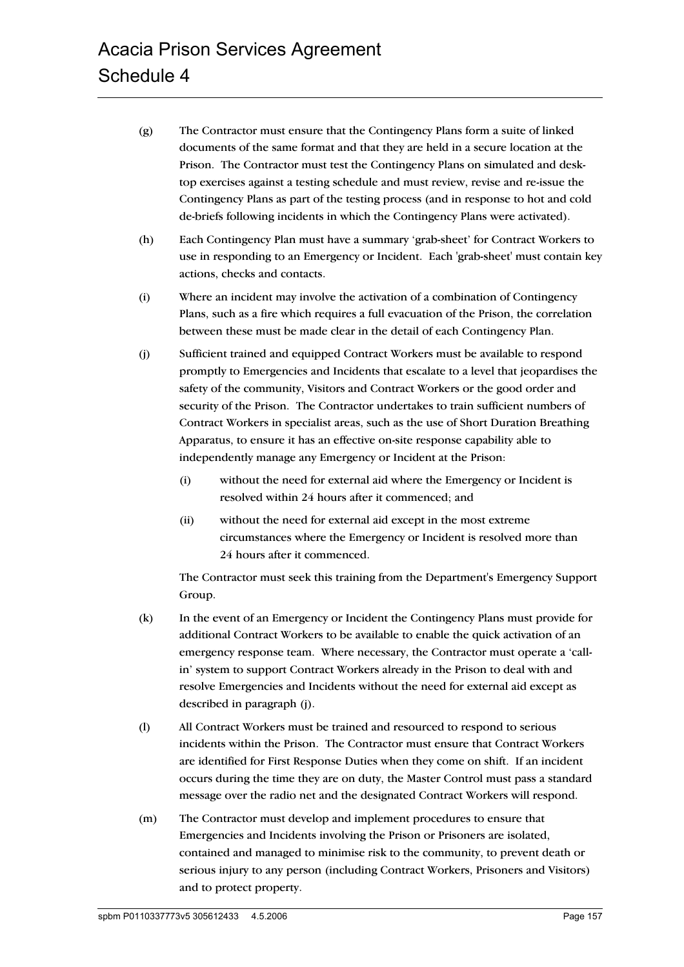- (g) The Contractor must ensure that the Contingency Plans form a suite of linked documents of the same format and that they are held in a secure location at the Prison. The Contractor must test the Contingency Plans on simulated and desktop exercises against a testing schedule and must review, revise and re-issue the Contingency Plans as part of the testing process (and in response to hot and cold de-briefs following incidents in which the Contingency Plans were activated).
- (h) Each Contingency Plan must have a summary 'grab-sheet' for Contract Workers to use in responding to an Emergency or Incident. Each 'grab-sheet' must contain key actions, checks and contacts.
- (i) Where an incident may involve the activation of a combination of Contingency Plans, such as a fire which requires a full evacuation of the Prison, the correlation between these must be made clear in the detail of each Contingency Plan.
- (j) Sufficient trained and equipped Contract Workers must be available to respond promptly to Emergencies and Incidents that escalate to a level that jeopardises the safety of the community, Visitors and Contract Workers or the good order and security of the Prison. The Contractor undertakes to train sufficient numbers of Contract Workers in specialist areas, such as the use of Short Duration Breathing Apparatus, to ensure it has an effective on-site response capability able to independently manage any Emergency or Incident at the Prison:
	- (i) without the need for external aid where the Emergency or Incident is resolved within 24 hours after it commenced; and
	- (ii) without the need for external aid except in the most extreme circumstances where the Emergency or Incident is resolved more than 24 hours after it commenced.

The Contractor must seek this training from the Department's Emergency Support Group.

- (k) In the event of an Emergency or Incident the Contingency Plans must provide for additional Contract Workers to be available to enable the quick activation of an emergency response team. Where necessary, the Contractor must operate a 'callin' system to support Contract Workers already in the Prison to deal with and resolve Emergencies and Incidents without the need for external aid except as described in paragraph (j).
- (l) All Contract Workers must be trained and resourced to respond to serious incidents within the Prison. The Contractor must ensure that Contract Workers are identified for First Response Duties when they come on shift. If an incident occurs during the time they are on duty, the Master Control must pass a standard message over the radio net and the designated Contract Workers will respond.
- (m) The Contractor must develop and implement procedures to ensure that Emergencies and Incidents involving the Prison or Prisoners are isolated, contained and managed to minimise risk to the community, to prevent death or serious injury to any person (including Contract Workers, Prisoners and Visitors) and to protect property.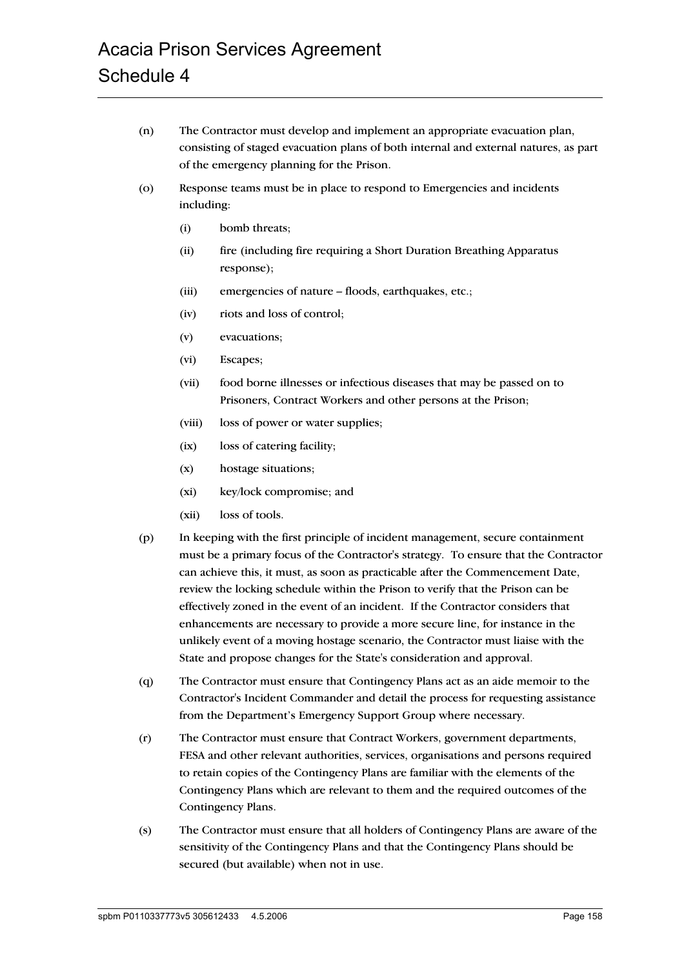- (n) The Contractor must develop and implement an appropriate evacuation plan, consisting of staged evacuation plans of both internal and external natures, as part of the emergency planning for the Prison.
- (o) Response teams must be in place to respond to Emergencies and incidents including:
	- (i) bomb threats;
	- (ii) fire (including fire requiring a Short Duration Breathing Apparatus response);
	- (iii) emergencies of nature floods, earthquakes, etc.;
	- (iv) riots and loss of control;
	- (v) evacuations;
	- (vi) Escapes;
	- (vii) food borne illnesses or infectious diseases that may be passed on to Prisoners, Contract Workers and other persons at the Prison;
	- (viii) loss of power or water supplies;
	- (ix) loss of catering facility;
	- (x) hostage situations;
	- (xi) key/lock compromise; and
	- (xii) loss of tools.
- (p) In keeping with the first principle of incident management, secure containment must be a primary focus of the Contractor's strategy. To ensure that the Contractor can achieve this, it must, as soon as practicable after the Commencement Date, review the locking schedule within the Prison to verify that the Prison can be effectively zoned in the event of an incident. If the Contractor considers that enhancements are necessary to provide a more secure line, for instance in the unlikely event of a moving hostage scenario, the Contractor must liaise with the State and propose changes for the State's consideration and approval.
- (q) The Contractor must ensure that Contingency Plans act as an aide memoir to the Contractor's Incident Commander and detail the process for requesting assistance from the Department's Emergency Support Group where necessary.
- (r) The Contractor must ensure that Contract Workers, government departments, FESA and other relevant authorities, services, organisations and persons required to retain copies of the Contingency Plans are familiar with the elements of the Contingency Plans which are relevant to them and the required outcomes of the Contingency Plans.
- (s) The Contractor must ensure that all holders of Contingency Plans are aware of the sensitivity of the Contingency Plans and that the Contingency Plans should be secured (but available) when not in use.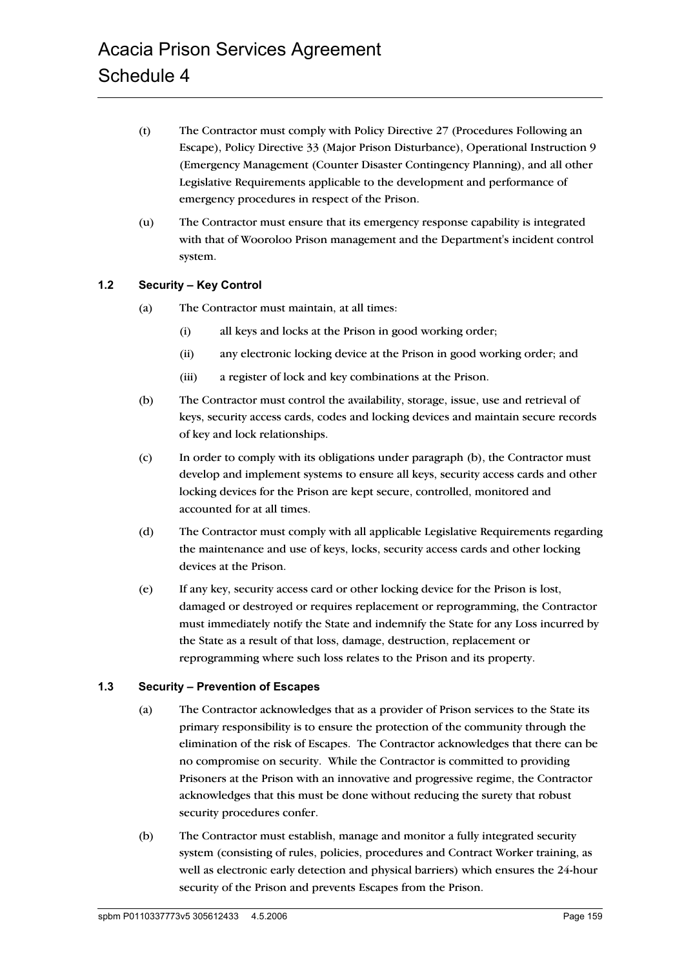- (t) The Contractor must comply with Policy Directive 27 (Procedures Following an Escape), Policy Directive 33 (Major Prison Disturbance), Operational Instruction 9 (Emergency Management (Counter Disaster Contingency Planning), and all other Legislative Requirements applicable to the development and performance of emergency procedures in respect of the Prison.
- (u) The Contractor must ensure that its emergency response capability is integrated with that of Wooroloo Prison management and the Department's incident control system.

## **1.2 Security – Key Control**

- (a) The Contractor must maintain, at all times:
	- (i) all keys and locks at the Prison in good working order;
	- (ii) any electronic locking device at the Prison in good working order; and
	- (iii) a register of lock and key combinations at the Prison.
- (b) The Contractor must control the availability, storage, issue, use and retrieval of keys, security access cards, codes and locking devices and maintain secure records of key and lock relationships.
- (c) In order to comply with its obligations under paragraph (b), the Contractor must develop and implement systems to ensure all keys, security access cards and other locking devices for the Prison are kept secure, controlled, monitored and accounted for at all times.
- (d) The Contractor must comply with all applicable Legislative Requirements regarding the maintenance and use of keys, locks, security access cards and other locking devices at the Prison.
- (e) If any key, security access card or other locking device for the Prison is lost, damaged or destroyed or requires replacement or reprogramming, the Contractor must immediately notify the State and indemnify the State for any Loss incurred by the State as a result of that loss, damage, destruction, replacement or reprogramming where such loss relates to the Prison and its property.

#### **1.3 Security – Prevention of Escapes**

- (a) The Contractor acknowledges that as a provider of Prison services to the State its primary responsibility is to ensure the protection of the community through the elimination of the risk of Escapes. The Contractor acknowledges that there can be no compromise on security. While the Contractor is committed to providing Prisoners at the Prison with an innovative and progressive regime, the Contractor acknowledges that this must be done without reducing the surety that robust security procedures confer.
- (b) The Contractor must establish, manage and monitor a fully integrated security system (consisting of rules, policies, procedures and Contract Worker training, as well as electronic early detection and physical barriers) which ensures the 24-hour security of the Prison and prevents Escapes from the Prison.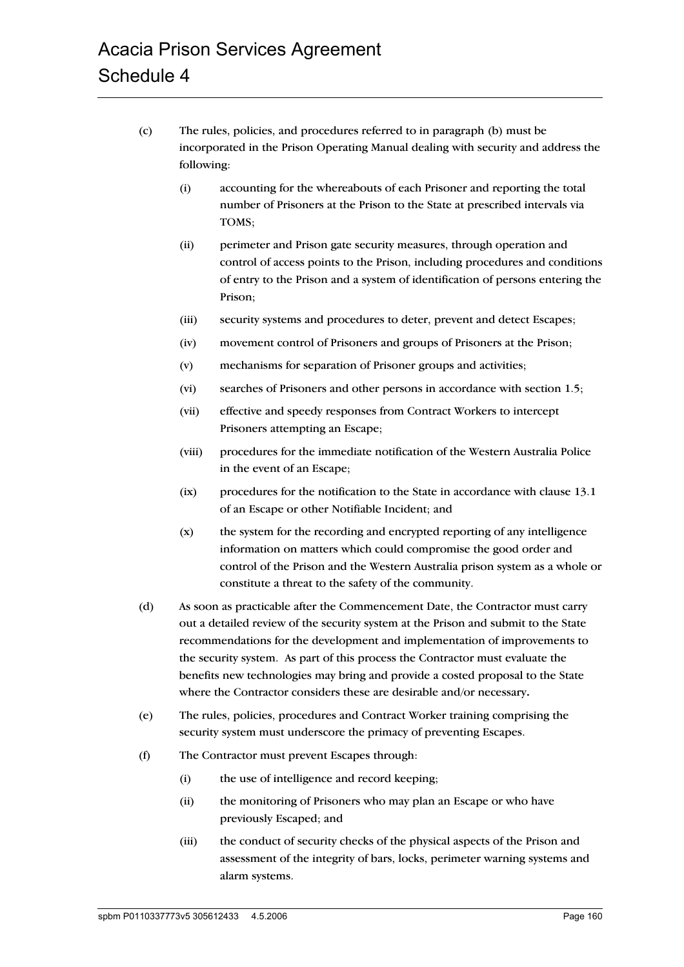- (c) The rules, policies, and procedures referred to in paragraph (b) must be incorporated in the Prison Operating Manual dealing with security and address the following:
	- (i) accounting for the whereabouts of each Prisoner and reporting the total number of Prisoners at the Prison to the State at prescribed intervals via TOMS;
	- (ii) perimeter and Prison gate security measures, through operation and control of access points to the Prison, including procedures and conditions of entry to the Prison and a system of identification of persons entering the Prison;
	- (iii) security systems and procedures to deter, prevent and detect Escapes;
	- (iv) movement control of Prisoners and groups of Prisoners at the Prison;
	- (v) mechanisms for separation of Prisoner groups and activities;
	- (vi) searches of Prisoners and other persons in accordance with section 1.5;
	- (vii) effective and speedy responses from Contract Workers to intercept Prisoners attempting an Escape;
	- (viii) procedures for the immediate notification of the Western Australia Police in the event of an Escape;
	- (ix) procedures for the notification to the State in accordance with clause 13.1 of an Escape or other Notifiable Incident; and
	- (x) the system for the recording and encrypted reporting of any intelligence information on matters which could compromise the good order and control of the Prison and the Western Australia prison system as a whole or constitute a threat to the safety of the community.
- (d) As soon as practicable after the Commencement Date, the Contractor must carry out a detailed review of the security system at the Prison and submit to the State recommendations for the development and implementation of improvements to the security system. As part of this process the Contractor must evaluate the benefits new technologies may bring and provide a costed proposal to the State where the Contractor considers these are desirable and/or necessary**.**
- (e) The rules, policies, procedures and Contract Worker training comprising the security system must underscore the primacy of preventing Escapes.
- (f) The Contractor must prevent Escapes through:
	- (i) the use of intelligence and record keeping;
	- (ii) the monitoring of Prisoners who may plan an Escape or who have previously Escaped; and
	- (iii) the conduct of security checks of the physical aspects of the Prison and assessment of the integrity of bars, locks, perimeter warning systems and alarm systems.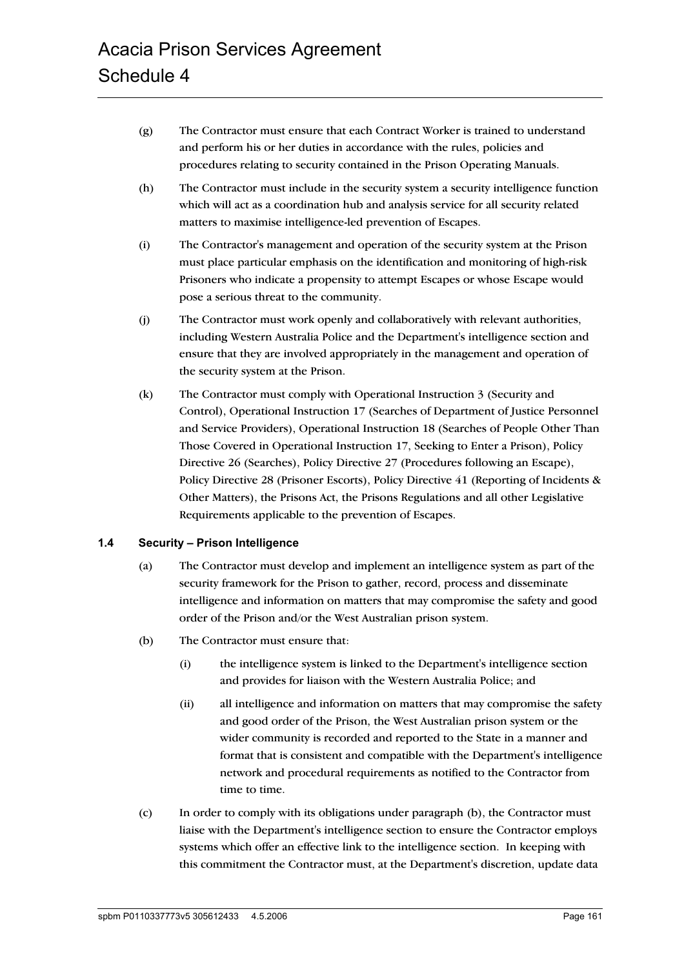- (g) The Contractor must ensure that each Contract Worker is trained to understand and perform his or her duties in accordance with the rules, policies and procedures relating to security contained in the Prison Operating Manuals.
- (h) The Contractor must include in the security system a security intelligence function which will act as a coordination hub and analysis service for all security related matters to maximise intelligence-led prevention of Escapes.
- (i) The Contractor's management and operation of the security system at the Prison must place particular emphasis on the identification and monitoring of high-risk Prisoners who indicate a propensity to attempt Escapes or whose Escape would pose a serious threat to the community.
- (j) The Contractor must work openly and collaboratively with relevant authorities, including Western Australia Police and the Department's intelligence section and ensure that they are involved appropriately in the management and operation of the security system at the Prison.
- (k) The Contractor must comply with Operational Instruction 3 (Security and Control), Operational Instruction 17 (Searches of Department of Justice Personnel and Service Providers), Operational Instruction 18 (Searches of People Other Than Those Covered in Operational Instruction 17, Seeking to Enter a Prison), Policy Directive 26 (Searches), Policy Directive 27 (Procedures following an Escape), Policy Directive 28 (Prisoner Escorts), Policy Directive 41 (Reporting of Incidents & Other Matters), the Prisons Act, the Prisons Regulations and all other Legislative Requirements applicable to the prevention of Escapes.

## **1.4 Security – Prison Intelligence**

- (a) The Contractor must develop and implement an intelligence system as part of the security framework for the Prison to gather, record, process and disseminate intelligence and information on matters that may compromise the safety and good order of the Prison and/or the West Australian prison system.
- (b) The Contractor must ensure that:
	- (i) the intelligence system is linked to the Department's intelligence section and provides for liaison with the Western Australia Police; and
	- (ii) all intelligence and information on matters that may compromise the safety and good order of the Prison, the West Australian prison system or the wider community is recorded and reported to the State in a manner and format that is consistent and compatible with the Department's intelligence network and procedural requirements as notified to the Contractor from time to time.
- (c) In order to comply with its obligations under paragraph (b), the Contractor must liaise with the Department's intelligence section to ensure the Contractor employs systems which offer an effective link to the intelligence section. In keeping with this commitment the Contractor must, at the Department's discretion, update data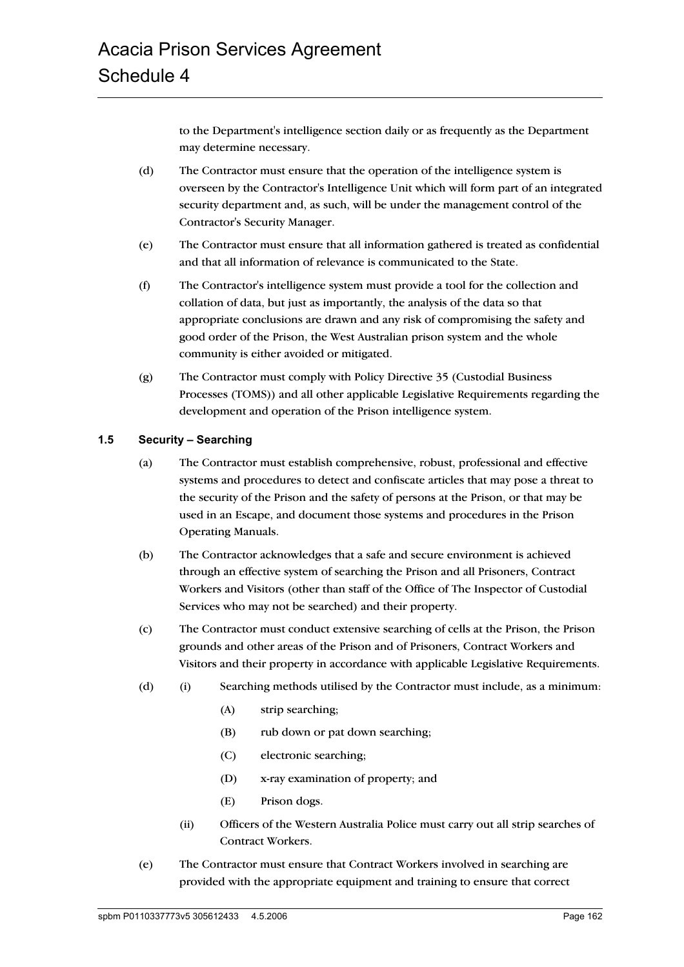to the Department's intelligence section daily or as frequently as the Department may determine necessary.

- (d) The Contractor must ensure that the operation of the intelligence system is overseen by the Contractor's Intelligence Unit which will form part of an integrated security department and, as such, will be under the management control of the Contractor's Security Manager.
- (e) The Contractor must ensure that all information gathered is treated as confidential and that all information of relevance is communicated to the State.
- (f) The Contractor's intelligence system must provide a tool for the collection and collation of data, but just as importantly, the analysis of the data so that appropriate conclusions are drawn and any risk of compromising the safety and good order of the Prison, the West Australian prison system and the whole community is either avoided or mitigated.
- (g) The Contractor must comply with Policy Directive 35 (Custodial Business Processes (TOMS)) and all other applicable Legislative Requirements regarding the development and operation of the Prison intelligence system.

## **1.5 Security – Searching**

- (a) The Contractor must establish comprehensive, robust, professional and effective systems and procedures to detect and confiscate articles that may pose a threat to the security of the Prison and the safety of persons at the Prison, or that may be used in an Escape, and document those systems and procedures in the Prison Operating Manuals.
- (b) The Contractor acknowledges that a safe and secure environment is achieved through an effective system of searching the Prison and all Prisoners, Contract Workers and Visitors (other than staff of the Office of The Inspector of Custodial Services who may not be searched) and their property.
- (c) The Contractor must conduct extensive searching of cells at the Prison, the Prison grounds and other areas of the Prison and of Prisoners, Contract Workers and Visitors and their property in accordance with applicable Legislative Requirements.
- (d) (i) Searching methods utilised by the Contractor must include, as a minimum:
	- (A) strip searching;
	- (B) rub down or pat down searching;
	- (C) electronic searching;
	- (D) x-ray examination of property; and
	- (E) Prison dogs.
	- (ii) Officers of the Western Australia Police must carry out all strip searches of Contract Workers.
- (e) The Contractor must ensure that Contract Workers involved in searching are provided with the appropriate equipment and training to ensure that correct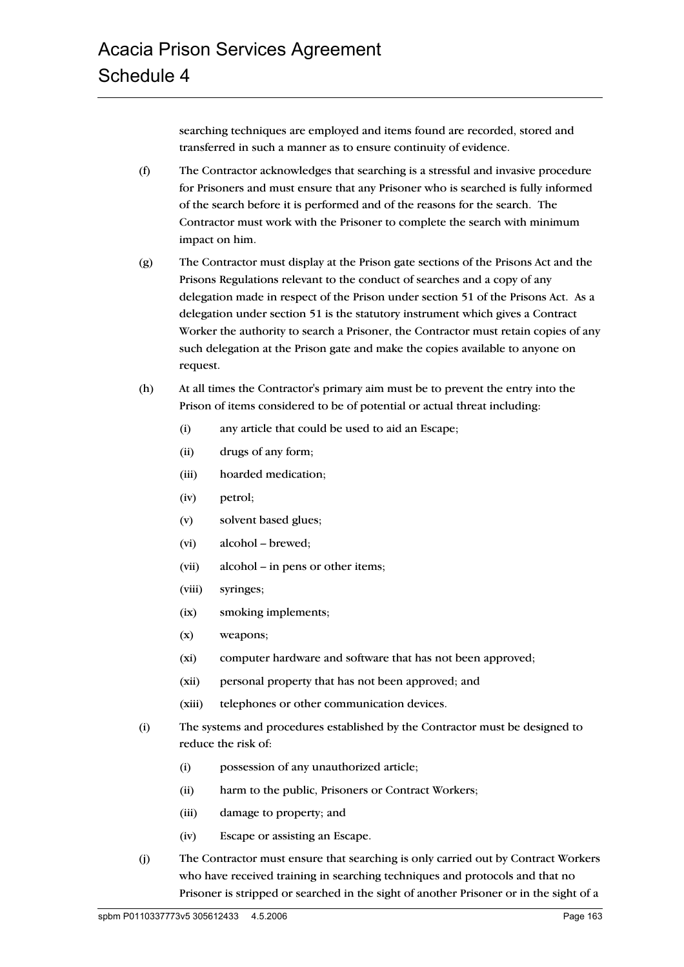searching techniques are employed and items found are recorded, stored and transferred in such a manner as to ensure continuity of evidence.

- (f) The Contractor acknowledges that searching is a stressful and invasive procedure for Prisoners and must ensure that any Prisoner who is searched is fully informed of the search before it is performed and of the reasons for the search. The Contractor must work with the Prisoner to complete the search with minimum impact on him.
- (g) The Contractor must display at the Prison gate sections of the Prisons Act and the Prisons Regulations relevant to the conduct of searches and a copy of any delegation made in respect of the Prison under section 51 of the Prisons Act. As a delegation under section 51 is the statutory instrument which gives a Contract Worker the authority to search a Prisoner, the Contractor must retain copies of any such delegation at the Prison gate and make the copies available to anyone on request.
- (h) At all times the Contractor's primary aim must be to prevent the entry into the Prison of items considered to be of potential or actual threat including:
	- (i) any article that could be used to aid an Escape;
	- (ii) drugs of any form;
	- (iii) hoarded medication;
	- (iv) petrol;
	- (v) solvent based glues;
	- (vi) alcohol brewed;
	- (vii) alcohol in pens or other items;
	- (viii) syringes;
	- (ix) smoking implements;
	- (x) weapons;
	- (xi) computer hardware and software that has not been approved;
	- (xii) personal property that has not been approved; and
	- (xiii) telephones or other communication devices.
- (i) The systems and procedures established by the Contractor must be designed to reduce the risk of:
	- (i) possession of any unauthorized article;
	- (ii) harm to the public, Prisoners or Contract Workers;
	- (iii) damage to property; and
	- (iv) Escape or assisting an Escape.
- (j) The Contractor must ensure that searching is only carried out by Contract Workers who have received training in searching techniques and protocols and that no Prisoner is stripped or searched in the sight of another Prisoner or in the sight of a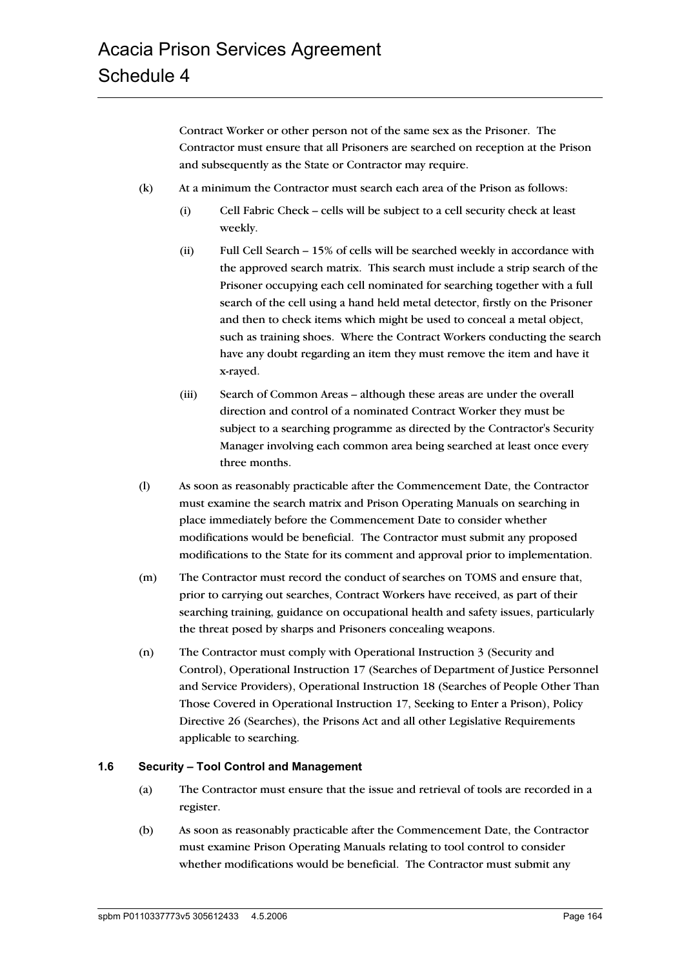Contract Worker or other person not of the same sex as the Prisoner. The Contractor must ensure that all Prisoners are searched on reception at the Prison and subsequently as the State or Contractor may require.

- (k) At a minimum the Contractor must search each area of the Prison as follows:
	- (i) Cell Fabric Check cells will be subject to a cell security check at least weekly.
	- (ii) Full Cell Search 15% of cells will be searched weekly in accordance with the approved search matrix. This search must include a strip search of the Prisoner occupying each cell nominated for searching together with a full search of the cell using a hand held metal detector, firstly on the Prisoner and then to check items which might be used to conceal a metal object, such as training shoes. Where the Contract Workers conducting the search have any doubt regarding an item they must remove the item and have it x-rayed.
	- (iii) Search of Common Areas although these areas are under the overall direction and control of a nominated Contract Worker they must be subject to a searching programme as directed by the Contractor's Security Manager involving each common area being searched at least once every three months.
- (l) As soon as reasonably practicable after the Commencement Date, the Contractor must examine the search matrix and Prison Operating Manuals on searching in place immediately before the Commencement Date to consider whether modifications would be beneficial. The Contractor must submit any proposed modifications to the State for its comment and approval prior to implementation.
- (m) The Contractor must record the conduct of searches on TOMS and ensure that, prior to carrying out searches, Contract Workers have received, as part of their searching training, guidance on occupational health and safety issues, particularly the threat posed by sharps and Prisoners concealing weapons.
- (n) The Contractor must comply with Operational Instruction 3 (Security and Control), Operational Instruction 17 (Searches of Department of Justice Personnel and Service Providers), Operational Instruction 18 (Searches of People Other Than Those Covered in Operational Instruction 17, Seeking to Enter a Prison), Policy Directive 26 (Searches), the Prisons Act and all other Legislative Requirements applicable to searching.

#### **1.6 Security – Tool Control and Management**

- (a) The Contractor must ensure that the issue and retrieval of tools are recorded in a register.
- (b) As soon as reasonably practicable after the Commencement Date, the Contractor must examine Prison Operating Manuals relating to tool control to consider whether modifications would be beneficial. The Contractor must submit any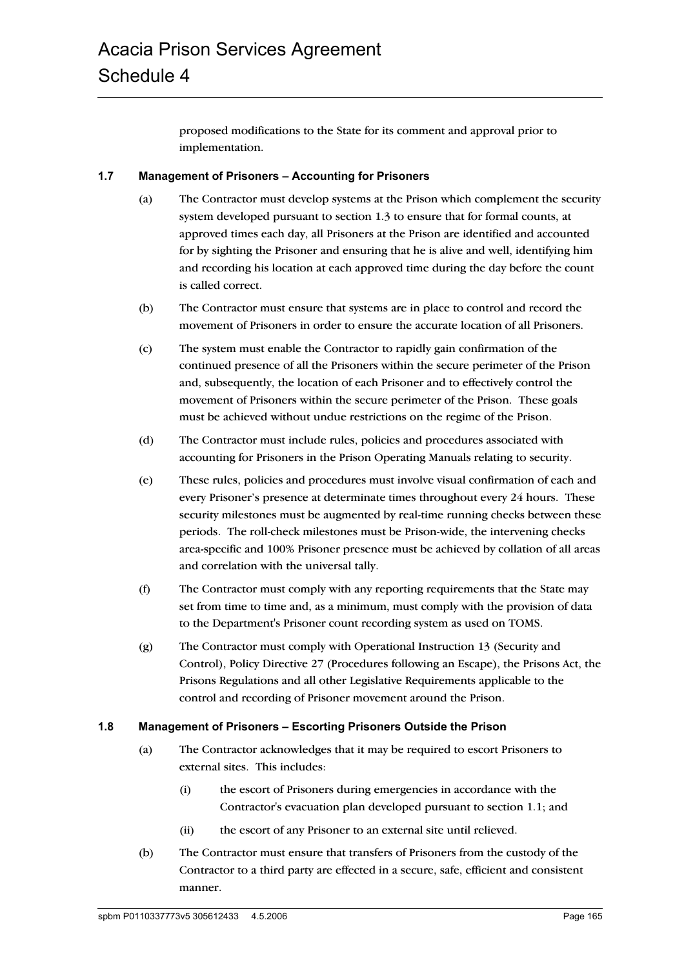proposed modifications to the State for its comment and approval prior to implementation.

#### **1.7 Management of Prisoners – Accounting for Prisoners**

- (a) The Contractor must develop systems at the Prison which complement the security system developed pursuant to section 1.3 to ensure that for formal counts, at approved times each day, all Prisoners at the Prison are identified and accounted for by sighting the Prisoner and ensuring that he is alive and well, identifying him and recording his location at each approved time during the day before the count is called correct.
- (b) The Contractor must ensure that systems are in place to control and record the movement of Prisoners in order to ensure the accurate location of all Prisoners.
- (c) The system must enable the Contractor to rapidly gain confirmation of the continued presence of all the Prisoners within the secure perimeter of the Prison and, subsequently, the location of each Prisoner and to effectively control the movement of Prisoners within the secure perimeter of the Prison. These goals must be achieved without undue restrictions on the regime of the Prison.
- (d) The Contractor must include rules, policies and procedures associated with accounting for Prisoners in the Prison Operating Manuals relating to security.
- (e) These rules, policies and procedures must involve visual confirmation of each and every Prisoner's presence at determinate times throughout every 24 hours. These security milestones must be augmented by real-time running checks between these periods. The roll-check milestones must be Prison-wide, the intervening checks area-specific and 100% Prisoner presence must be achieved by collation of all areas and correlation with the universal tally.
- (f) The Contractor must comply with any reporting requirements that the State may set from time to time and, as a minimum, must comply with the provision of data to the Department's Prisoner count recording system as used on TOMS.
- (g) The Contractor must comply with Operational Instruction 13 (Security and Control), Policy Directive 27 (Procedures following an Escape), the Prisons Act, the Prisons Regulations and all other Legislative Requirements applicable to the control and recording of Prisoner movement around the Prison.

#### **1.8 Management of Prisoners – Escorting Prisoners Outside the Prison**

- (a) The Contractor acknowledges that it may be required to escort Prisoners to external sites. This includes:
	- (i) the escort of Prisoners during emergencies in accordance with the Contractor's evacuation plan developed pursuant to section 1.1; and
	- (ii) the escort of any Prisoner to an external site until relieved.
- (b) The Contractor must ensure that transfers of Prisoners from the custody of the Contractor to a third party are effected in a secure, safe, efficient and consistent manner.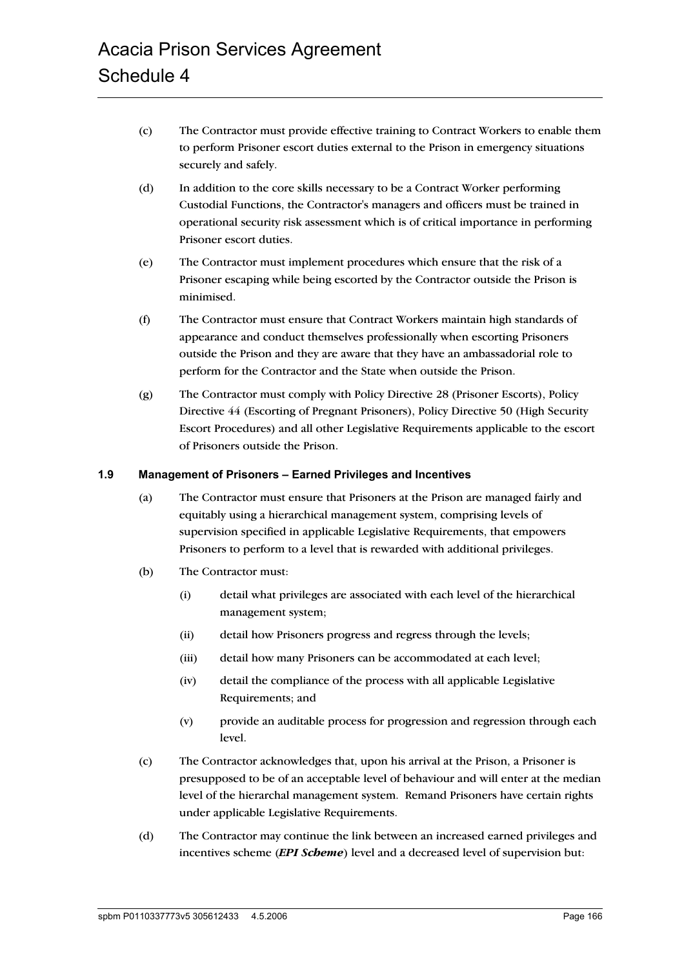- (c) The Contractor must provide effective training to Contract Workers to enable them to perform Prisoner escort duties external to the Prison in emergency situations securely and safely.
- (d) In addition to the core skills necessary to be a Contract Worker performing Custodial Functions, the Contractor's managers and officers must be trained in operational security risk assessment which is of critical importance in performing Prisoner escort duties.
- (e) The Contractor must implement procedures which ensure that the risk of a Prisoner escaping while being escorted by the Contractor outside the Prison is minimised.
- (f) The Contractor must ensure that Contract Workers maintain high standards of appearance and conduct themselves professionally when escorting Prisoners outside the Prison and they are aware that they have an ambassadorial role to perform for the Contractor and the State when outside the Prison.
- (g) The Contractor must comply with Policy Directive 28 (Prisoner Escorts), Policy Directive 44 (Escorting of Pregnant Prisoners), Policy Directive 50 (High Security Escort Procedures) and all other Legislative Requirements applicable to the escort of Prisoners outside the Prison.

#### **1.9 Management of Prisoners – Earned Privileges and Incentives**

- (a) The Contractor must ensure that Prisoners at the Prison are managed fairly and equitably using a hierarchical management system, comprising levels of supervision specified in applicable Legislative Requirements, that empowers Prisoners to perform to a level that is rewarded with additional privileges.
- (b) The Contractor must:
	- (i) detail what privileges are associated with each level of the hierarchical management system;
	- (ii) detail how Prisoners progress and regress through the levels;
	- (iii) detail how many Prisoners can be accommodated at each level;
	- (iv) detail the compliance of the process with all applicable Legislative Requirements; and
	- (v) provide an auditable process for progression and regression through each level.
- (c) The Contractor acknowledges that, upon his arrival at the Prison, a Prisoner is presupposed to be of an acceptable level of behaviour and will enter at the median level of the hierarchal management system. Remand Prisoners have certain rights under applicable Legislative Requirements.
- (d) The Contractor may continue the link between an increased earned privileges and incentives scheme (*EPI Scheme*) level and a decreased level of supervision but: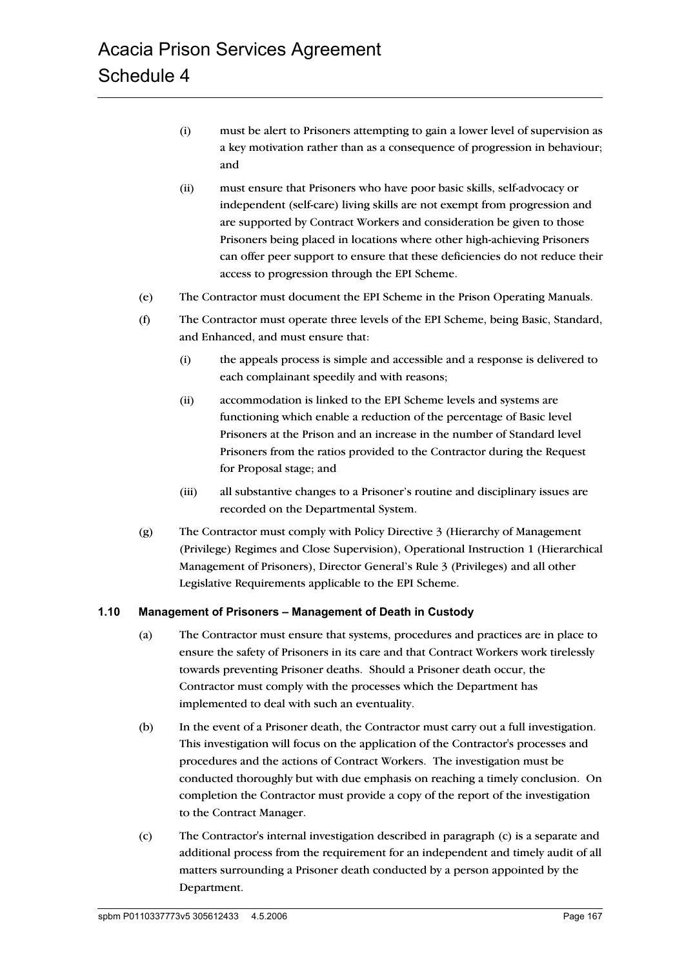- (i) must be alert to Prisoners attempting to gain a lower level of supervision as a key motivation rather than as a consequence of progression in behaviour; and
- (ii) must ensure that Prisoners who have poor basic skills, self-advocacy or independent (self-care) living skills are not exempt from progression and are supported by Contract Workers and consideration be given to those Prisoners being placed in locations where other high-achieving Prisoners can offer peer support to ensure that these deficiencies do not reduce their access to progression through the EPI Scheme.
- (e) The Contractor must document the EPI Scheme in the Prison Operating Manuals.
- (f) The Contractor must operate three levels of the EPI Scheme, being Basic, Standard, and Enhanced, and must ensure that:
	- (i) the appeals process is simple and accessible and a response is delivered to each complainant speedily and with reasons;
	- (ii) accommodation is linked to the EPI Scheme levels and systems are functioning which enable a reduction of the percentage of Basic level Prisoners at the Prison and an increase in the number of Standard level Prisoners from the ratios provided to the Contractor during the Request for Proposal stage; and
	- (iii) all substantive changes to a Prisoner's routine and disciplinary issues are recorded on the Departmental System.
- (g) The Contractor must comply with Policy Directive 3 (Hierarchy of Management (Privilege) Regimes and Close Supervision), Operational Instruction 1 (Hierarchical Management of Prisoners), Director General's Rule 3 (Privileges) and all other Legislative Requirements applicable to the EPI Scheme.

#### **1.10 Management of Prisoners – Management of Death in Custody**

- (a) The Contractor must ensure that systems, procedures and practices are in place to ensure the safety of Prisoners in its care and that Contract Workers work tirelessly towards preventing Prisoner deaths. Should a Prisoner death occur, the Contractor must comply with the processes which the Department has implemented to deal with such an eventuality.
- (b) In the event of a Prisoner death, the Contractor must carry out a full investigation. This investigation will focus on the application of the Contractor's processes and procedures and the actions of Contract Workers. The investigation must be conducted thoroughly but with due emphasis on reaching a timely conclusion. On completion the Contractor must provide a copy of the report of the investigation to the Contract Manager.
- (c) The Contractor's internal investigation described in paragraph (c) is a separate and additional process from the requirement for an independent and timely audit of all matters surrounding a Prisoner death conducted by a person appointed by the Department.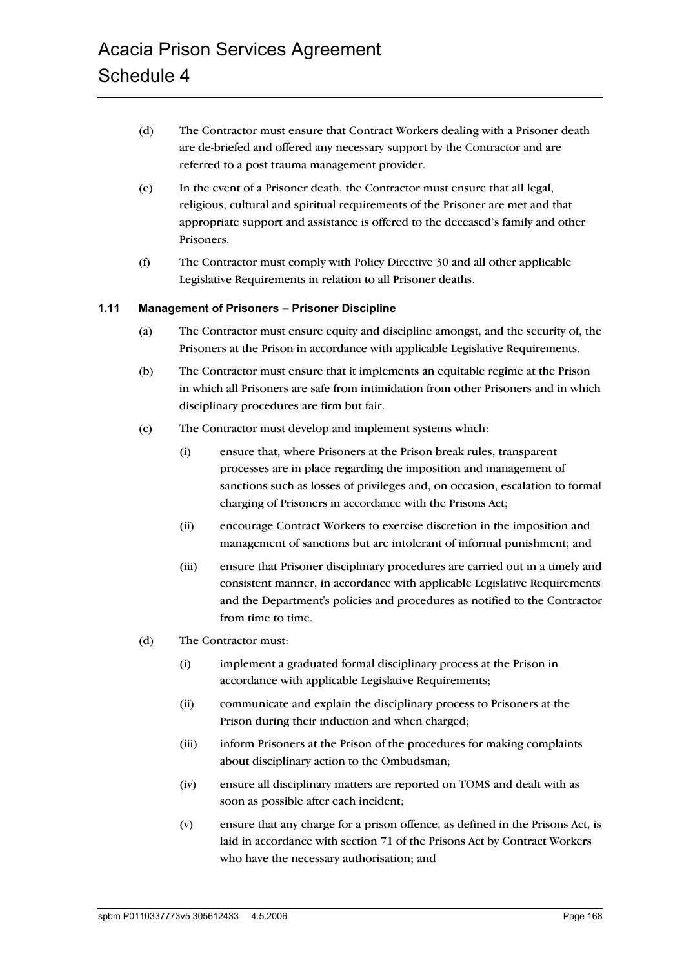- (d) The Contractor must ensure that Contract Workers dealing with a Prisoner death are de-briefed and offered any necessary support by the Contractor and are referred to a post trauma management provider.
- (e) In the event of a Prisoner death, the Contractor must ensure that all legal, religious, cultural and spiritual requirements of the Prisoner are met and that appropriate support and assistance is offered to the deceased's family and other Prisoners.
- (f) The Contractor must comply with Policy Directive 30 and all other applicable Legislative Requirements in relation to all Prisoner deaths.

#### **1.11 Management of Prisoners – Prisoner Discipline**

- (a) The Contractor must ensure equity and discipline amongst, and the security of, the Prisoners at the Prison in accordance with applicable Legislative Requirements.
- (b) The Contractor must ensure that it implements an equitable regime at the Prison in which all Prisoners are safe from intimidation from other Prisoners and in which disciplinary procedures are firm but fair.
- (c) The Contractor must develop and implement systems which:
	- (i) ensure that, where Prisoners at the Prison break rules, transparent processes are in place regarding the imposition and management of sanctions such as losses of privileges and, on occasion, escalation to formal charging of Prisoners in accordance with the Prisons Act;
	- (ii) encourage Contract Workers to exercise discretion in the imposition and management of sanctions but are intolerant of informal punishment; and
	- (iii) ensure that Prisoner disciplinary procedures are carried out in a timely and consistent manner, in accordance with applicable Legislative Requirements and the Department's policies and procedures as notified to the Contractor from time to time.
- (d) The Contractor must:
	- (i) implement a graduated formal disciplinary process at the Prison in accordance with applicable Legislative Requirements;
	- (ii) communicate and explain the disciplinary process to Prisoners at the Prison during their induction and when charged;
	- (iii) inform Prisoners at the Prison of the procedures for making complaints about disciplinary action to the Ombudsman;
	- (iv) ensure all disciplinary matters are reported on TOMS and dealt with as soon as possible after each incident;
	- (v) ensure that any charge for a prison offence, as defined in the Prisons Act, is laid in accordance with section 71 of the Prisons Act by Contract Workers who have the necessary authorisation; and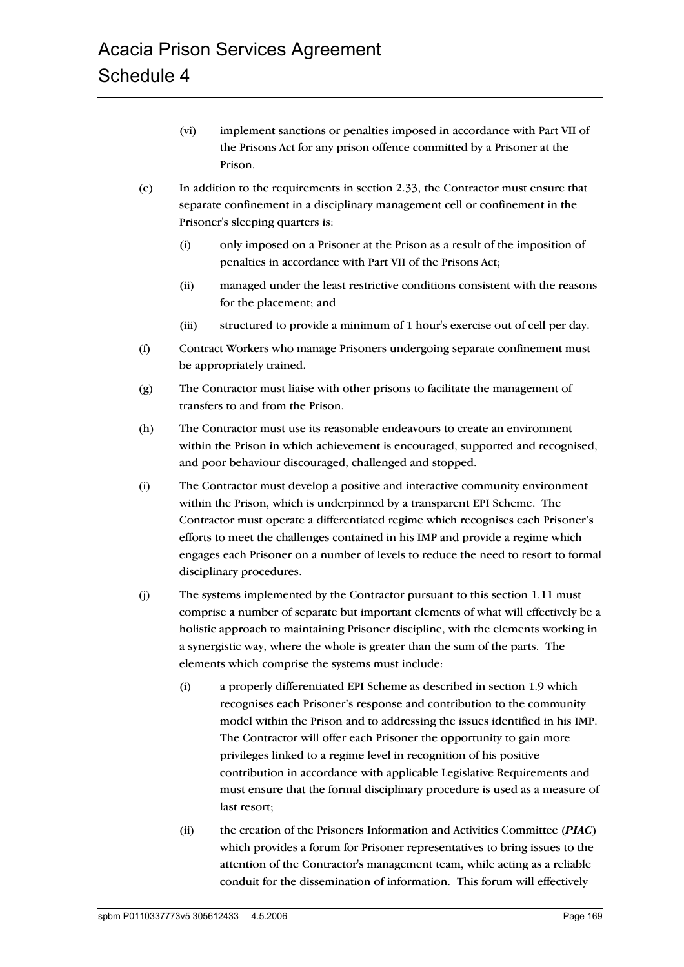- (vi) implement sanctions or penalties imposed in accordance with Part VII of the Prisons Act for any prison offence committed by a Prisoner at the Prison.
- (e) In addition to the requirements in section 2.33, the Contractor must ensure that separate confinement in a disciplinary management cell or confinement in the Prisoner's sleeping quarters is:
	- (i) only imposed on a Prisoner at the Prison as a result of the imposition of penalties in accordance with Part VII of the Prisons Act;
	- (ii) managed under the least restrictive conditions consistent with the reasons for the placement; and
	- (iii) structured to provide a minimum of 1 hour's exercise out of cell per day.
- (f) Contract Workers who manage Prisoners undergoing separate confinement must be appropriately trained.
- (g) The Contractor must liaise with other prisons to facilitate the management of transfers to and from the Prison.
- (h) The Contractor must use its reasonable endeavours to create an environment within the Prison in which achievement is encouraged, supported and recognised, and poor behaviour discouraged, challenged and stopped.
- (i) The Contractor must develop a positive and interactive community environment within the Prison, which is underpinned by a transparent EPI Scheme. The Contractor must operate a differentiated regime which recognises each Prisoner's efforts to meet the challenges contained in his IMP and provide a regime which engages each Prisoner on a number of levels to reduce the need to resort to formal disciplinary procedures.
- (j) The systems implemented by the Contractor pursuant to this section 1.11 must comprise a number of separate but important elements of what will effectively be a holistic approach to maintaining Prisoner discipline, with the elements working in a synergistic way, where the whole is greater than the sum of the parts. The elements which comprise the systems must include:
	- (i) a properly differentiated EPI Scheme as described in section 1.9 which recognises each Prisoner's response and contribution to the community model within the Prison and to addressing the issues identified in his IMP. The Contractor will offer each Prisoner the opportunity to gain more privileges linked to a regime level in recognition of his positive contribution in accordance with applicable Legislative Requirements and must ensure that the formal disciplinary procedure is used as a measure of last resort;
	- (ii) the creation of the Prisoners Information and Activities Committee (*PIAC*) which provides a forum for Prisoner representatives to bring issues to the attention of the Contractor's management team, while acting as a reliable conduit for the dissemination of information. This forum will effectively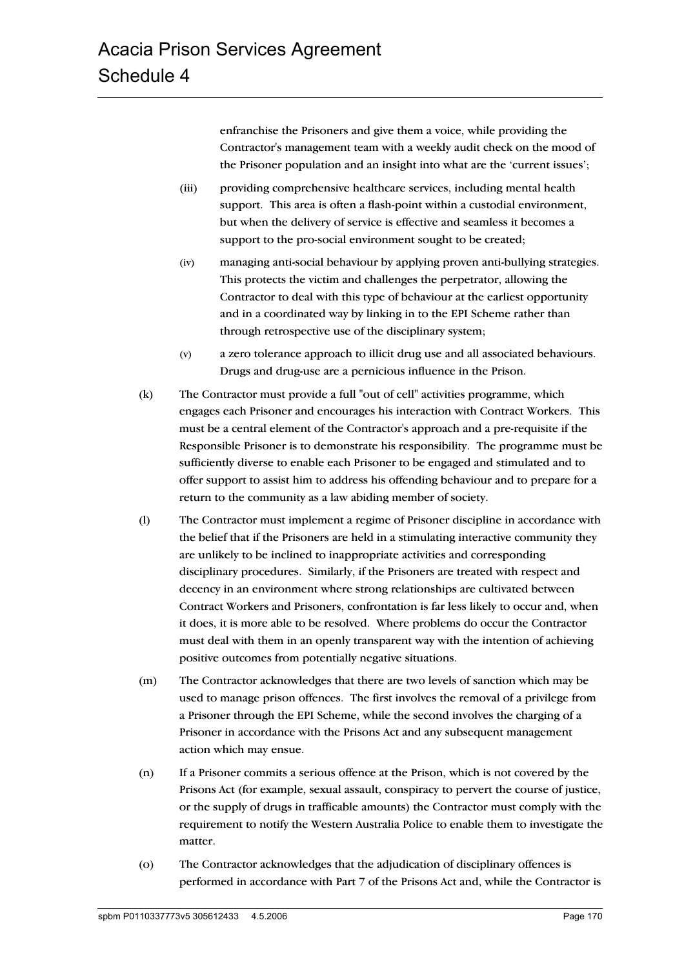enfranchise the Prisoners and give them a voice, while providing the Contractor's management team with a weekly audit check on the mood of the Prisoner population and an insight into what are the 'current issues';

- (iii) providing comprehensive healthcare services, including mental health support. This area is often a flash-point within a custodial environment, but when the delivery of service is effective and seamless it becomes a support to the pro-social environment sought to be created;
- (iv) managing anti-social behaviour by applying proven anti-bullying strategies. This protects the victim and challenges the perpetrator, allowing the Contractor to deal with this type of behaviour at the earliest opportunity and in a coordinated way by linking in to the EPI Scheme rather than through retrospective use of the disciplinary system;
- (v) a zero tolerance approach to illicit drug use and all associated behaviours. Drugs and drug-use are a pernicious influence in the Prison.
- (k) The Contractor must provide a full "out of cell" activities programme, which engages each Prisoner and encourages his interaction with Contract Workers. This must be a central element of the Contractor's approach and a pre-requisite if the Responsible Prisoner is to demonstrate his responsibility. The programme must be sufficiently diverse to enable each Prisoner to be engaged and stimulated and to offer support to assist him to address his offending behaviour and to prepare for a return to the community as a law abiding member of society.
- (l) The Contractor must implement a regime of Prisoner discipline in accordance with the belief that if the Prisoners are held in a stimulating interactive community they are unlikely to be inclined to inappropriate activities and corresponding disciplinary procedures. Similarly, if the Prisoners are treated with respect and decency in an environment where strong relationships are cultivated between Contract Workers and Prisoners, confrontation is far less likely to occur and, when it does, it is more able to be resolved. Where problems do occur the Contractor must deal with them in an openly transparent way with the intention of achieving positive outcomes from potentially negative situations.
- (m) The Contractor acknowledges that there are two levels of sanction which may be used to manage prison offences. The first involves the removal of a privilege from a Prisoner through the EPI Scheme, while the second involves the charging of a Prisoner in accordance with the Prisons Act and any subsequent management action which may ensue.
- (n) If a Prisoner commits a serious offence at the Prison, which is not covered by the Prisons Act (for example, sexual assault, conspiracy to pervert the course of justice, or the supply of drugs in trafficable amounts) the Contractor must comply with the requirement to notify the Western Australia Police to enable them to investigate the matter.
- (o) The Contractor acknowledges that the adjudication of disciplinary offences is performed in accordance with Part 7 of the Prisons Act and, while the Contractor is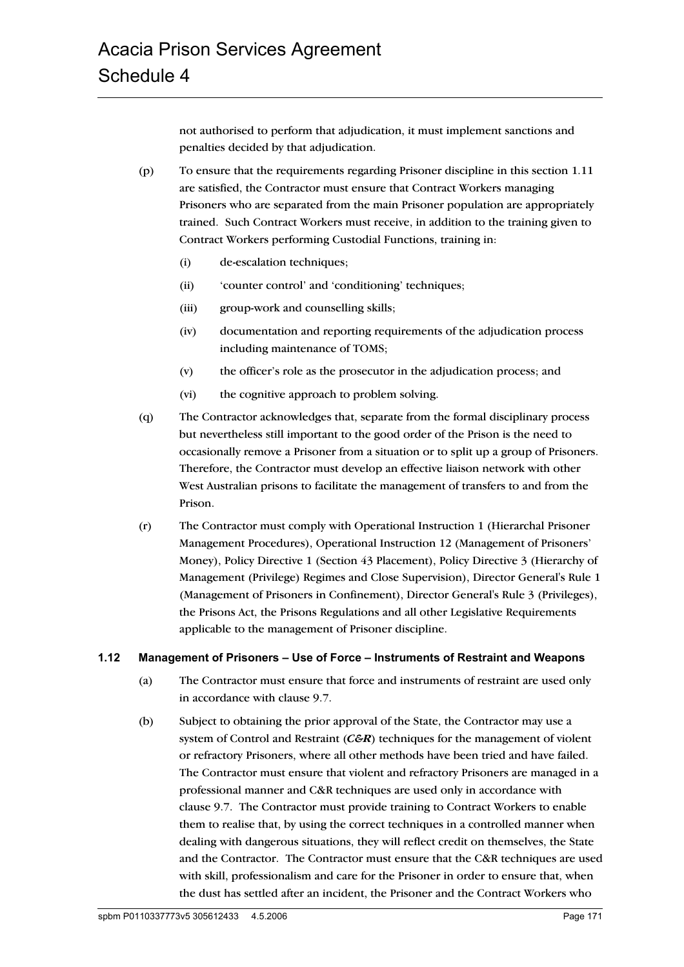not authorised to perform that adjudication, it must implement sanctions and penalties decided by that adjudication.

- (p) To ensure that the requirements regarding Prisoner discipline in this section 1.11 are satisfied, the Contractor must ensure that Contract Workers managing Prisoners who are separated from the main Prisoner population are appropriately trained. Such Contract Workers must receive, in addition to the training given to Contract Workers performing Custodial Functions, training in:
	- (i) de-escalation techniques;
	- (ii) 'counter control' and 'conditioning' techniques;
	- (iii) group-work and counselling skills;
	- (iv) documentation and reporting requirements of the adjudication process including maintenance of TOMS;
	- (v) the officer's role as the prosecutor in the adjudication process; and
	- (vi) the cognitive approach to problem solving.
- (q) The Contractor acknowledges that, separate from the formal disciplinary process but nevertheless still important to the good order of the Prison is the need to occasionally remove a Prisoner from a situation or to split up a group of Prisoners. Therefore, the Contractor must develop an effective liaison network with other West Australian prisons to facilitate the management of transfers to and from the Prison.
- (r) The Contractor must comply with Operational Instruction 1 (Hierarchal Prisoner Management Procedures), Operational Instruction 12 (Management of Prisoners' Money), Policy Directive 1 (Section 43 Placement), Policy Directive 3 (Hierarchy of Management (Privilege) Regimes and Close Supervision), Director General's Rule 1 (Management of Prisoners in Confinement), Director General's Rule 3 (Privileges), the Prisons Act, the Prisons Regulations and all other Legislative Requirements applicable to the management of Prisoner discipline.

## **1.12 Management of Prisoners – Use of Force – Instruments of Restraint and Weapons**

- (a) The Contractor must ensure that force and instruments of restraint are used only in accordance with clause 9.7.
- (b) Subject to obtaining the prior approval of the State, the Contractor may use a system of Control and Restraint (*C&R*) techniques for the management of violent or refractory Prisoners, where all other methods have been tried and have failed. The Contractor must ensure that violent and refractory Prisoners are managed in a professional manner and C&R techniques are used only in accordance with clause 9.7. The Contractor must provide training to Contract Workers to enable them to realise that, by using the correct techniques in a controlled manner when dealing with dangerous situations, they will reflect credit on themselves, the State and the Contractor. The Contractor must ensure that the C&R techniques are used with skill, professionalism and care for the Prisoner in order to ensure that, when the dust has settled after an incident, the Prisoner and the Contract Workers who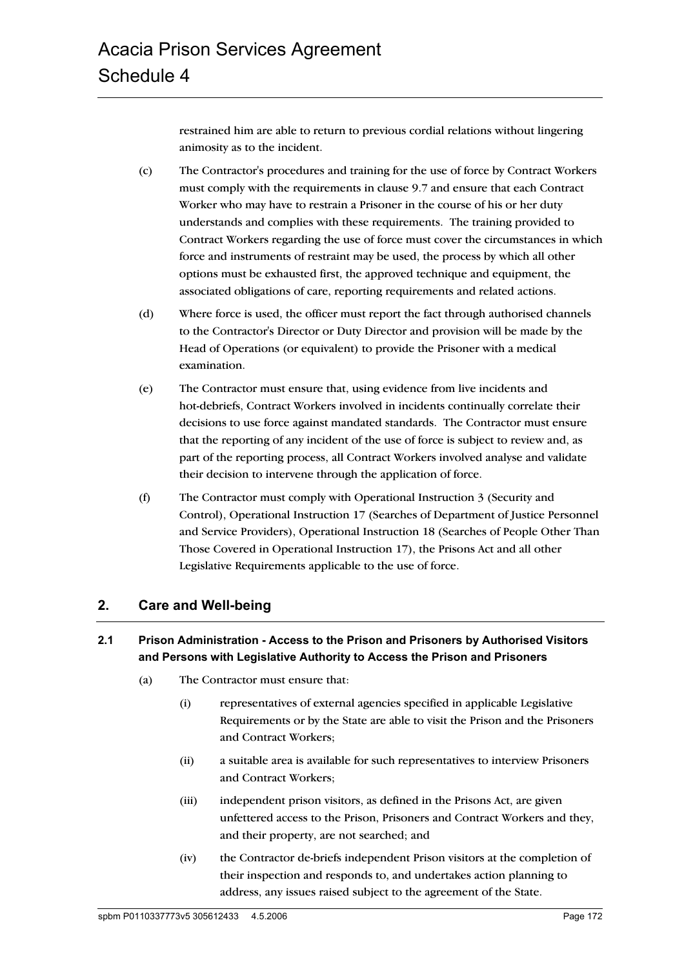restrained him are able to return to previous cordial relations without lingering animosity as to the incident.

- (c) The Contractor's procedures and training for the use of force by Contract Workers must comply with the requirements in clause 9.7 and ensure that each Contract Worker who may have to restrain a Prisoner in the course of his or her duty understands and complies with these requirements. The training provided to Contract Workers regarding the use of force must cover the circumstances in which force and instruments of restraint may be used, the process by which all other options must be exhausted first, the approved technique and equipment, the associated obligations of care, reporting requirements and related actions.
- (d) Where force is used, the officer must report the fact through authorised channels to the Contractor's Director or Duty Director and provision will be made by the Head of Operations (or equivalent) to provide the Prisoner with a medical examination.
- (e) The Contractor must ensure that, using evidence from live incidents and hot-debriefs, Contract Workers involved in incidents continually correlate their decisions to use force against mandated standards. The Contractor must ensure that the reporting of any incident of the use of force is subject to review and, as part of the reporting process, all Contract Workers involved analyse and validate their decision to intervene through the application of force.
- (f) The Contractor must comply with Operational Instruction 3 (Security and Control), Operational Instruction 17 (Searches of Department of Justice Personnel and Service Providers), Operational Instruction 18 (Searches of People Other Than Those Covered in Operational Instruction 17), the Prisons Act and all other Legislative Requirements applicable to the use of force.

# **2. Care and Well-being**

# **2.1 Prison Administration - Access to the Prison and Prisoners by Authorised Visitors and Persons with Legislative Authority to Access the Prison and Prisoners**

- (a) The Contractor must ensure that:
	- (i) representatives of external agencies specified in applicable Legislative Requirements or by the State are able to visit the Prison and the Prisoners and Contract Workers;
	- (ii) a suitable area is available for such representatives to interview Prisoners and Contract Workers;
	- (iii) independent prison visitors, as defined in the Prisons Act, are given unfettered access to the Prison, Prisoners and Contract Workers and they, and their property, are not searched; and
	- (iv) the Contractor de-briefs independent Prison visitors at the completion of their inspection and responds to, and undertakes action planning to address, any issues raised subject to the agreement of the State.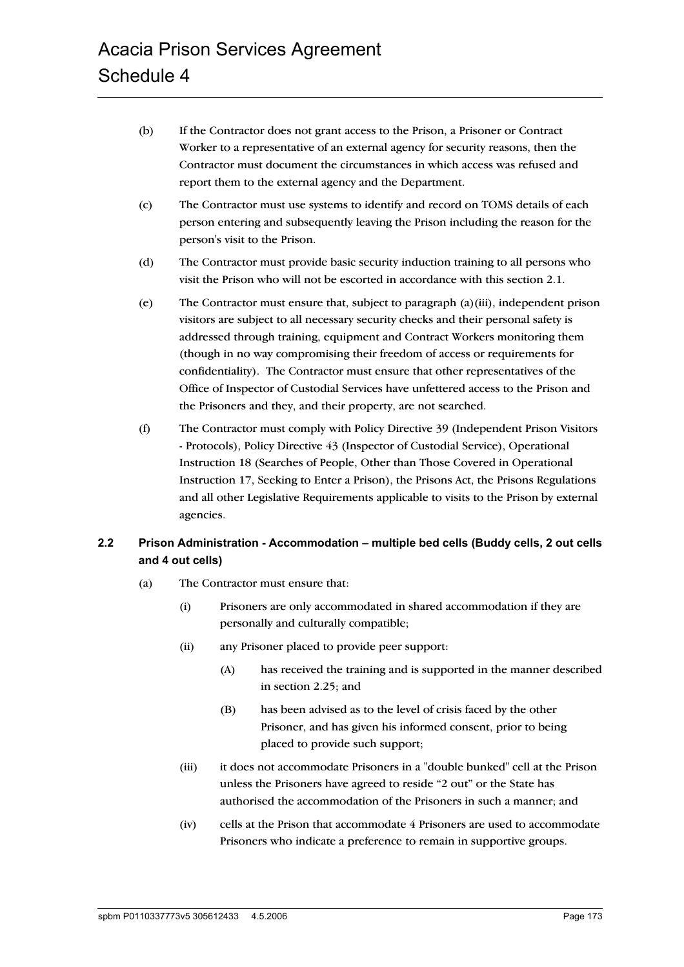- (b) If the Contractor does not grant access to the Prison, a Prisoner or Contract Worker to a representative of an external agency for security reasons, then the Contractor must document the circumstances in which access was refused and report them to the external agency and the Department.
- (c) The Contractor must use systems to identify and record on TOMS details of each person entering and subsequently leaving the Prison including the reason for the person's visit to the Prison.
- (d) The Contractor must provide basic security induction training to all persons who visit the Prison who will not be escorted in accordance with this section 2.1.
- (e) The Contractor must ensure that, subject to paragraph (a)(iii), independent prison visitors are subject to all necessary security checks and their personal safety is addressed through training, equipment and Contract Workers monitoring them (though in no way compromising their freedom of access or requirements for confidentiality). The Contractor must ensure that other representatives of the Office of Inspector of Custodial Services have unfettered access to the Prison and the Prisoners and they, and their property, are not searched.
- (f) The Contractor must comply with Policy Directive 39 (Independent Prison Visitors - Protocols), Policy Directive 43 (Inspector of Custodial Service), Operational Instruction 18 (Searches of People, Other than Those Covered in Operational Instruction 17, Seeking to Enter a Prison), the Prisons Act, the Prisons Regulations and all other Legislative Requirements applicable to visits to the Prison by external agencies.

# **2.2 Prison Administration - Accommodation – multiple bed cells (Buddy cells, 2 out cells and 4 out cells)**

- (a) The Contractor must ensure that:
	- (i) Prisoners are only accommodated in shared accommodation if they are personally and culturally compatible;
	- (ii) any Prisoner placed to provide peer support:
		- (A) has received the training and is supported in the manner described in section 2.25; and
		- (B) has been advised as to the level of crisis faced by the other Prisoner, and has given his informed consent, prior to being placed to provide such support;
	- (iii) it does not accommodate Prisoners in a "double bunked" cell at the Prison unless the Prisoners have agreed to reside "2 out" or the State has authorised the accommodation of the Prisoners in such a manner; and
	- (iv) cells at the Prison that accommodate 4 Prisoners are used to accommodate Prisoners who indicate a preference to remain in supportive groups.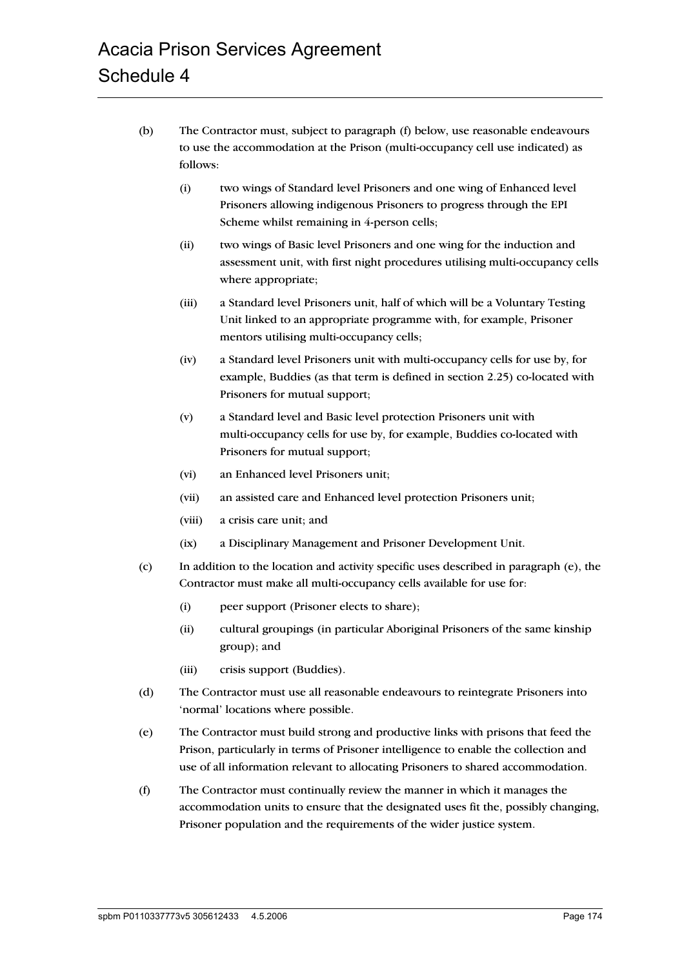- (b) The Contractor must, subject to paragraph (f) below, use reasonable endeavours to use the accommodation at the Prison (multi-occupancy cell use indicated) as follows:
	- (i) two wings of Standard level Prisoners and one wing of Enhanced level Prisoners allowing indigenous Prisoners to progress through the EPI Scheme whilst remaining in 4-person cells;
	- (ii) two wings of Basic level Prisoners and one wing for the induction and assessment unit, with first night procedures utilising multi-occupancy cells where appropriate;
	- (iii) a Standard level Prisoners unit, half of which will be a Voluntary Testing Unit linked to an appropriate programme with, for example, Prisoner mentors utilising multi-occupancy cells;
	- (iv) a Standard level Prisoners unit with multi-occupancy cells for use by, for example, Buddies (as that term is defined in section 2.25) co-located with Prisoners for mutual support;
	- (v) a Standard level and Basic level protection Prisoners unit with multi-occupancy cells for use by, for example, Buddies co-located with Prisoners for mutual support;
	- (vi) an Enhanced level Prisoners unit;
	- (vii) an assisted care and Enhanced level protection Prisoners unit;
	- (viii) a crisis care unit; and
	- (ix) a Disciplinary Management and Prisoner Development Unit.
- (c) In addition to the location and activity specific uses described in paragraph (e), the Contractor must make all multi-occupancy cells available for use for:
	- (i) peer support (Prisoner elects to share);
	- (ii) cultural groupings (in particular Aboriginal Prisoners of the same kinship group); and
	- (iii) crisis support (Buddies).
- (d) The Contractor must use all reasonable endeavours to reintegrate Prisoners into 'normal' locations where possible.
- (e) The Contractor must build strong and productive links with prisons that feed the Prison, particularly in terms of Prisoner intelligence to enable the collection and use of all information relevant to allocating Prisoners to shared accommodation.
- (f) The Contractor must continually review the manner in which it manages the accommodation units to ensure that the designated uses fit the, possibly changing, Prisoner population and the requirements of the wider justice system.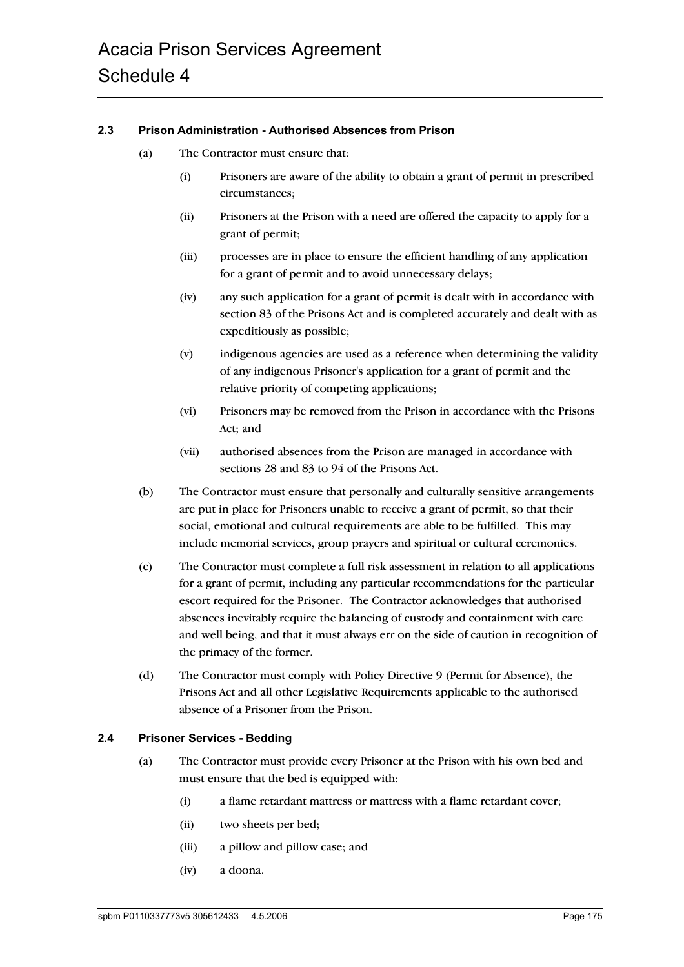#### **2.3 Prison Administration - Authorised Absences from Prison**

- (a) The Contractor must ensure that:
	- (i) Prisoners are aware of the ability to obtain a grant of permit in prescribed circumstances;
	- (ii) Prisoners at the Prison with a need are offered the capacity to apply for a grant of permit;
	- (iii) processes are in place to ensure the efficient handling of any application for a grant of permit and to avoid unnecessary delays;
	- (iv) any such application for a grant of permit is dealt with in accordance with section 83 of the Prisons Act and is completed accurately and dealt with as expeditiously as possible;
	- (v) indigenous agencies are used as a reference when determining the validity of any indigenous Prisoner's application for a grant of permit and the relative priority of competing applications;
	- (vi) Prisoners may be removed from the Prison in accordance with the Prisons Act; and
	- (vii) authorised absences from the Prison are managed in accordance with sections 28 and 83 to 94 of the Prisons Act.
- (b) The Contractor must ensure that personally and culturally sensitive arrangements are put in place for Prisoners unable to receive a grant of permit, so that their social, emotional and cultural requirements are able to be fulfilled. This may include memorial services, group prayers and spiritual or cultural ceremonies.
- (c) The Contractor must complete a full risk assessment in relation to all applications for a grant of permit, including any particular recommendations for the particular escort required for the Prisoner. The Contractor acknowledges that authorised absences inevitably require the balancing of custody and containment with care and well being, and that it must always err on the side of caution in recognition of the primacy of the former.
- (d) The Contractor must comply with Policy Directive 9 (Permit for Absence), the Prisons Act and all other Legislative Requirements applicable to the authorised absence of a Prisoner from the Prison.

#### **2.4 Prisoner Services - Bedding**

- (a) The Contractor must provide every Prisoner at the Prison with his own bed and must ensure that the bed is equipped with:
	- (i) a flame retardant mattress or mattress with a flame retardant cover;
	- (ii) two sheets per bed;
	- (iii) a pillow and pillow case; and
	- (iv) a doona.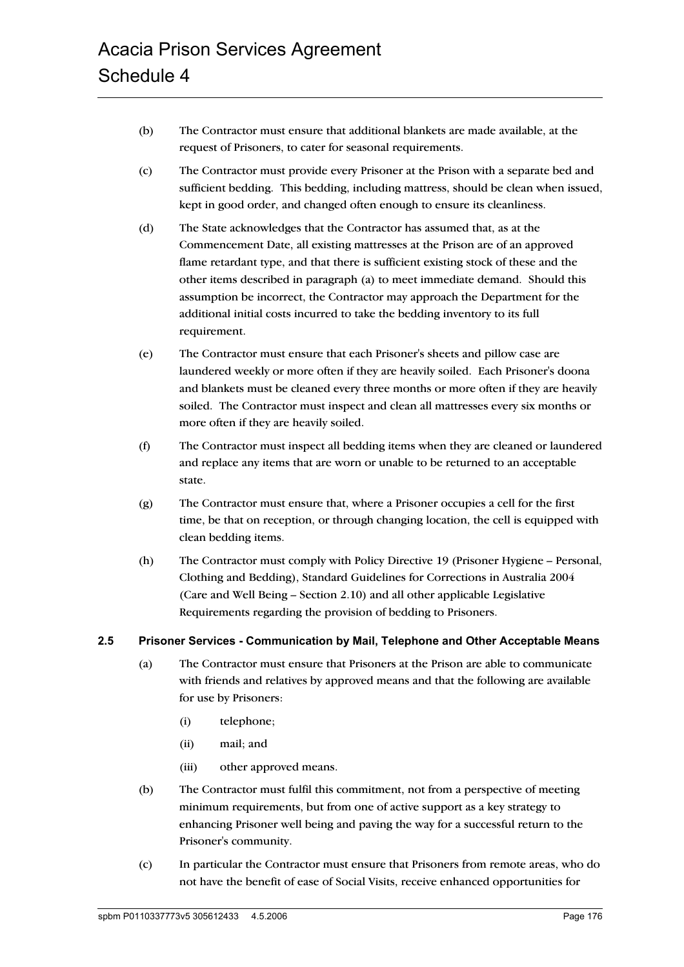- (b) The Contractor must ensure that additional blankets are made available, at the request of Prisoners, to cater for seasonal requirements.
- (c) The Contractor must provide every Prisoner at the Prison with a separate bed and sufficient bedding. This bedding, including mattress, should be clean when issued, kept in good order, and changed often enough to ensure its cleanliness.
- (d) The State acknowledges that the Contractor has assumed that, as at the Commencement Date, all existing mattresses at the Prison are of an approved flame retardant type, and that there is sufficient existing stock of these and the other items described in paragraph (a) to meet immediate demand. Should this assumption be incorrect, the Contractor may approach the Department for the additional initial costs incurred to take the bedding inventory to its full requirement.
- (e) The Contractor must ensure that each Prisoner's sheets and pillow case are laundered weekly or more often if they are heavily soiled. Each Prisoner's doona and blankets must be cleaned every three months or more often if they are heavily soiled. The Contractor must inspect and clean all mattresses every six months or more often if they are heavily soiled.
- (f) The Contractor must inspect all bedding items when they are cleaned or laundered and replace any items that are worn or unable to be returned to an acceptable state.
- (g) The Contractor must ensure that, where a Prisoner occupies a cell for the first time, be that on reception, or through changing location, the cell is equipped with clean bedding items.
- (h) The Contractor must comply with Policy Directive 19 (Prisoner Hygiene Personal, Clothing and Bedding), Standard Guidelines for Corrections in Australia 2004 (Care and Well Being – Section 2.10) and all other applicable Legislative Requirements regarding the provision of bedding to Prisoners.

#### **2.5 Prisoner Services - Communication by Mail, Telephone and Other Acceptable Means**

- (a) The Contractor must ensure that Prisoners at the Prison are able to communicate with friends and relatives by approved means and that the following are available for use by Prisoners:
	- (i) telephone;
	- (ii) mail; and
	- (iii) other approved means.
- (b) The Contractor must fulfil this commitment, not from a perspective of meeting minimum requirements, but from one of active support as a key strategy to enhancing Prisoner well being and paving the way for a successful return to the Prisoner's community.
- (c) In particular the Contractor must ensure that Prisoners from remote areas, who do not have the benefit of ease of Social Visits, receive enhanced opportunities for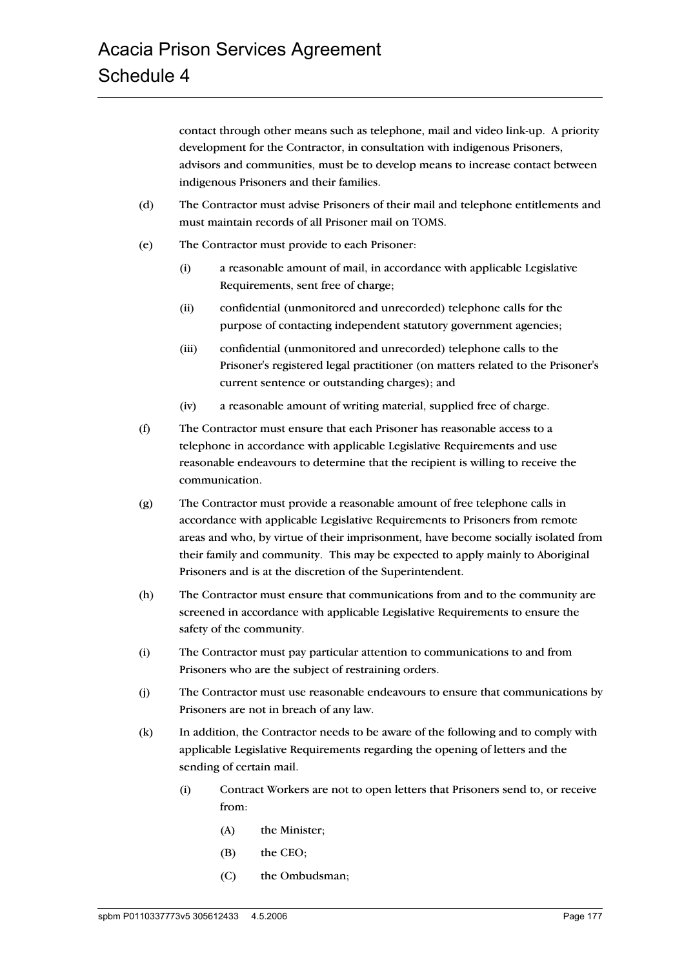contact through other means such as telephone, mail and video link-up. A priority development for the Contractor, in consultation with indigenous Prisoners, advisors and communities, must be to develop means to increase contact between indigenous Prisoners and their families.

- (d) The Contractor must advise Prisoners of their mail and telephone entitlements and must maintain records of all Prisoner mail on TOMS.
- (e) The Contractor must provide to each Prisoner:
	- (i) a reasonable amount of mail, in accordance with applicable Legislative Requirements, sent free of charge;
	- (ii) confidential (unmonitored and unrecorded) telephone calls for the purpose of contacting independent statutory government agencies;
	- (iii) confidential (unmonitored and unrecorded) telephone calls to the Prisoner's registered legal practitioner (on matters related to the Prisoner's current sentence or outstanding charges); and
	- (iv) a reasonable amount of writing material, supplied free of charge.
- (f) The Contractor must ensure that each Prisoner has reasonable access to a telephone in accordance with applicable Legislative Requirements and use reasonable endeavours to determine that the recipient is willing to receive the communication.
- (g) The Contractor must provide a reasonable amount of free telephone calls in accordance with applicable Legislative Requirements to Prisoners from remote areas and who, by virtue of their imprisonment, have become socially isolated from their family and community. This may be expected to apply mainly to Aboriginal Prisoners and is at the discretion of the Superintendent.
- (h) The Contractor must ensure that communications from and to the community are screened in accordance with applicable Legislative Requirements to ensure the safety of the community.
- (i) The Contractor must pay particular attention to communications to and from Prisoners who are the subject of restraining orders.
- (j) The Contractor must use reasonable endeavours to ensure that communications by Prisoners are not in breach of any law.
- (k) In addition, the Contractor needs to be aware of the following and to comply with applicable Legislative Requirements regarding the opening of letters and the sending of certain mail.
	- (i) Contract Workers are not to open letters that Prisoners send to, or receive from:
		- (A) the Minister;
		- (B) the CEO;
		- (C) the Ombudsman;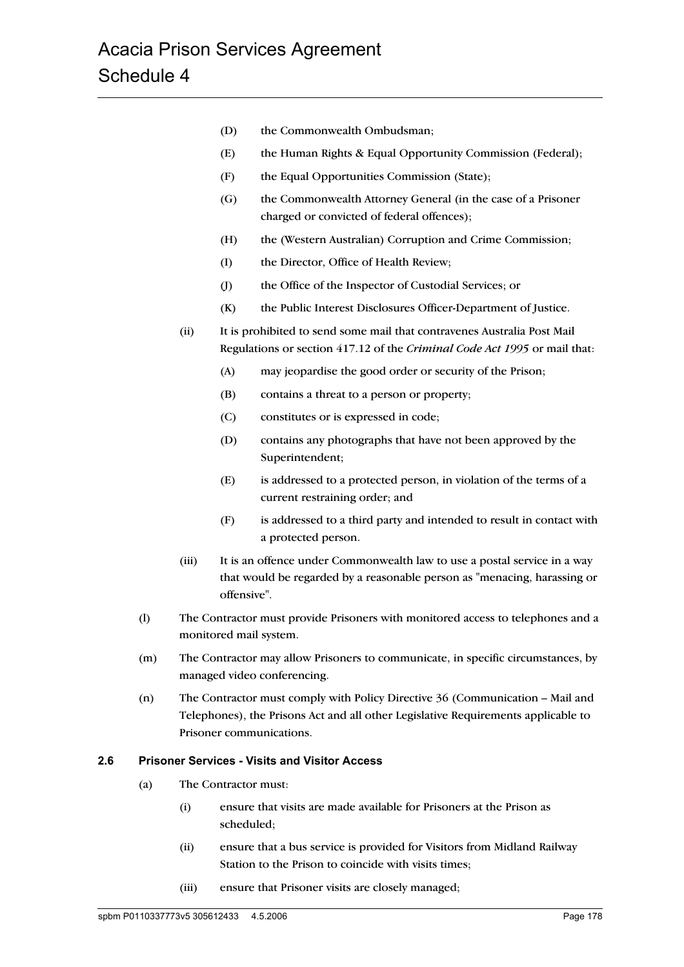- (D) the Commonwealth Ombudsman;
- (E) the Human Rights & Equal Opportunity Commission (Federal);
- (F) the Equal Opportunities Commission (State);
- (G) the Commonwealth Attorney General (in the case of a Prisoner charged or convicted of federal offences);
- (H) the (Western Australian) Corruption and Crime Commission;
- (I) the Director, Office of Health Review;
- (J) the Office of the Inspector of Custodial Services; or
- (K) the Public Interest Disclosures Officer-Department of Justice.
- (ii) It is prohibited to send some mail that contravenes Australia Post Mail Regulations or section 417.12 of the *Criminal Code Act 1995* or mail that:
	- (A) may jeopardise the good order or security of the Prison;
	- (B) contains a threat to a person or property;
	- (C) constitutes or is expressed in code;
	- (D) contains any photographs that have not been approved by the Superintendent;
	- (E) is addressed to a protected person, in violation of the terms of a current restraining order; and
	- (F) is addressed to a third party and intended to result in contact with a protected person.
- (iii) It is an offence under Commonwealth law to use a postal service in a way that would be regarded by a reasonable person as "menacing, harassing or offensive".
- (l) The Contractor must provide Prisoners with monitored access to telephones and a monitored mail system.
- (m) The Contractor may allow Prisoners to communicate, in specific circumstances, by managed video conferencing.
- (n) The Contractor must comply with Policy Directive 36 (Communication Mail and Telephones), the Prisons Act and all other Legislative Requirements applicable to Prisoner communications.

#### **2.6 Prisoner Services - Visits and Visitor Access**

- (a) The Contractor must:
	- (i) ensure that visits are made available for Prisoners at the Prison as scheduled;
	- (ii) ensure that a bus service is provided for Visitors from Midland Railway Station to the Prison to coincide with visits times;
	- (iii) ensure that Prisoner visits are closely managed;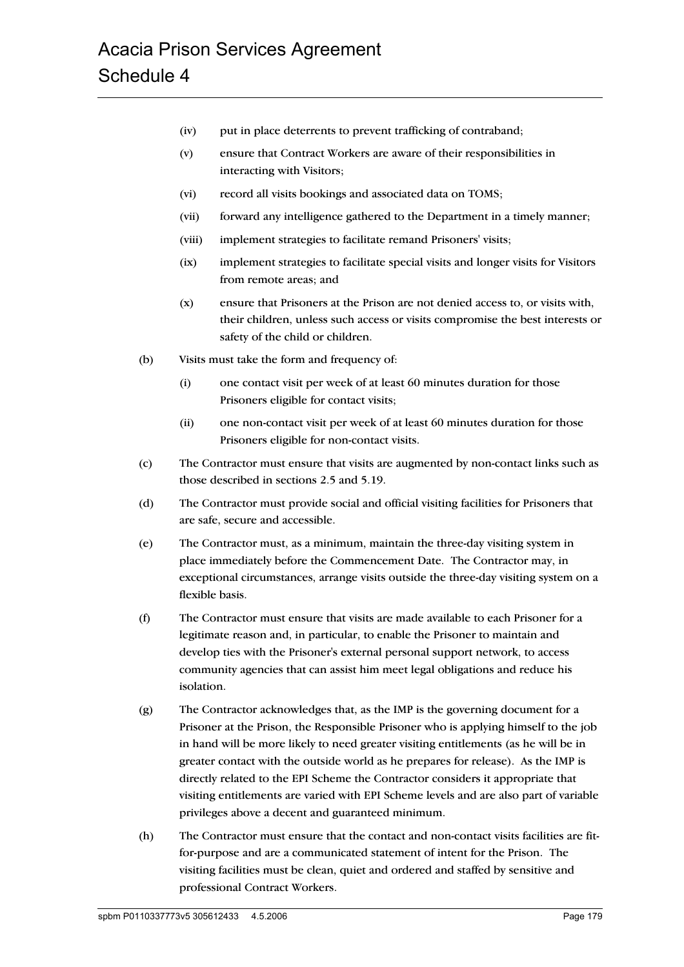- (iv) put in place deterrents to prevent trafficking of contraband;
- (v) ensure that Contract Workers are aware of their responsibilities in interacting with Visitors;
- (vi) record all visits bookings and associated data on TOMS;
- (vii) forward any intelligence gathered to the Department in a timely manner;
- (viii) implement strategies to facilitate remand Prisoners' visits;
- (ix) implement strategies to facilitate special visits and longer visits for Visitors from remote areas; and
- (x) ensure that Prisoners at the Prison are not denied access to, or visits with, their children, unless such access or visits compromise the best interests or safety of the child or children.
- (b) Visits must take the form and frequency of:
	- (i) one contact visit per week of at least 60 minutes duration for those Prisoners eligible for contact visits;
	- (ii) one non-contact visit per week of at least 60 minutes duration for those Prisoners eligible for non-contact visits.
- (c) The Contractor must ensure that visits are augmented by non-contact links such as those described in sections 2.5 and 5.19.
- (d) The Contractor must provide social and official visiting facilities for Prisoners that are safe, secure and accessible.
- (e) The Contractor must, as a minimum, maintain the three-day visiting system in place immediately before the Commencement Date. The Contractor may, in exceptional circumstances, arrange visits outside the three-day visiting system on a flexible basis.
- (f) The Contractor must ensure that visits are made available to each Prisoner for a legitimate reason and, in particular, to enable the Prisoner to maintain and develop ties with the Prisoner's external personal support network, to access community agencies that can assist him meet legal obligations and reduce his isolation.
- (g) The Contractor acknowledges that, as the IMP is the governing document for a Prisoner at the Prison, the Responsible Prisoner who is applying himself to the job in hand will be more likely to need greater visiting entitlements (as he will be in greater contact with the outside world as he prepares for release). As the IMP is directly related to the EPI Scheme the Contractor considers it appropriate that visiting entitlements are varied with EPI Scheme levels and are also part of variable privileges above a decent and guaranteed minimum.
- (h) The Contractor must ensure that the contact and non-contact visits facilities are fitfor-purpose and are a communicated statement of intent for the Prison. The visiting facilities must be clean, quiet and ordered and staffed by sensitive and professional Contract Workers.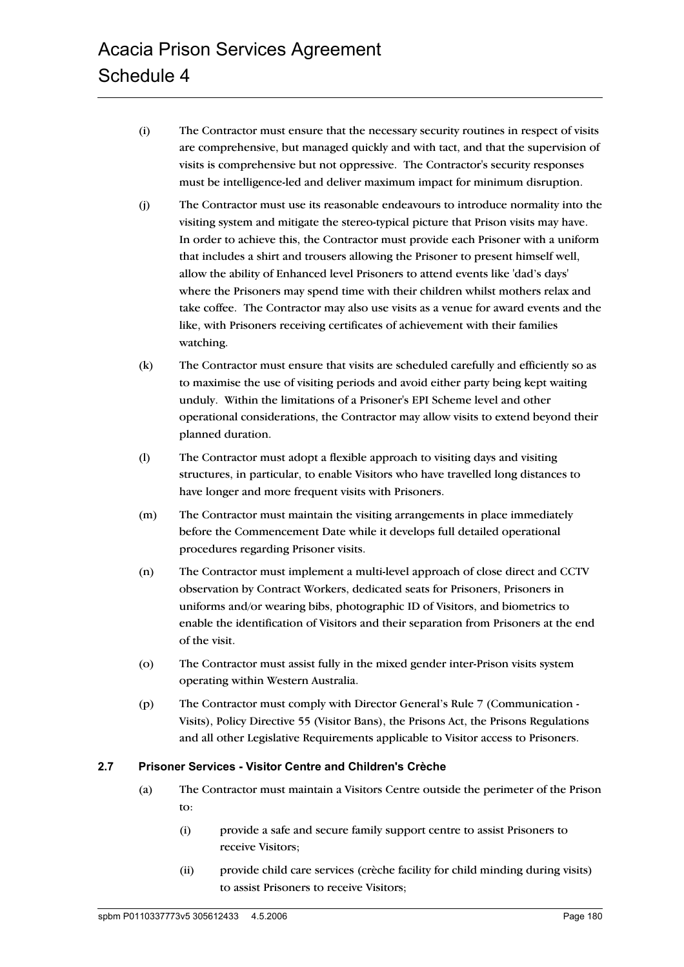- (i) The Contractor must ensure that the necessary security routines in respect of visits are comprehensive, but managed quickly and with tact, and that the supervision of visits is comprehensive but not oppressive. The Contractor's security responses must be intelligence-led and deliver maximum impact for minimum disruption.
- (j) The Contractor must use its reasonable endeavours to introduce normality into the visiting system and mitigate the stereo-typical picture that Prison visits may have. In order to achieve this, the Contractor must provide each Prisoner with a uniform that includes a shirt and trousers allowing the Prisoner to present himself well, allow the ability of Enhanced level Prisoners to attend events like 'dad's days' where the Prisoners may spend time with their children whilst mothers relax and take coffee. The Contractor may also use visits as a venue for award events and the like, with Prisoners receiving certificates of achievement with their families watching.
- (k) The Contractor must ensure that visits are scheduled carefully and efficiently so as to maximise the use of visiting periods and avoid either party being kept waiting unduly. Within the limitations of a Prisoner's EPI Scheme level and other operational considerations, the Contractor may allow visits to extend beyond their planned duration.
- (l) The Contractor must adopt a flexible approach to visiting days and visiting structures, in particular, to enable Visitors who have travelled long distances to have longer and more frequent visits with Prisoners.
- (m) The Contractor must maintain the visiting arrangements in place immediately before the Commencement Date while it develops full detailed operational procedures regarding Prisoner visits.
- (n) The Contractor must implement a multi-level approach of close direct and CCTV observation by Contract Workers, dedicated seats for Prisoners, Prisoners in uniforms and/or wearing bibs, photographic ID of Visitors, and biometrics to enable the identification of Visitors and their separation from Prisoners at the end of the visit.
- (o) The Contractor must assist fully in the mixed gender inter-Prison visits system operating within Western Australia.
- (p) The Contractor must comply with Director General's Rule 7 (Communication Visits), Policy Directive 55 (Visitor Bans), the Prisons Act, the Prisons Regulations and all other Legislative Requirements applicable to Visitor access to Prisoners.

#### **2.7 Prisoner Services - Visitor Centre and Children's Crèche**

- (a) The Contractor must maintain a Visitors Centre outside the perimeter of the Prison to:
	- (i) provide a safe and secure family support centre to assist Prisoners to receive Visitors;
	- (ii) provide child care services (crèche facility for child minding during visits) to assist Prisoners to receive Visitors;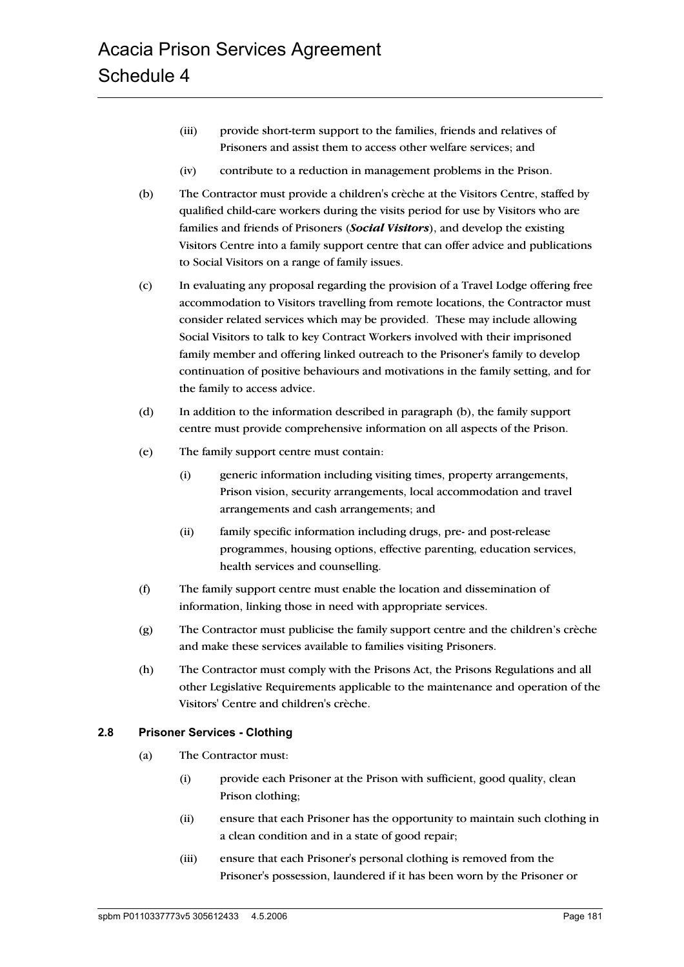- (iii) provide short-term support to the families, friends and relatives of Prisoners and assist them to access other welfare services; and
- (iv) contribute to a reduction in management problems in the Prison.
- (b) The Contractor must provide a children's crèche at the Visitors Centre, staffed by qualified child-care workers during the visits period for use by Visitors who are families and friends of Prisoners (*Social Visitors*), and develop the existing Visitors Centre into a family support centre that can offer advice and publications to Social Visitors on a range of family issues.
- (c) In evaluating any proposal regarding the provision of a Travel Lodge offering free accommodation to Visitors travelling from remote locations, the Contractor must consider related services which may be provided. These may include allowing Social Visitors to talk to key Contract Workers involved with their imprisoned family member and offering linked outreach to the Prisoner's family to develop continuation of positive behaviours and motivations in the family setting, and for the family to access advice.
- (d) In addition to the information described in paragraph (b), the family support centre must provide comprehensive information on all aspects of the Prison.
- (e) The family support centre must contain:
	- (i) generic information including visiting times, property arrangements, Prison vision, security arrangements, local accommodation and travel arrangements and cash arrangements; and
	- (ii) family specific information including drugs, pre- and post-release programmes, housing options, effective parenting, education services, health services and counselling.
- (f) The family support centre must enable the location and dissemination of information, linking those in need with appropriate services.
- (g) The Contractor must publicise the family support centre and the children's crèche and make these services available to families visiting Prisoners.
- (h) The Contractor must comply with the Prisons Act, the Prisons Regulations and all other Legislative Requirements applicable to the maintenance and operation of the Visitors' Centre and children's crèche.

#### **2.8 Prisoner Services - Clothing**

- (a) The Contractor must:
	- (i) provide each Prisoner at the Prison with sufficient, good quality, clean Prison clothing;
	- (ii) ensure that each Prisoner has the opportunity to maintain such clothing in a clean condition and in a state of good repair;
	- (iii) ensure that each Prisoner's personal clothing is removed from the Prisoner's possession, laundered if it has been worn by the Prisoner or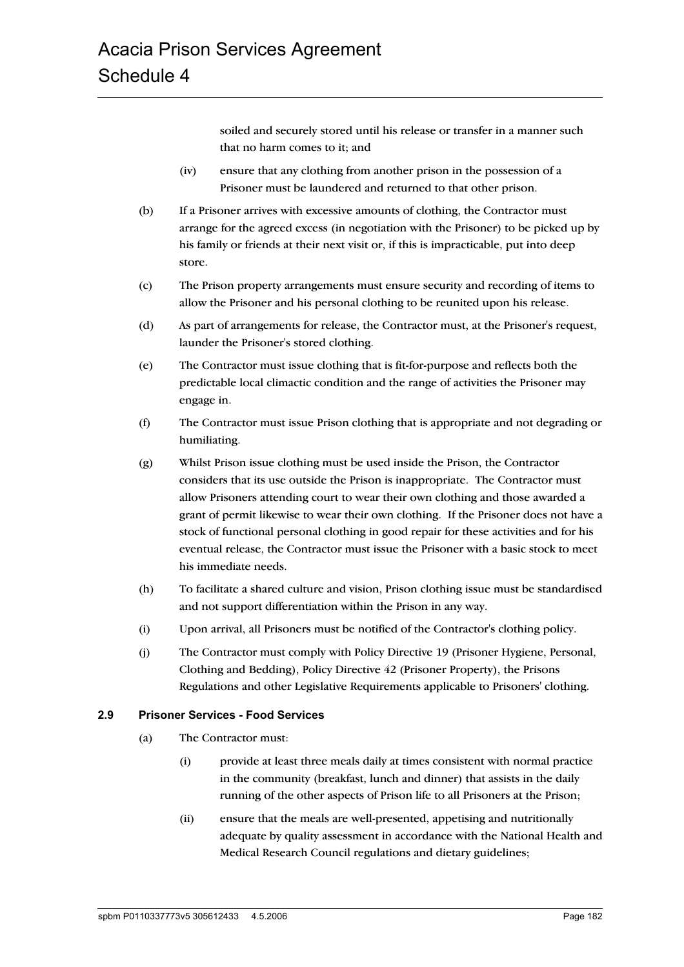soiled and securely stored until his release or transfer in a manner such that no harm comes to it; and

- (iv) ensure that any clothing from another prison in the possession of a Prisoner must be laundered and returned to that other prison.
- (b) If a Prisoner arrives with excessive amounts of clothing, the Contractor must arrange for the agreed excess (in negotiation with the Prisoner) to be picked up by his family or friends at their next visit or, if this is impracticable, put into deep store.
- (c) The Prison property arrangements must ensure security and recording of items to allow the Prisoner and his personal clothing to be reunited upon his release.
- (d) As part of arrangements for release, the Contractor must, at the Prisoner's request, launder the Prisoner's stored clothing.
- (e) The Contractor must issue clothing that is fit-for-purpose and reflects both the predictable local climactic condition and the range of activities the Prisoner may engage in.
- (f) The Contractor must issue Prison clothing that is appropriate and not degrading or humiliating.
- (g) Whilst Prison issue clothing must be used inside the Prison, the Contractor considers that its use outside the Prison is inappropriate. The Contractor must allow Prisoners attending court to wear their own clothing and those awarded a grant of permit likewise to wear their own clothing. If the Prisoner does not have a stock of functional personal clothing in good repair for these activities and for his eventual release, the Contractor must issue the Prisoner with a basic stock to meet his immediate needs.
- (h) To facilitate a shared culture and vision, Prison clothing issue must be standardised and not support differentiation within the Prison in any way.
- (i) Upon arrival, all Prisoners must be notified of the Contractor's clothing policy.
- (j) The Contractor must comply with Policy Directive 19 (Prisoner Hygiene, Personal, Clothing and Bedding), Policy Directive 42 (Prisoner Property), the Prisons Regulations and other Legislative Requirements applicable to Prisoners' clothing.

## **2.9 Prisoner Services - Food Services**

- (a) The Contractor must:
	- (i) provide at least three meals daily at times consistent with normal practice in the community (breakfast, lunch and dinner) that assists in the daily running of the other aspects of Prison life to all Prisoners at the Prison;
	- (ii) ensure that the meals are well-presented, appetising and nutritionally adequate by quality assessment in accordance with the National Health and Medical Research Council regulations and dietary guidelines;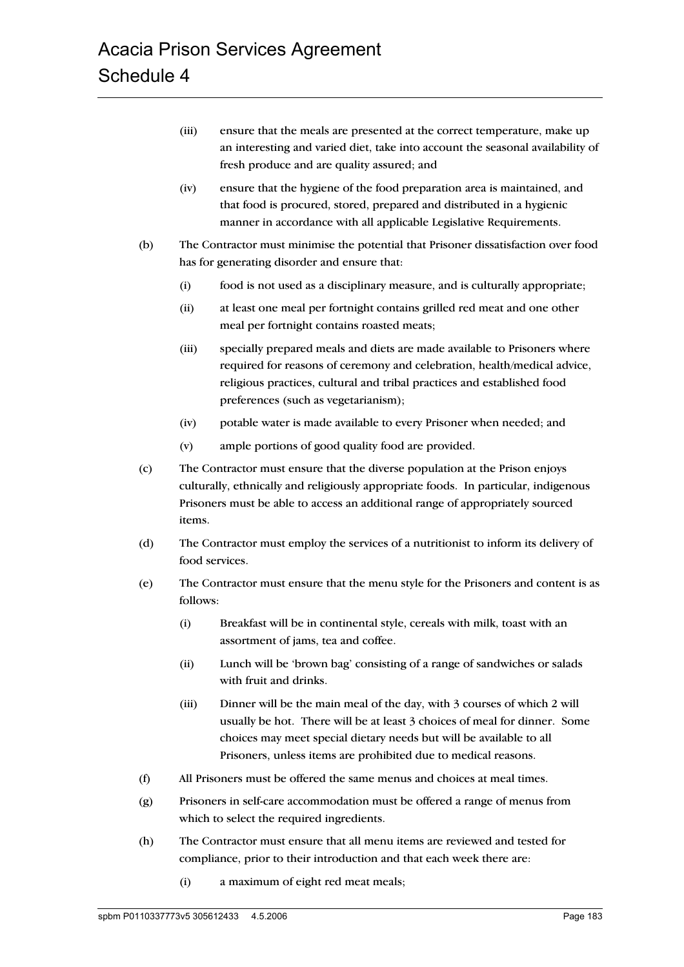- (iii) ensure that the meals are presented at the correct temperature, make up an interesting and varied diet, take into account the seasonal availability of fresh produce and are quality assured; and
- (iv) ensure that the hygiene of the food preparation area is maintained, and that food is procured, stored, prepared and distributed in a hygienic manner in accordance with all applicable Legislative Requirements.
- (b) The Contractor must minimise the potential that Prisoner dissatisfaction over food has for generating disorder and ensure that:
	- (i) food is not used as a disciplinary measure, and is culturally appropriate;
	- (ii) at least one meal per fortnight contains grilled red meat and one other meal per fortnight contains roasted meats;
	- (iii) specially prepared meals and diets are made available to Prisoners where required for reasons of ceremony and celebration, health/medical advice, religious practices, cultural and tribal practices and established food preferences (such as vegetarianism);
	- (iv) potable water is made available to every Prisoner when needed; and
	- (v) ample portions of good quality food are provided.
- (c) The Contractor must ensure that the diverse population at the Prison enjoys culturally, ethnically and religiously appropriate foods. In particular, indigenous Prisoners must be able to access an additional range of appropriately sourced items.
- (d) The Contractor must employ the services of a nutritionist to inform its delivery of food services.
- (e) The Contractor must ensure that the menu style for the Prisoners and content is as follows:
	- (i) Breakfast will be in continental style, cereals with milk, toast with an assortment of jams, tea and coffee.
	- (ii) Lunch will be 'brown bag' consisting of a range of sandwiches or salads with fruit and drinks.
	- (iii) Dinner will be the main meal of the day, with 3 courses of which 2 will usually be hot. There will be at least 3 choices of meal for dinner. Some choices may meet special dietary needs but will be available to all Prisoners, unless items are prohibited due to medical reasons.
- (f) All Prisoners must be offered the same menus and choices at meal times.
- (g) Prisoners in self-care accommodation must be offered a range of menus from which to select the required ingredients.
- (h) The Contractor must ensure that all menu items are reviewed and tested for compliance, prior to their introduction and that each week there are:
	- (i) a maximum of eight red meat meals;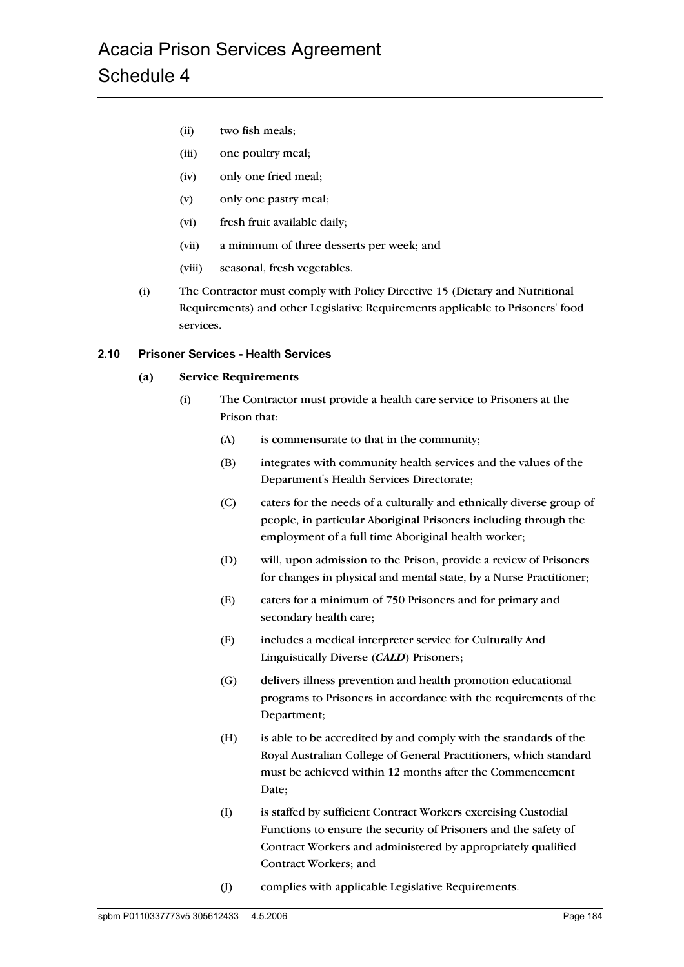- (ii) two fish meals;
- (iii) one poultry meal;
- (iv) only one fried meal;
- (v) only one pastry meal;
- (vi) fresh fruit available daily;
- (vii) a minimum of three desserts per week; and
- (viii) seasonal, fresh vegetables.
- (i) The Contractor must comply with Policy Directive 15 (Dietary and Nutritional Requirements) and other Legislative Requirements applicable to Prisoners' food services.

#### **2.10 Prisoner Services - Health Services**

#### **(a) Service Requirements**

- (i) The Contractor must provide a health care service to Prisoners at the Prison that:
	- (A) is commensurate to that in the community;
	- (B) integrates with community health services and the values of the Department's Health Services Directorate;
	- (C) caters for the needs of a culturally and ethnically diverse group of people, in particular Aboriginal Prisoners including through the employment of a full time Aboriginal health worker;
	- (D) will, upon admission to the Prison, provide a review of Prisoners for changes in physical and mental state, by a Nurse Practitioner;
	- (E) caters for a minimum of 750 Prisoners and for primary and secondary health care;
	- (F) includes a medical interpreter service for Culturally And Linguistically Diverse (*CALD*) Prisoners;
	- (G) delivers illness prevention and health promotion educational programs to Prisoners in accordance with the requirements of the Department;
	- (H) is able to be accredited by and comply with the standards of the Royal Australian College of General Practitioners, which standard must be achieved within 12 months after the Commencement Date;
	- (I) is staffed by sufficient Contract Workers exercising Custodial Functions to ensure the security of Prisoners and the safety of Contract Workers and administered by appropriately qualified Contract Workers; and
	- (J) complies with applicable Legislative Requirements.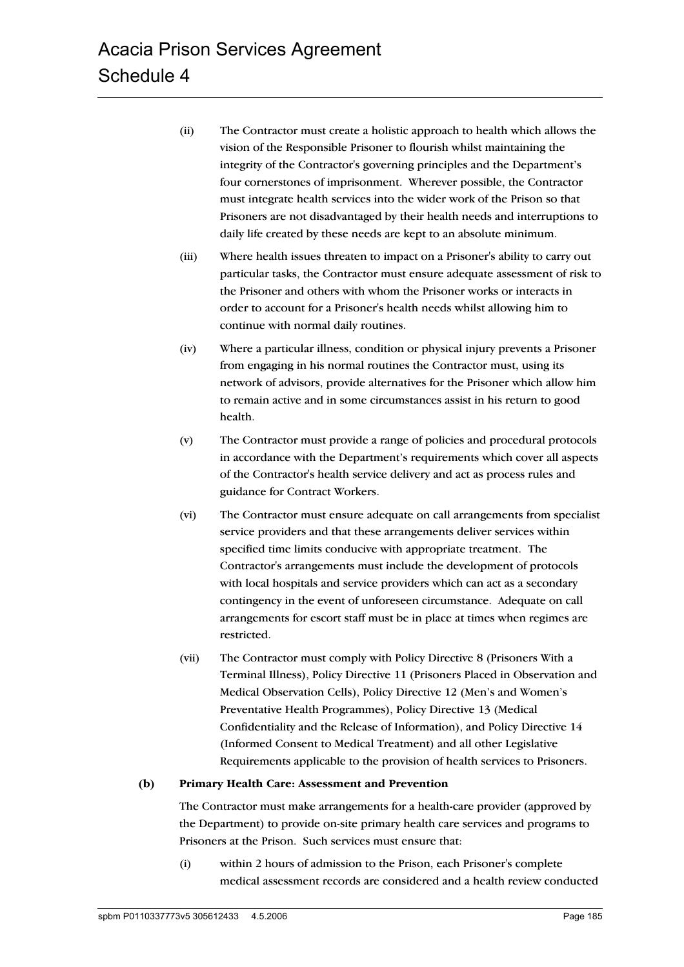- (ii) The Contractor must create a holistic approach to health which allows the vision of the Responsible Prisoner to flourish whilst maintaining the integrity of the Contractor's governing principles and the Department's four cornerstones of imprisonment. Wherever possible, the Contractor must integrate health services into the wider work of the Prison so that Prisoners are not disadvantaged by their health needs and interruptions to daily life created by these needs are kept to an absolute minimum.
- (iii) Where health issues threaten to impact on a Prisoner's ability to carry out particular tasks, the Contractor must ensure adequate assessment of risk to the Prisoner and others with whom the Prisoner works or interacts in order to account for a Prisoner's health needs whilst allowing him to continue with normal daily routines.
- (iv) Where a particular illness, condition or physical injury prevents a Prisoner from engaging in his normal routines the Contractor must, using its network of advisors, provide alternatives for the Prisoner which allow him to remain active and in some circumstances assist in his return to good health.
- (v) The Contractor must provide a range of policies and procedural protocols in accordance with the Department's requirements which cover all aspects of the Contractor's health service delivery and act as process rules and guidance for Contract Workers.
- (vi) The Contractor must ensure adequate on call arrangements from specialist service providers and that these arrangements deliver services within specified time limits conducive with appropriate treatment. The Contractor's arrangements must include the development of protocols with local hospitals and service providers which can act as a secondary contingency in the event of unforeseen circumstance. Adequate on call arrangements for escort staff must be in place at times when regimes are restricted.
- (vii) The Contractor must comply with Policy Directive 8 (Prisoners With a Terminal Illness), Policy Directive 11 (Prisoners Placed in Observation and Medical Observation Cells), Policy Directive 12 (Men's and Women's Preventative Health Programmes), Policy Directive 13 (Medical Confidentiality and the Release of Information), and Policy Directive 14 (Informed Consent to Medical Treatment) and all other Legislative Requirements applicable to the provision of health services to Prisoners.

#### **(b) Primary Health Care: Assessment and Prevention**

The Contractor must make arrangements for a health-care provider (approved by the Department) to provide on-site primary health care services and programs to Prisoners at the Prison. Such services must ensure that:

(i) within 2 hours of admission to the Prison, each Prisoner's complete medical assessment records are considered and a health review conducted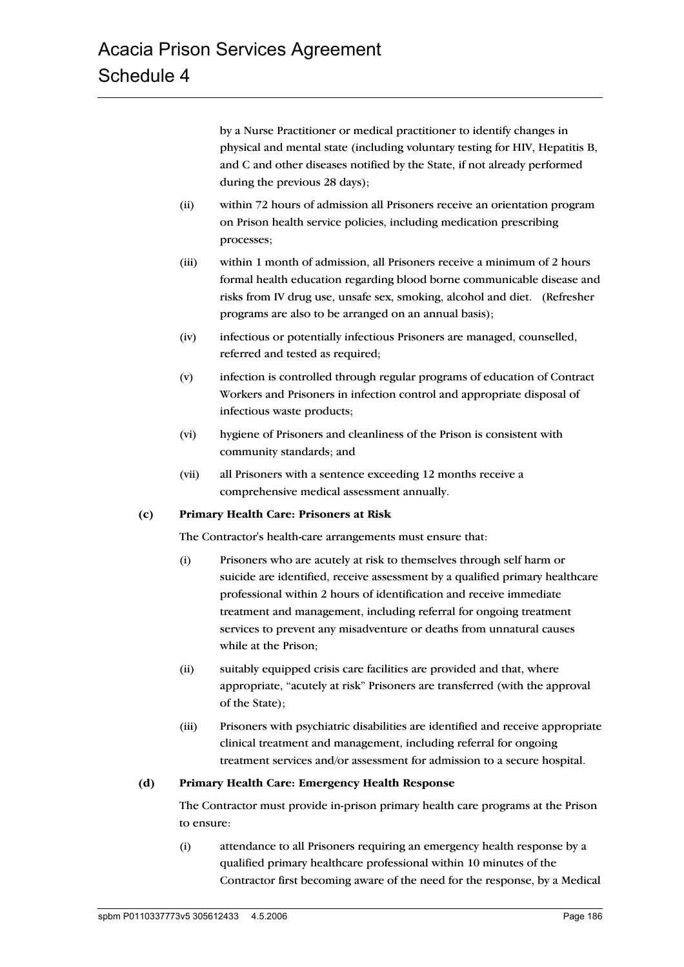by a Nurse Practitioner or medical practitioner to identify changes in physical and mental state (including voluntary testing for HIV, Hepatitis B, and C and other diseases notified by the State, if not already performed during the previous 28 days);

- (ii) within 72 hours of admission all Prisoners receive an orientation program on Prison health service policies, including medication prescribing processes;
- (iii) within 1 month of admission, all Prisoners receive a minimum of 2 hours formal health education regarding blood borne communicable disease and risks from IV drug use, unsafe sex, smoking, alcohol and diet. (Refresher programs are also to be arranged on an annual basis);
- (iv) infectious or potentially infectious Prisoners are managed, counselled, referred and tested as required;
- (v) infection is controlled through regular programs of education of Contract Workers and Prisoners in infection control and appropriate disposal of infectious waste products;
- (vi) hygiene of Prisoners and cleanliness of the Prison is consistent with community standards; and
- (vii) all Prisoners with a sentence exceeding 12 months receive a comprehensive medical assessment annually.

#### **(c) Primary Health Care: Prisoners at Risk**

The Contractor's health-care arrangements must ensure that:

- (i) Prisoners who are acutely at risk to themselves through self harm or suicide are identified, receive assessment by a qualified primary healthcare professional within 2 hours of identification and receive immediate treatment and management, including referral for ongoing treatment services to prevent any misadventure or deaths from unnatural causes while at the Prison;
- (ii) suitably equipped crisis care facilities are provided and that, where appropriate, "acutely at risk" Prisoners are transferred (with the approval of the State);
- (iii) Prisoners with psychiatric disabilities are identified and receive appropriate clinical treatment and management, including referral for ongoing treatment services and/or assessment for admission to a secure hospital.

#### **(d) Primary Health Care: Emergency Health Response**

The Contractor must provide in-prison primary health care programs at the Prison to ensure:

(i) attendance to all Prisoners requiring an emergency health response by a qualified primary healthcare professional within 10 minutes of the Contractor first becoming aware of the need for the response, by a Medical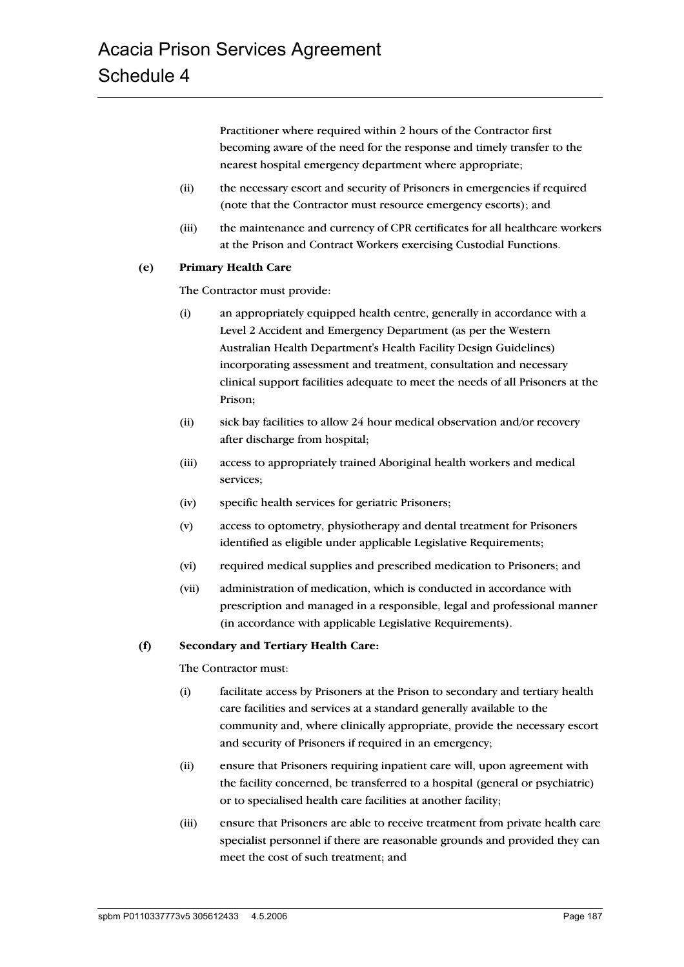Practitioner where required within 2 hours of the Contractor first becoming aware of the need for the response and timely transfer to the nearest hospital emergency department where appropriate;

- (ii) the necessary escort and security of Prisoners in emergencies if required (note that the Contractor must resource emergency escorts); and
- (iii) the maintenance and currency of CPR certificates for all healthcare workers at the Prison and Contract Workers exercising Custodial Functions.

#### **(e) Primary Health Care**

The Contractor must provide:

- (i) an appropriately equipped health centre, generally in accordance with a Level 2 Accident and Emergency Department (as per the Western Australian Health Department's Health Facility Design Guidelines) incorporating assessment and treatment, consultation and necessary clinical support facilities adequate to meet the needs of all Prisoners at the Prison;
- (ii) sick bay facilities to allow 24 hour medical observation and/or recovery after discharge from hospital;
- (iii) access to appropriately trained Aboriginal health workers and medical services;
- (iv) specific health services for geriatric Prisoners;
- (v) access to optometry, physiotherapy and dental treatment for Prisoners identified as eligible under applicable Legislative Requirements;
- (vi) required medical supplies and prescribed medication to Prisoners; and
- (vii) administration of medication, which is conducted in accordance with prescription and managed in a responsible, legal and professional manner (in accordance with applicable Legislative Requirements).

#### **(f) Secondary and Tertiary Health Care:**

The Contractor must:

- (i) facilitate access by Prisoners at the Prison to secondary and tertiary health care facilities and services at a standard generally available to the community and, where clinically appropriate, provide the necessary escort and security of Prisoners if required in an emergency;
- (ii) ensure that Prisoners requiring inpatient care will, upon agreement with the facility concerned, be transferred to a hospital (general or psychiatric) or to specialised health care facilities at another facility;
- (iii) ensure that Prisoners are able to receive treatment from private health care specialist personnel if there are reasonable grounds and provided they can meet the cost of such treatment; and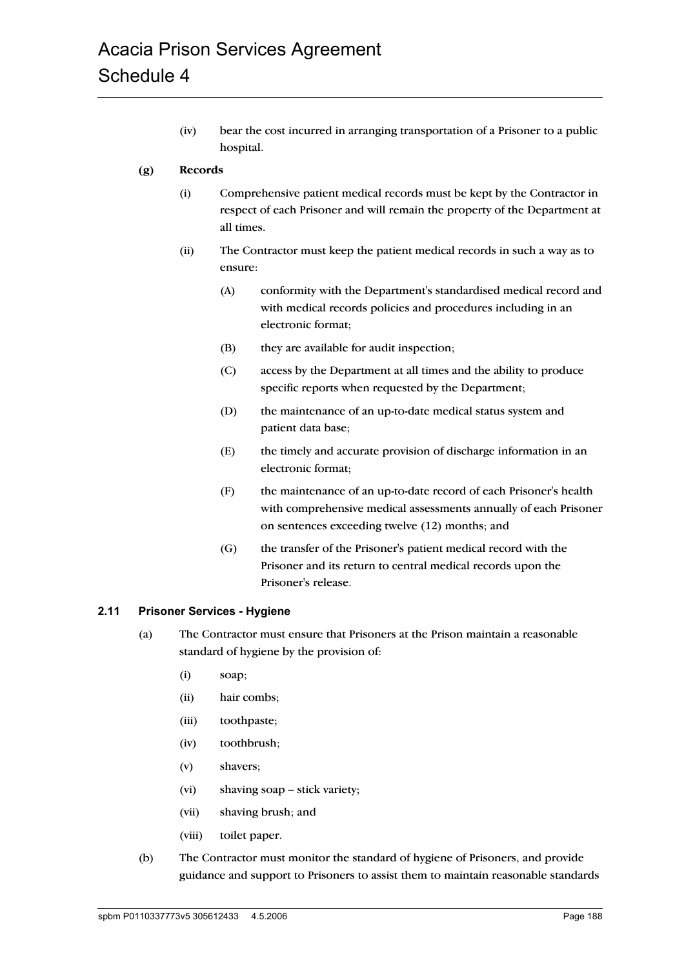(iv) bear the cost incurred in arranging transportation of a Prisoner to a public hospital.

## **(g) Records**

- (i) Comprehensive patient medical records must be kept by the Contractor in respect of each Prisoner and will remain the property of the Department at all times.
- (ii) The Contractor must keep the patient medical records in such a way as to ensure:
	- (A) conformity with the Department's standardised medical record and with medical records policies and procedures including in an electronic format;
	- (B) they are available for audit inspection;
	- (C) access by the Department at all times and the ability to produce specific reports when requested by the Department;
	- (D) the maintenance of an up-to-date medical status system and patient data base;
	- (E) the timely and accurate provision of discharge information in an electronic format;
	- (F) the maintenance of an up-to-date record of each Prisoner's health with comprehensive medical assessments annually of each Prisoner on sentences exceeding twelve (12) months; and
	- (G) the transfer of the Prisoner's patient medical record with the Prisoner and its return to central medical records upon the Prisoner's release.

#### **2.11 Prisoner Services - Hygiene**

- (a) The Contractor must ensure that Prisoners at the Prison maintain a reasonable standard of hygiene by the provision of:
	- (i) soap;
	- (ii) hair combs;
	- (iii) toothpaste;
	- (iv) toothbrush;
	- (v) shavers;
	- (vi) shaving soap stick variety;
	- (vii) shaving brush; and
	- (viii) toilet paper.
- (b) The Contractor must monitor the standard of hygiene of Prisoners, and provide guidance and support to Prisoners to assist them to maintain reasonable standards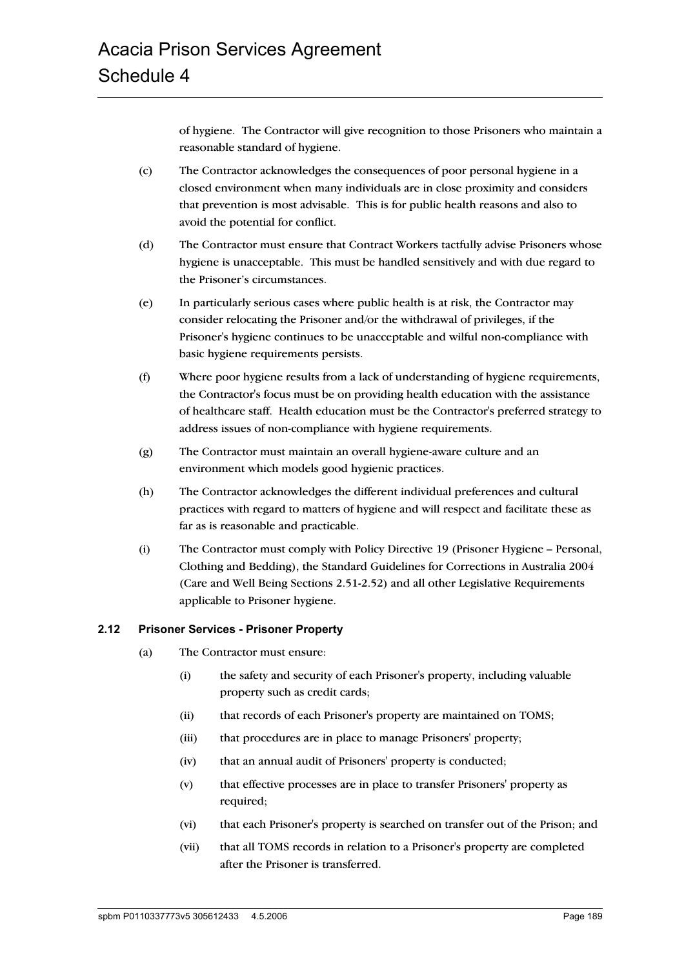of hygiene. The Contractor will give recognition to those Prisoners who maintain a reasonable standard of hygiene.

- (c) The Contractor acknowledges the consequences of poor personal hygiene in a closed environment when many individuals are in close proximity and considers that prevention is most advisable. This is for public health reasons and also to avoid the potential for conflict.
- (d) The Contractor must ensure that Contract Workers tactfully advise Prisoners whose hygiene is unacceptable. This must be handled sensitively and with due regard to the Prisoner's circumstances.
- (e) In particularly serious cases where public health is at risk, the Contractor may consider relocating the Prisoner and/or the withdrawal of privileges, if the Prisoner's hygiene continues to be unacceptable and wilful non-compliance with basic hygiene requirements persists.
- (f) Where poor hygiene results from a lack of understanding of hygiene requirements, the Contractor's focus must be on providing health education with the assistance of healthcare staff. Health education must be the Contractor's preferred strategy to address issues of non-compliance with hygiene requirements.
- (g) The Contractor must maintain an overall hygiene-aware culture and an environment which models good hygienic practices.
- (h) The Contractor acknowledges the different individual preferences and cultural practices with regard to matters of hygiene and will respect and facilitate these as far as is reasonable and practicable.
- (i) The Contractor must comply with Policy Directive 19 (Prisoner Hygiene Personal, Clothing and Bedding), the Standard Guidelines for Corrections in Australia 2004 (Care and Well Being Sections 2.51-2.52) and all other Legislative Requirements applicable to Prisoner hygiene.

# **2.12 Prisoner Services - Prisoner Property**

- (a) The Contractor must ensure:
	- (i) the safety and security of each Prisoner's property, including valuable property such as credit cards;
	- (ii) that records of each Prisoner's property are maintained on TOMS;
	- (iii) that procedures are in place to manage Prisoners' property;
	- (iv) that an annual audit of Prisoners' property is conducted;
	- (v) that effective processes are in place to transfer Prisoners' property as required;
	- (vi) that each Prisoner's property is searched on transfer out of the Prison; and
	- (vii) that all TOMS records in relation to a Prisoner's property are completed after the Prisoner is transferred.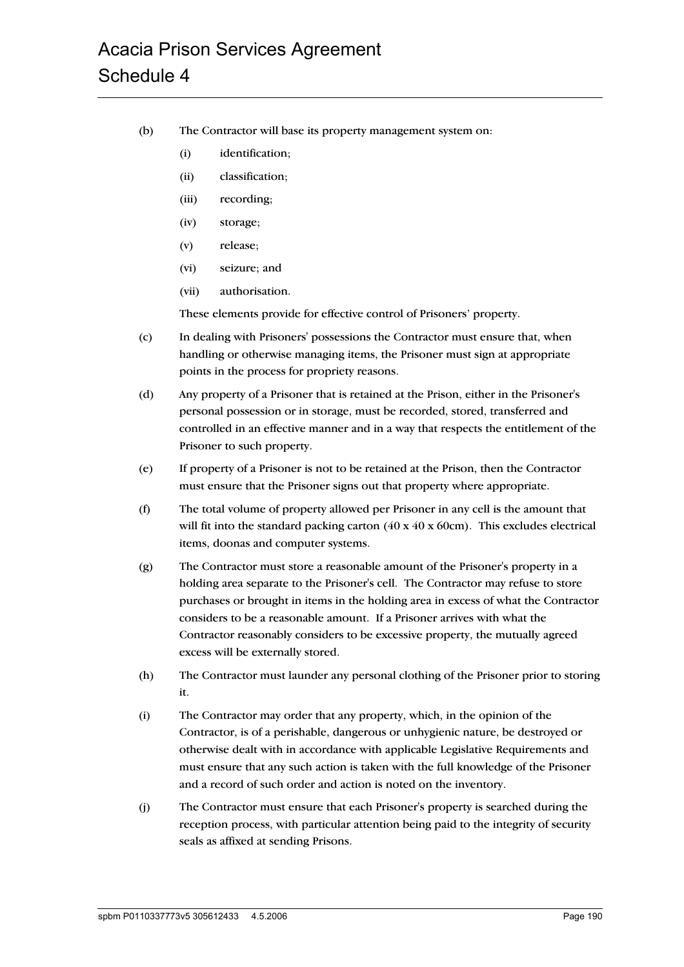- (b) The Contractor will base its property management system on:
	- (i) identification;
	- (ii) classification;
	- (iii) recording;
	- (iv) storage;
	- (v) release;
	- (vi) seizure; and
	- (vii) authorisation.

These elements provide for effective control of Prisoners' property.

- (c) In dealing with Prisoners' possessions the Contractor must ensure that, when handling or otherwise managing items, the Prisoner must sign at appropriate points in the process for propriety reasons.
- (d) Any property of a Prisoner that is retained at the Prison, either in the Prisoner's personal possession or in storage, must be recorded, stored, transferred and controlled in an effective manner and in a way that respects the entitlement of the Prisoner to such property.
- (e) If property of a Prisoner is not to be retained at the Prison, then the Contractor must ensure that the Prisoner signs out that property where appropriate.
- (f) The total volume of property allowed per Prisoner in any cell is the amount that will fit into the standard packing carton  $(40 \times 40 \times 60 \text{cm})$ . This excludes electrical items, doonas and computer systems.
- (g) The Contractor must store a reasonable amount of the Prisoner's property in a holding area separate to the Prisoner's cell. The Contractor may refuse to store purchases or brought in items in the holding area in excess of what the Contractor considers to be a reasonable amount. If a Prisoner arrives with what the Contractor reasonably considers to be excessive property, the mutually agreed excess will be externally stored.
- (h) The Contractor must launder any personal clothing of the Prisoner prior to storing it.
- (i) The Contractor may order that any property, which, in the opinion of the Contractor, is of a perishable, dangerous or unhygienic nature, be destroyed or otherwise dealt with in accordance with applicable Legislative Requirements and must ensure that any such action is taken with the full knowledge of the Prisoner and a record of such order and action is noted on the inventory.
- (j) The Contractor must ensure that each Prisoner's property is searched during the reception process, with particular attention being paid to the integrity of security seals as affixed at sending Prisons.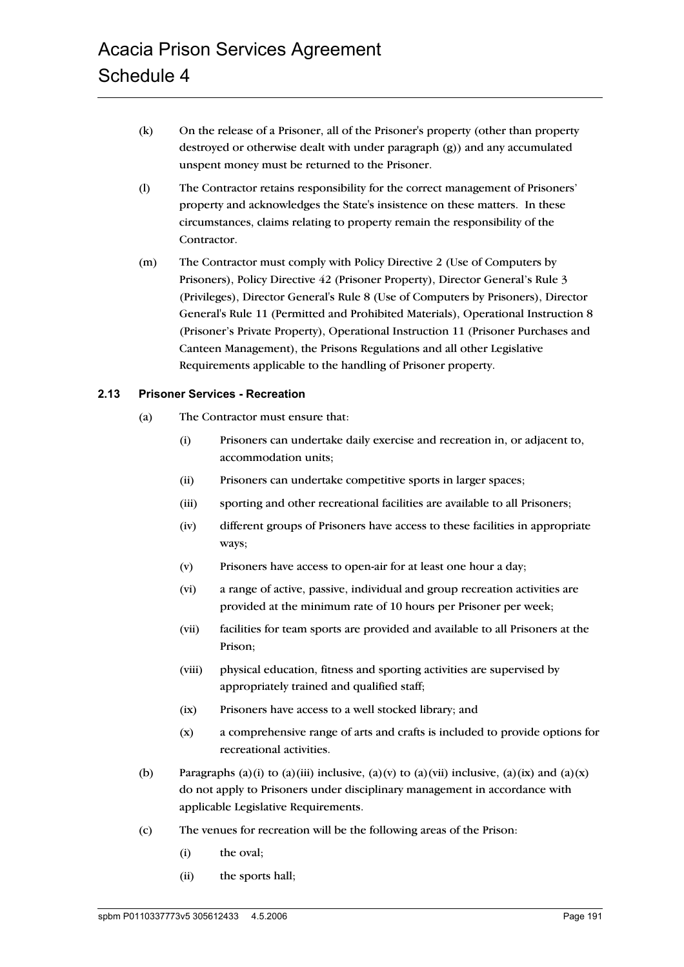- (k) On the release of a Prisoner, all of the Prisoner's property (other than property destroyed or otherwise dealt with under paragraph (g)) and any accumulated unspent money must be returned to the Prisoner.
- (l) The Contractor retains responsibility for the correct management of Prisoners' property and acknowledges the State's insistence on these matters. In these circumstances, claims relating to property remain the responsibility of the Contractor.
- (m) The Contractor must comply with Policy Directive 2 (Use of Computers by Prisoners), Policy Directive 42 (Prisoner Property), Director General's Rule 3 (Privileges), Director General's Rule 8 (Use of Computers by Prisoners), Director General's Rule 11 (Permitted and Prohibited Materials), Operational Instruction 8 (Prisoner's Private Property), Operational Instruction 11 (Prisoner Purchases and Canteen Management), the Prisons Regulations and all other Legislative Requirements applicable to the handling of Prisoner property.

#### **2.13 Prisoner Services - Recreation**

- (a) The Contractor must ensure that:
	- (i) Prisoners can undertake daily exercise and recreation in, or adjacent to, accommodation units;
	- (ii) Prisoners can undertake competitive sports in larger spaces;
	- (iii) sporting and other recreational facilities are available to all Prisoners;
	- (iv) different groups of Prisoners have access to these facilities in appropriate ways;
	- (v) Prisoners have access to open-air for at least one hour a day;
	- (vi) a range of active, passive, individual and group recreation activities are provided at the minimum rate of 10 hours per Prisoner per week;
	- (vii) facilities for team sports are provided and available to all Prisoners at the Prison;
	- (viii) physical education, fitness and sporting activities are supervised by appropriately trained and qualified staff;
	- (ix) Prisoners have access to a well stocked library; and
	- (x) a comprehensive range of arts and crafts is included to provide options for recreational activities.
- (b) Paragraphs (a)(i) to (a)(iii) inclusive, (a)(v) to (a)(vii) inclusive, (a)(ix) and (a)(x) do not apply to Prisoners under disciplinary management in accordance with applicable Legislative Requirements.
- (c) The venues for recreation will be the following areas of the Prison:
	- (i) the oval;
	- (ii) the sports hall;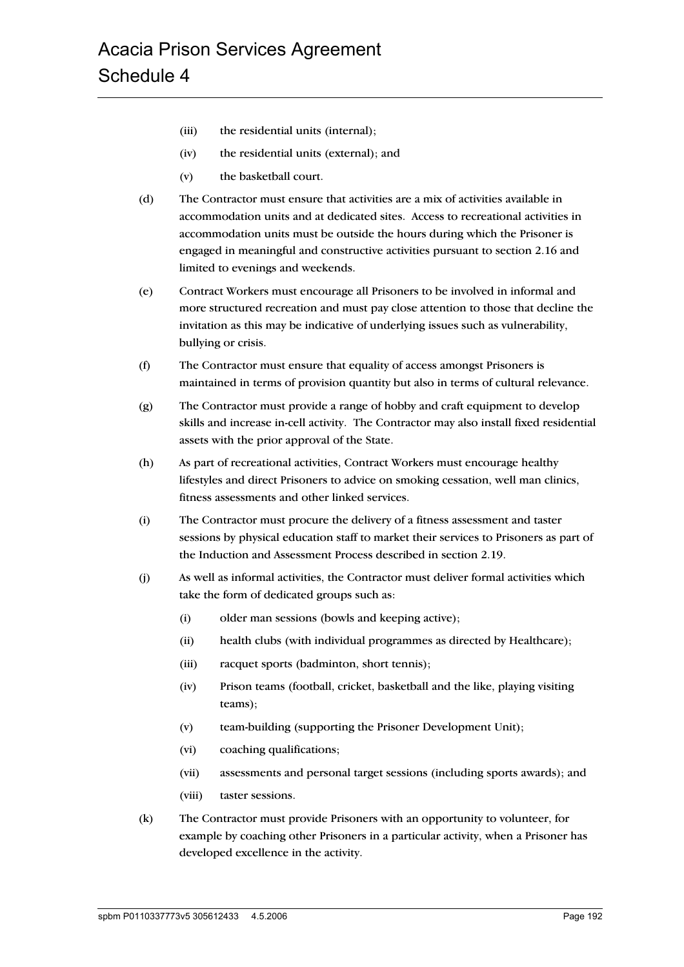- (iii) the residential units (internal);
- (iv) the residential units (external); and
- (v) the basketball court.
- (d) The Contractor must ensure that activities are a mix of activities available in accommodation units and at dedicated sites. Access to recreational activities in accommodation units must be outside the hours during which the Prisoner is engaged in meaningful and constructive activities pursuant to section 2.16 and limited to evenings and weekends.
- (e) Contract Workers must encourage all Prisoners to be involved in informal and more structured recreation and must pay close attention to those that decline the invitation as this may be indicative of underlying issues such as vulnerability, bullying or crisis.
- (f) The Contractor must ensure that equality of access amongst Prisoners is maintained in terms of provision quantity but also in terms of cultural relevance.
- (g) The Contractor must provide a range of hobby and craft equipment to develop skills and increase in-cell activity. The Contractor may also install fixed residential assets with the prior approval of the State.
- (h) As part of recreational activities, Contract Workers must encourage healthy lifestyles and direct Prisoners to advice on smoking cessation, well man clinics, fitness assessments and other linked services.
- (i) The Contractor must procure the delivery of a fitness assessment and taster sessions by physical education staff to market their services to Prisoners as part of the Induction and Assessment Process described in section 2.19.
- (j) As well as informal activities, the Contractor must deliver formal activities which take the form of dedicated groups such as:
	- (i) older man sessions (bowls and keeping active);
	- (ii) health clubs (with individual programmes as directed by Healthcare);
	- (iii) racquet sports (badminton, short tennis);
	- (iv) Prison teams (football, cricket, basketball and the like, playing visiting teams);
	- (v) team-building (supporting the Prisoner Development Unit);
	- (vi) coaching qualifications;
	- (vii) assessments and personal target sessions (including sports awards); and
	- (viii) taster sessions.
- (k) The Contractor must provide Prisoners with an opportunity to volunteer, for example by coaching other Prisoners in a particular activity, when a Prisoner has developed excellence in the activity.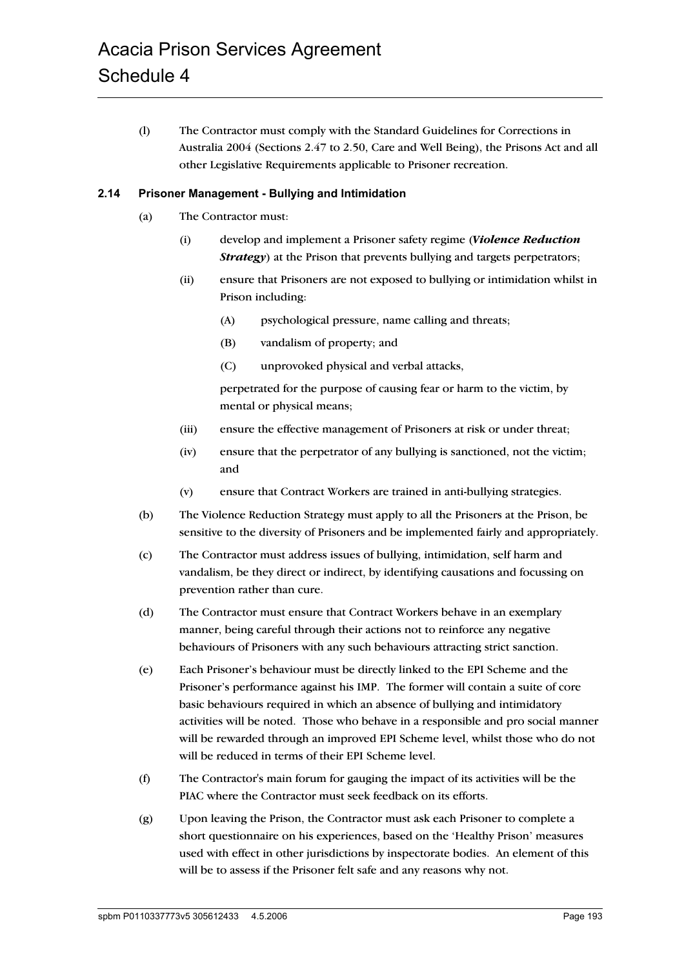(l) The Contractor must comply with the Standard Guidelines for Corrections in Australia 2004 (Sections 2.47 to 2.50, Care and Well Being), the Prisons Act and all other Legislative Requirements applicable to Prisoner recreation.

## **2.14 Prisoner Management - Bullying and Intimidation**

- (a) The Contractor must:
	- (i) develop and implement a Prisoner safety regime (*Violence Reduction Strategy*) at the Prison that prevents bullying and targets perpetrators;
	- (ii) ensure that Prisoners are not exposed to bullying or intimidation whilst in Prison including:
		- (A) psychological pressure, name calling and threats;
		- (B) vandalism of property; and
		- (C) unprovoked physical and verbal attacks,

perpetrated for the purpose of causing fear or harm to the victim, by mental or physical means;

- (iii) ensure the effective management of Prisoners at risk or under threat;
- (iv) ensure that the perpetrator of any bullying is sanctioned, not the victim; and
- (v) ensure that Contract Workers are trained in anti-bullying strategies.
- (b) The Violence Reduction Strategy must apply to all the Prisoners at the Prison, be sensitive to the diversity of Prisoners and be implemented fairly and appropriately.
- (c) The Contractor must address issues of bullying, intimidation, self harm and vandalism, be they direct or indirect, by identifying causations and focussing on prevention rather than cure.
- (d) The Contractor must ensure that Contract Workers behave in an exemplary manner, being careful through their actions not to reinforce any negative behaviours of Prisoners with any such behaviours attracting strict sanction.
- (e) Each Prisoner's behaviour must be directly linked to the EPI Scheme and the Prisoner's performance against his IMP. The former will contain a suite of core basic behaviours required in which an absence of bullying and intimidatory activities will be noted. Those who behave in a responsible and pro social manner will be rewarded through an improved EPI Scheme level, whilst those who do not will be reduced in terms of their EPI Scheme level.
- (f) The Contractor's main forum for gauging the impact of its activities will be the PIAC where the Contractor must seek feedback on its efforts.
- (g) Upon leaving the Prison, the Contractor must ask each Prisoner to complete a short questionnaire on his experiences, based on the 'Healthy Prison' measures used with effect in other jurisdictions by inspectorate bodies. An element of this will be to assess if the Prisoner felt safe and any reasons why not.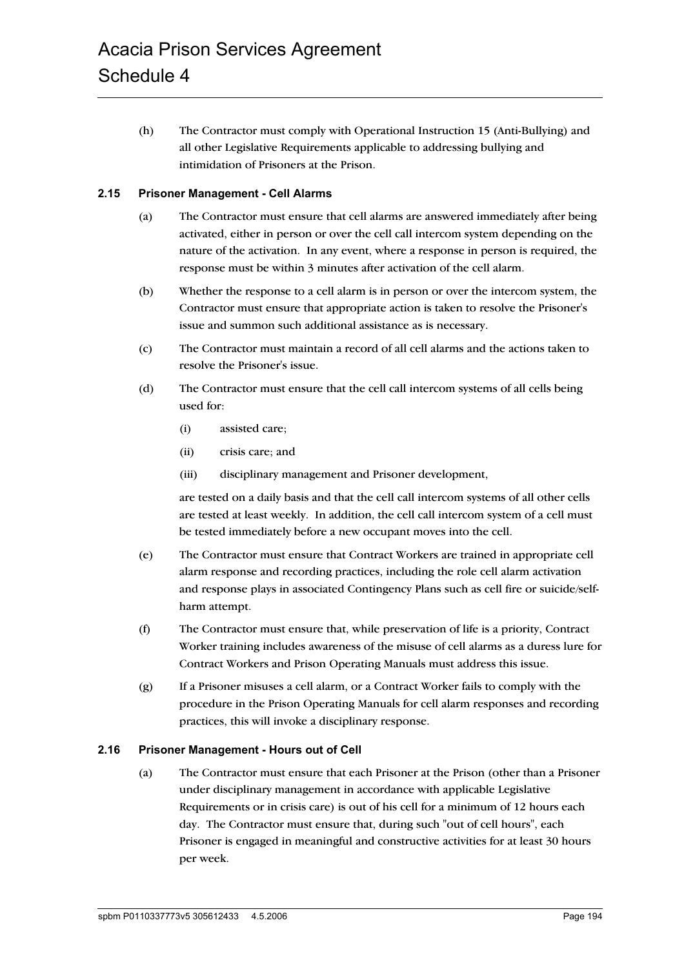(h) The Contractor must comply with Operational Instruction 15 (Anti-Bullying) and all other Legislative Requirements applicable to addressing bullying and intimidation of Prisoners at the Prison.

# **2.15 Prisoner Management - Cell Alarms**

- (a) The Contractor must ensure that cell alarms are answered immediately after being activated, either in person or over the cell call intercom system depending on the nature of the activation. In any event, where a response in person is required, the response must be within 3 minutes after activation of the cell alarm.
- (b) Whether the response to a cell alarm is in person or over the intercom system, the Contractor must ensure that appropriate action is taken to resolve the Prisoner's issue and summon such additional assistance as is necessary.
- (c) The Contractor must maintain a record of all cell alarms and the actions taken to resolve the Prisoner's issue.
- (d) The Contractor must ensure that the cell call intercom systems of all cells being used for:
	- (i) assisted care;
	- (ii) crisis care; and
	- (iii) disciplinary management and Prisoner development,

are tested on a daily basis and that the cell call intercom systems of all other cells are tested at least weekly. In addition, the cell call intercom system of a cell must be tested immediately before a new occupant moves into the cell.

- (e) The Contractor must ensure that Contract Workers are trained in appropriate cell alarm response and recording practices, including the role cell alarm activation and response plays in associated Contingency Plans such as cell fire or suicide/selfharm attempt.
- (f) The Contractor must ensure that, while preservation of life is a priority, Contract Worker training includes awareness of the misuse of cell alarms as a duress lure for Contract Workers and Prison Operating Manuals must address this issue.
- (g) If a Prisoner misuses a cell alarm, or a Contract Worker fails to comply with the procedure in the Prison Operating Manuals for cell alarm responses and recording practices, this will invoke a disciplinary response.

#### **2.16 Prisoner Management - Hours out of Cell**

(a) The Contractor must ensure that each Prisoner at the Prison (other than a Prisoner under disciplinary management in accordance with applicable Legislative Requirements or in crisis care) is out of his cell for a minimum of 12 hours each day. The Contractor must ensure that, during such "out of cell hours", each Prisoner is engaged in meaningful and constructive activities for at least 30 hours per week.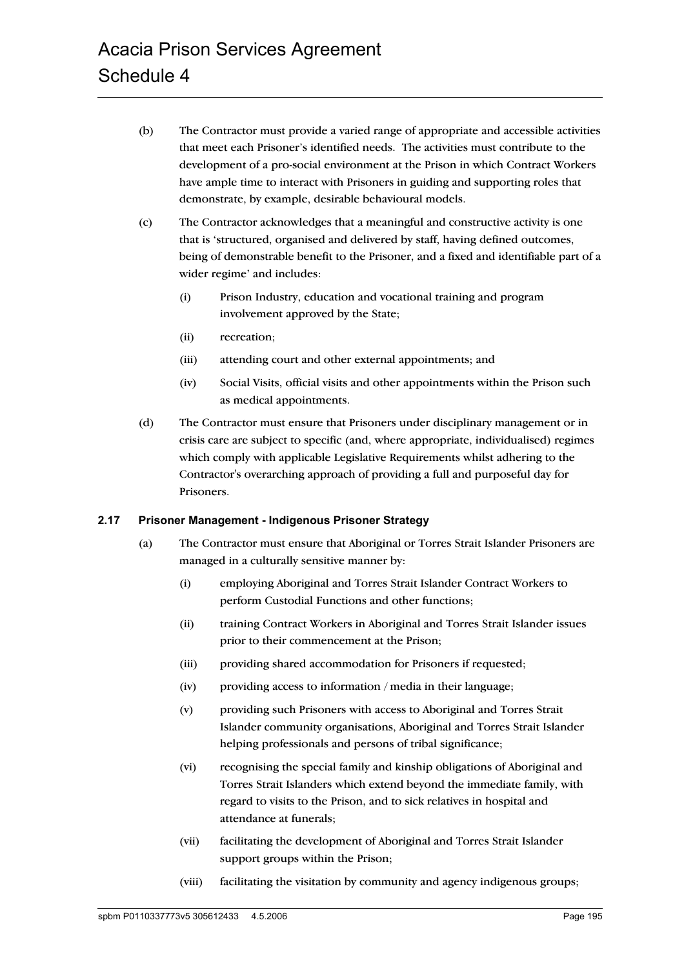- (b) The Contractor must provide a varied range of appropriate and accessible activities that meet each Prisoner's identified needs. The activities must contribute to the development of a pro-social environment at the Prison in which Contract Workers have ample time to interact with Prisoners in guiding and supporting roles that demonstrate, by example, desirable behavioural models.
- (c) The Contractor acknowledges that a meaningful and constructive activity is one that is 'structured, organised and delivered by staff, having defined outcomes, being of demonstrable benefit to the Prisoner, and a fixed and identifiable part of a wider regime' and includes:
	- (i) Prison Industry, education and vocational training and program involvement approved by the State;
	- (ii) recreation;
	- (iii) attending court and other external appointments; and
	- (iv) Social Visits, official visits and other appointments within the Prison such as medical appointments.
- (d) The Contractor must ensure that Prisoners under disciplinary management or in crisis care are subject to specific (and, where appropriate, individualised) regimes which comply with applicable Legislative Requirements whilst adhering to the Contractor's overarching approach of providing a full and purposeful day for Prisoners.

#### **2.17 Prisoner Management - Indigenous Prisoner Strategy**

- (a) The Contractor must ensure that Aboriginal or Torres Strait Islander Prisoners are managed in a culturally sensitive manner by:
	- (i) employing Aboriginal and Torres Strait Islander Contract Workers to perform Custodial Functions and other functions;
	- (ii) training Contract Workers in Aboriginal and Torres Strait Islander issues prior to their commencement at the Prison;
	- (iii) providing shared accommodation for Prisoners if requested;
	- (iv) providing access to information / media in their language;
	- (v) providing such Prisoners with access to Aboriginal and Torres Strait Islander community organisations, Aboriginal and Torres Strait Islander helping professionals and persons of tribal significance;
	- (vi) recognising the special family and kinship obligations of Aboriginal and Torres Strait Islanders which extend beyond the immediate family, with regard to visits to the Prison, and to sick relatives in hospital and attendance at funerals;
	- (vii) facilitating the development of Aboriginal and Torres Strait Islander support groups within the Prison;
	- (viii) facilitating the visitation by community and agency indigenous groups;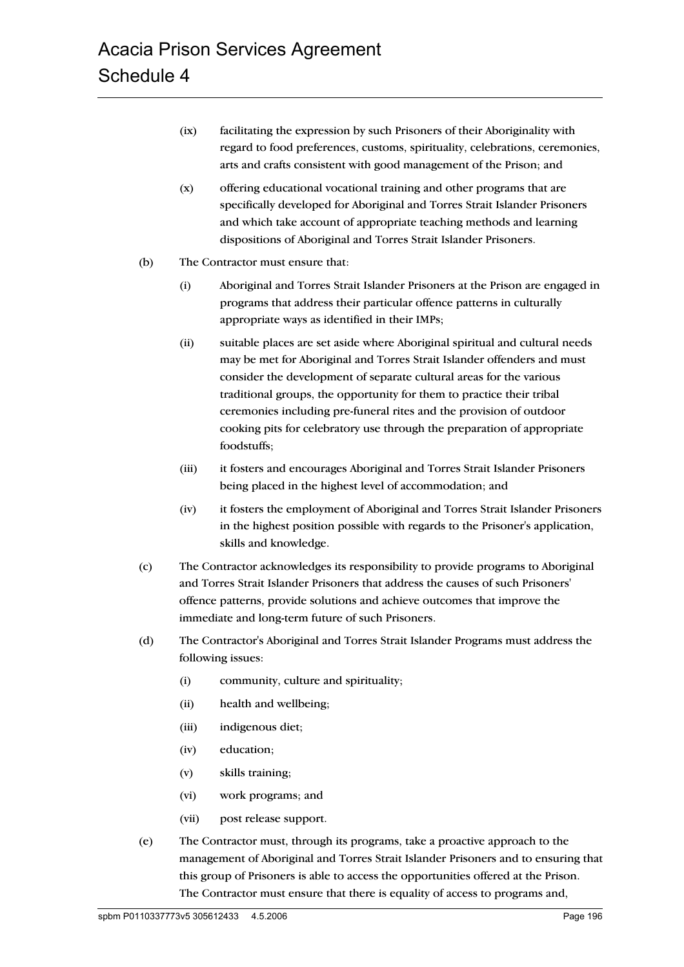- (ix) facilitating the expression by such Prisoners of their Aboriginality with regard to food preferences, customs, spirituality, celebrations, ceremonies, arts and crafts consistent with good management of the Prison; and
- (x) offering educational vocational training and other programs that are specifically developed for Aboriginal and Torres Strait Islander Prisoners and which take account of appropriate teaching methods and learning dispositions of Aboriginal and Torres Strait Islander Prisoners.
- (b) The Contractor must ensure that:
	- (i) Aboriginal and Torres Strait Islander Prisoners at the Prison are engaged in programs that address their particular offence patterns in culturally appropriate ways as identified in their IMPs;
	- (ii) suitable places are set aside where Aboriginal spiritual and cultural needs may be met for Aboriginal and Torres Strait Islander offenders and must consider the development of separate cultural areas for the various traditional groups, the opportunity for them to practice their tribal ceremonies including pre-funeral rites and the provision of outdoor cooking pits for celebratory use through the preparation of appropriate foodstuffs;
	- (iii) it fosters and encourages Aboriginal and Torres Strait Islander Prisoners being placed in the highest level of accommodation; and
	- (iv) it fosters the employment of Aboriginal and Torres Strait Islander Prisoners in the highest position possible with regards to the Prisoner's application, skills and knowledge.
- (c) The Contractor acknowledges its responsibility to provide programs to Aboriginal and Torres Strait Islander Prisoners that address the causes of such Prisoners' offence patterns, provide solutions and achieve outcomes that improve the immediate and long-term future of such Prisoners.
- (d) The Contractor's Aboriginal and Torres Strait Islander Programs must address the following issues:
	- (i) community, culture and spirituality;
	- (ii) health and wellbeing;
	- (iii) indigenous diet;
	- (iv) education;
	- (v) skills training;
	- (vi) work programs; and
	- (vii) post release support.
- (e) The Contractor must, through its programs, take a proactive approach to the management of Aboriginal and Torres Strait Islander Prisoners and to ensuring that this group of Prisoners is able to access the opportunities offered at the Prison. The Contractor must ensure that there is equality of access to programs and,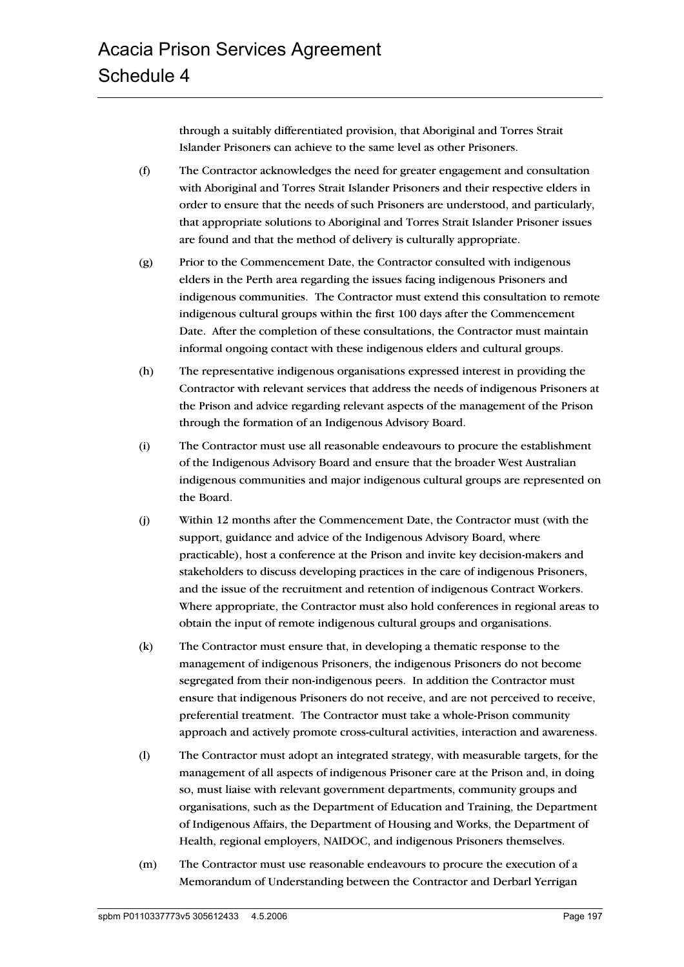through a suitably differentiated provision, that Aboriginal and Torres Strait Islander Prisoners can achieve to the same level as other Prisoners.

- (f) The Contractor acknowledges the need for greater engagement and consultation with Aboriginal and Torres Strait Islander Prisoners and their respective elders in order to ensure that the needs of such Prisoners are understood, and particularly, that appropriate solutions to Aboriginal and Torres Strait Islander Prisoner issues are found and that the method of delivery is culturally appropriate.
- (g) Prior to the Commencement Date, the Contractor consulted with indigenous elders in the Perth area regarding the issues facing indigenous Prisoners and indigenous communities. The Contractor must extend this consultation to remote indigenous cultural groups within the first 100 days after the Commencement Date. After the completion of these consultations, the Contractor must maintain informal ongoing contact with these indigenous elders and cultural groups.
- (h) The representative indigenous organisations expressed interest in providing the Contractor with relevant services that address the needs of indigenous Prisoners at the Prison and advice regarding relevant aspects of the management of the Prison through the formation of an Indigenous Advisory Board.
- (i) The Contractor must use all reasonable endeavours to procure the establishment of the Indigenous Advisory Board and ensure that the broader West Australian indigenous communities and major indigenous cultural groups are represented on the Board.
- (j) Within 12 months after the Commencement Date, the Contractor must (with the support, guidance and advice of the Indigenous Advisory Board, where practicable), host a conference at the Prison and invite key decision-makers and stakeholders to discuss developing practices in the care of indigenous Prisoners, and the issue of the recruitment and retention of indigenous Contract Workers. Where appropriate, the Contractor must also hold conferences in regional areas to obtain the input of remote indigenous cultural groups and organisations.
- (k) The Contractor must ensure that, in developing a thematic response to the management of indigenous Prisoners, the indigenous Prisoners do not become segregated from their non-indigenous peers. In addition the Contractor must ensure that indigenous Prisoners do not receive, and are not perceived to receive, preferential treatment. The Contractor must take a whole-Prison community approach and actively promote cross-cultural activities, interaction and awareness.
- (l) The Contractor must adopt an integrated strategy, with measurable targets, for the management of all aspects of indigenous Prisoner care at the Prison and, in doing so, must liaise with relevant government departments, community groups and organisations, such as the Department of Education and Training, the Department of Indigenous Affairs, the Department of Housing and Works, the Department of Health, regional employers, NAIDOC, and indigenous Prisoners themselves.
- (m) The Contractor must use reasonable endeavours to procure the execution of a Memorandum of Understanding between the Contractor and Derbarl Yerrigan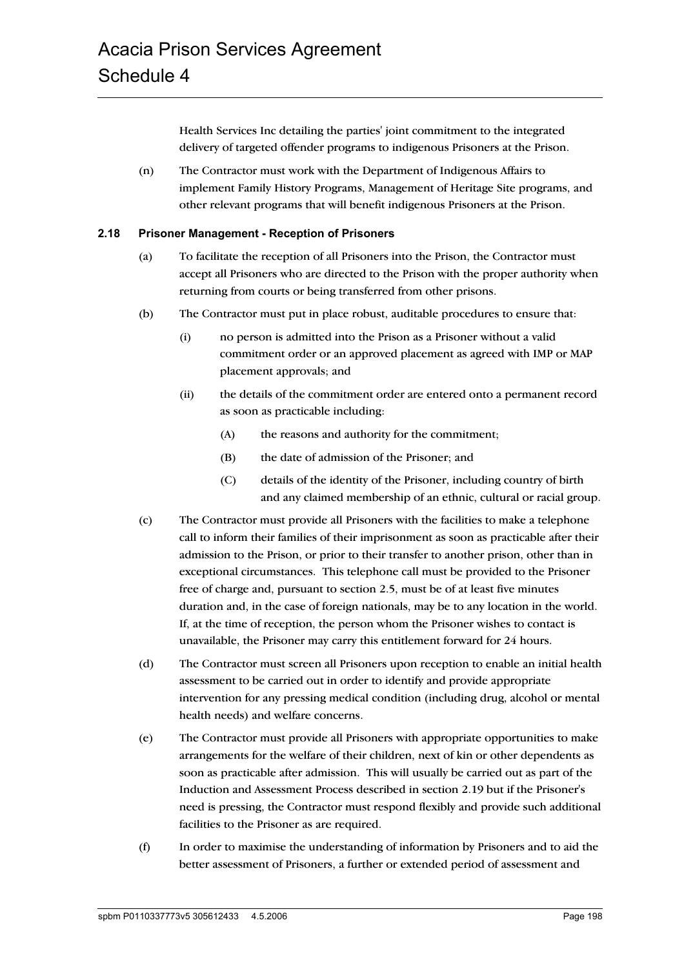Health Services Inc detailing the parties' joint commitment to the integrated delivery of targeted offender programs to indigenous Prisoners at the Prison.

(n) The Contractor must work with the Department of Indigenous Affairs to implement Family History Programs, Management of Heritage Site programs, and other relevant programs that will benefit indigenous Prisoners at the Prison.

## **2.18 Prisoner Management - Reception of Prisoners**

- (a) To facilitate the reception of all Prisoners into the Prison, the Contractor must accept all Prisoners who are directed to the Prison with the proper authority when returning from courts or being transferred from other prisons.
- (b) The Contractor must put in place robust, auditable procedures to ensure that:
	- (i) no person is admitted into the Prison as a Prisoner without a valid commitment order or an approved placement as agreed with IMP or MAP placement approvals; and
	- (ii) the details of the commitment order are entered onto a permanent record as soon as practicable including:
		- (A) the reasons and authority for the commitment;
		- (B) the date of admission of the Prisoner; and
		- (C) details of the identity of the Prisoner, including country of birth and any claimed membership of an ethnic, cultural or racial group.
- (c) The Contractor must provide all Prisoners with the facilities to make a telephone call to inform their families of their imprisonment as soon as practicable after their admission to the Prison, or prior to their transfer to another prison, other than in exceptional circumstances. This telephone call must be provided to the Prisoner free of charge and, pursuant to section 2.5, must be of at least five minutes duration and, in the case of foreign nationals, may be to any location in the world. If, at the time of reception, the person whom the Prisoner wishes to contact is unavailable, the Prisoner may carry this entitlement forward for 24 hours.
- (d) The Contractor must screen all Prisoners upon reception to enable an initial health assessment to be carried out in order to identify and provide appropriate intervention for any pressing medical condition (including drug, alcohol or mental health needs) and welfare concerns.
- (e) The Contractor must provide all Prisoners with appropriate opportunities to make arrangements for the welfare of their children, next of kin or other dependents as soon as practicable after admission. This will usually be carried out as part of the Induction and Assessment Process described in section 2.19 but if the Prisoner's need is pressing, the Contractor must respond flexibly and provide such additional facilities to the Prisoner as are required.
- (f) In order to maximise the understanding of information by Prisoners and to aid the better assessment of Prisoners, a further or extended period of assessment and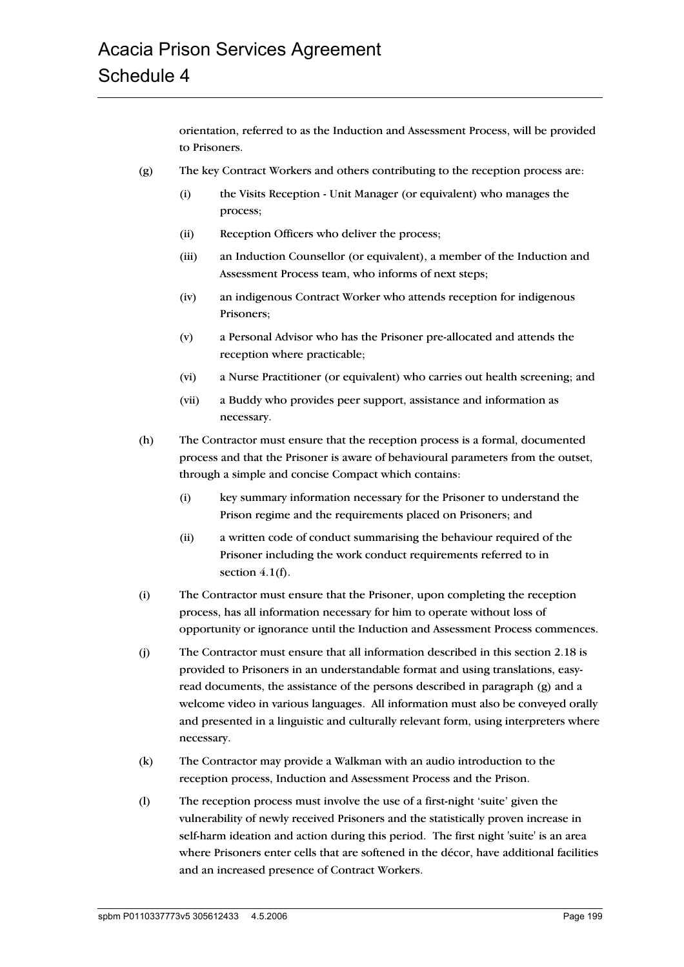orientation, referred to as the Induction and Assessment Process, will be provided to Prisoners.

- (g) The key Contract Workers and others contributing to the reception process are:
	- (i) the Visits Reception Unit Manager (or equivalent) who manages the process;
	- (ii) Reception Officers who deliver the process;
	- (iii) an Induction Counsellor (or equivalent), a member of the Induction and Assessment Process team, who informs of next steps;
	- (iv) an indigenous Contract Worker who attends reception for indigenous Prisoners;
	- (v) a Personal Advisor who has the Prisoner pre-allocated and attends the reception where practicable;
	- (vi) a Nurse Practitioner (or equivalent) who carries out health screening; and
	- (vii) a Buddy who provides peer support, assistance and information as necessary.
- (h) The Contractor must ensure that the reception process is a formal, documented process and that the Prisoner is aware of behavioural parameters from the outset, through a simple and concise Compact which contains:
	- (i) key summary information necessary for the Prisoner to understand the Prison regime and the requirements placed on Prisoners; and
	- (ii) a written code of conduct summarising the behaviour required of the Prisoner including the work conduct requirements referred to in section  $4.1(f)$ .
- (i) The Contractor must ensure that the Prisoner, upon completing the reception process, has all information necessary for him to operate without loss of opportunity or ignorance until the Induction and Assessment Process commences.
- (j) The Contractor must ensure that all information described in this section 2.18 is provided to Prisoners in an understandable format and using translations, easyread documents, the assistance of the persons described in paragraph (g) and a welcome video in various languages. All information must also be conveyed orally and presented in a linguistic and culturally relevant form, using interpreters where necessary.
- (k) The Contractor may provide a Walkman with an audio introduction to the reception process, Induction and Assessment Process and the Prison.
- (l) The reception process must involve the use of a first-night 'suite' given the vulnerability of newly received Prisoners and the statistically proven increase in self-harm ideation and action during this period. The first night 'suite' is an area where Prisoners enter cells that are softened in the décor, have additional facilities and an increased presence of Contract Workers.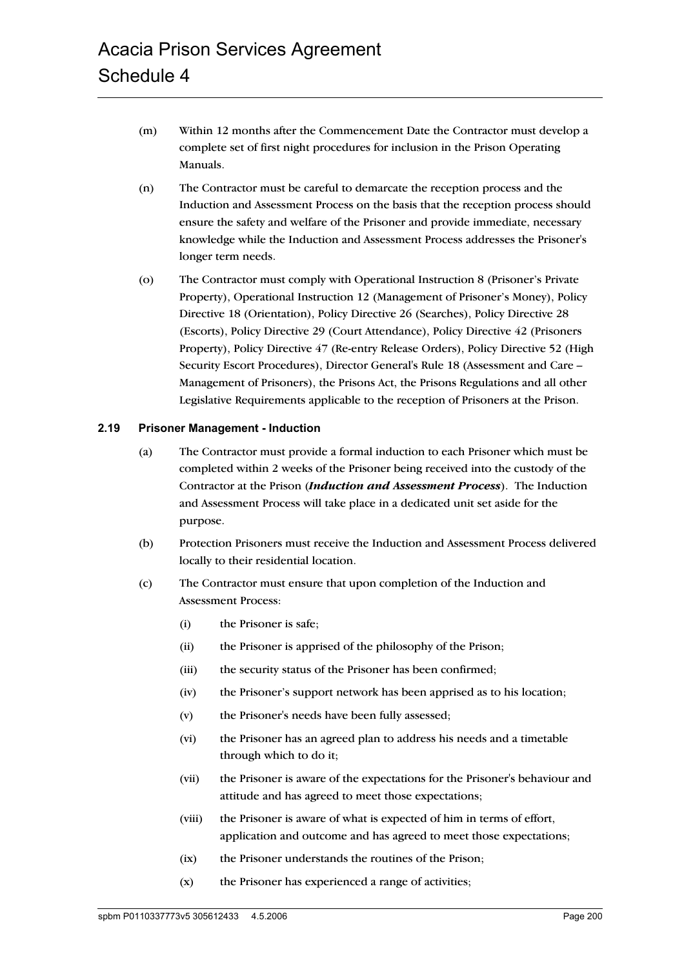- (m) Within 12 months after the Commencement Date the Contractor must develop a complete set of first night procedures for inclusion in the Prison Operating Manuals.
- (n) The Contractor must be careful to demarcate the reception process and the Induction and Assessment Process on the basis that the reception process should ensure the safety and welfare of the Prisoner and provide immediate, necessary knowledge while the Induction and Assessment Process addresses the Prisoner's longer term needs.
- (o) The Contractor must comply with Operational Instruction 8 (Prisoner's Private Property), Operational Instruction 12 (Management of Prisoner's Money), Policy Directive 18 (Orientation), Policy Directive 26 (Searches), Policy Directive 28 (Escorts), Policy Directive 29 (Court Attendance), Policy Directive 42 (Prisoners Property), Policy Directive 47 (Re-entry Release Orders), Policy Directive 52 (High Security Escort Procedures), Director General's Rule 18 (Assessment and Care – Management of Prisoners), the Prisons Act, the Prisons Regulations and all other Legislative Requirements applicable to the reception of Prisoners at the Prison.

#### **2.19 Prisoner Management - Induction**

- (a) The Contractor must provide a formal induction to each Prisoner which must be completed within 2 weeks of the Prisoner being received into the custody of the Contractor at the Prison (*Induction and Assessment Process*). The Induction and Assessment Process will take place in a dedicated unit set aside for the purpose.
- (b) Protection Prisoners must receive the Induction and Assessment Process delivered locally to their residential location.
- (c) The Contractor must ensure that upon completion of the Induction and Assessment Process:
	- (i) the Prisoner is safe;
	- (ii) the Prisoner is apprised of the philosophy of the Prison;
	- (iii) the security status of the Prisoner has been confirmed;
	- (iv) the Prisoner's support network has been apprised as to his location;
	- (v) the Prisoner's needs have been fully assessed;
	- (vi) the Prisoner has an agreed plan to address his needs and a timetable through which to do it;
	- (vii) the Prisoner is aware of the expectations for the Prisoner's behaviour and attitude and has agreed to meet those expectations;
	- (viii) the Prisoner is aware of what is expected of him in terms of effort, application and outcome and has agreed to meet those expectations;
	- (ix) the Prisoner understands the routines of the Prison;
	- (x) the Prisoner has experienced a range of activities;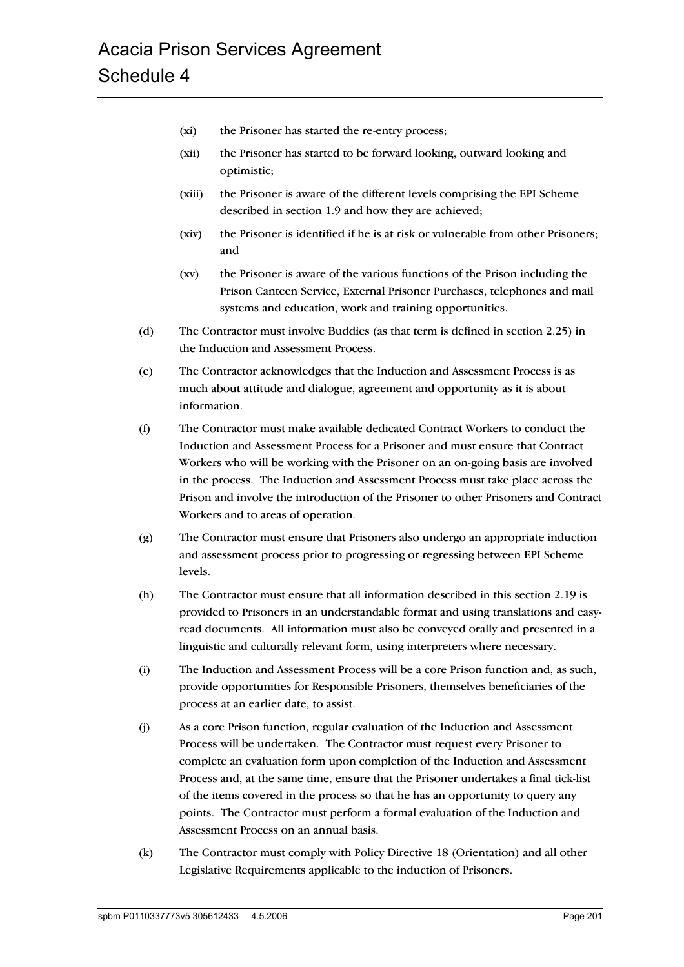- (xi) the Prisoner has started the re-entry process;
- (xii) the Prisoner has started to be forward looking, outward looking and optimistic;
- (xiii) the Prisoner is aware of the different levels comprising the EPI Scheme described in section 1.9 and how they are achieved;
- (xiv) the Prisoner is identified if he is at risk or vulnerable from other Prisoners; and
- (xv) the Prisoner is aware of the various functions of the Prison including the Prison Canteen Service, External Prisoner Purchases, telephones and mail systems and education, work and training opportunities.
- (d) The Contractor must involve Buddies (as that term is defined in section 2.25) in the Induction and Assessment Process.
- (e) The Contractor acknowledges that the Induction and Assessment Process is as much about attitude and dialogue, agreement and opportunity as it is about information.
- (f) The Contractor must make available dedicated Contract Workers to conduct the Induction and Assessment Process for a Prisoner and must ensure that Contract Workers who will be working with the Prisoner on an on-going basis are involved in the process. The Induction and Assessment Process must take place across the Prison and involve the introduction of the Prisoner to other Prisoners and Contract Workers and to areas of operation.
- (g) The Contractor must ensure that Prisoners also undergo an appropriate induction and assessment process prior to progressing or regressing between EPI Scheme levels.
- (h) The Contractor must ensure that all information described in this section 2.19 is provided to Prisoners in an understandable format and using translations and easyread documents. All information must also be conveyed orally and presented in a linguistic and culturally relevant form, using interpreters where necessary.
- (i) The Induction and Assessment Process will be a core Prison function and, as such, provide opportunities for Responsible Prisoners, themselves beneficiaries of the process at an earlier date, to assist.
- (j) As a core Prison function, regular evaluation of the Induction and Assessment Process will be undertaken. The Contractor must request every Prisoner to complete an evaluation form upon completion of the Induction and Assessment Process and, at the same time, ensure that the Prisoner undertakes a final tick-list of the items covered in the process so that he has an opportunity to query any points. The Contractor must perform a formal evaluation of the Induction and Assessment Process on an annual basis.
- (k) The Contractor must comply with Policy Directive 18 (Orientation) and all other Legislative Requirements applicable to the induction of Prisoners.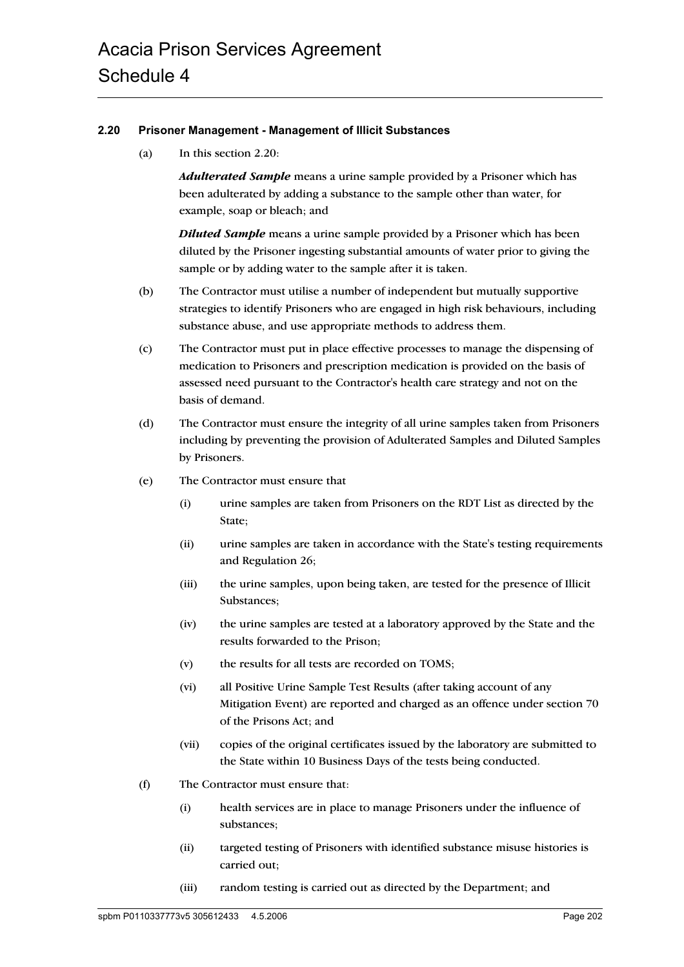## **2.20 Prisoner Management - Management of Illicit Substances**

(a) In this section 2.20:

*Adulterated Sample* means a urine sample provided by a Prisoner which has been adulterated by adding a substance to the sample other than water, for example, soap or bleach; and

*Diluted Sample* means a urine sample provided by a Prisoner which has been diluted by the Prisoner ingesting substantial amounts of water prior to giving the sample or by adding water to the sample after it is taken.

- (b) The Contractor must utilise a number of independent but mutually supportive strategies to identify Prisoners who are engaged in high risk behaviours, including substance abuse, and use appropriate methods to address them.
- (c) The Contractor must put in place effective processes to manage the dispensing of medication to Prisoners and prescription medication is provided on the basis of assessed need pursuant to the Contractor's health care strategy and not on the basis of demand.
- (d) The Contractor must ensure the integrity of all urine samples taken from Prisoners including by preventing the provision of Adulterated Samples and Diluted Samples by Prisoners.
- (e) The Contractor must ensure that
	- (i) urine samples are taken from Prisoners on the RDT List as directed by the State;
	- (ii) urine samples are taken in accordance with the State's testing requirements and Regulation 26;
	- (iii) the urine samples, upon being taken, are tested for the presence of Illicit Substances;
	- (iv) the urine samples are tested at a laboratory approved by the State and the results forwarded to the Prison;
	- (v) the results for all tests are recorded on TOMS;
	- (vi) all Positive Urine Sample Test Results (after taking account of any Mitigation Event) are reported and charged as an offence under section 70 of the Prisons Act; and
	- (vii) copies of the original certificates issued by the laboratory are submitted to the State within 10 Business Days of the tests being conducted.
- (f) The Contractor must ensure that:
	- (i) health services are in place to manage Prisoners under the influence of substances;
	- (ii) targeted testing of Prisoners with identified substance misuse histories is carried out;
	- (iii) random testing is carried out as directed by the Department; and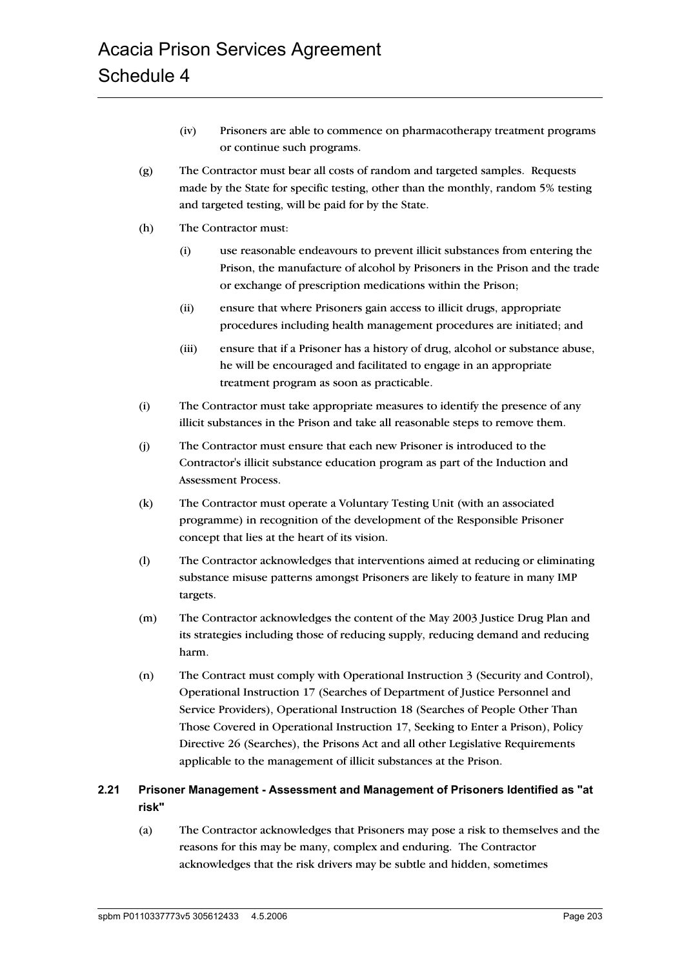- (iv) Prisoners are able to commence on pharmacotherapy treatment programs or continue such programs.
- (g) The Contractor must bear all costs of random and targeted samples. Requests made by the State for specific testing, other than the monthly, random 5% testing and targeted testing, will be paid for by the State.
- (h) The Contractor must:
	- (i) use reasonable endeavours to prevent illicit substances from entering the Prison, the manufacture of alcohol by Prisoners in the Prison and the trade or exchange of prescription medications within the Prison;
	- (ii) ensure that where Prisoners gain access to illicit drugs, appropriate procedures including health management procedures are initiated; and
	- (iii) ensure that if a Prisoner has a history of drug, alcohol or substance abuse, he will be encouraged and facilitated to engage in an appropriate treatment program as soon as practicable.
- (i) The Contractor must take appropriate measures to identify the presence of any illicit substances in the Prison and take all reasonable steps to remove them.
- (j) The Contractor must ensure that each new Prisoner is introduced to the Contractor's illicit substance education program as part of the Induction and Assessment Process.
- (k) The Contractor must operate a Voluntary Testing Unit (with an associated programme) in recognition of the development of the Responsible Prisoner concept that lies at the heart of its vision.
- (l) The Contractor acknowledges that interventions aimed at reducing or eliminating substance misuse patterns amongst Prisoners are likely to feature in many IMP targets.
- (m) The Contractor acknowledges the content of the May 2003 Justice Drug Plan and its strategies including those of reducing supply, reducing demand and reducing harm.
- (n) The Contract must comply with Operational Instruction 3 (Security and Control), Operational Instruction 17 (Searches of Department of Justice Personnel and Service Providers), Operational Instruction 18 (Searches of People Other Than Those Covered in Operational Instruction 17, Seeking to Enter a Prison), Policy Directive 26 (Searches), the Prisons Act and all other Legislative Requirements applicable to the management of illicit substances at the Prison.

# **2.21 Prisoner Management - Assessment and Management of Prisoners Identified as "at risk"**

(a) The Contractor acknowledges that Prisoners may pose a risk to themselves and the reasons for this may be many, complex and enduring. The Contractor acknowledges that the risk drivers may be subtle and hidden, sometimes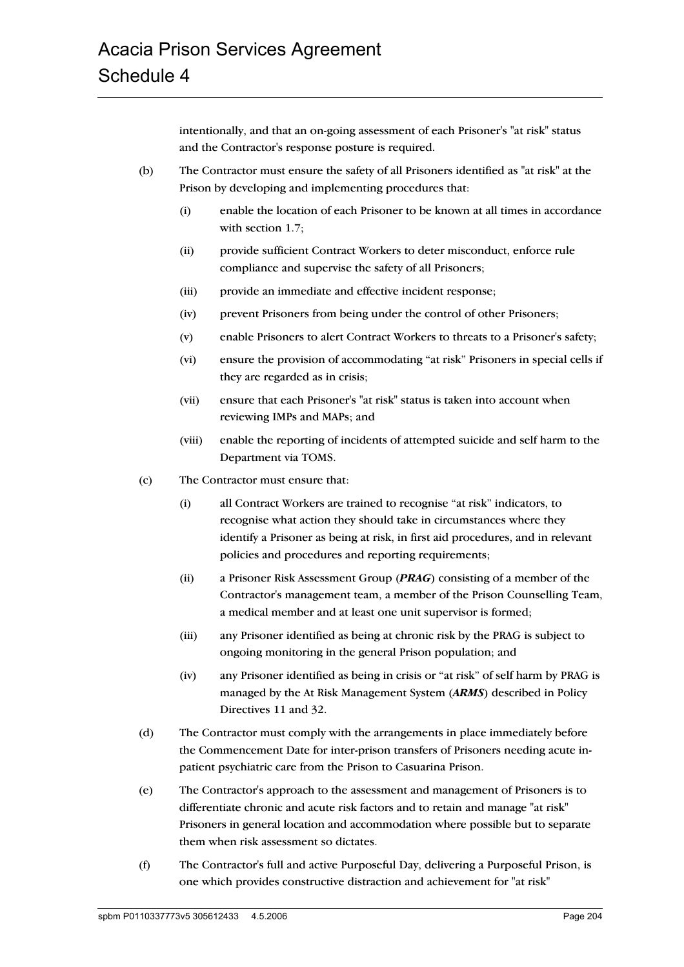intentionally, and that an on-going assessment of each Prisoner's "at risk" status and the Contractor's response posture is required.

- (b) The Contractor must ensure the safety of all Prisoners identified as "at risk" at the Prison by developing and implementing procedures that:
	- (i) enable the location of each Prisoner to be known at all times in accordance with section 1.7;
	- (ii) provide sufficient Contract Workers to deter misconduct, enforce rule compliance and supervise the safety of all Prisoners;
	- (iii) provide an immediate and effective incident response;
	- (iv) prevent Prisoners from being under the control of other Prisoners;
	- (v) enable Prisoners to alert Contract Workers to threats to a Prisoner's safety;
	- (vi) ensure the provision of accommodating "at risk" Prisoners in special cells if they are regarded as in crisis;
	- (vii) ensure that each Prisoner's "at risk" status is taken into account when reviewing IMPs and MAPs; and
	- (viii) enable the reporting of incidents of attempted suicide and self harm to the Department via TOMS.
- (c) The Contractor must ensure that:
	- (i) all Contract Workers are trained to recognise "at risk" indicators, to recognise what action they should take in circumstances where they identify a Prisoner as being at risk, in first aid procedures, and in relevant policies and procedures and reporting requirements;
	- (ii) a Prisoner Risk Assessment Group (*PRAG*) consisting of a member of the Contractor's management team, a member of the Prison Counselling Team, a medical member and at least one unit supervisor is formed;
	- (iii) any Prisoner identified as being at chronic risk by the PRAG is subject to ongoing monitoring in the general Prison population; and
	- (iv) any Prisoner identified as being in crisis or "at risk" of self harm by PRAG is managed by the At Risk Management System (*ARMS*) described in Policy Directives 11 and 32.
- (d) The Contractor must comply with the arrangements in place immediately before the Commencement Date for inter-prison transfers of Prisoners needing acute inpatient psychiatric care from the Prison to Casuarina Prison.
- (e) The Contractor's approach to the assessment and management of Prisoners is to differentiate chronic and acute risk factors and to retain and manage "at risk" Prisoners in general location and accommodation where possible but to separate them when risk assessment so dictates.
- (f) The Contractor's full and active Purposeful Day, delivering a Purposeful Prison, is one which provides constructive distraction and achievement for "at risk"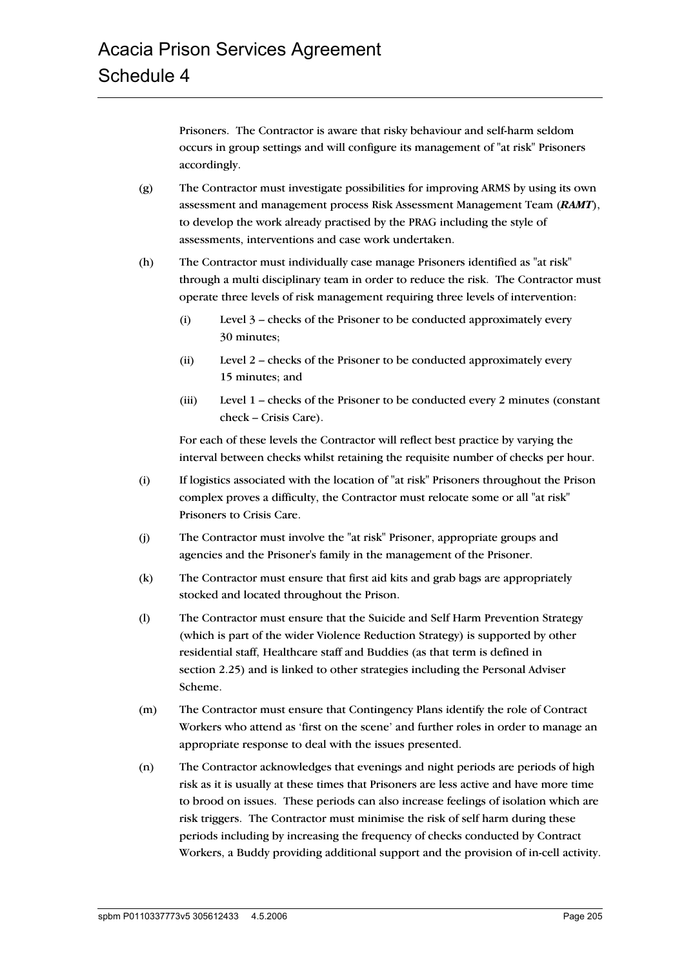Prisoners. The Contractor is aware that risky behaviour and self-harm seldom occurs in group settings and will configure its management of "at risk" Prisoners accordingly.

- (g) The Contractor must investigate possibilities for improving ARMS by using its own assessment and management process Risk Assessment Management Team (*RAMT*), to develop the work already practised by the PRAG including the style of assessments, interventions and case work undertaken.
- (h) The Contractor must individually case manage Prisoners identified as "at risk" through a multi disciplinary team in order to reduce the risk. The Contractor must operate three levels of risk management requiring three levels of intervention:
	- (i) Level 3 checks of the Prisoner to be conducted approximately every 30 minutes;
	- (ii) Level 2 checks of the Prisoner to be conducted approximately every 15 minutes; and
	- (iii) Level 1 checks of the Prisoner to be conducted every 2 minutes (constant check – Crisis Care).

For each of these levels the Contractor will reflect best practice by varying the interval between checks whilst retaining the requisite number of checks per hour.

- (i) If logistics associated with the location of "at risk" Prisoners throughout the Prison complex proves a difficulty, the Contractor must relocate some or all "at risk" Prisoners to Crisis Care.
- (j) The Contractor must involve the "at risk" Prisoner, appropriate groups and agencies and the Prisoner's family in the management of the Prisoner.
- (k) The Contractor must ensure that first aid kits and grab bags are appropriately stocked and located throughout the Prison.
- (l) The Contractor must ensure that the Suicide and Self Harm Prevention Strategy (which is part of the wider Violence Reduction Strategy) is supported by other residential staff, Healthcare staff and Buddies (as that term is defined in section 2.25) and is linked to other strategies including the Personal Adviser Scheme.
- (m) The Contractor must ensure that Contingency Plans identify the role of Contract Workers who attend as 'first on the scene' and further roles in order to manage an appropriate response to deal with the issues presented.
- (n) The Contractor acknowledges that evenings and night periods are periods of high risk as it is usually at these times that Prisoners are less active and have more time to brood on issues. These periods can also increase feelings of isolation which are risk triggers. The Contractor must minimise the risk of self harm during these periods including by increasing the frequency of checks conducted by Contract Workers, a Buddy providing additional support and the provision of in-cell activity.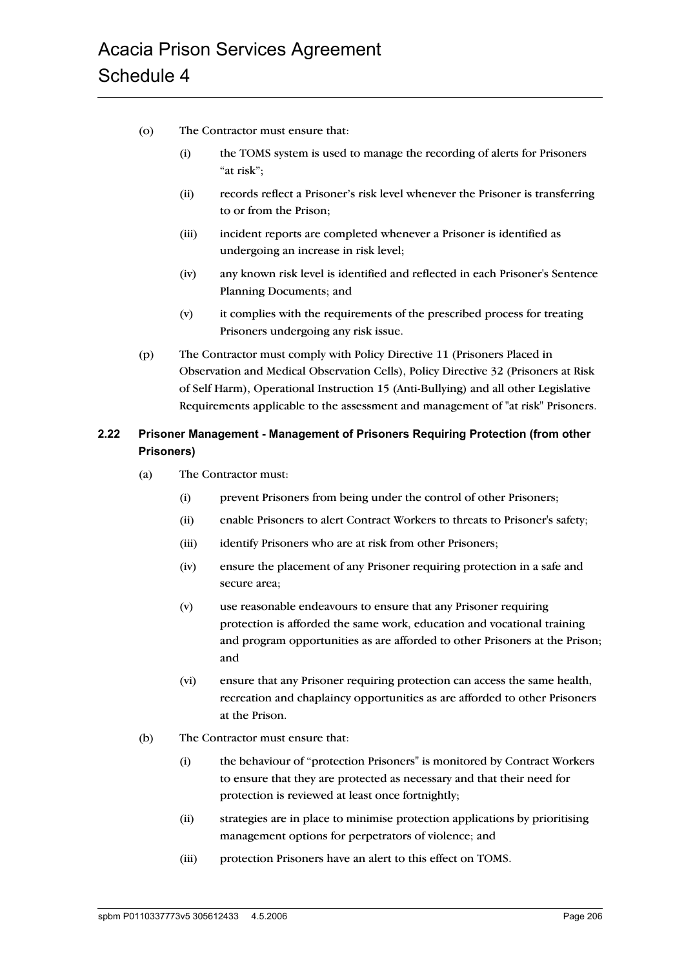- (o) The Contractor must ensure that:
	- (i) the TOMS system is used to manage the recording of alerts for Prisoners "at risk";
	- (ii) records reflect a Prisoner's risk level whenever the Prisoner is transferring to or from the Prison;
	- (iii) incident reports are completed whenever a Prisoner is identified as undergoing an increase in risk level;
	- (iv) any known risk level is identified and reflected in each Prisoner's Sentence Planning Documents; and
	- (v) it complies with the requirements of the prescribed process for treating Prisoners undergoing any risk issue.
- (p) The Contractor must comply with Policy Directive 11 (Prisoners Placed in Observation and Medical Observation Cells), Policy Directive 32 (Prisoners at Risk of Self Harm), Operational Instruction 15 (Anti-Bullying) and all other Legislative Requirements applicable to the assessment and management of "at risk" Prisoners.

# **2.22 Prisoner Management - Management of Prisoners Requiring Protection (from other Prisoners)**

- (a) The Contractor must:
	- (i) prevent Prisoners from being under the control of other Prisoners;
	- (ii) enable Prisoners to alert Contract Workers to threats to Prisoner's safety;
	- (iii) identify Prisoners who are at risk from other Prisoners;
	- (iv) ensure the placement of any Prisoner requiring protection in a safe and secure area;
	- (v) use reasonable endeavours to ensure that any Prisoner requiring protection is afforded the same work, education and vocational training and program opportunities as are afforded to other Prisoners at the Prison; and
	- (vi) ensure that any Prisoner requiring protection can access the same health, recreation and chaplaincy opportunities as are afforded to other Prisoners at the Prison.
- (b) The Contractor must ensure that:
	- (i) the behaviour of "protection Prisoners" is monitored by Contract Workers to ensure that they are protected as necessary and that their need for protection is reviewed at least once fortnightly;
	- (ii) strategies are in place to minimise protection applications by prioritising management options for perpetrators of violence; and
	- (iii) protection Prisoners have an alert to this effect on TOMS.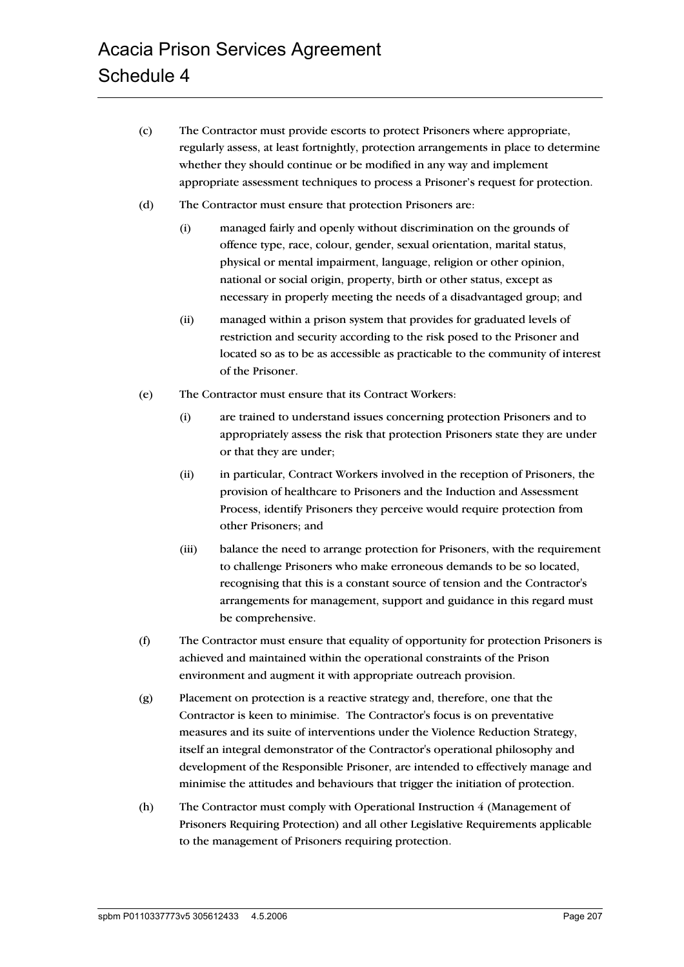- (c) The Contractor must provide escorts to protect Prisoners where appropriate, regularly assess, at least fortnightly, protection arrangements in place to determine whether they should continue or be modified in any way and implement appropriate assessment techniques to process a Prisoner's request for protection.
- (d) The Contractor must ensure that protection Prisoners are:
	- (i) managed fairly and openly without discrimination on the grounds of offence type, race, colour, gender, sexual orientation, marital status, physical or mental impairment, language, religion or other opinion, national or social origin, property, birth or other status, except as necessary in properly meeting the needs of a disadvantaged group; and
	- (ii) managed within a prison system that provides for graduated levels of restriction and security according to the risk posed to the Prisoner and located so as to be as accessible as practicable to the community of interest of the Prisoner.
- (e) The Contractor must ensure that its Contract Workers:
	- (i) are trained to understand issues concerning protection Prisoners and to appropriately assess the risk that protection Prisoners state they are under or that they are under;
	- (ii) in particular, Contract Workers involved in the reception of Prisoners, the provision of healthcare to Prisoners and the Induction and Assessment Process, identify Prisoners they perceive would require protection from other Prisoners; and
	- (iii) balance the need to arrange protection for Prisoners, with the requirement to challenge Prisoners who make erroneous demands to be so located, recognising that this is a constant source of tension and the Contractor's arrangements for management, support and guidance in this regard must be comprehensive.
- (f) The Contractor must ensure that equality of opportunity for protection Prisoners is achieved and maintained within the operational constraints of the Prison environment and augment it with appropriate outreach provision.
- (g) Placement on protection is a reactive strategy and, therefore, one that the Contractor is keen to minimise. The Contractor's focus is on preventative measures and its suite of interventions under the Violence Reduction Strategy, itself an integral demonstrator of the Contractor's operational philosophy and development of the Responsible Prisoner, are intended to effectively manage and minimise the attitudes and behaviours that trigger the initiation of protection.
- (h) The Contractor must comply with Operational Instruction 4 (Management of Prisoners Requiring Protection) and all other Legislative Requirements applicable to the management of Prisoners requiring protection.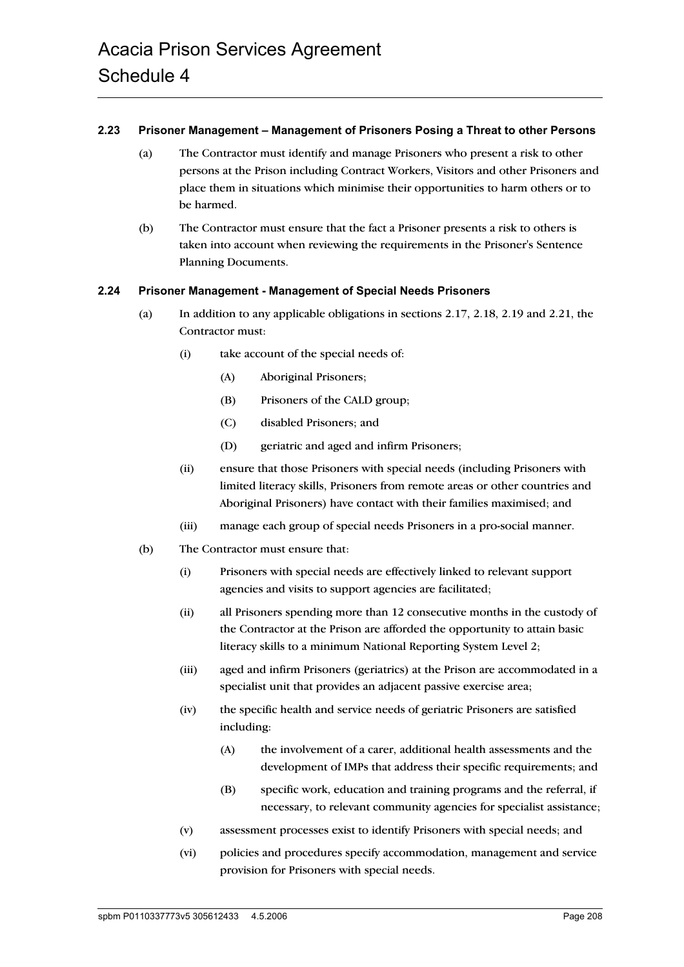#### **2.23 Prisoner Management – Management of Prisoners Posing a Threat to other Persons**

- (a) The Contractor must identify and manage Prisoners who present a risk to other persons at the Prison including Contract Workers, Visitors and other Prisoners and place them in situations which minimise their opportunities to harm others or to be harmed.
- (b) The Contractor must ensure that the fact a Prisoner presents a risk to others is taken into account when reviewing the requirements in the Prisoner's Sentence Planning Documents.

#### **2.24 Prisoner Management - Management of Special Needs Prisoners**

- (a) In addition to any applicable obligations in sections 2.17, 2.18, 2.19 and 2.21, the Contractor must:
	- (i) take account of the special needs of:
		- (A) Aboriginal Prisoners;
		- (B) Prisoners of the CALD group;
		- (C) disabled Prisoners; and
		- (D) geriatric and aged and infirm Prisoners;
	- (ii) ensure that those Prisoners with special needs (including Prisoners with limited literacy skills, Prisoners from remote areas or other countries and Aboriginal Prisoners) have contact with their families maximised; and
	- (iii) manage each group of special needs Prisoners in a pro-social manner.
- (b) The Contractor must ensure that:
	- (i) Prisoners with special needs are effectively linked to relevant support agencies and visits to support agencies are facilitated;
	- (ii) all Prisoners spending more than 12 consecutive months in the custody of the Contractor at the Prison are afforded the opportunity to attain basic literacy skills to a minimum National Reporting System Level 2;
	- (iii) aged and infirm Prisoners (geriatrics) at the Prison are accommodated in a specialist unit that provides an adjacent passive exercise area;
	- (iv) the specific health and service needs of geriatric Prisoners are satisfied including:
		- (A) the involvement of a carer, additional health assessments and the development of IMPs that address their specific requirements; and
		- (B) specific work, education and training programs and the referral, if necessary, to relevant community agencies for specialist assistance;
	- (v) assessment processes exist to identify Prisoners with special needs; and
	- (vi) policies and procedures specify accommodation, management and service provision for Prisoners with special needs.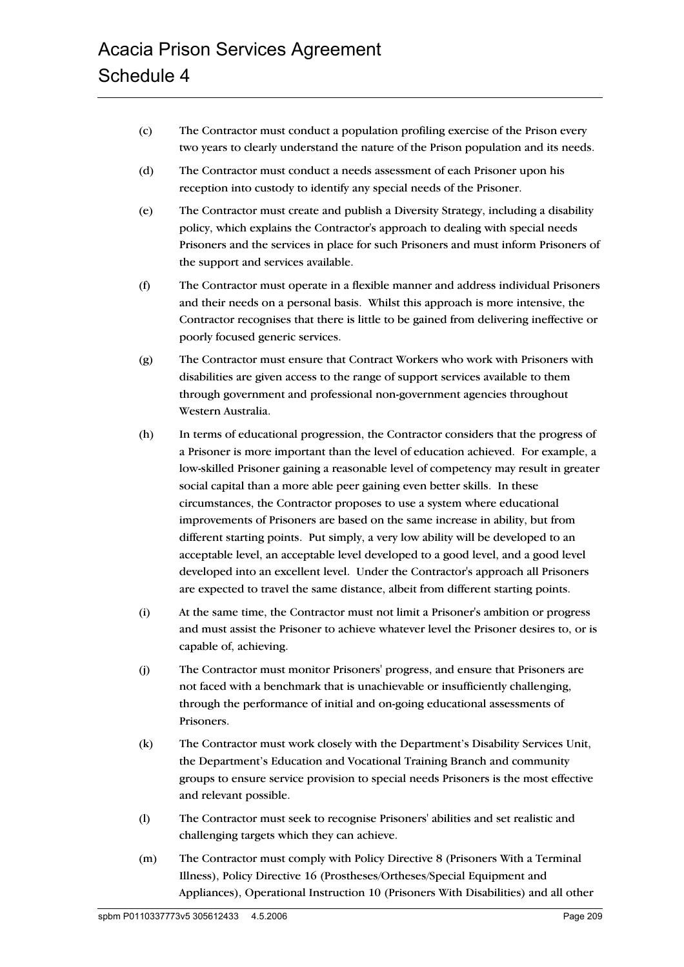- (c) The Contractor must conduct a population profiling exercise of the Prison every two years to clearly understand the nature of the Prison population and its needs.
- (d) The Contractor must conduct a needs assessment of each Prisoner upon his reception into custody to identify any special needs of the Prisoner.
- (e) The Contractor must create and publish a Diversity Strategy, including a disability policy, which explains the Contractor's approach to dealing with special needs Prisoners and the services in place for such Prisoners and must inform Prisoners of the support and services available.
- (f) The Contractor must operate in a flexible manner and address individual Prisoners and their needs on a personal basis. Whilst this approach is more intensive, the Contractor recognises that there is little to be gained from delivering ineffective or poorly focused generic services.
- (g) The Contractor must ensure that Contract Workers who work with Prisoners with disabilities are given access to the range of support services available to them through government and professional non-government agencies throughout Western Australia.
- (h) In terms of educational progression, the Contractor considers that the progress of a Prisoner is more important than the level of education achieved. For example, a low-skilled Prisoner gaining a reasonable level of competency may result in greater social capital than a more able peer gaining even better skills. In these circumstances, the Contractor proposes to use a system where educational improvements of Prisoners are based on the same increase in ability, but from different starting points. Put simply, a very low ability will be developed to an acceptable level, an acceptable level developed to a good level, and a good level developed into an excellent level. Under the Contractor's approach all Prisoners are expected to travel the same distance, albeit from different starting points.
- (i) At the same time, the Contractor must not limit a Prisoner's ambition or progress and must assist the Prisoner to achieve whatever level the Prisoner desires to, or is capable of, achieving.
- (j) The Contractor must monitor Prisoners' progress, and ensure that Prisoners are not faced with a benchmark that is unachievable or insufficiently challenging, through the performance of initial and on-going educational assessments of Prisoners.
- (k) The Contractor must work closely with the Department's Disability Services Unit, the Department's Education and Vocational Training Branch and community groups to ensure service provision to special needs Prisoners is the most effective and relevant possible.
- (l) The Contractor must seek to recognise Prisoners' abilities and set realistic and challenging targets which they can achieve.
- (m) The Contractor must comply with Policy Directive 8 (Prisoners With a Terminal Illness), Policy Directive 16 (Prostheses/Ortheses/Special Equipment and Appliances), Operational Instruction 10 (Prisoners With Disabilities) and all other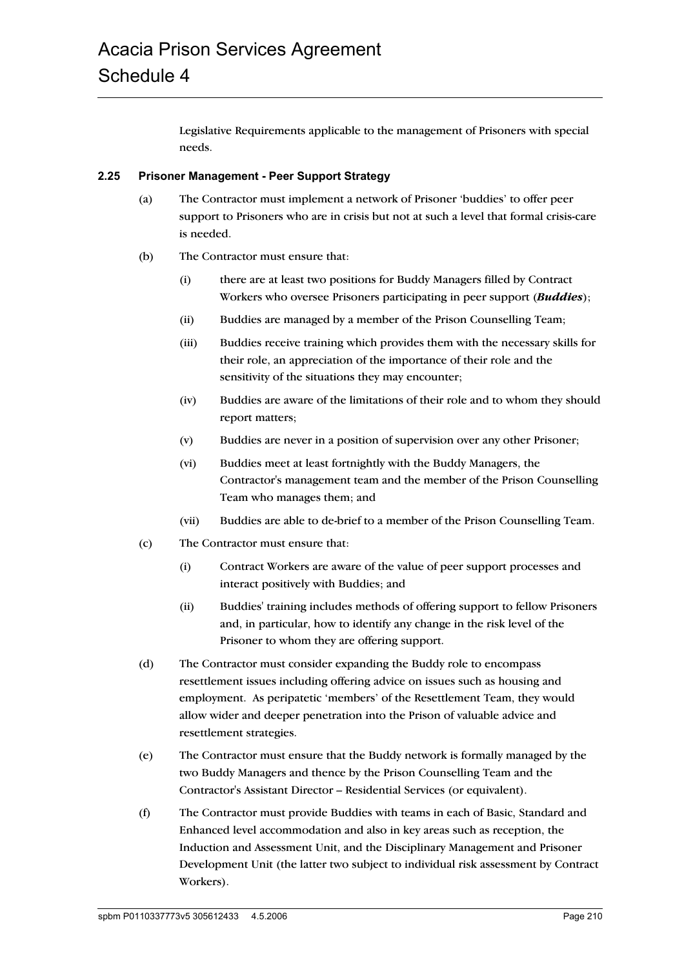Legislative Requirements applicable to the management of Prisoners with special needs.

## **2.25 Prisoner Management - Peer Support Strategy**

- (a) The Contractor must implement a network of Prisoner 'buddies' to offer peer support to Prisoners who are in crisis but not at such a level that formal crisis-care is needed.
- (b) The Contractor must ensure that:
	- (i) there are at least two positions for Buddy Managers filled by Contract Workers who oversee Prisoners participating in peer support (*Buddies*);
	- (ii) Buddies are managed by a member of the Prison Counselling Team;
	- (iii) Buddies receive training which provides them with the necessary skills for their role, an appreciation of the importance of their role and the sensitivity of the situations they may encounter;
	- (iv) Buddies are aware of the limitations of their role and to whom they should report matters;
	- (v) Buddies are never in a position of supervision over any other Prisoner;
	- (vi) Buddies meet at least fortnightly with the Buddy Managers, the Contractor's management team and the member of the Prison Counselling Team who manages them; and
	- (vii) Buddies are able to de-brief to a member of the Prison Counselling Team.
- (c) The Contractor must ensure that:
	- (i) Contract Workers are aware of the value of peer support processes and interact positively with Buddies; and
	- (ii) Buddies' training includes methods of offering support to fellow Prisoners and, in particular, how to identify any change in the risk level of the Prisoner to whom they are offering support.
- (d) The Contractor must consider expanding the Buddy role to encompass resettlement issues including offering advice on issues such as housing and employment. As peripatetic 'members' of the Resettlement Team, they would allow wider and deeper penetration into the Prison of valuable advice and resettlement strategies.
- (e) The Contractor must ensure that the Buddy network is formally managed by the two Buddy Managers and thence by the Prison Counselling Team and the Contractor's Assistant Director – Residential Services (or equivalent).
- (f) The Contractor must provide Buddies with teams in each of Basic, Standard and Enhanced level accommodation and also in key areas such as reception, the Induction and Assessment Unit, and the Disciplinary Management and Prisoner Development Unit (the latter two subject to individual risk assessment by Contract Workers).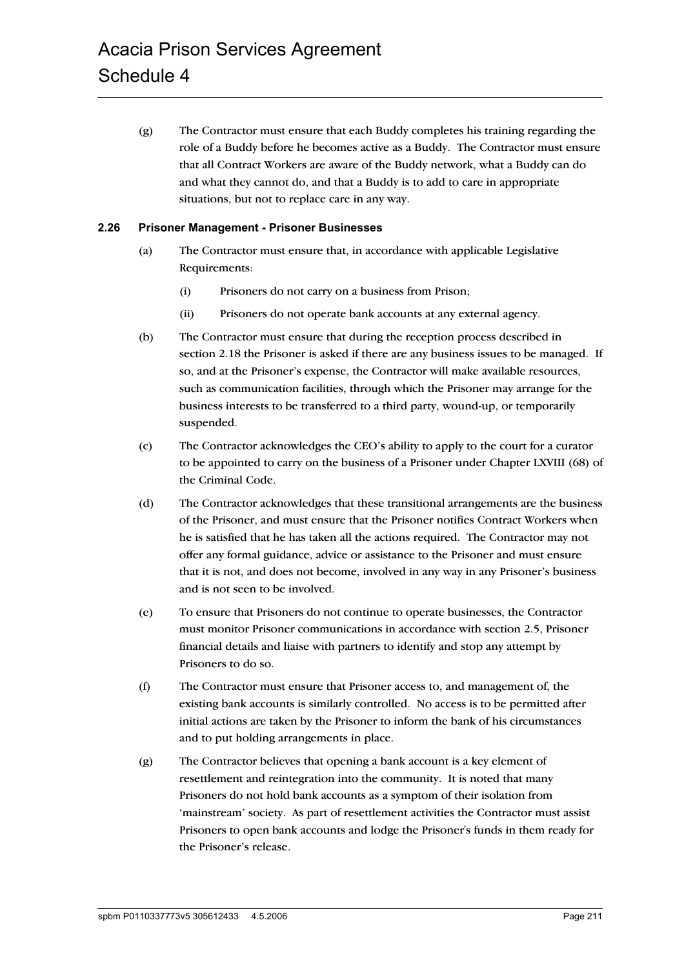(g) The Contractor must ensure that each Buddy completes his training regarding the role of a Buddy before he becomes active as a Buddy. The Contractor must ensure that all Contract Workers are aware of the Buddy network, what a Buddy can do and what they cannot do, and that a Buddy is to add to care in appropriate situations, but not to replace care in any way.

#### **2.26 Prisoner Management - Prisoner Businesses**

- (a) The Contractor must ensure that, in accordance with applicable Legislative Requirements:
	- (i) Prisoners do not carry on a business from Prison;
	- (ii) Prisoners do not operate bank accounts at any external agency.
- (b) The Contractor must ensure that during the reception process described in section 2.18 the Prisoner is asked if there are any business issues to be managed. If so, and at the Prisoner's expense, the Contractor will make available resources, such as communication facilities, through which the Prisoner may arrange for the business interests to be transferred to a third party, wound-up, or temporarily suspended.
- (c) The Contractor acknowledges the CEO's ability to apply to the court for a curator to be appointed to carry on the business of a Prisoner under Chapter LXVIII (68) of the Criminal Code.
- (d) The Contractor acknowledges that these transitional arrangements are the business of the Prisoner, and must ensure that the Prisoner notifies Contract Workers when he is satisfied that he has taken all the actions required. The Contractor may not offer any formal guidance, advice or assistance to the Prisoner and must ensure that it is not, and does not become, involved in any way in any Prisoner's business and is not seen to be involved.
- (e) To ensure that Prisoners do not continue to operate businesses, the Contractor must monitor Prisoner communications in accordance with section 2.5, Prisoner financial details and liaise with partners to identify and stop any attempt by Prisoners to do so.
- (f) The Contractor must ensure that Prisoner access to, and management of, the existing bank accounts is similarly controlled. No access is to be permitted after initial actions are taken by the Prisoner to inform the bank of his circumstances and to put holding arrangements in place.
- (g) The Contractor believes that opening a bank account is a key element of resettlement and reintegration into the community. It is noted that many Prisoners do not hold bank accounts as a symptom of their isolation from 'mainstream' society. As part of resettlement activities the Contractor must assist Prisoners to open bank accounts and lodge the Prisoner's funds in them ready for the Prisoner's release.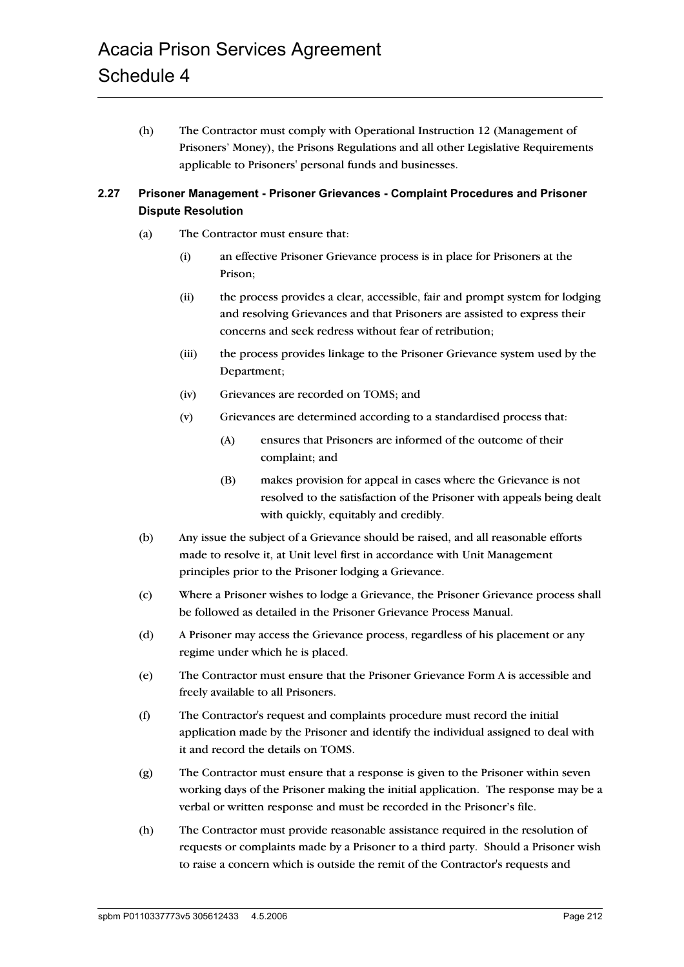(h) The Contractor must comply with Operational Instruction 12 (Management of Prisoners' Money), the Prisons Regulations and all other Legislative Requirements applicable to Prisoners' personal funds and businesses.

# **2.27 Prisoner Management - Prisoner Grievances - Complaint Procedures and Prisoner Dispute Resolution**

- (a) The Contractor must ensure that:
	- (i) an effective Prisoner Grievance process is in place for Prisoners at the Prison;
	- (ii) the process provides a clear, accessible, fair and prompt system for lodging and resolving Grievances and that Prisoners are assisted to express their concerns and seek redress without fear of retribution;
	- (iii) the process provides linkage to the Prisoner Grievance system used by the Department;
	- (iv) Grievances are recorded on TOMS; and
	- (v) Grievances are determined according to a standardised process that:
		- (A) ensures that Prisoners are informed of the outcome of their complaint; and
		- (B) makes provision for appeal in cases where the Grievance is not resolved to the satisfaction of the Prisoner with appeals being dealt with quickly, equitably and credibly.
- (b) Any issue the subject of a Grievance should be raised, and all reasonable efforts made to resolve it, at Unit level first in accordance with Unit Management principles prior to the Prisoner lodging a Grievance.
- (c) Where a Prisoner wishes to lodge a Grievance, the Prisoner Grievance process shall be followed as detailed in the Prisoner Grievance Process Manual.
- (d) A Prisoner may access the Grievance process, regardless of his placement or any regime under which he is placed.
- (e) The Contractor must ensure that the Prisoner Grievance Form A is accessible and freely available to all Prisoners.
- (f) The Contractor's request and complaints procedure must record the initial application made by the Prisoner and identify the individual assigned to deal with it and record the details on TOMS.
- (g) The Contractor must ensure that a response is given to the Prisoner within seven working days of the Prisoner making the initial application. The response may be a verbal or written response and must be recorded in the Prisoner's file.
- (h) The Contractor must provide reasonable assistance required in the resolution of requests or complaints made by a Prisoner to a third party. Should a Prisoner wish to raise a concern which is outside the remit of the Contractor's requests and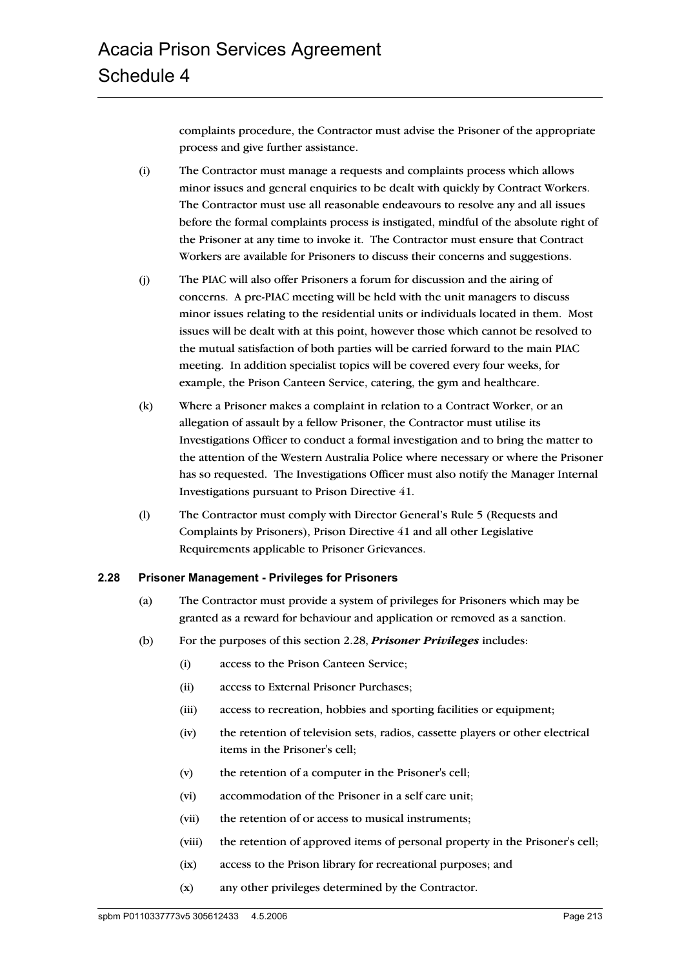complaints procedure, the Contractor must advise the Prisoner of the appropriate process and give further assistance.

- (i) The Contractor must manage a requests and complaints process which allows minor issues and general enquiries to be dealt with quickly by Contract Workers. The Contractor must use all reasonable endeavours to resolve any and all issues before the formal complaints process is instigated, mindful of the absolute right of the Prisoner at any time to invoke it. The Contractor must ensure that Contract Workers are available for Prisoners to discuss their concerns and suggestions.
- (j) The PIAC will also offer Prisoners a forum for discussion and the airing of concerns. A pre-PIAC meeting will be held with the unit managers to discuss minor issues relating to the residential units or individuals located in them. Most issues will be dealt with at this point, however those which cannot be resolved to the mutual satisfaction of both parties will be carried forward to the main PIAC meeting. In addition specialist topics will be covered every four weeks, for example, the Prison Canteen Service, catering, the gym and healthcare.
- (k) Where a Prisoner makes a complaint in relation to a Contract Worker, or an allegation of assault by a fellow Prisoner, the Contractor must utilise its Investigations Officer to conduct a formal investigation and to bring the matter to the attention of the Western Australia Police where necessary or where the Prisoner has so requested. The Investigations Officer must also notify the Manager Internal Investigations pursuant to Prison Directive 41.
- (l) The Contractor must comply with Director General's Rule 5 (Requests and Complaints by Prisoners), Prison Directive 41 and all other Legislative Requirements applicable to Prisoner Grievances.

#### **2.28 Prisoner Management - Privileges for Prisoners**

- (a) The Contractor must provide a system of privileges for Prisoners which may be granted as a reward for behaviour and application or removed as a sanction.
- (b) For the purposes of this section 2.28, *Prisoner Privileges* includes:
	- (i) access to the Prison Canteen Service;
	- (ii) access to External Prisoner Purchases;
	- (iii) access to recreation, hobbies and sporting facilities or equipment;
	- (iv) the retention of television sets, radios, cassette players or other electrical items in the Prisoner's cell;
	- (v) the retention of a computer in the Prisoner's cell;
	- (vi) accommodation of the Prisoner in a self care unit;
	- (vii) the retention of or access to musical instruments;
	- (viii) the retention of approved items of personal property in the Prisoner's cell;
	- (ix) access to the Prison library for recreational purposes; and
	- (x) any other privileges determined by the Contractor.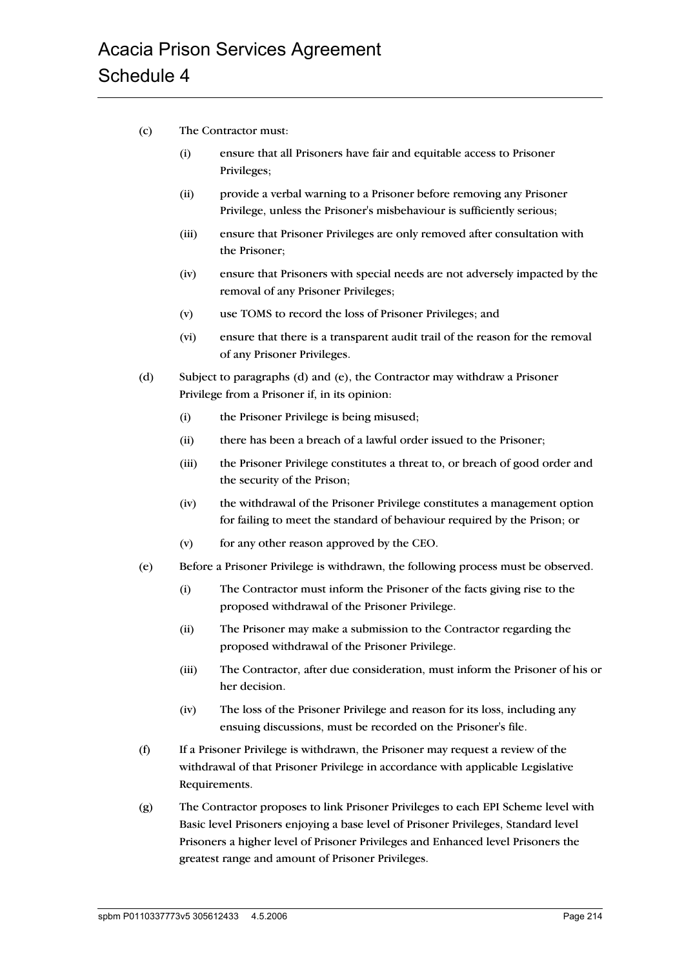- (c) The Contractor must:
	- (i) ensure that all Prisoners have fair and equitable access to Prisoner Privileges;
	- (ii) provide a verbal warning to a Prisoner before removing any Prisoner Privilege, unless the Prisoner's misbehaviour is sufficiently serious;
	- (iii) ensure that Prisoner Privileges are only removed after consultation with the Prisoner;
	- (iv) ensure that Prisoners with special needs are not adversely impacted by the removal of any Prisoner Privileges;
	- (v) use TOMS to record the loss of Prisoner Privileges; and
	- (vi) ensure that there is a transparent audit trail of the reason for the removal of any Prisoner Privileges.
- (d) Subject to paragraphs (d) and (e), the Contractor may withdraw a Prisoner Privilege from a Prisoner if, in its opinion:
	- (i) the Prisoner Privilege is being misused;
	- (ii) there has been a breach of a lawful order issued to the Prisoner;
	- (iii) the Prisoner Privilege constitutes a threat to, or breach of good order and the security of the Prison;
	- (iv) the withdrawal of the Prisoner Privilege constitutes a management option for failing to meet the standard of behaviour required by the Prison; or
	- (v) for any other reason approved by the CEO.
- (e) Before a Prisoner Privilege is withdrawn, the following process must be observed.
	- (i) The Contractor must inform the Prisoner of the facts giving rise to the proposed withdrawal of the Prisoner Privilege.
	- (ii) The Prisoner may make a submission to the Contractor regarding the proposed withdrawal of the Prisoner Privilege.
	- (iii) The Contractor, after due consideration, must inform the Prisoner of his or her decision.
	- (iv) The loss of the Prisoner Privilege and reason for its loss, including any ensuing discussions, must be recorded on the Prisoner's file.
- (f) If a Prisoner Privilege is withdrawn, the Prisoner may request a review of the withdrawal of that Prisoner Privilege in accordance with applicable Legislative Requirements.
- (g) The Contractor proposes to link Prisoner Privileges to each EPI Scheme level with Basic level Prisoners enjoying a base level of Prisoner Privileges, Standard level Prisoners a higher level of Prisoner Privileges and Enhanced level Prisoners the greatest range and amount of Prisoner Privileges.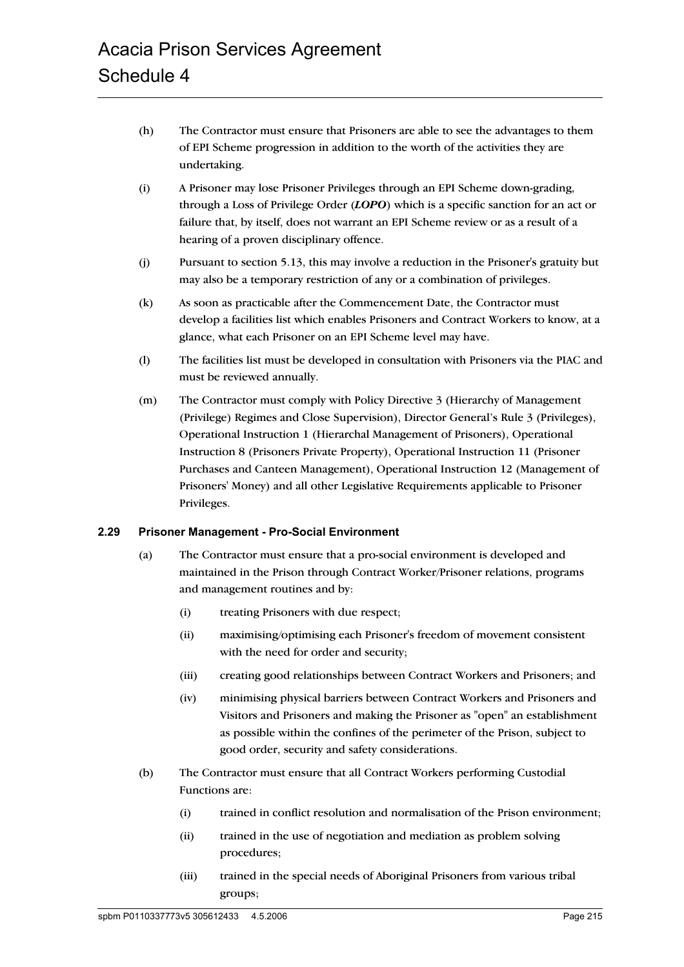- (h) The Contractor must ensure that Prisoners are able to see the advantages to them of EPI Scheme progression in addition to the worth of the activities they are undertaking.
- (i) A Prisoner may lose Prisoner Privileges through an EPI Scheme down-grading, through a Loss of Privilege Order (*LOPO*) which is a specific sanction for an act or failure that, by itself, does not warrant an EPI Scheme review or as a result of a hearing of a proven disciplinary offence.
- (j) Pursuant to section 5.13, this may involve a reduction in the Prisoner's gratuity but may also be a temporary restriction of any or a combination of privileges.
- (k) As soon as practicable after the Commencement Date, the Contractor must develop a facilities list which enables Prisoners and Contract Workers to know, at a glance, what each Prisoner on an EPI Scheme level may have.
- (l) The facilities list must be developed in consultation with Prisoners via the PIAC and must be reviewed annually.
- (m) The Contractor must comply with Policy Directive 3 (Hierarchy of Management (Privilege) Regimes and Close Supervision), Director General's Rule 3 (Privileges), Operational Instruction 1 (Hierarchal Management of Prisoners), Operational Instruction 8 (Prisoners Private Property), Operational Instruction 11 (Prisoner Purchases and Canteen Management), Operational Instruction 12 (Management of Prisoners' Money) and all other Legislative Requirements applicable to Prisoner Privileges.

#### **2.29 Prisoner Management - Pro-Social Environment**

- (a) The Contractor must ensure that a pro-social environment is developed and maintained in the Prison through Contract Worker/Prisoner relations, programs and management routines and by:
	- (i) treating Prisoners with due respect;
	- (ii) maximising/optimising each Prisoner's freedom of movement consistent with the need for order and security;
	- (iii) creating good relationships between Contract Workers and Prisoners; and
	- (iv) minimising physical barriers between Contract Workers and Prisoners and Visitors and Prisoners and making the Prisoner as "open" an establishment as possible within the confines of the perimeter of the Prison, subject to good order, security and safety considerations.
- (b) The Contractor must ensure that all Contract Workers performing Custodial Functions are:
	- (i) trained in conflict resolution and normalisation of the Prison environment;
	- (ii) trained in the use of negotiation and mediation as problem solving procedures;
	- (iii) trained in the special needs of Aboriginal Prisoners from various tribal groups;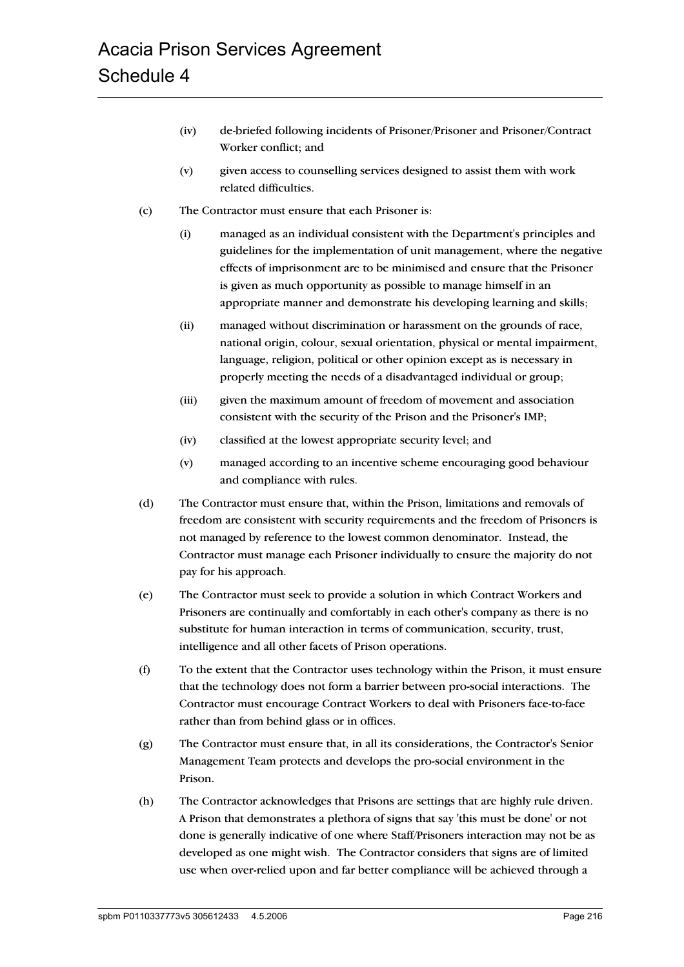- (iv) de-briefed following incidents of Prisoner/Prisoner and Prisoner/Contract Worker conflict; and
- (v) given access to counselling services designed to assist them with work related difficulties.
- (c) The Contractor must ensure that each Prisoner is:
	- (i) managed as an individual consistent with the Department's principles and guidelines for the implementation of unit management, where the negative effects of imprisonment are to be minimised and ensure that the Prisoner is given as much opportunity as possible to manage himself in an appropriate manner and demonstrate his developing learning and skills;
	- (ii) managed without discrimination or harassment on the grounds of race, national origin, colour, sexual orientation, physical or mental impairment, language, religion, political or other opinion except as is necessary in properly meeting the needs of a disadvantaged individual or group;
	- (iii) given the maximum amount of freedom of movement and association consistent with the security of the Prison and the Prisoner's IMP;
	- (iv) classified at the lowest appropriate security level; and
	- (v) managed according to an incentive scheme encouraging good behaviour and compliance with rules.
- (d) The Contractor must ensure that, within the Prison, limitations and removals of freedom are consistent with security requirements and the freedom of Prisoners is not managed by reference to the lowest common denominator. Instead, the Contractor must manage each Prisoner individually to ensure the majority do not pay for his approach.
- (e) The Contractor must seek to provide a solution in which Contract Workers and Prisoners are continually and comfortably in each other's company as there is no substitute for human interaction in terms of communication, security, trust, intelligence and all other facets of Prison operations.
- (f) To the extent that the Contractor uses technology within the Prison, it must ensure that the technology does not form a barrier between pro-social interactions. The Contractor must encourage Contract Workers to deal with Prisoners face-to-face rather than from behind glass or in offices.
- (g) The Contractor must ensure that, in all its considerations, the Contractor's Senior Management Team protects and develops the pro-social environment in the Prison.
- (h) The Contractor acknowledges that Prisons are settings that are highly rule driven. A Prison that demonstrates a plethora of signs that say 'this must be done' or not done is generally indicative of one where Staff/Prisoners interaction may not be as developed as one might wish. The Contractor considers that signs are of limited use when over-relied upon and far better compliance will be achieved through a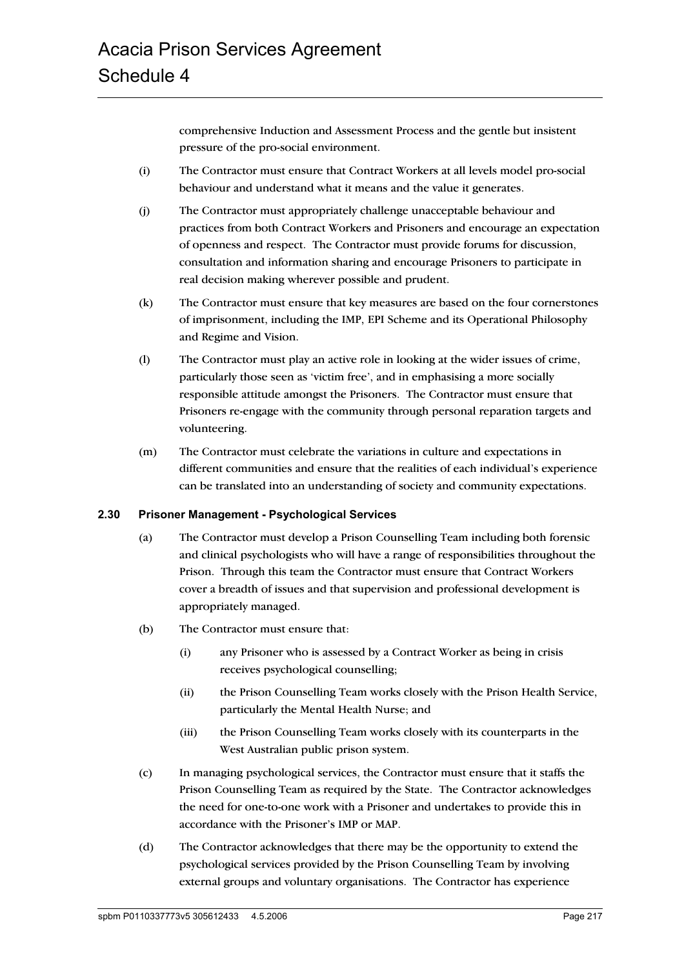comprehensive Induction and Assessment Process and the gentle but insistent pressure of the pro-social environment.

- (i) The Contractor must ensure that Contract Workers at all levels model pro-social behaviour and understand what it means and the value it generates.
- (j) The Contractor must appropriately challenge unacceptable behaviour and practices from both Contract Workers and Prisoners and encourage an expectation of openness and respect. The Contractor must provide forums for discussion, consultation and information sharing and encourage Prisoners to participate in real decision making wherever possible and prudent.
- (k) The Contractor must ensure that key measures are based on the four cornerstones of imprisonment, including the IMP, EPI Scheme and its Operational Philosophy and Regime and Vision.
- (l) The Contractor must play an active role in looking at the wider issues of crime, particularly those seen as 'victim free', and in emphasising a more socially responsible attitude amongst the Prisoners. The Contractor must ensure that Prisoners re-engage with the community through personal reparation targets and volunteering.
- (m) The Contractor must celebrate the variations in culture and expectations in different communities and ensure that the realities of each individual's experience can be translated into an understanding of society and community expectations.

#### **2.30 Prisoner Management - Psychological Services**

- (a) The Contractor must develop a Prison Counselling Team including both forensic and clinical psychologists who will have a range of responsibilities throughout the Prison. Through this team the Contractor must ensure that Contract Workers cover a breadth of issues and that supervision and professional development is appropriately managed.
- (b) The Contractor must ensure that:
	- (i) any Prisoner who is assessed by a Contract Worker as being in crisis receives psychological counselling;
	- (ii) the Prison Counselling Team works closely with the Prison Health Service, particularly the Mental Health Nurse; and
	- (iii) the Prison Counselling Team works closely with its counterparts in the West Australian public prison system.
- (c) In managing psychological services, the Contractor must ensure that it staffs the Prison Counselling Team as required by the State. The Contractor acknowledges the need for one-to-one work with a Prisoner and undertakes to provide this in accordance with the Prisoner's IMP or MAP.
- (d) The Contractor acknowledges that there may be the opportunity to extend the psychological services provided by the Prison Counselling Team by involving external groups and voluntary organisations. The Contractor has experience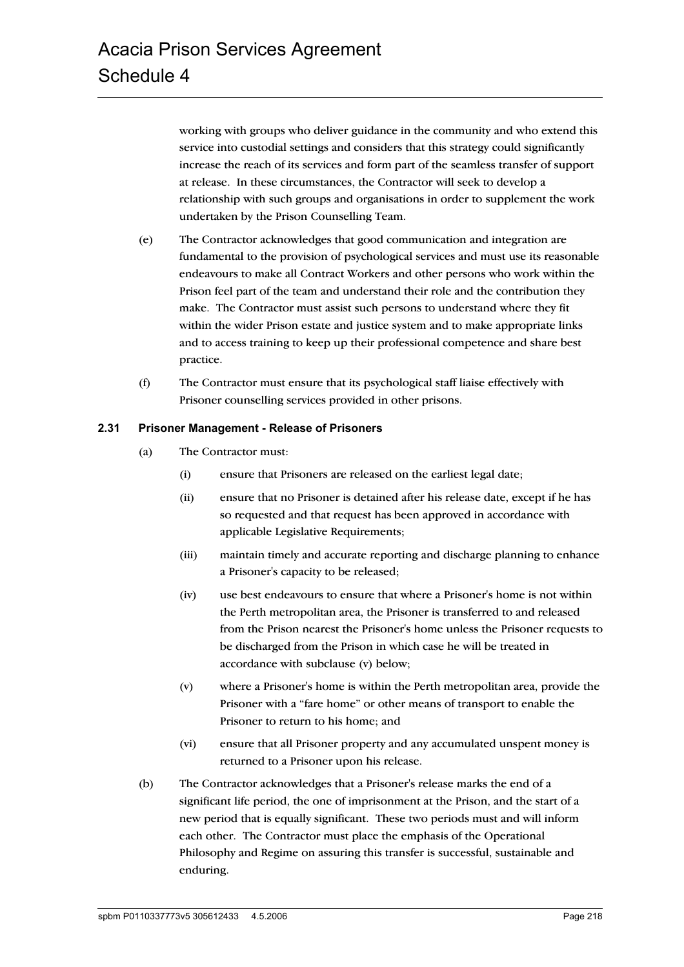working with groups who deliver guidance in the community and who extend this service into custodial settings and considers that this strategy could significantly increase the reach of its services and form part of the seamless transfer of support at release. In these circumstances, the Contractor will seek to develop a relationship with such groups and organisations in order to supplement the work undertaken by the Prison Counselling Team.

- (e) The Contractor acknowledges that good communication and integration are fundamental to the provision of psychological services and must use its reasonable endeavours to make all Contract Workers and other persons who work within the Prison feel part of the team and understand their role and the contribution they make. The Contractor must assist such persons to understand where they fit within the wider Prison estate and justice system and to make appropriate links and to access training to keep up their professional competence and share best practice.
- (f) The Contractor must ensure that its psychological staff liaise effectively with Prisoner counselling services provided in other prisons.

#### **2.31 Prisoner Management - Release of Prisoners**

- (a) The Contractor must:
	- (i) ensure that Prisoners are released on the earliest legal date;
	- (ii) ensure that no Prisoner is detained after his release date, except if he has so requested and that request has been approved in accordance with applicable Legislative Requirements;
	- (iii) maintain timely and accurate reporting and discharge planning to enhance a Prisoner's capacity to be released;
	- (iv) use best endeavours to ensure that where a Prisoner's home is not within the Perth metropolitan area, the Prisoner is transferred to and released from the Prison nearest the Prisoner's home unless the Prisoner requests to be discharged from the Prison in which case he will be treated in accordance with subclause (v) below;
	- (v) where a Prisoner's home is within the Perth metropolitan area, provide the Prisoner with a "fare home" or other means of transport to enable the Prisoner to return to his home; and
	- (vi) ensure that all Prisoner property and any accumulated unspent money is returned to a Prisoner upon his release.
- (b) The Contractor acknowledges that a Prisoner's release marks the end of a significant life period, the one of imprisonment at the Prison, and the start of a new period that is equally significant. These two periods must and will inform each other. The Contractor must place the emphasis of the Operational Philosophy and Regime on assuring this transfer is successful, sustainable and enduring.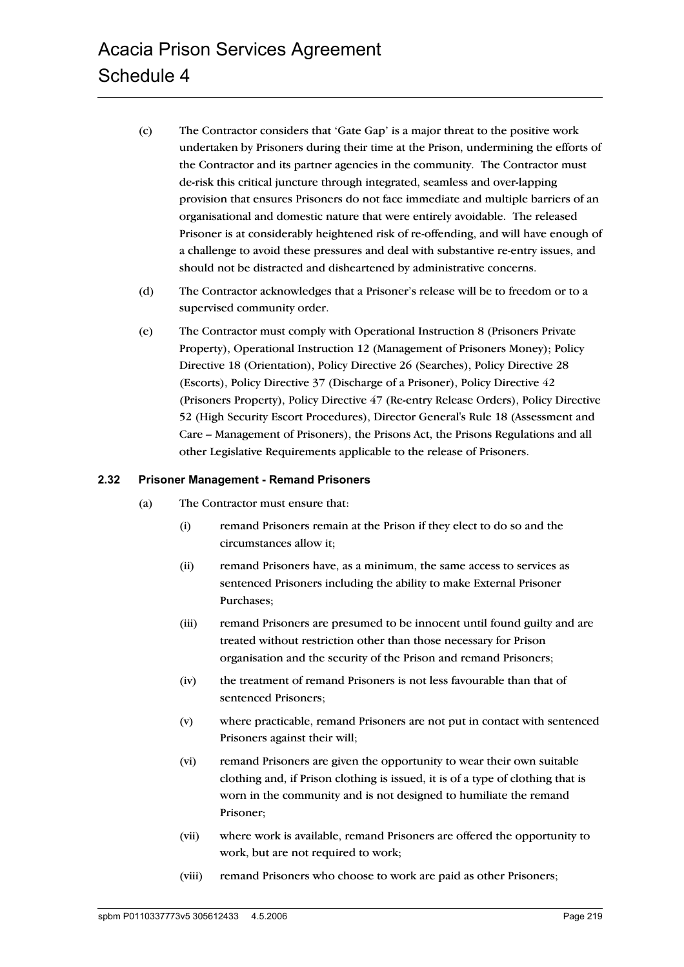- (c) The Contractor considers that 'Gate Gap' is a major threat to the positive work undertaken by Prisoners during their time at the Prison, undermining the efforts of the Contractor and its partner agencies in the community. The Contractor must de-risk this critical juncture through integrated, seamless and over-lapping provision that ensures Prisoners do not face immediate and multiple barriers of an organisational and domestic nature that were entirely avoidable. The released Prisoner is at considerably heightened risk of re-offending, and will have enough of a challenge to avoid these pressures and deal with substantive re-entry issues, and should not be distracted and disheartened by administrative concerns.
- (d) The Contractor acknowledges that a Prisoner's release will be to freedom or to a supervised community order.
- (e) The Contractor must comply with Operational Instruction 8 (Prisoners Private Property), Operational Instruction 12 (Management of Prisoners Money); Policy Directive 18 (Orientation), Policy Directive 26 (Searches), Policy Directive 28 (Escorts), Policy Directive 37 (Discharge of a Prisoner), Policy Directive 42 (Prisoners Property), Policy Directive 47 (Re-entry Release Orders), Policy Directive 52 (High Security Escort Procedures), Director General's Rule 18 (Assessment and Care – Management of Prisoners), the Prisons Act, the Prisons Regulations and all other Legislative Requirements applicable to the release of Prisoners.

## **2.32 Prisoner Management - Remand Prisoners**

- (a) The Contractor must ensure that:
	- (i) remand Prisoners remain at the Prison if they elect to do so and the circumstances allow it;
	- (ii) remand Prisoners have, as a minimum, the same access to services as sentenced Prisoners including the ability to make External Prisoner Purchases;
	- (iii) remand Prisoners are presumed to be innocent until found guilty and are treated without restriction other than those necessary for Prison organisation and the security of the Prison and remand Prisoners;
	- (iv) the treatment of remand Prisoners is not less favourable than that of sentenced Prisoners;
	- (v) where practicable, remand Prisoners are not put in contact with sentenced Prisoners against their will;
	- (vi) remand Prisoners are given the opportunity to wear their own suitable clothing and, if Prison clothing is issued, it is of a type of clothing that is worn in the community and is not designed to humiliate the remand Prisoner;
	- (vii) where work is available, remand Prisoners are offered the opportunity to work, but are not required to work;
	- (viii) remand Prisoners who choose to work are paid as other Prisoners;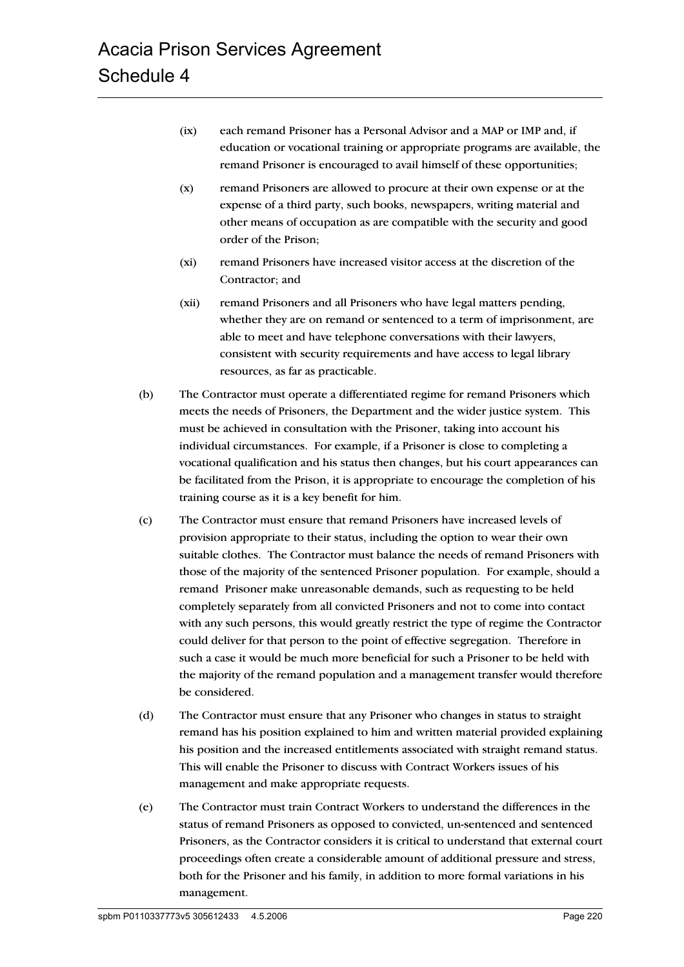- (ix) each remand Prisoner has a Personal Advisor and a MAP or IMP and, if education or vocational training or appropriate programs are available, the remand Prisoner is encouraged to avail himself of these opportunities;
- (x) remand Prisoners are allowed to procure at their own expense or at the expense of a third party, such books, newspapers, writing material and other means of occupation as are compatible with the security and good order of the Prison;
- (xi) remand Prisoners have increased visitor access at the discretion of the Contractor; and
- (xii) remand Prisoners and all Prisoners who have legal matters pending, whether they are on remand or sentenced to a term of imprisonment, are able to meet and have telephone conversations with their lawyers, consistent with security requirements and have access to legal library resources, as far as practicable.
- (b) The Contractor must operate a differentiated regime for remand Prisoners which meets the needs of Prisoners, the Department and the wider justice system. This must be achieved in consultation with the Prisoner, taking into account his individual circumstances. For example, if a Prisoner is close to completing a vocational qualification and his status then changes, but his court appearances can be facilitated from the Prison, it is appropriate to encourage the completion of his training course as it is a key benefit for him.
- (c) The Contractor must ensure that remand Prisoners have increased levels of provision appropriate to their status, including the option to wear their own suitable clothes. The Contractor must balance the needs of remand Prisoners with those of the majority of the sentenced Prisoner population. For example, should a remand Prisoner make unreasonable demands, such as requesting to be held completely separately from all convicted Prisoners and not to come into contact with any such persons, this would greatly restrict the type of regime the Contractor could deliver for that person to the point of effective segregation. Therefore in such a case it would be much more beneficial for such a Prisoner to be held with the majority of the remand population and a management transfer would therefore be considered.
- (d) The Contractor must ensure that any Prisoner who changes in status to straight remand has his position explained to him and written material provided explaining his position and the increased entitlements associated with straight remand status. This will enable the Prisoner to discuss with Contract Workers issues of his management and make appropriate requests.
- (e) The Contractor must train Contract Workers to understand the differences in the status of remand Prisoners as opposed to convicted, un-sentenced and sentenced Prisoners, as the Contractor considers it is critical to understand that external court proceedings often create a considerable amount of additional pressure and stress, both for the Prisoner and his family, in addition to more formal variations in his management.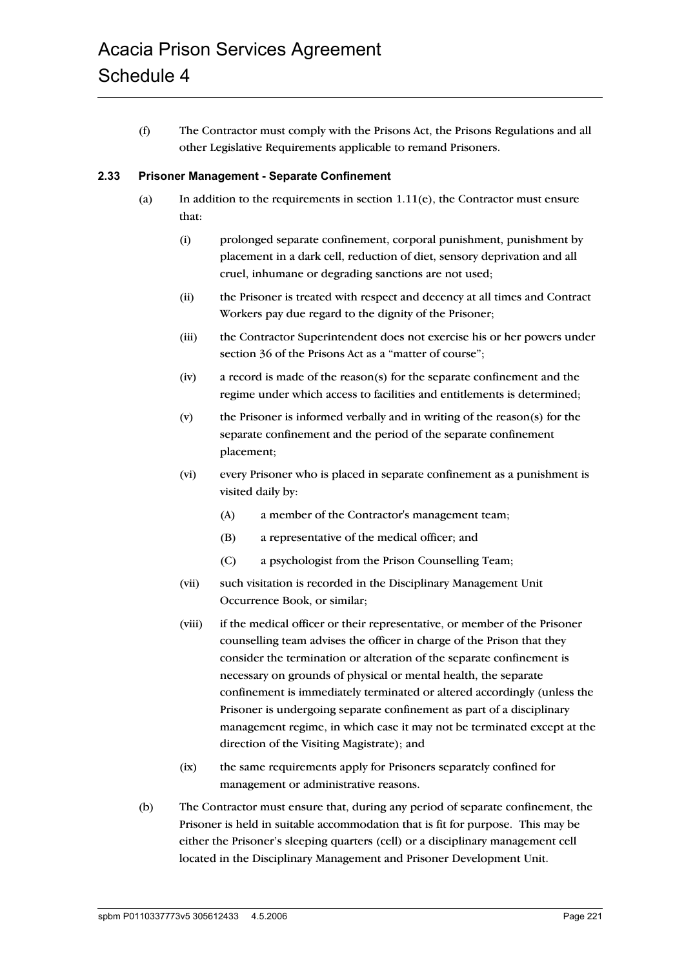(f) The Contractor must comply with the Prisons Act, the Prisons Regulations and all other Legislative Requirements applicable to remand Prisoners.

#### **2.33 Prisoner Management - Separate Confinement**

- (a) In addition to the requirements in section  $1.11(e)$ , the Contractor must ensure that:
	- (i) prolonged separate confinement, corporal punishment, punishment by placement in a dark cell, reduction of diet, sensory deprivation and all cruel, inhumane or degrading sanctions are not used;
	- (ii) the Prisoner is treated with respect and decency at all times and Contract Workers pay due regard to the dignity of the Prisoner;
	- (iii) the Contractor Superintendent does not exercise his or her powers under section 36 of the Prisons Act as a "matter of course";
	- (iv) a record is made of the reason(s) for the separate confinement and the regime under which access to facilities and entitlements is determined;
	- (v) the Prisoner is informed verbally and in writing of the reason(s) for the separate confinement and the period of the separate confinement placement;
	- (vi) every Prisoner who is placed in separate confinement as a punishment is visited daily by:
		- (A) a member of the Contractor's management team;
		- (B) a representative of the medical officer; and
		- (C) a psychologist from the Prison Counselling Team;
	- (vii) such visitation is recorded in the Disciplinary Management Unit Occurrence Book, or similar;
	- (viii) if the medical officer or their representative, or member of the Prisoner counselling team advises the officer in charge of the Prison that they consider the termination or alteration of the separate confinement is necessary on grounds of physical or mental health, the separate confinement is immediately terminated or altered accordingly (unless the Prisoner is undergoing separate confinement as part of a disciplinary management regime, in which case it may not be terminated except at the direction of the Visiting Magistrate); and
	- (ix) the same requirements apply for Prisoners separately confined for management or administrative reasons.
- (b) The Contractor must ensure that, during any period of separate confinement, the Prisoner is held in suitable accommodation that is fit for purpose. This may be either the Prisoner's sleeping quarters (cell) or a disciplinary management cell located in the Disciplinary Management and Prisoner Development Unit.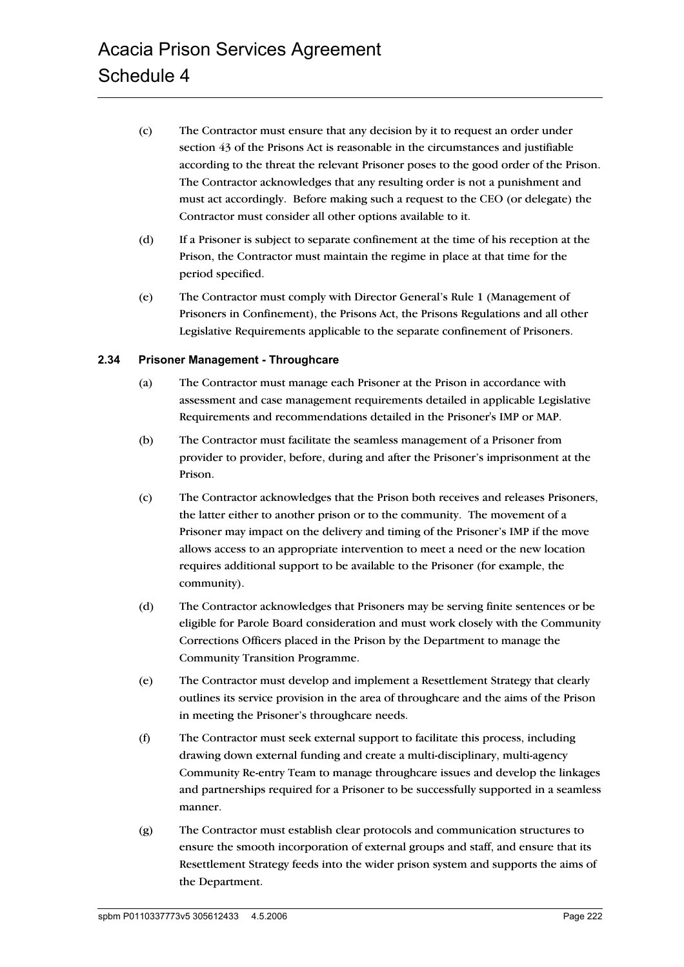- (c) The Contractor must ensure that any decision by it to request an order under section 43 of the Prisons Act is reasonable in the circumstances and justifiable according to the threat the relevant Prisoner poses to the good order of the Prison. The Contractor acknowledges that any resulting order is not a punishment and must act accordingly. Before making such a request to the CEO (or delegate) the Contractor must consider all other options available to it.
- (d) If a Prisoner is subject to separate confinement at the time of his reception at the Prison, the Contractor must maintain the regime in place at that time for the period specified.
- (e) The Contractor must comply with Director General's Rule 1 (Management of Prisoners in Confinement), the Prisons Act, the Prisons Regulations and all other Legislative Requirements applicable to the separate confinement of Prisoners.

# **2.34 Prisoner Management - Throughcare**

- (a) The Contractor must manage each Prisoner at the Prison in accordance with assessment and case management requirements detailed in applicable Legislative Requirements and recommendations detailed in the Prisoner's IMP or MAP.
- (b) The Contractor must facilitate the seamless management of a Prisoner from provider to provider, before, during and after the Prisoner's imprisonment at the Prison.
- (c) The Contractor acknowledges that the Prison both receives and releases Prisoners, the latter either to another prison or to the community. The movement of a Prisoner may impact on the delivery and timing of the Prisoner's IMP if the move allows access to an appropriate intervention to meet a need or the new location requires additional support to be available to the Prisoner (for example, the community).
- (d) The Contractor acknowledges that Prisoners may be serving finite sentences or be eligible for Parole Board consideration and must work closely with the Community Corrections Officers placed in the Prison by the Department to manage the Community Transition Programme.
- (e) The Contractor must develop and implement a Resettlement Strategy that clearly outlines its service provision in the area of throughcare and the aims of the Prison in meeting the Prisoner's throughcare needs.
- (f) The Contractor must seek external support to facilitate this process, including drawing down external funding and create a multi-disciplinary, multi-agency Community Re-entry Team to manage throughcare issues and develop the linkages and partnerships required for a Prisoner to be successfully supported in a seamless manner.
- (g) The Contractor must establish clear protocols and communication structures to ensure the smooth incorporation of external groups and staff, and ensure that its Resettlement Strategy feeds into the wider prison system and supports the aims of the Department.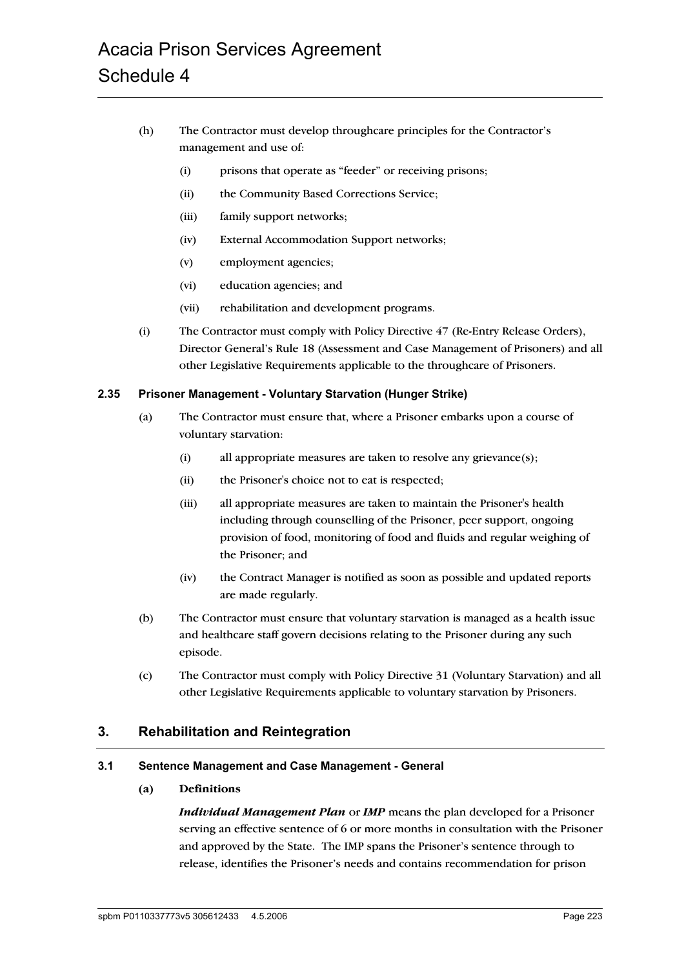# Acacia Prison Services Agreement Schedule 4

- (h) The Contractor must develop throughcare principles for the Contractor's management and use of:
	- (i) prisons that operate as "feeder" or receiving prisons;
	- (ii) the Community Based Corrections Service;
	- (iii) family support networks;
	- (iv) External Accommodation Support networks;
	- (v) employment agencies;
	- (vi) education agencies; and
	- (vii) rehabilitation and development programs.
- (i) The Contractor must comply with Policy Directive 47 (Re-Entry Release Orders), Director General's Rule 18 (Assessment and Case Management of Prisoners) and all other Legislative Requirements applicable to the throughcare of Prisoners.

#### **2.35 Prisoner Management - Voluntary Starvation (Hunger Strike)**

- (a) The Contractor must ensure that, where a Prisoner embarks upon a course of voluntary starvation:
	- (i) all appropriate measures are taken to resolve any grievance(s);
	- (ii) the Prisoner's choice not to eat is respected;
	- (iii) all appropriate measures are taken to maintain the Prisoner's health including through counselling of the Prisoner, peer support, ongoing provision of food, monitoring of food and fluids and regular weighing of the Prisoner; and
	- (iv) the Contract Manager is notified as soon as possible and updated reports are made regularly.
- (b) The Contractor must ensure that voluntary starvation is managed as a health issue and healthcare staff govern decisions relating to the Prisoner during any such episode.
- (c) The Contractor must comply with Policy Directive 31 (Voluntary Starvation) and all other Legislative Requirements applicable to voluntary starvation by Prisoners.

# **3. Rehabilitation and Reintegration**

#### **3.1 Sentence Management and Case Management - General**

#### **(a) Definitions**

*Individual Management Plan* or *IMP* means the plan developed for a Prisoner serving an effective sentence of 6 or more months in consultation with the Prisoner and approved by the State. The IMP spans the Prisoner's sentence through to release, identifies the Prisoner's needs and contains recommendation for prison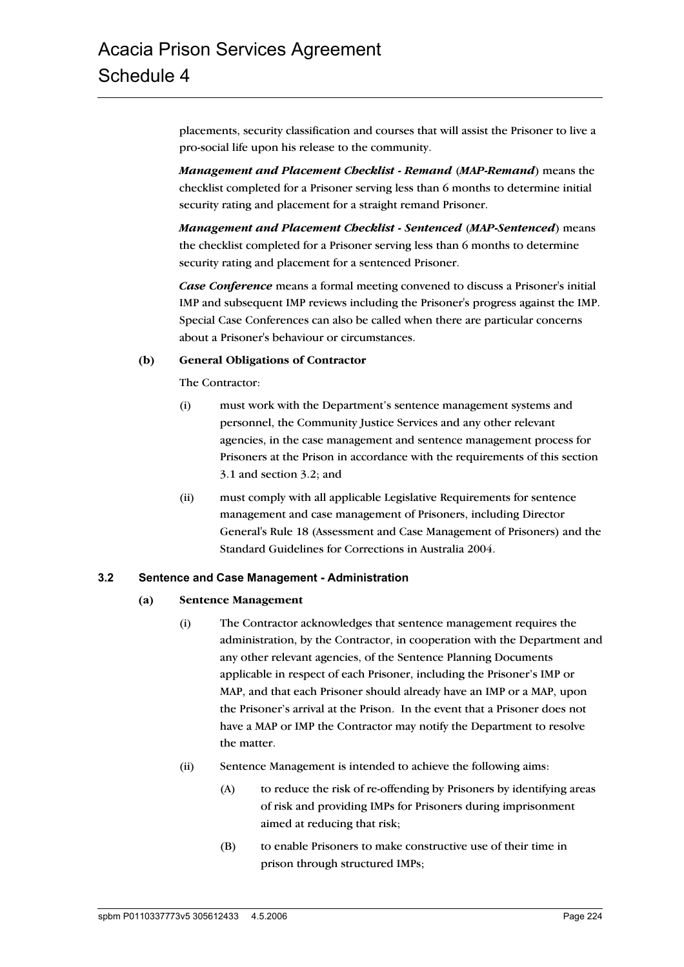placements, security classification and courses that will assist the Prisoner to live a pro-social life upon his release to the community.

*Management and Placement Checklist - Remand* (*MAP-Remand*) means the checklist completed for a Prisoner serving less than 6 months to determine initial security rating and placement for a straight remand Prisoner.

*Management and Placement Checklist - Sentenced* (*MAP-Sentenced*) means the checklist completed for a Prisoner serving less than 6 months to determine security rating and placement for a sentenced Prisoner.

*Case Conference* means a formal meeting convened to discuss a Prisoner's initial IMP and subsequent IMP reviews including the Prisoner's progress against the IMP. Special Case Conferences can also be called when there are particular concerns about a Prisoner's behaviour or circumstances.

#### **(b) General Obligations of Contractor**

The Contractor:

- (i) must work with the Department's sentence management systems and personnel, the Community Justice Services and any other relevant agencies, in the case management and sentence management process for Prisoners at the Prison in accordance with the requirements of this section 3.1 and section 3.2; and
- (ii) must comply with all applicable Legislative Requirements for sentence management and case management of Prisoners, including Director General's Rule 18 (Assessment and Case Management of Prisoners) and the Standard Guidelines for Corrections in Australia 2004.

#### **3.2 Sentence and Case Management - Administration**

#### **(a) Sentence Management**

- (i) The Contractor acknowledges that sentence management requires the administration, by the Contractor, in cooperation with the Department and any other relevant agencies, of the Sentence Planning Documents applicable in respect of each Prisoner, including the Prisoner's IMP or MAP, and that each Prisoner should already have an IMP or a MAP, upon the Prisoner's arrival at the Prison. In the event that a Prisoner does not have a MAP or IMP the Contractor may notify the Department to resolve the matter.
- (ii) Sentence Management is intended to achieve the following aims:
	- (A) to reduce the risk of re-offending by Prisoners by identifying areas of risk and providing IMPs for Prisoners during imprisonment aimed at reducing that risk;
	- (B) to enable Prisoners to make constructive use of their time in prison through structured IMPs;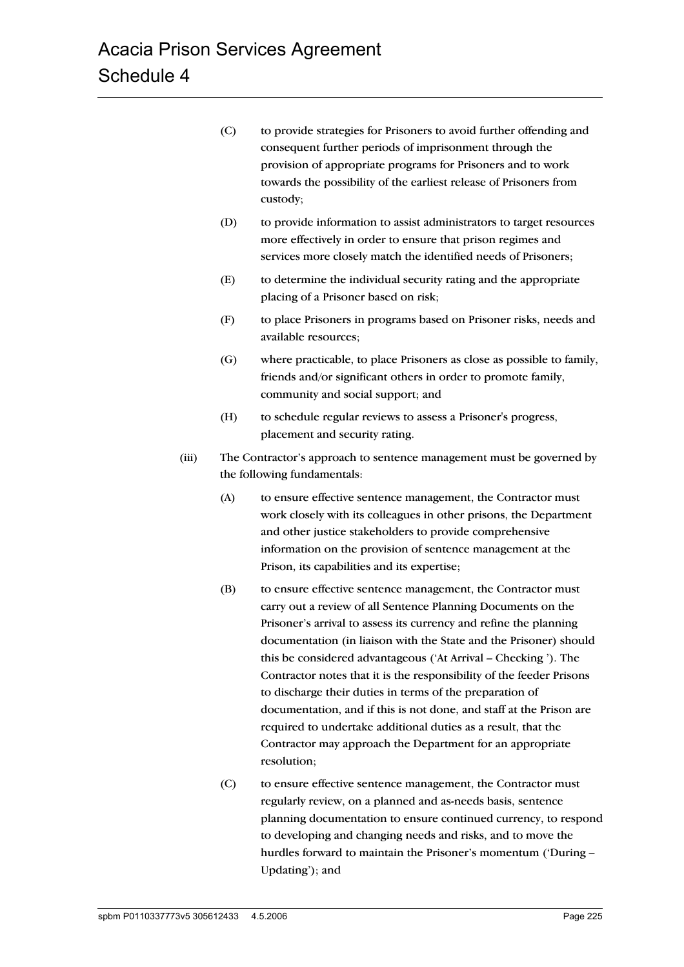- (C) to provide strategies for Prisoners to avoid further offending and consequent further periods of imprisonment through the provision of appropriate programs for Prisoners and to work towards the possibility of the earliest release of Prisoners from custody;
- (D) to provide information to assist administrators to target resources more effectively in order to ensure that prison regimes and services more closely match the identified needs of Prisoners;
- (E) to determine the individual security rating and the appropriate placing of a Prisoner based on risk;
- (F) to place Prisoners in programs based on Prisoner risks, needs and available resources;
- (G) where practicable, to place Prisoners as close as possible to family, friends and/or significant others in order to promote family, community and social support; and
- (H) to schedule regular reviews to assess a Prisoner's progress, placement and security rating.
- (iii) The Contractor's approach to sentence management must be governed by the following fundamentals:
	- (A) to ensure effective sentence management, the Contractor must work closely with its colleagues in other prisons, the Department and other justice stakeholders to provide comprehensive information on the provision of sentence management at the Prison, its capabilities and its expertise;
	- (B) to ensure effective sentence management, the Contractor must carry out a review of all Sentence Planning Documents on the Prisoner's arrival to assess its currency and refine the planning documentation (in liaison with the State and the Prisoner) should this be considered advantageous ('At Arrival – Checking '). The Contractor notes that it is the responsibility of the feeder Prisons to discharge their duties in terms of the preparation of documentation, and if this is not done, and staff at the Prison are required to undertake additional duties as a result, that the Contractor may approach the Department for an appropriate resolution;
	- (C) to ensure effective sentence management, the Contractor must regularly review, on a planned and as-needs basis, sentence planning documentation to ensure continued currency, to respond to developing and changing needs and risks, and to move the hurdles forward to maintain the Prisoner's momentum ('During – Updating'); and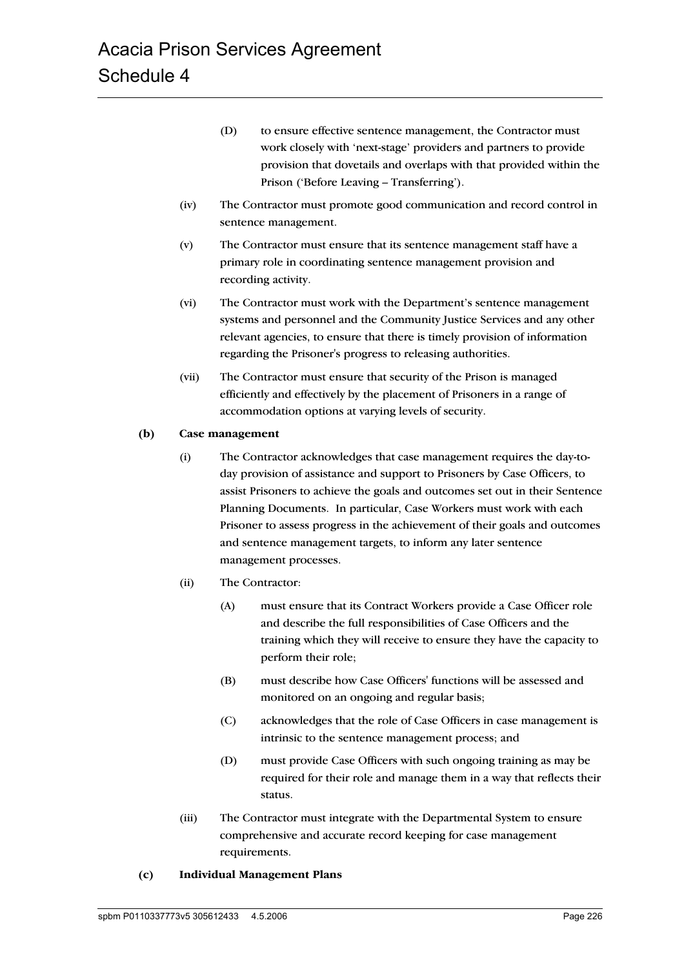- (D) to ensure effective sentence management, the Contractor must work closely with 'next-stage' providers and partners to provide provision that dovetails and overlaps with that provided within the Prison ('Before Leaving – Transferring').
- (iv) The Contractor must promote good communication and record control in sentence management.
- (v) The Contractor must ensure that its sentence management staff have a primary role in coordinating sentence management provision and recording activity.
- (vi) The Contractor must work with the Department's sentence management systems and personnel and the Community Justice Services and any other relevant agencies, to ensure that there is timely provision of information regarding the Prisoner's progress to releasing authorities.
- (vii) The Contractor must ensure that security of the Prison is managed efficiently and effectively by the placement of Prisoners in a range of accommodation options at varying levels of security.

#### **(b) Case management**

- (i) The Contractor acknowledges that case management requires the day-today provision of assistance and support to Prisoners by Case Officers, to assist Prisoners to achieve the goals and outcomes set out in their Sentence Planning Documents. In particular, Case Workers must work with each Prisoner to assess progress in the achievement of their goals and outcomes and sentence management targets, to inform any later sentence management processes.
- (ii) The Contractor:
	- (A) must ensure that its Contract Workers provide a Case Officer role and describe the full responsibilities of Case Officers and the training which they will receive to ensure they have the capacity to perform their role;
	- (B) must describe how Case Officers' functions will be assessed and monitored on an ongoing and regular basis;
	- (C) acknowledges that the role of Case Officers in case management is intrinsic to the sentence management process; and
	- (D) must provide Case Officers with such ongoing training as may be required for their role and manage them in a way that reflects their status.
- (iii) The Contractor must integrate with the Departmental System to ensure comprehensive and accurate record keeping for case management requirements.
- **(c) Individual Management Plans**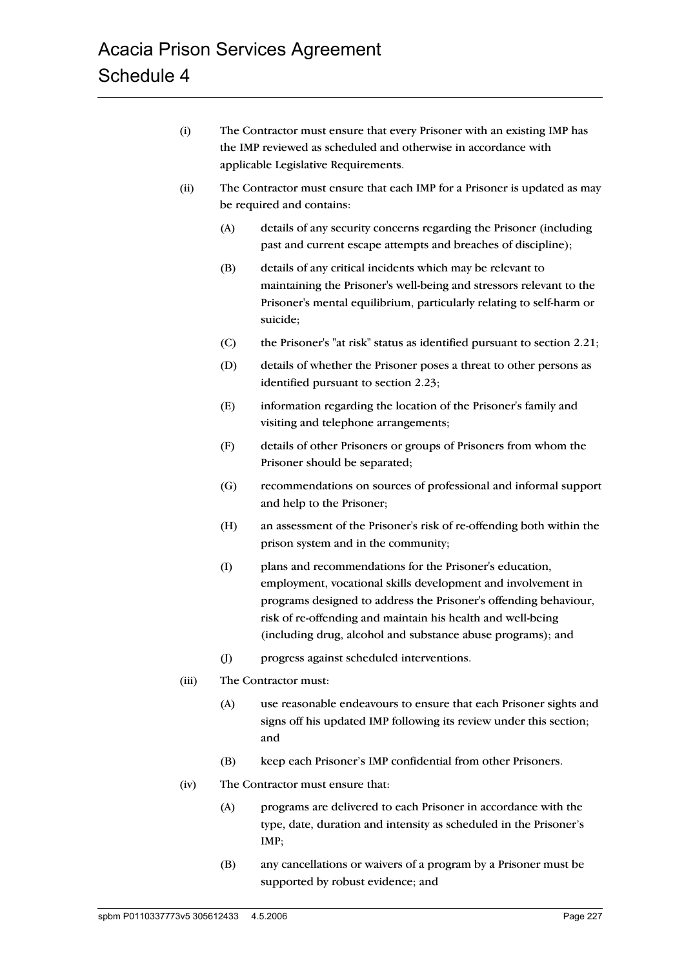- (i) The Contractor must ensure that every Prisoner with an existing IMP has the IMP reviewed as scheduled and otherwise in accordance with applicable Legislative Requirements.
- (ii) The Contractor must ensure that each IMP for a Prisoner is updated as may be required and contains:
	- (A) details of any security concerns regarding the Prisoner (including past and current escape attempts and breaches of discipline);
	- (B) details of any critical incidents which may be relevant to maintaining the Prisoner's well-being and stressors relevant to the Prisoner's mental equilibrium, particularly relating to self-harm or suicide;
	- (C) the Prisoner's "at risk" status as identified pursuant to section 2.21;
	- (D) details of whether the Prisoner poses a threat to other persons as identified pursuant to section 2.23;
	- (E) information regarding the location of the Prisoner's family and visiting and telephone arrangements;
	- (F) details of other Prisoners or groups of Prisoners from whom the Prisoner should be separated;
	- (G) recommendations on sources of professional and informal support and help to the Prisoner;
	- (H) an assessment of the Prisoner's risk of re-offending both within the prison system and in the community;
	- (I) plans and recommendations for the Prisoner's education, employment, vocational skills development and involvement in programs designed to address the Prisoner's offending behaviour, risk of re-offending and maintain his health and well-being (including drug, alcohol and substance abuse programs); and
	- (J) progress against scheduled interventions.
- (iii) The Contractor must:
	- (A) use reasonable endeavours to ensure that each Prisoner sights and signs off his updated IMP following its review under this section; and
	- (B) keep each Prisoner's IMP confidential from other Prisoners.
- (iv) The Contractor must ensure that:
	- (A) programs are delivered to each Prisoner in accordance with the type, date, duration and intensity as scheduled in the Prisoner's IMP;
	- (B) any cancellations or waivers of a program by a Prisoner must be supported by robust evidence; and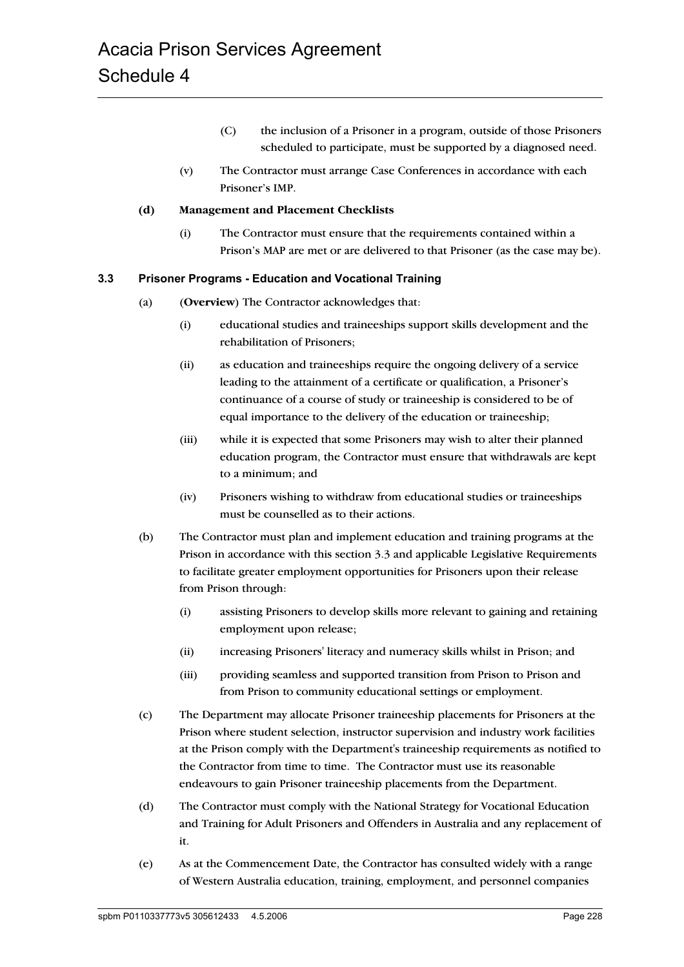- (C) the inclusion of a Prisoner in a program, outside of those Prisoners scheduled to participate, must be supported by a diagnosed need.
- (v) The Contractor must arrange Case Conferences in accordance with each Prisoner's IMP.

#### **(d) Management and Placement Checklists**

(i) The Contractor must ensure that the requirements contained within a Prison's MAP are met or are delivered to that Prisoner (as the case may be).

#### **3.3 Prisoner Programs - Education and Vocational Training**

- (a) (**Overview**) The Contractor acknowledges that:
	- (i) educational studies and traineeships support skills development and the rehabilitation of Prisoners;
	- (ii) as education and traineeships require the ongoing delivery of a service leading to the attainment of a certificate or qualification, a Prisoner's continuance of a course of study or traineeship is considered to be of equal importance to the delivery of the education or traineeship;
	- (iii) while it is expected that some Prisoners may wish to alter their planned education program, the Contractor must ensure that withdrawals are kept to a minimum; and
	- (iv) Prisoners wishing to withdraw from educational studies or traineeships must be counselled as to their actions.
- (b) The Contractor must plan and implement education and training programs at the Prison in accordance with this section 3.3 and applicable Legislative Requirements to facilitate greater employment opportunities for Prisoners upon their release from Prison through:
	- (i) assisting Prisoners to develop skills more relevant to gaining and retaining employment upon release;
	- (ii) increasing Prisoners' literacy and numeracy skills whilst in Prison; and
	- (iii) providing seamless and supported transition from Prison to Prison and from Prison to community educational settings or employment.
- (c) The Department may allocate Prisoner traineeship placements for Prisoners at the Prison where student selection, instructor supervision and industry work facilities at the Prison comply with the Department's traineeship requirements as notified to the Contractor from time to time. The Contractor must use its reasonable endeavours to gain Prisoner traineeship placements from the Department.
- (d) The Contractor must comply with the National Strategy for Vocational Education and Training for Adult Prisoners and Offenders in Australia and any replacement of it.
- (e) As at the Commencement Date, the Contractor has consulted widely with a range of Western Australia education, training, employment, and personnel companies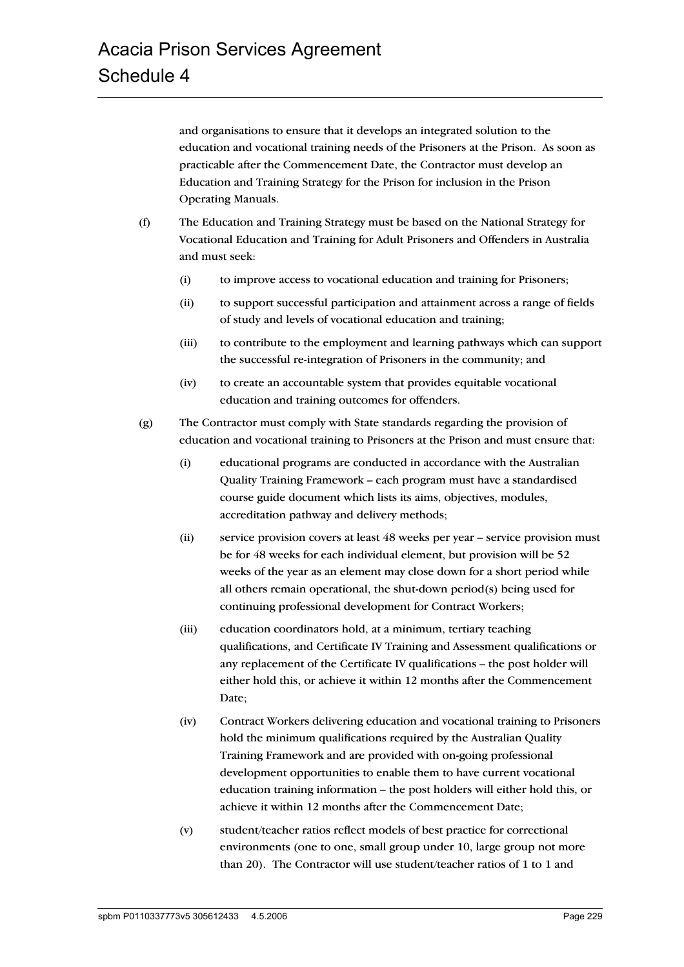and organisations to ensure that it develops an integrated solution to the education and vocational training needs of the Prisoners at the Prison. As soon as practicable after the Commencement Date, the Contractor must develop an Education and Training Strategy for the Prison for inclusion in the Prison Operating Manuals.

- (f) The Education and Training Strategy must be based on the National Strategy for Vocational Education and Training for Adult Prisoners and Offenders in Australia and must seek:
	- (i) to improve access to vocational education and training for Prisoners;
	- (ii) to support successful participation and attainment across a range of fields of study and levels of vocational education and training;
	- (iii) to contribute to the employment and learning pathways which can support the successful re-integration of Prisoners in the community; and
	- (iv) to create an accountable system that provides equitable vocational education and training outcomes for offenders.
- (g) The Contractor must comply with State standards regarding the provision of education and vocational training to Prisoners at the Prison and must ensure that:
	- (i) educational programs are conducted in accordance with the Australian Quality Training Framework – each program must have a standardised course guide document which lists its aims, objectives, modules, accreditation pathway and delivery methods;
	- (ii) service provision covers at least 48 weeks per year service provision must be for 48 weeks for each individual element, but provision will be 52 weeks of the year as an element may close down for a short period while all others remain operational, the shut-down period(s) being used for continuing professional development for Contract Workers;
	- (iii) education coordinators hold, at a minimum, tertiary teaching qualifications, and Certificate IV Training and Assessment qualifications or any replacement of the Certificate IV qualifications – the post holder will either hold this, or achieve it within 12 months after the Commencement Date;
	- (iv) Contract Workers delivering education and vocational training to Prisoners hold the minimum qualifications required by the Australian Quality Training Framework and are provided with on-going professional development opportunities to enable them to have current vocational education training information – the post holders will either hold this, or achieve it within 12 months after the Commencement Date;
	- (v) student/teacher ratios reflect models of best practice for correctional environments (one to one, small group under 10, large group not more than 20). The Contractor will use student/teacher ratios of 1 to 1 and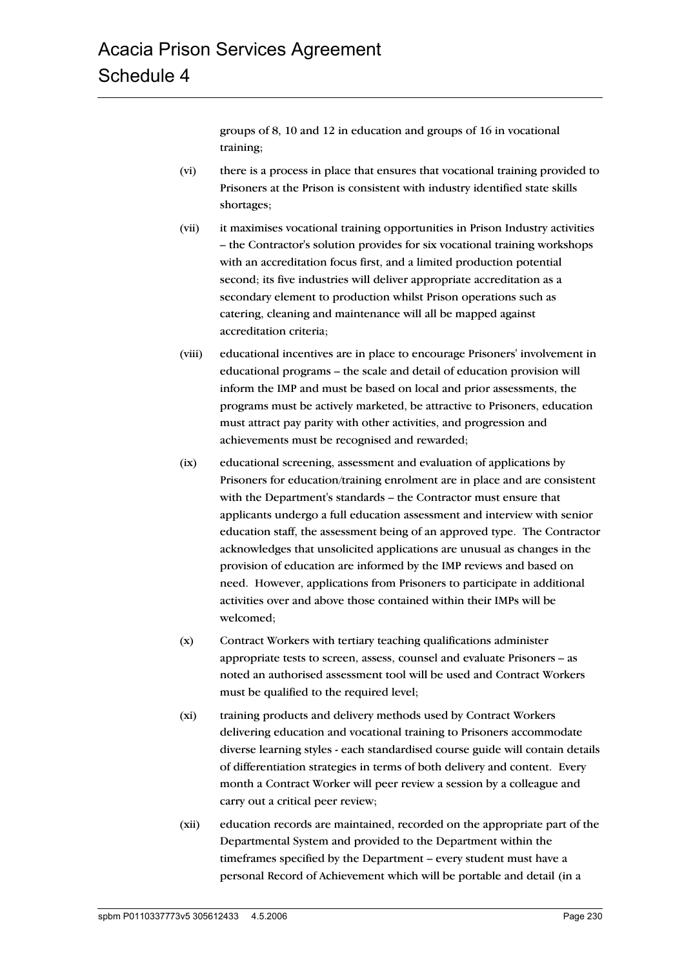groups of 8, 10 and 12 in education and groups of 16 in vocational training;

- (vi) there is a process in place that ensures that vocational training provided to Prisoners at the Prison is consistent with industry identified state skills shortages;
- (vii) it maximises vocational training opportunities in Prison Industry activities – the Contractor's solution provides for six vocational training workshops with an accreditation focus first, and a limited production potential second; its five industries will deliver appropriate accreditation as a secondary element to production whilst Prison operations such as catering, cleaning and maintenance will all be mapped against accreditation criteria;
- (viii) educational incentives are in place to encourage Prisoners' involvement in educational programs – the scale and detail of education provision will inform the IMP and must be based on local and prior assessments, the programs must be actively marketed, be attractive to Prisoners, education must attract pay parity with other activities, and progression and achievements must be recognised and rewarded;
- (ix) educational screening, assessment and evaluation of applications by Prisoners for education/training enrolment are in place and are consistent with the Department's standards – the Contractor must ensure that applicants undergo a full education assessment and interview with senior education staff, the assessment being of an approved type. The Contractor acknowledges that unsolicited applications are unusual as changes in the provision of education are informed by the IMP reviews and based on need. However, applications from Prisoners to participate in additional activities over and above those contained within their IMPs will be welcomed;
- (x) Contract Workers with tertiary teaching qualifications administer appropriate tests to screen, assess, counsel and evaluate Prisoners – as noted an authorised assessment tool will be used and Contract Workers must be qualified to the required level;
- (xi) training products and delivery methods used by Contract Workers delivering education and vocational training to Prisoners accommodate diverse learning styles - each standardised course guide will contain details of differentiation strategies in terms of both delivery and content. Every month a Contract Worker will peer review a session by a colleague and carry out a critical peer review;
- (xii) education records are maintained, recorded on the appropriate part of the Departmental System and provided to the Department within the timeframes specified by the Department – every student must have a personal Record of Achievement which will be portable and detail (in a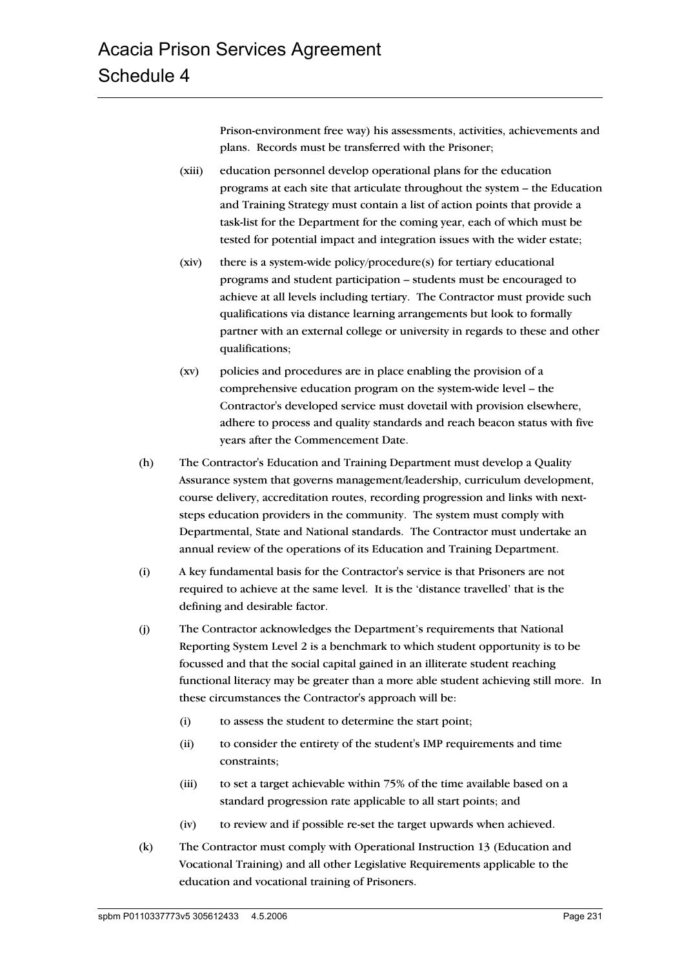Prison-environment free way) his assessments, activities, achievements and plans. Records must be transferred with the Prisoner;

- (xiii) education personnel develop operational plans for the education programs at each site that articulate throughout the system – the Education and Training Strategy must contain a list of action points that provide a task-list for the Department for the coming year, each of which must be tested for potential impact and integration issues with the wider estate;
- (xiv) there is a system-wide policy/procedure(s) for tertiary educational programs and student participation – students must be encouraged to achieve at all levels including tertiary. The Contractor must provide such qualifications via distance learning arrangements but look to formally partner with an external college or university in regards to these and other qualifications;
- (xv) policies and procedures are in place enabling the provision of a comprehensive education program on the system-wide level – the Contractor's developed service must dovetail with provision elsewhere, adhere to process and quality standards and reach beacon status with five years after the Commencement Date.
- (h) The Contractor's Education and Training Department must develop a Quality Assurance system that governs management/leadership, curriculum development, course delivery, accreditation routes, recording progression and links with nextsteps education providers in the community. The system must comply with Departmental, State and National standards. The Contractor must undertake an annual review of the operations of its Education and Training Department.
- (i) A key fundamental basis for the Contractor's service is that Prisoners are not required to achieve at the same level. It is the 'distance travelled' that is the defining and desirable factor.
- (j) The Contractor acknowledges the Department's requirements that National Reporting System Level 2 is a benchmark to which student opportunity is to be focussed and that the social capital gained in an illiterate student reaching functional literacy may be greater than a more able student achieving still more. In these circumstances the Contractor's approach will be:
	- (i) to assess the student to determine the start point;
	- (ii) to consider the entirety of the student's IMP requirements and time constraints;
	- (iii) to set a target achievable within 75% of the time available based on a standard progression rate applicable to all start points; and
	- (iv) to review and if possible re-set the target upwards when achieved.
- (k) The Contractor must comply with Operational Instruction 13 (Education and Vocational Training) and all other Legislative Requirements applicable to the education and vocational training of Prisoners.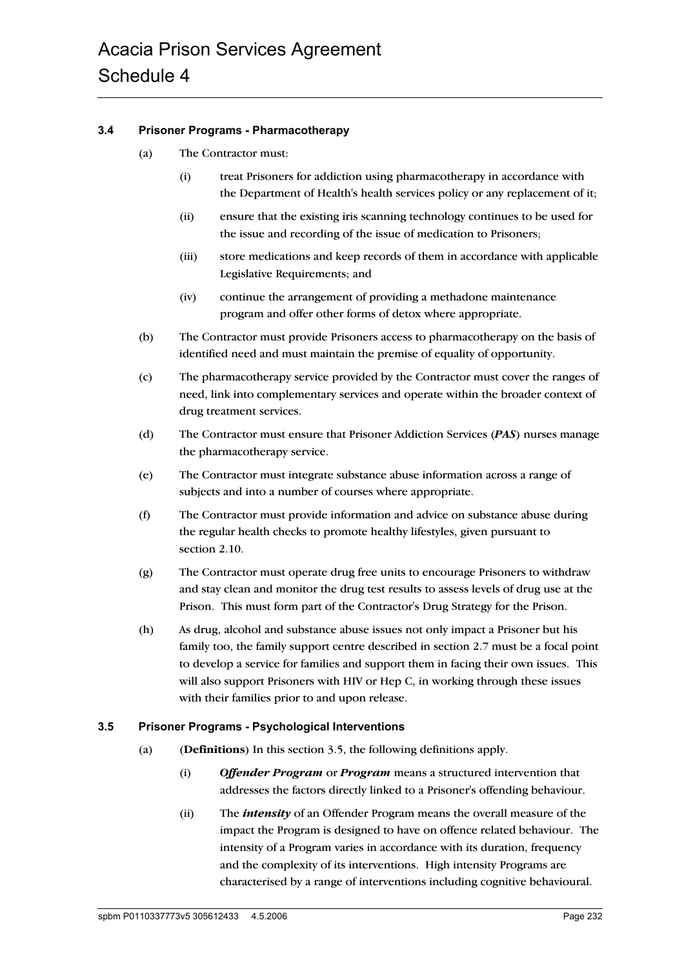#### **3.4 Prisoner Programs - Pharmacotherapy**

- (a) The Contractor must:
	- (i) treat Prisoners for addiction using pharmacotherapy in accordance with the Department of Health's health services policy or any replacement of it;
	- (ii) ensure that the existing iris scanning technology continues to be used for the issue and recording of the issue of medication to Prisoners;
	- (iii) store medications and keep records of them in accordance with applicable Legislative Requirements; and
	- (iv) continue the arrangement of providing a methadone maintenance program and offer other forms of detox where appropriate.
- (b) The Contractor must provide Prisoners access to pharmacotherapy on the basis of identified need and must maintain the premise of equality of opportunity.
- (c) The pharmacotherapy service provided by the Contractor must cover the ranges of need, link into complementary services and operate within the broader context of drug treatment services.
- (d) The Contractor must ensure that Prisoner Addiction Services (*PAS*) nurses manage the pharmacotherapy service.
- (e) The Contractor must integrate substance abuse information across a range of subjects and into a number of courses where appropriate.
- (f) The Contractor must provide information and advice on substance abuse during the regular health checks to promote healthy lifestyles, given pursuant to section 2.10.
- (g) The Contractor must operate drug free units to encourage Prisoners to withdraw and stay clean and monitor the drug test results to assess levels of drug use at the Prison. This must form part of the Contractor's Drug Strategy for the Prison.
- (h) As drug, alcohol and substance abuse issues not only impact a Prisoner but his family too, the family support centre described in section 2.7 must be a focal point to develop a service for families and support them in facing their own issues. This will also support Prisoners with HIV or Hep C, in working through these issues with their families prior to and upon release.

#### **3.5 Prisoner Programs - Psychological Interventions**

- (a) (**Definitions**) In this section 3.5, the following definitions apply.
	- (i) *Offender Program* or *Program* means a structured intervention that addresses the factors directly linked to a Prisoner's offending behaviour.
	- (ii) The *intensity* of an Offender Program means the overall measure of the impact the Program is designed to have on offence related behaviour. The intensity of a Program varies in accordance with its duration, frequency and the complexity of its interventions. High intensity Programs are characterised by a range of interventions including cognitive behavioural.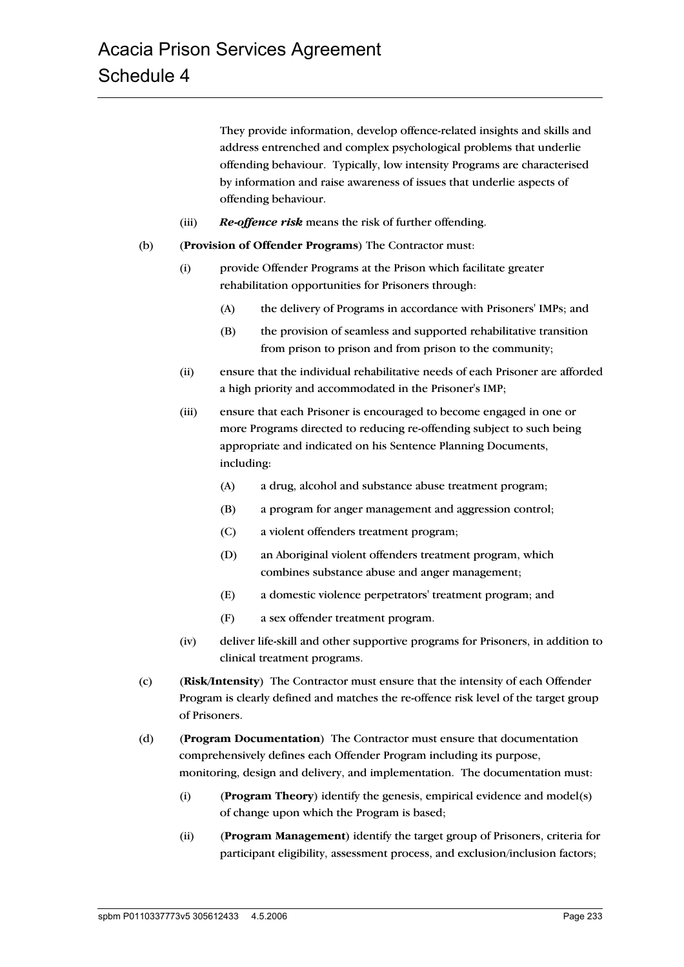They provide information, develop offence-related insights and skills and address entrenched and complex psychological problems that underlie offending behaviour. Typically, low intensity Programs are characterised by information and raise awareness of issues that underlie aspects of offending behaviour.

- (iii) *Re-offence risk* means the risk of further offending.
- (b) (**Provision of Offender Programs**) The Contractor must:
	- (i) provide Offender Programs at the Prison which facilitate greater rehabilitation opportunities for Prisoners through:
		- (A) the delivery of Programs in accordance with Prisoners' IMPs; and
		- (B) the provision of seamless and supported rehabilitative transition from prison to prison and from prison to the community;
	- (ii) ensure that the individual rehabilitative needs of each Prisoner are afforded a high priority and accommodated in the Prisoner's IMP;
	- (iii) ensure that each Prisoner is encouraged to become engaged in one or more Programs directed to reducing re-offending subject to such being appropriate and indicated on his Sentence Planning Documents, including:
		- (A) a drug, alcohol and substance abuse treatment program;
		- (B) a program for anger management and aggression control;
		- (C) a violent offenders treatment program;
		- (D) an Aboriginal violent offenders treatment program, which combines substance abuse and anger management;
		- (E) a domestic violence perpetrators' treatment program; and
		- (F) a sex offender treatment program.
	- (iv) deliver life-skill and other supportive programs for Prisoners, in addition to clinical treatment programs.
- (c) (**Risk/Intensity**) The Contractor must ensure that the intensity of each Offender Program is clearly defined and matches the re-offence risk level of the target group of Prisoners.
- (d) (**Program Documentation**) The Contractor must ensure that documentation comprehensively defines each Offender Program including its purpose, monitoring, design and delivery, and implementation. The documentation must:
	- (i) (**Program Theory**) identify the genesis, empirical evidence and model(s) of change upon which the Program is based;
	- (ii) (**Program Management**) identify the target group of Prisoners, criteria for participant eligibility, assessment process, and exclusion/inclusion factors;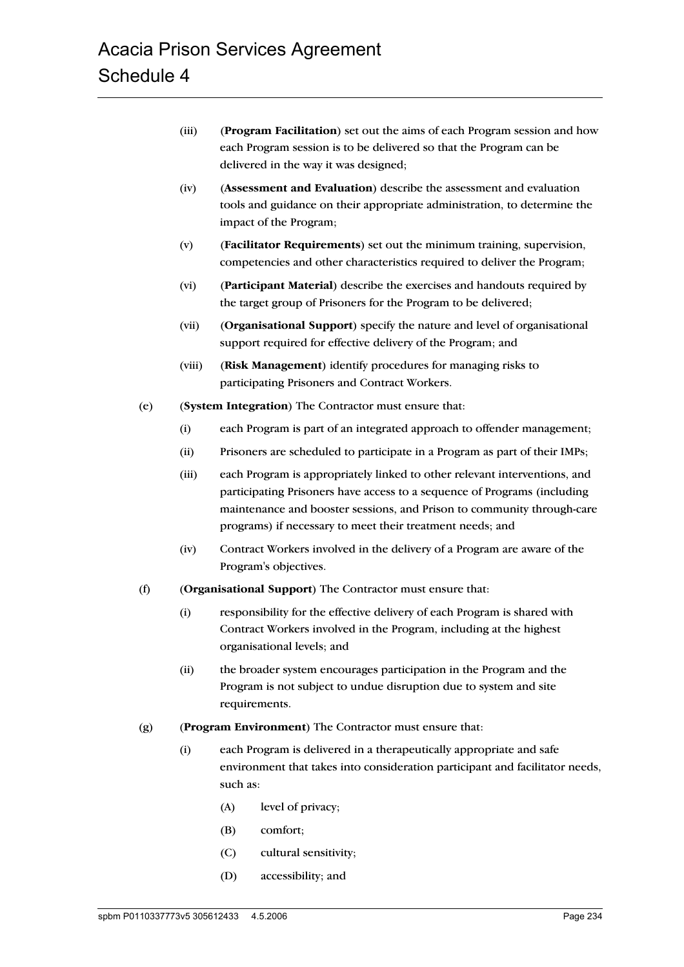- (iii) (**Program Facilitation**) set out the aims of each Program session and how each Program session is to be delivered so that the Program can be delivered in the way it was designed;
- (iv) (**Assessment and Evaluation**) describe the assessment and evaluation tools and guidance on their appropriate administration, to determine the impact of the Program;
- (v) (**Facilitator Requirements**) set out the minimum training, supervision, competencies and other characteristics required to deliver the Program;
- (vi) (**Participant Material**) describe the exercises and handouts required by the target group of Prisoners for the Program to be delivered;
- (vii) (**Organisational Support**) specify the nature and level of organisational support required for effective delivery of the Program; and
- (viii) (**Risk Management**) identify procedures for managing risks to participating Prisoners and Contract Workers.
- (e) (**System Integration**) The Contractor must ensure that:
	- (i) each Program is part of an integrated approach to offender management;
	- (ii) Prisoners are scheduled to participate in a Program as part of their IMPs;
	- (iii) each Program is appropriately linked to other relevant interventions, and participating Prisoners have access to a sequence of Programs (including maintenance and booster sessions, and Prison to community through-care programs) if necessary to meet their treatment needs; and
	- (iv) Contract Workers involved in the delivery of a Program are aware of the Program's objectives.
- (f) (**Organisational Support**) The Contractor must ensure that:
	- (i) responsibility for the effective delivery of each Program is shared with Contract Workers involved in the Program, including at the highest organisational levels; and
	- (ii) the broader system encourages participation in the Program and the Program is not subject to undue disruption due to system and site requirements.
- (g) (**Program Environment**) The Contractor must ensure that:
	- (i) each Program is delivered in a therapeutically appropriate and safe environment that takes into consideration participant and facilitator needs, such as:
		- (A) level of privacy;
		- (B) comfort;
		- (C) cultural sensitivity;
		- (D) accessibility; and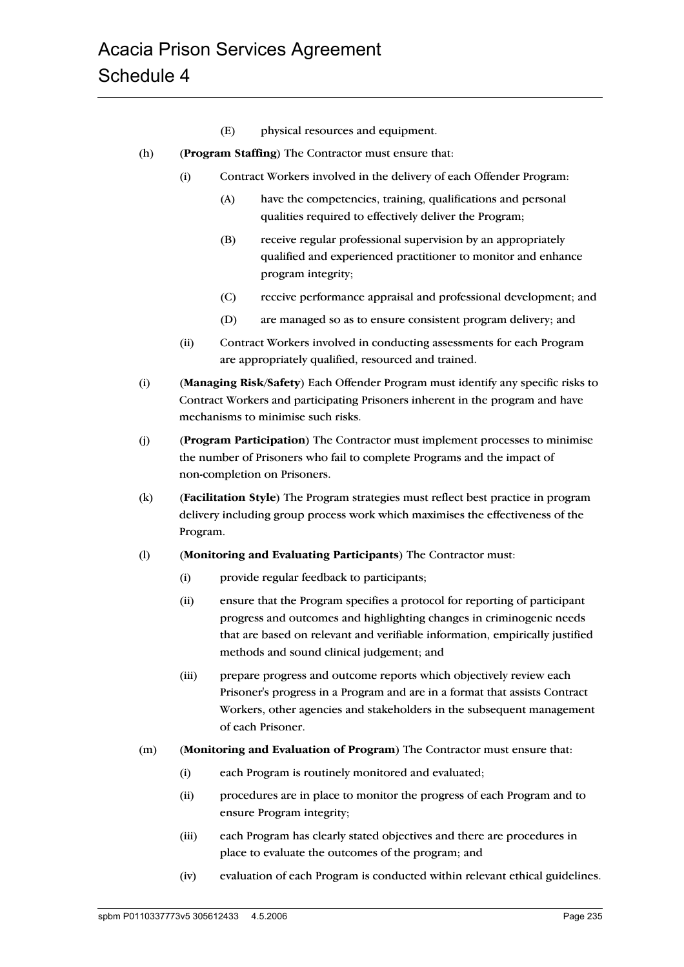- (E) physical resources and equipment.
- (h) (**Program Staffing**) The Contractor must ensure that:
	- (i) Contract Workers involved in the delivery of each Offender Program:
		- (A) have the competencies, training, qualifications and personal qualities required to effectively deliver the Program;
		- (B) receive regular professional supervision by an appropriately qualified and experienced practitioner to monitor and enhance program integrity;
		- (C) receive performance appraisal and professional development; and
		- (D) are managed so as to ensure consistent program delivery; and
	- (ii) Contract Workers involved in conducting assessments for each Program are appropriately qualified, resourced and trained.
- (i) (**Managing Risk/Safety**) Each Offender Program must identify any specific risks to Contract Workers and participating Prisoners inherent in the program and have mechanisms to minimise such risks.
- (j) (**Program Participation**) The Contractor must implement processes to minimise the number of Prisoners who fail to complete Programs and the impact of non-completion on Prisoners.
- (k) (**Facilitation Style**) The Program strategies must reflect best practice in program delivery including group process work which maximises the effectiveness of the Program.
- (l) (**Monitoring and Evaluating Participants**) The Contractor must:
	- (i) provide regular feedback to participants;
	- (ii) ensure that the Program specifies a protocol for reporting of participant progress and outcomes and highlighting changes in criminogenic needs that are based on relevant and verifiable information, empirically justified methods and sound clinical judgement; and
	- (iii) prepare progress and outcome reports which objectively review each Prisoner's progress in a Program and are in a format that assists Contract Workers, other agencies and stakeholders in the subsequent management of each Prisoner.
- (m) (**Monitoring and Evaluation of Program**) The Contractor must ensure that:
	- (i) each Program is routinely monitored and evaluated;
	- (ii) procedures are in place to monitor the progress of each Program and to ensure Program integrity;
	- (iii) each Program has clearly stated objectives and there are procedures in place to evaluate the outcomes of the program; and
	- (iv) evaluation of each Program is conducted within relevant ethical guidelines.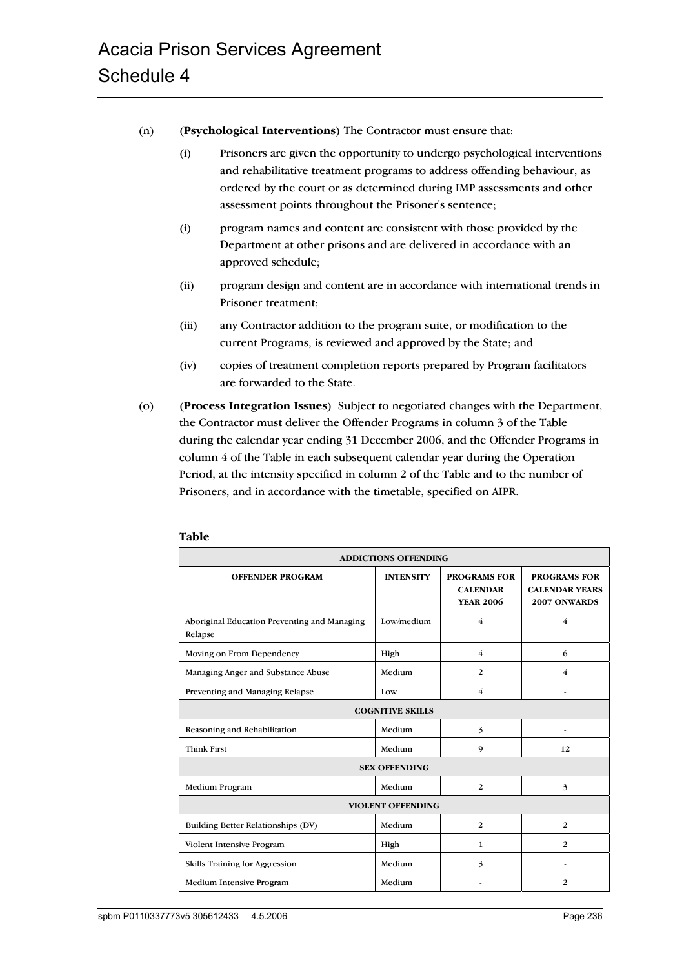- (n) (**Psychological Interventions**) The Contractor must ensure that:
	- (i) Prisoners are given the opportunity to undergo psychological interventions and rehabilitative treatment programs to address offending behaviour, as ordered by the court or as determined during IMP assessments and other assessment points throughout the Prisoner's sentence;
	- (i) program names and content are consistent with those provided by the Department at other prisons and are delivered in accordance with an approved schedule;
	- (ii) program design and content are in accordance with international trends in Prisoner treatment;
	- (iii) any Contractor addition to the program suite, or modification to the current Programs, is reviewed and approved by the State; and
	- (iv) copies of treatment completion reports prepared by Program facilitators are forwarded to the State.
- (o) (**Process Integration Issues**) Subject to negotiated changes with the Department, the Contractor must deliver the Offender Programs in column 3 of the Table during the calendar year ending 31 December 2006, and the Offender Programs in column 4 of the Table in each subsequent calendar year during the Operation Period, at the intensity specified in column 2 of the Table and to the number of Prisoners, and in accordance with the timetable, specified on AIPR.

| <b>ADDICTIONS OFFENDING</b>                             |                  |                                                            |                                                              |  |
|---------------------------------------------------------|------------------|------------------------------------------------------------|--------------------------------------------------------------|--|
| <b>OFFENDER PROGRAM</b>                                 | <b>INTENSITY</b> | <b>PROGRAMS FOR</b><br><b>CALENDAR</b><br><b>YEAR 2006</b> | <b>PROGRAMS FOR</b><br><b>CALENDAR YEARS</b><br>2007 ONWARDS |  |
| Aboriginal Education Preventing and Managing<br>Relapse | Low/medium       | $\overline{4}$                                             | $\overline{4}$                                               |  |
| Moving on From Dependency                               | High             | 4                                                          | 6                                                            |  |
| Managing Anger and Substance Abuse                      | Medium           | $\overline{2}$                                             | 4                                                            |  |
| Preventing and Managing Relapse                         | Low              | 4                                                          |                                                              |  |
| <b>COGNITIVE SKILLS</b>                                 |                  |                                                            |                                                              |  |
| Reasoning and Rehabilitation                            | Medium           | 3                                                          |                                                              |  |
| <b>Think First</b>                                      | Medium           | 9                                                          | 12                                                           |  |
| <b>SEX OFFENDING</b>                                    |                  |                                                            |                                                              |  |
| Medium Program                                          | Medium           | 2                                                          | 3                                                            |  |
| <b>VIOLENT OFFENDING</b>                                |                  |                                                            |                                                              |  |
| Building Better Relationships (DV)                      | Medium           | 2                                                          | 2                                                            |  |
| Violent Intensive Program                               | High             | 1                                                          | 2                                                            |  |
| Skills Training for Aggression                          | Medium           | 3                                                          | ۰                                                            |  |
| Medium Intensive Program                                | Medium           |                                                            | 2                                                            |  |

#### **Table**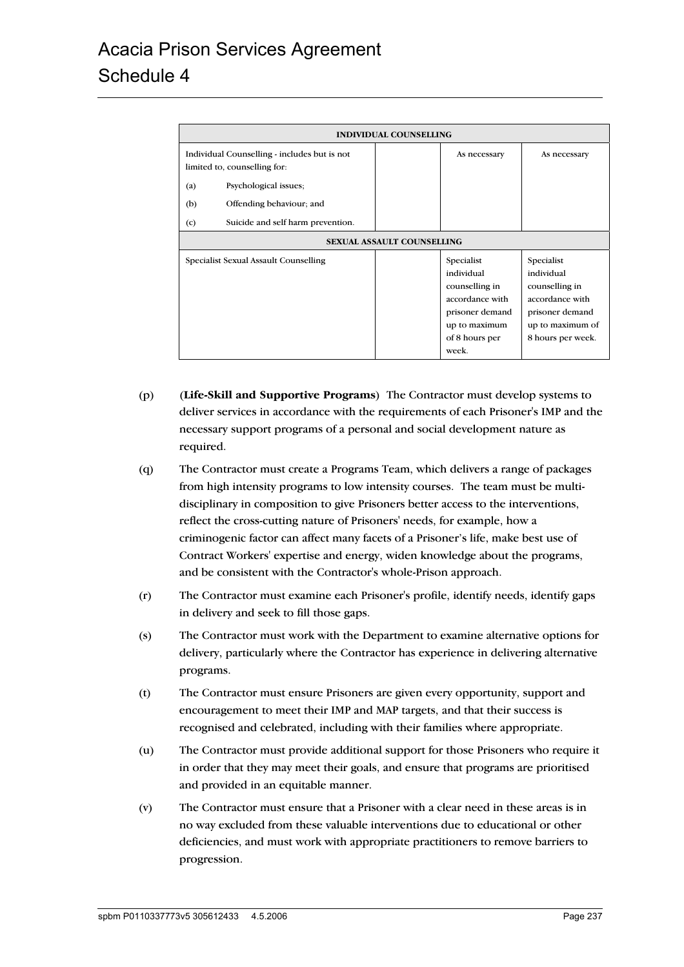| <b>INDIVIDUAL COUNSELLING</b>                                                |  |                                                                                                                              |                                                                                                                           |  |
|------------------------------------------------------------------------------|--|------------------------------------------------------------------------------------------------------------------------------|---------------------------------------------------------------------------------------------------------------------------|--|
| Individual Counselling - includes but is not<br>limited to, counselling for: |  | As necessary                                                                                                                 | As necessary                                                                                                              |  |
| Psychological issues;<br>(a)                                                 |  |                                                                                                                              |                                                                                                                           |  |
| Offending behaviour; and<br>(b)                                              |  |                                                                                                                              |                                                                                                                           |  |
| Suicide and self harm prevention.<br>(c)                                     |  |                                                                                                                              |                                                                                                                           |  |
| <b>SEXUAL ASSAULT COUNSELLING</b>                                            |  |                                                                                                                              |                                                                                                                           |  |
| Specialist Sexual Assault Counselling                                        |  | Specialist<br>individual<br>counselling in<br>accordance with<br>prisoner demand<br>up to maximum<br>of 8 hours per<br>week. | Specialist<br>individual<br>counselling in<br>accordance with<br>prisoner demand<br>up to maximum of<br>8 hours per week. |  |

- (p) (**Life-Skill and Supportive Programs**) The Contractor must develop systems to deliver services in accordance with the requirements of each Prisoner's IMP and the necessary support programs of a personal and social development nature as required.
- (q) The Contractor must create a Programs Team, which delivers a range of packages from high intensity programs to low intensity courses. The team must be multidisciplinary in composition to give Prisoners better access to the interventions, reflect the cross-cutting nature of Prisoners' needs, for example, how a criminogenic factor can affect many facets of a Prisoner's life, make best use of Contract Workers' expertise and energy, widen knowledge about the programs, and be consistent with the Contractor's whole-Prison approach.
- (r) The Contractor must examine each Prisoner's profile, identify needs, identify gaps in delivery and seek to fill those gaps.
- (s) The Contractor must work with the Department to examine alternative options for delivery, particularly where the Contractor has experience in delivering alternative programs.
- (t) The Contractor must ensure Prisoners are given every opportunity, support and encouragement to meet their IMP and MAP targets, and that their success is recognised and celebrated, including with their families where appropriate.
- (u) The Contractor must provide additional support for those Prisoners who require it in order that they may meet their goals, and ensure that programs are prioritised and provided in an equitable manner.
- (v) The Contractor must ensure that a Prisoner with a clear need in these areas is in no way excluded from these valuable interventions due to educational or other deficiencies, and must work with appropriate practitioners to remove barriers to progression.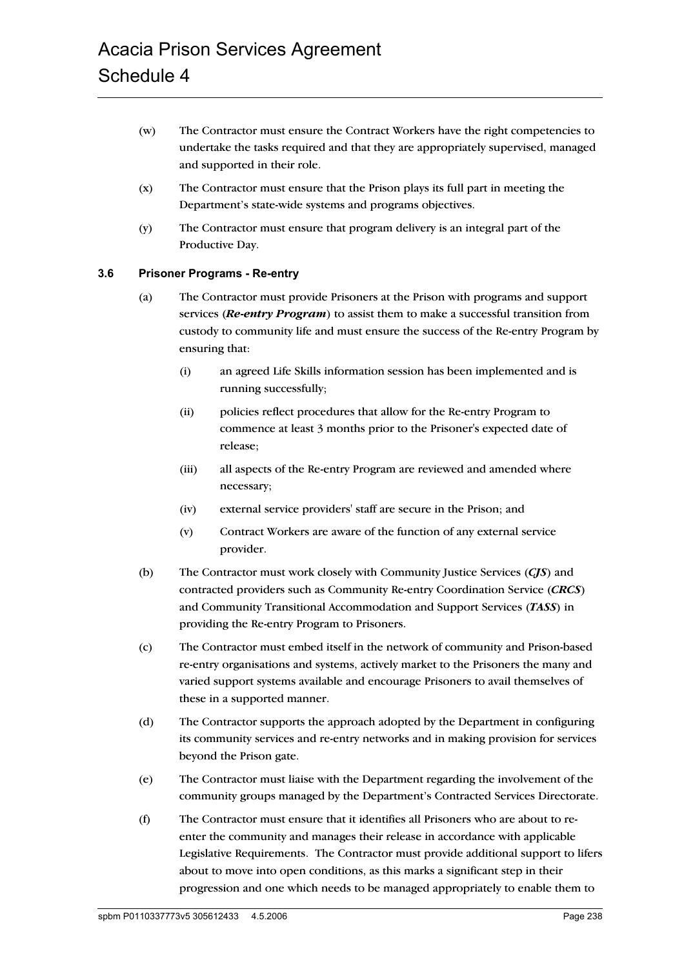- (w) The Contractor must ensure the Contract Workers have the right competencies to undertake the tasks required and that they are appropriately supervised, managed and supported in their role.
- (x) The Contractor must ensure that the Prison plays its full part in meeting the Department's state-wide systems and programs objectives.
- (y) The Contractor must ensure that program delivery is an integral part of the Productive Day.

### **3.6 Prisoner Programs - Re-entry**

- (a) The Contractor must provide Prisoners at the Prison with programs and support services (*Re-entry Program*) to assist them to make a successful transition from custody to community life and must ensure the success of the Re-entry Program by ensuring that:
	- (i) an agreed Life Skills information session has been implemented and is running successfully;
	- (ii) policies reflect procedures that allow for the Re-entry Program to commence at least 3 months prior to the Prisoner's expected date of release;
	- (iii) all aspects of the Re-entry Program are reviewed and amended where necessary;
	- (iv) external service providers' staff are secure in the Prison; and
	- (v) Contract Workers are aware of the function of any external service provider.
- (b) The Contractor must work closely with Community Justice Services (*CJS*) and contracted providers such as Community Re-entry Coordination Service (*CRCS*) and Community Transitional Accommodation and Support Services (*TASS*) in providing the Re-entry Program to Prisoners.
- (c) The Contractor must embed itself in the network of community and Prison-based re-entry organisations and systems, actively market to the Prisoners the many and varied support systems available and encourage Prisoners to avail themselves of these in a supported manner.
- (d) The Contractor supports the approach adopted by the Department in configuring its community services and re-entry networks and in making provision for services beyond the Prison gate.
- (e) The Contractor must liaise with the Department regarding the involvement of the community groups managed by the Department's Contracted Services Directorate.
- (f) The Contractor must ensure that it identifies all Prisoners who are about to reenter the community and manages their release in accordance with applicable Legislative Requirements. The Contractor must provide additional support to lifers about to move into open conditions, as this marks a significant step in their progression and one which needs to be managed appropriately to enable them to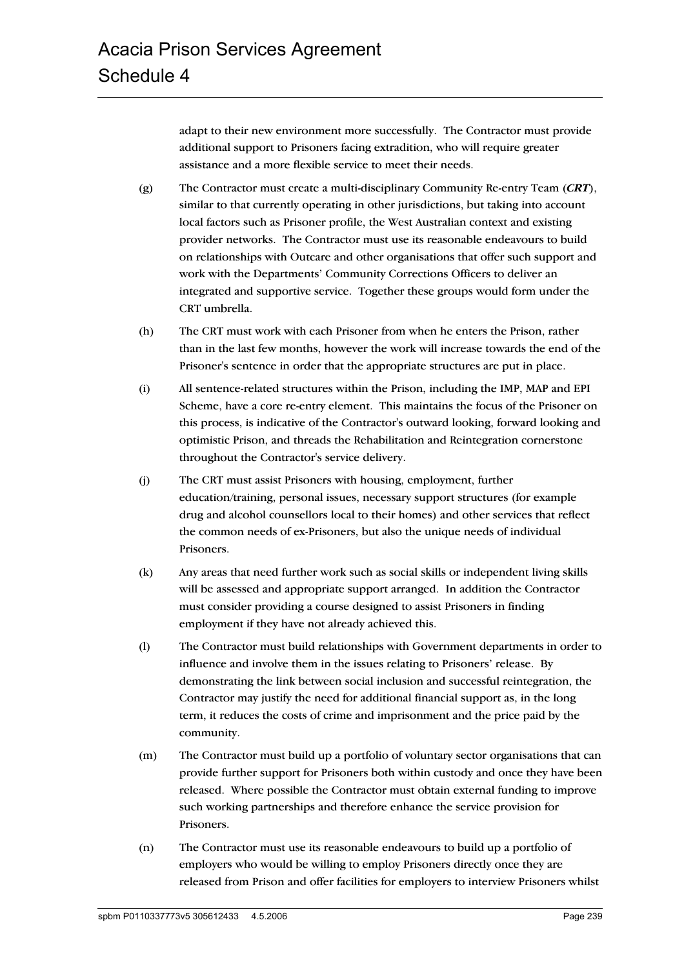adapt to their new environment more successfully. The Contractor must provide additional support to Prisoners facing extradition, who will require greater assistance and a more flexible service to meet their needs.

- (g) The Contractor must create a multi-disciplinary Community Re-entry Team (*CRT*), similar to that currently operating in other jurisdictions, but taking into account local factors such as Prisoner profile, the West Australian context and existing provider networks. The Contractor must use its reasonable endeavours to build on relationships with Outcare and other organisations that offer such support and work with the Departments' Community Corrections Officers to deliver an integrated and supportive service. Together these groups would form under the CRT umbrella.
- (h) The CRT must work with each Prisoner from when he enters the Prison, rather than in the last few months, however the work will increase towards the end of the Prisoner's sentence in order that the appropriate structures are put in place.
- (i) All sentence-related structures within the Prison, including the IMP, MAP and EPI Scheme, have a core re-entry element. This maintains the focus of the Prisoner on this process, is indicative of the Contractor's outward looking, forward looking and optimistic Prison, and threads the Rehabilitation and Reintegration cornerstone throughout the Contractor's service delivery.
- (j) The CRT must assist Prisoners with housing, employment, further education/training, personal issues, necessary support structures (for example drug and alcohol counsellors local to their homes) and other services that reflect the common needs of ex-Prisoners, but also the unique needs of individual Prisoners.
- (k) Any areas that need further work such as social skills or independent living skills will be assessed and appropriate support arranged. In addition the Contractor must consider providing a course designed to assist Prisoners in finding employment if they have not already achieved this.
- (l) The Contractor must build relationships with Government departments in order to influence and involve them in the issues relating to Prisoners' release. By demonstrating the link between social inclusion and successful reintegration, the Contractor may justify the need for additional financial support as, in the long term, it reduces the costs of crime and imprisonment and the price paid by the community.
- (m) The Contractor must build up a portfolio of voluntary sector organisations that can provide further support for Prisoners both within custody and once they have been released. Where possible the Contractor must obtain external funding to improve such working partnerships and therefore enhance the service provision for Prisoners.
- (n) The Contractor must use its reasonable endeavours to build up a portfolio of employers who would be willing to employ Prisoners directly once they are released from Prison and offer facilities for employers to interview Prisoners whilst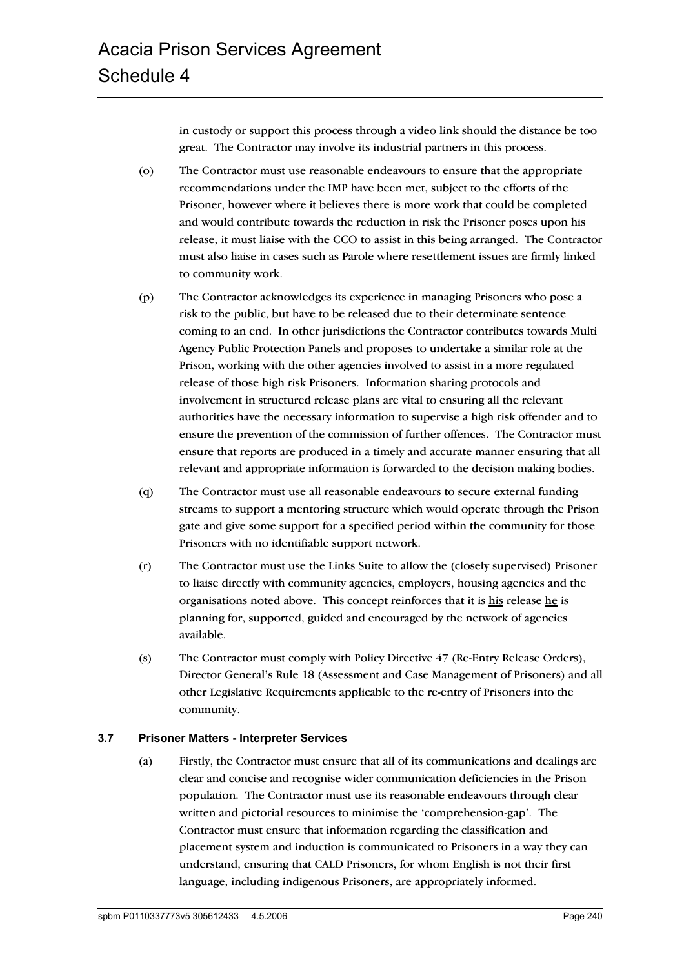in custody or support this process through a video link should the distance be too great. The Contractor may involve its industrial partners in this process.

- (o) The Contractor must use reasonable endeavours to ensure that the appropriate recommendations under the IMP have been met, subject to the efforts of the Prisoner, however where it believes there is more work that could be completed and would contribute towards the reduction in risk the Prisoner poses upon his release, it must liaise with the CCO to assist in this being arranged. The Contractor must also liaise in cases such as Parole where resettlement issues are firmly linked to community work.
- (p) The Contractor acknowledges its experience in managing Prisoners who pose a risk to the public, but have to be released due to their determinate sentence coming to an end. In other jurisdictions the Contractor contributes towards Multi Agency Public Protection Panels and proposes to undertake a similar role at the Prison, working with the other agencies involved to assist in a more regulated release of those high risk Prisoners. Information sharing protocols and involvement in structured release plans are vital to ensuring all the relevant authorities have the necessary information to supervise a high risk offender and to ensure the prevention of the commission of further offences. The Contractor must ensure that reports are produced in a timely and accurate manner ensuring that all relevant and appropriate information is forwarded to the decision making bodies.
- (q) The Contractor must use all reasonable endeavours to secure external funding streams to support a mentoring structure which would operate through the Prison gate and give some support for a specified period within the community for those Prisoners with no identifiable support network.
- (r) The Contractor must use the Links Suite to allow the (closely supervised) Prisoner to liaise directly with community agencies, employers, housing agencies and the organisations noted above. This concept reinforces that it is his release he is planning for, supported, guided and encouraged by the network of agencies available.
- (s) The Contractor must comply with Policy Directive 47 (Re-Entry Release Orders), Director General's Rule 18 (Assessment and Case Management of Prisoners) and all other Legislative Requirements applicable to the re-entry of Prisoners into the community.

#### **3.7 Prisoner Matters - Interpreter Services**

(a) Firstly, the Contractor must ensure that all of its communications and dealings are clear and concise and recognise wider communication deficiencies in the Prison population. The Contractor must use its reasonable endeavours through clear written and pictorial resources to minimise the 'comprehension-gap'. The Contractor must ensure that information regarding the classification and placement system and induction is communicated to Prisoners in a way they can understand, ensuring that CALD Prisoners, for whom English is not their first language, including indigenous Prisoners, are appropriately informed.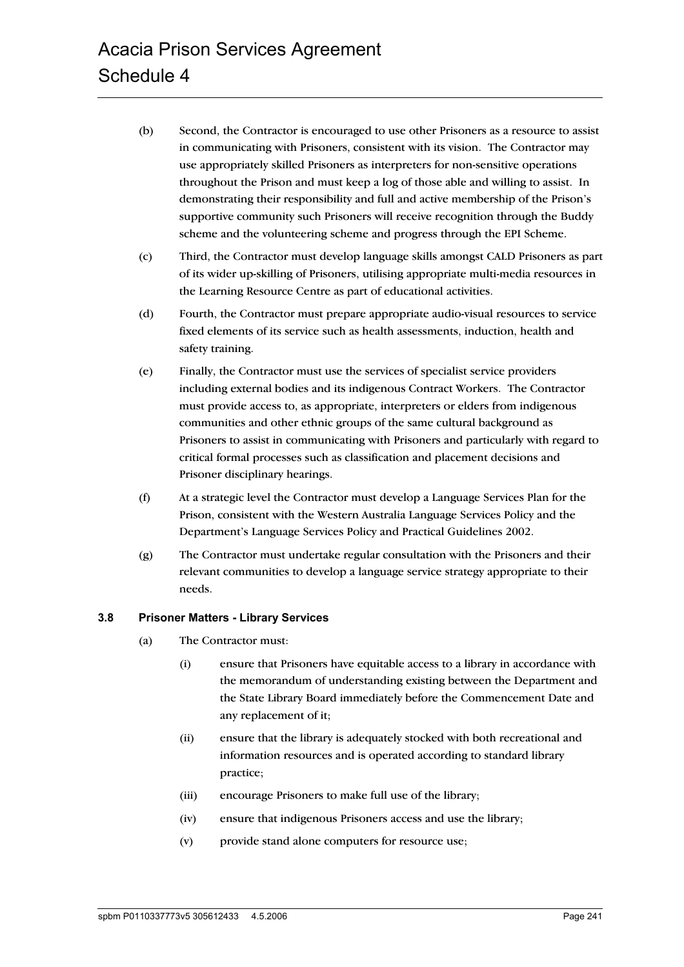- (b) Second, the Contractor is encouraged to use other Prisoners as a resource to assist in communicating with Prisoners, consistent with its vision. The Contractor may use appropriately skilled Prisoners as interpreters for non-sensitive operations throughout the Prison and must keep a log of those able and willing to assist. In demonstrating their responsibility and full and active membership of the Prison's supportive community such Prisoners will receive recognition through the Buddy scheme and the volunteering scheme and progress through the EPI Scheme.
- (c) Third, the Contractor must develop language skills amongst CALD Prisoners as part of its wider up-skilling of Prisoners, utilising appropriate multi-media resources in the Learning Resource Centre as part of educational activities.
- (d) Fourth, the Contractor must prepare appropriate audio-visual resources to service fixed elements of its service such as health assessments, induction, health and safety training.
- (e) Finally, the Contractor must use the services of specialist service providers including external bodies and its indigenous Contract Workers. The Contractor must provide access to, as appropriate, interpreters or elders from indigenous communities and other ethnic groups of the same cultural background as Prisoners to assist in communicating with Prisoners and particularly with regard to critical formal processes such as classification and placement decisions and Prisoner disciplinary hearings.
- (f) At a strategic level the Contractor must develop a Language Services Plan for the Prison, consistent with the Western Australia Language Services Policy and the Department's Language Services Policy and Practical Guidelines 2002.
- (g) The Contractor must undertake regular consultation with the Prisoners and their relevant communities to develop a language service strategy appropriate to their needs.

#### **3.8 Prisoner Matters - Library Services**

- (a) The Contractor must:
	- (i) ensure that Prisoners have equitable access to a library in accordance with the memorandum of understanding existing between the Department and the State Library Board immediately before the Commencement Date and any replacement of it;
	- (ii) ensure that the library is adequately stocked with both recreational and information resources and is operated according to standard library practice;
	- (iii) encourage Prisoners to make full use of the library;
	- (iv) ensure that indigenous Prisoners access and use the library;
	- (v) provide stand alone computers for resource use;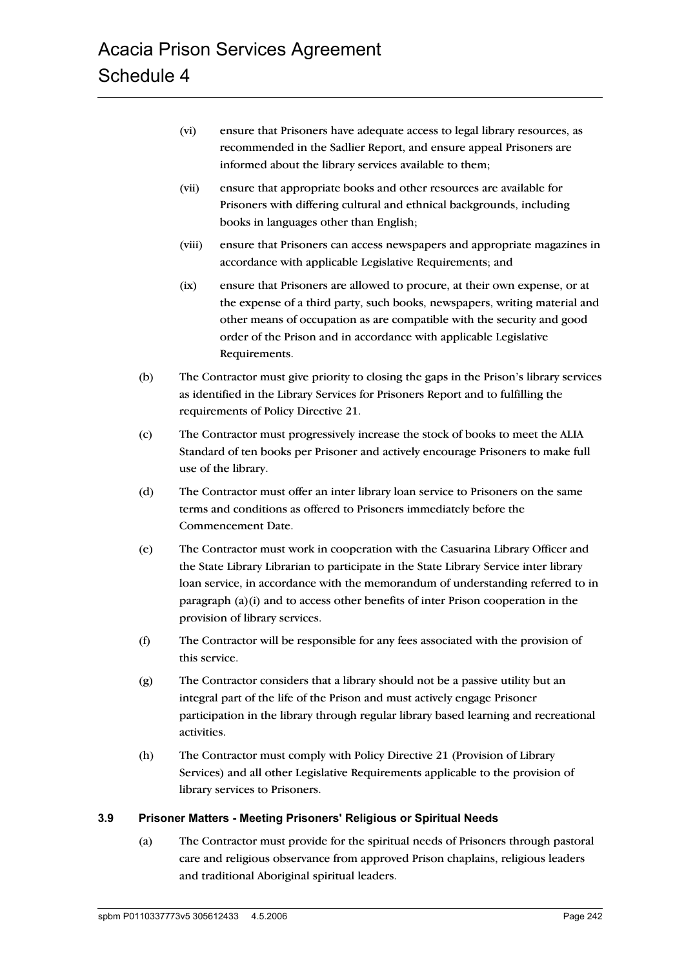- (vi) ensure that Prisoners have adequate access to legal library resources, as recommended in the Sadlier Report, and ensure appeal Prisoners are informed about the library services available to them;
- (vii) ensure that appropriate books and other resources are available for Prisoners with differing cultural and ethnical backgrounds, including books in languages other than English;
- (viii) ensure that Prisoners can access newspapers and appropriate magazines in accordance with applicable Legislative Requirements; and
- (ix) ensure that Prisoners are allowed to procure, at their own expense, or at the expense of a third party, such books, newspapers, writing material and other means of occupation as are compatible with the security and good order of the Prison and in accordance with applicable Legislative Requirements.
- (b) The Contractor must give priority to closing the gaps in the Prison's library services as identified in the Library Services for Prisoners Report and to fulfilling the requirements of Policy Directive 21.
- (c) The Contractor must progressively increase the stock of books to meet the ALIA Standard of ten books per Prisoner and actively encourage Prisoners to make full use of the library.
- (d) The Contractor must offer an inter library loan service to Prisoners on the same terms and conditions as offered to Prisoners immediately before the Commencement Date.
- (e) The Contractor must work in cooperation with the Casuarina Library Officer and the State Library Librarian to participate in the State Library Service inter library loan service, in accordance with the memorandum of understanding referred to in paragraph (a)(i) and to access other benefits of inter Prison cooperation in the provision of library services.
- (f) The Contractor will be responsible for any fees associated with the provision of this service.
- (g) The Contractor considers that a library should not be a passive utility but an integral part of the life of the Prison and must actively engage Prisoner participation in the library through regular library based learning and recreational activities.
- (h) The Contractor must comply with Policy Directive 21 (Provision of Library Services) and all other Legislative Requirements applicable to the provision of library services to Prisoners.

#### **3.9 Prisoner Matters - Meeting Prisoners' Religious or Spiritual Needs**

(a) The Contractor must provide for the spiritual needs of Prisoners through pastoral care and religious observance from approved Prison chaplains, religious leaders and traditional Aboriginal spiritual leaders.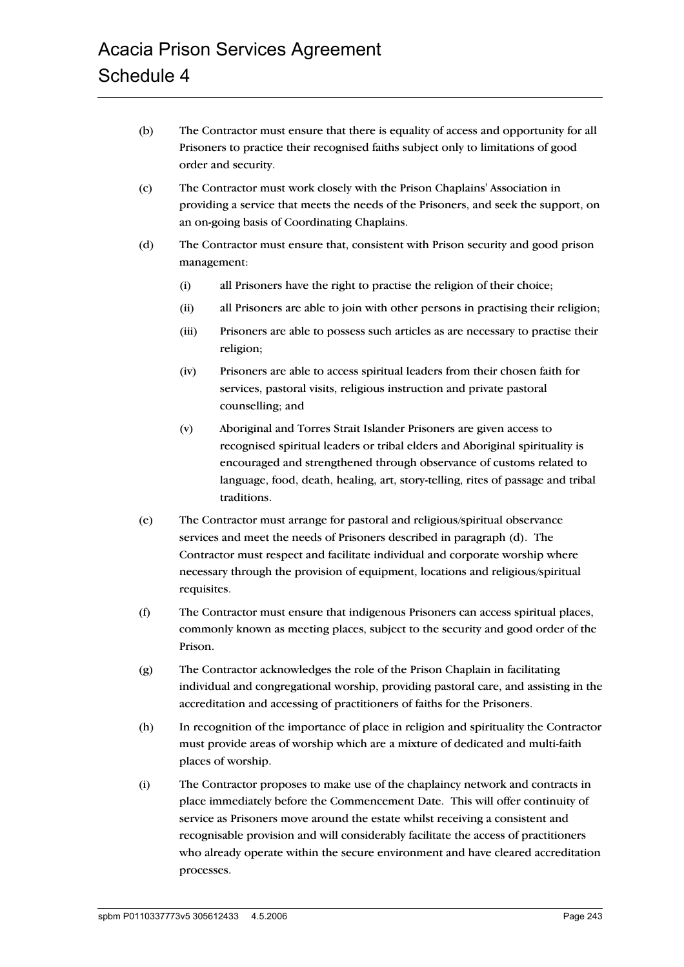- (b) The Contractor must ensure that there is equality of access and opportunity for all Prisoners to practice their recognised faiths subject only to limitations of good order and security.
- (c) The Contractor must work closely with the Prison Chaplains' Association in providing a service that meets the needs of the Prisoners, and seek the support, on an on-going basis of Coordinating Chaplains.
- (d) The Contractor must ensure that, consistent with Prison security and good prison management:
	- (i) all Prisoners have the right to practise the religion of their choice;
	- (ii) all Prisoners are able to join with other persons in practising their religion;
	- (iii) Prisoners are able to possess such articles as are necessary to practise their religion;
	- (iv) Prisoners are able to access spiritual leaders from their chosen faith for services, pastoral visits, religious instruction and private pastoral counselling; and
	- (v) Aboriginal and Torres Strait Islander Prisoners are given access to recognised spiritual leaders or tribal elders and Aboriginal spirituality is encouraged and strengthened through observance of customs related to language, food, death, healing, art, story-telling, rites of passage and tribal traditions.
- (e) The Contractor must arrange for pastoral and religious/spiritual observance services and meet the needs of Prisoners described in paragraph (d). The Contractor must respect and facilitate individual and corporate worship where necessary through the provision of equipment, locations and religious/spiritual requisites.
- (f) The Contractor must ensure that indigenous Prisoners can access spiritual places, commonly known as meeting places, subject to the security and good order of the Prison.
- (g) The Contractor acknowledges the role of the Prison Chaplain in facilitating individual and congregational worship, providing pastoral care, and assisting in the accreditation and accessing of practitioners of faiths for the Prisoners.
- (h) In recognition of the importance of place in religion and spirituality the Contractor must provide areas of worship which are a mixture of dedicated and multi-faith places of worship.
- (i) The Contractor proposes to make use of the chaplaincy network and contracts in place immediately before the Commencement Date. This will offer continuity of service as Prisoners move around the estate whilst receiving a consistent and recognisable provision and will considerably facilitate the access of practitioners who already operate within the secure environment and have cleared accreditation processes.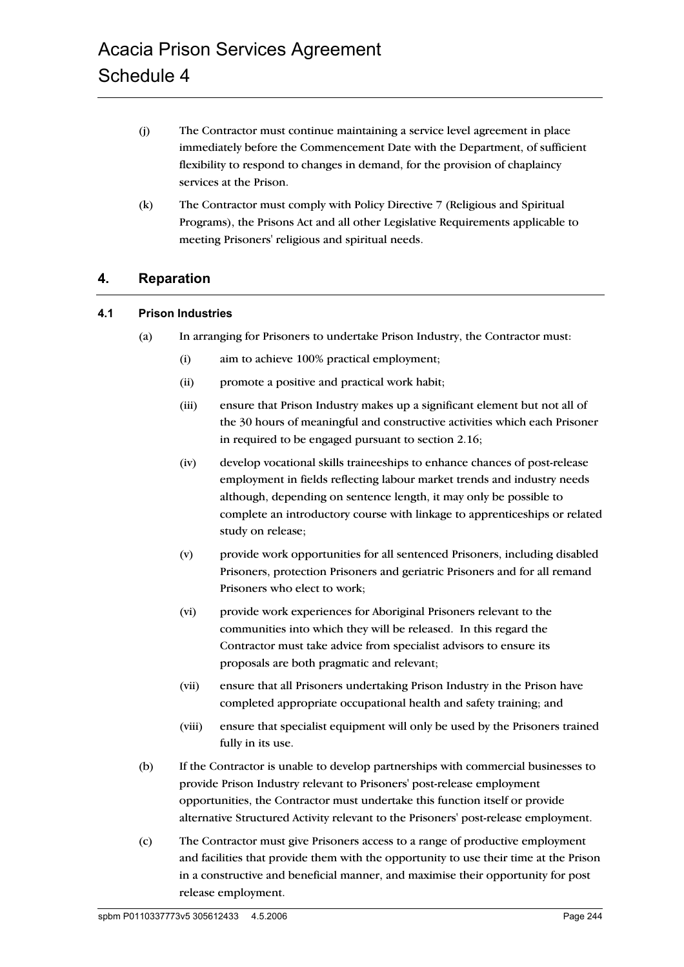- (j) The Contractor must continue maintaining a service level agreement in place immediately before the Commencement Date with the Department, of sufficient flexibility to respond to changes in demand, for the provision of chaplaincy services at the Prison.
- (k) The Contractor must comply with Policy Directive 7 (Religious and Spiritual Programs), the Prisons Act and all other Legislative Requirements applicable to meeting Prisoners' religious and spiritual needs.

## **4. Reparation**

#### **4.1 Prison Industries**

- (a) In arranging for Prisoners to undertake Prison Industry, the Contractor must:
	- (i) aim to achieve 100% practical employment;
	- (ii) promote a positive and practical work habit;
	- (iii) ensure that Prison Industry makes up a significant element but not all of the 30 hours of meaningful and constructive activities which each Prisoner in required to be engaged pursuant to section 2.16;
	- (iv) develop vocational skills traineeships to enhance chances of post-release employment in fields reflecting labour market trends and industry needs although, depending on sentence length, it may only be possible to complete an introductory course with linkage to apprenticeships or related study on release;
	- (v) provide work opportunities for all sentenced Prisoners, including disabled Prisoners, protection Prisoners and geriatric Prisoners and for all remand Prisoners who elect to work;
	- (vi) provide work experiences for Aboriginal Prisoners relevant to the communities into which they will be released. In this regard the Contractor must take advice from specialist advisors to ensure its proposals are both pragmatic and relevant;
	- (vii) ensure that all Prisoners undertaking Prison Industry in the Prison have completed appropriate occupational health and safety training; and
	- (viii) ensure that specialist equipment will only be used by the Prisoners trained fully in its use.
- (b) If the Contractor is unable to develop partnerships with commercial businesses to provide Prison Industry relevant to Prisoners' post-release employment opportunities, the Contractor must undertake this function itself or provide alternative Structured Activity relevant to the Prisoners' post-release employment.
- (c) The Contractor must give Prisoners access to a range of productive employment and facilities that provide them with the opportunity to use their time at the Prison in a constructive and beneficial manner, and maximise their opportunity for post release employment.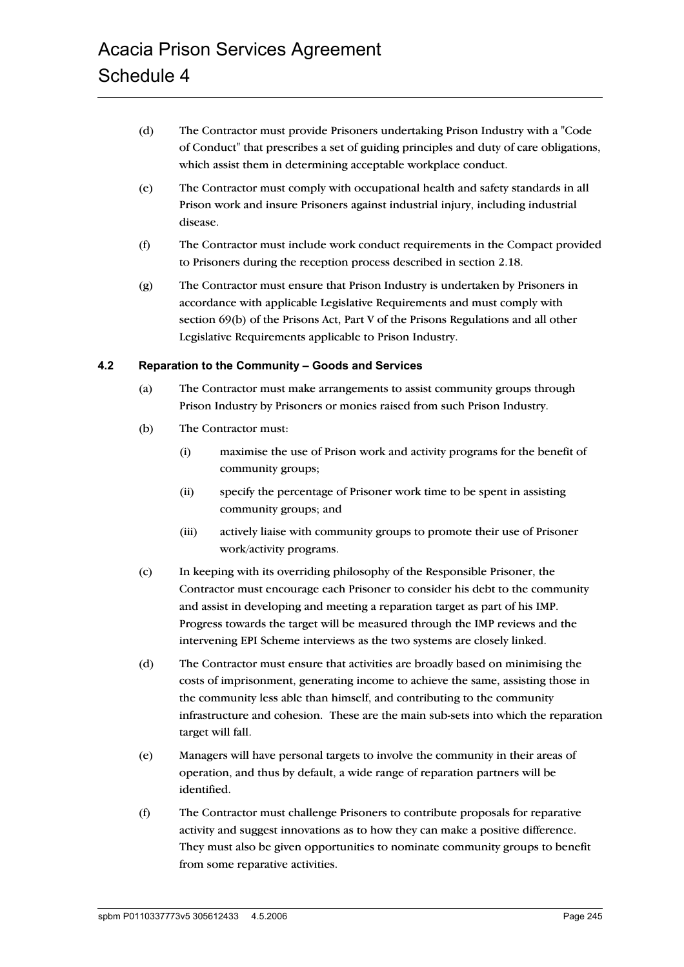- (d) The Contractor must provide Prisoners undertaking Prison Industry with a "Code of Conduct" that prescribes a set of guiding principles and duty of care obligations, which assist them in determining acceptable workplace conduct.
- (e) The Contractor must comply with occupational health and safety standards in all Prison work and insure Prisoners against industrial injury, including industrial disease.
- (f) The Contractor must include work conduct requirements in the Compact provided to Prisoners during the reception process described in section 2.18.
- (g) The Contractor must ensure that Prison Industry is undertaken by Prisoners in accordance with applicable Legislative Requirements and must comply with section 69(b) of the Prisons Act, Part V of the Prisons Regulations and all other Legislative Requirements applicable to Prison Industry.

#### **4.2 Reparation to the Community – Goods and Services**

- (a) The Contractor must make arrangements to assist community groups through Prison Industry by Prisoners or monies raised from such Prison Industry.
- (b) The Contractor must:
	- (i) maximise the use of Prison work and activity programs for the benefit of community groups;
	- (ii) specify the percentage of Prisoner work time to be spent in assisting community groups; and
	- (iii) actively liaise with community groups to promote their use of Prisoner work/activity programs.
- (c) In keeping with its overriding philosophy of the Responsible Prisoner, the Contractor must encourage each Prisoner to consider his debt to the community and assist in developing and meeting a reparation target as part of his IMP. Progress towards the target will be measured through the IMP reviews and the intervening EPI Scheme interviews as the two systems are closely linked.
- (d) The Contractor must ensure that activities are broadly based on minimising the costs of imprisonment, generating income to achieve the same, assisting those in the community less able than himself, and contributing to the community infrastructure and cohesion. These are the main sub-sets into which the reparation target will fall.
- (e) Managers will have personal targets to involve the community in their areas of operation, and thus by default, a wide range of reparation partners will be identified.
- (f) The Contractor must challenge Prisoners to contribute proposals for reparative activity and suggest innovations as to how they can make a positive difference. They must also be given opportunities to nominate community groups to benefit from some reparative activities.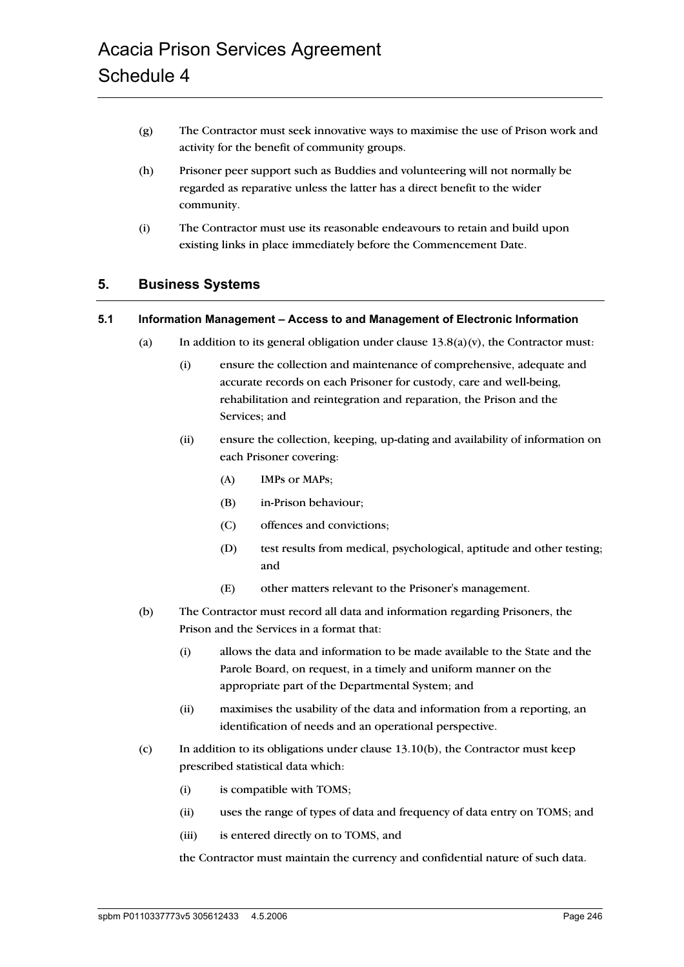- (g) The Contractor must seek innovative ways to maximise the use of Prison work and activity for the benefit of community groups.
- (h) Prisoner peer support such as Buddies and volunteering will not normally be regarded as reparative unless the latter has a direct benefit to the wider community.
- (i) The Contractor must use its reasonable endeavours to retain and build upon existing links in place immediately before the Commencement Date.

# **5. Business Systems**

### **5.1 Information Management – Access to and Management of Electronic Information**

- (a) In addition to its general obligation under clause  $13.8(a)(v)$ , the Contractor must:
	- (i) ensure the collection and maintenance of comprehensive, adequate and accurate records on each Prisoner for custody, care and well-being, rehabilitation and reintegration and reparation, the Prison and the Services; and
	- (ii) ensure the collection, keeping, up-dating and availability of information on each Prisoner covering:
		- (A) IMPs or MAPs;
		- (B) in-Prison behaviour;
		- (C) offences and convictions;
		- (D) test results from medical, psychological, aptitude and other testing; and
		- (E) other matters relevant to the Prisoner's management.
- (b) The Contractor must record all data and information regarding Prisoners, the Prison and the Services in a format that:
	- (i) allows the data and information to be made available to the State and the Parole Board, on request, in a timely and uniform manner on the appropriate part of the Departmental System; and
	- (ii) maximises the usability of the data and information from a reporting, an identification of needs and an operational perspective.
- (c) In addition to its obligations under clause  $13.10(b)$ , the Contractor must keep prescribed statistical data which:
	- (i) is compatible with TOMS;
	- (ii) uses the range of types of data and frequency of data entry on TOMS; and
	- (iii) is entered directly on to TOMS, and

the Contractor must maintain the currency and confidential nature of such data.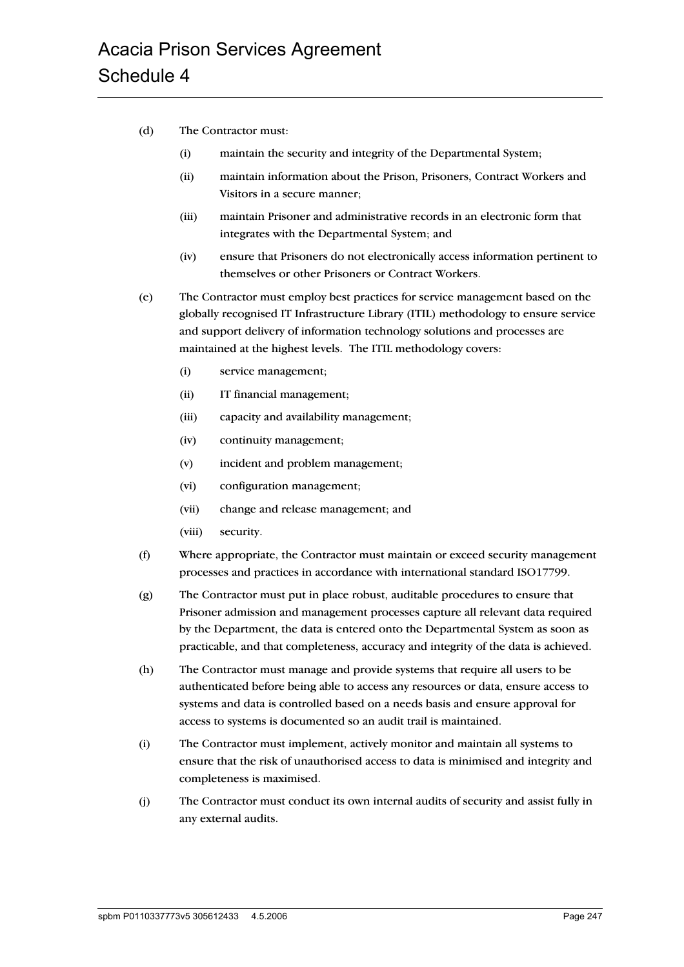- (d) The Contractor must:
	- (i) maintain the security and integrity of the Departmental System;
	- (ii) maintain information about the Prison, Prisoners, Contract Workers and Visitors in a secure manner;
	- (iii) maintain Prisoner and administrative records in an electronic form that integrates with the Departmental System; and
	- (iv) ensure that Prisoners do not electronically access information pertinent to themselves or other Prisoners or Contract Workers.
- (e) The Contractor must employ best practices for service management based on the globally recognised IT Infrastructure Library (ITIL) methodology to ensure service and support delivery of information technology solutions and processes are maintained at the highest levels. The ITIL methodology covers:
	- (i) service management;
	- (ii) IT financial management;
	- (iii) capacity and availability management;
	- (iv) continuity management;
	- (v) incident and problem management;
	- (vi) configuration management;
	- (vii) change and release management; and
	- (viii) security.
- (f) Where appropriate, the Contractor must maintain or exceed security management processes and practices in accordance with international standard ISO17799.
- (g) The Contractor must put in place robust, auditable procedures to ensure that Prisoner admission and management processes capture all relevant data required by the Department, the data is entered onto the Departmental System as soon as practicable, and that completeness, accuracy and integrity of the data is achieved.
- (h) The Contractor must manage and provide systems that require all users to be authenticated before being able to access any resources or data, ensure access to systems and data is controlled based on a needs basis and ensure approval for access to systems is documented so an audit trail is maintained.
- (i) The Contractor must implement, actively monitor and maintain all systems to ensure that the risk of unauthorised access to data is minimised and integrity and completeness is maximised.
- (j) The Contractor must conduct its own internal audits of security and assist fully in any external audits.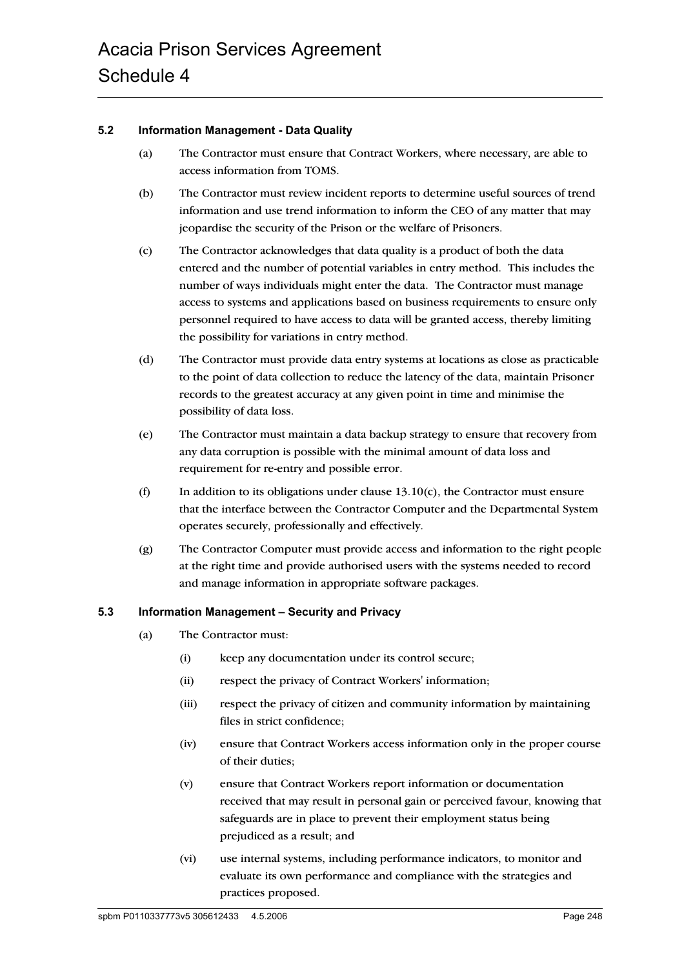#### **5.2 Information Management - Data Quality**

- (a) The Contractor must ensure that Contract Workers, where necessary, are able to access information from TOMS.
- (b) The Contractor must review incident reports to determine useful sources of trend information and use trend information to inform the CEO of any matter that may jeopardise the security of the Prison or the welfare of Prisoners.
- (c) The Contractor acknowledges that data quality is a product of both the data entered and the number of potential variables in entry method. This includes the number of ways individuals might enter the data. The Contractor must manage access to systems and applications based on business requirements to ensure only personnel required to have access to data will be granted access, thereby limiting the possibility for variations in entry method.
- (d) The Contractor must provide data entry systems at locations as close as practicable to the point of data collection to reduce the latency of the data, maintain Prisoner records to the greatest accuracy at any given point in time and minimise the possibility of data loss.
- (e) The Contractor must maintain a data backup strategy to ensure that recovery from any data corruption is possible with the minimal amount of data loss and requirement for re-entry and possible error.
- (f) In addition to its obligations under clause  $13.10(c)$ , the Contractor must ensure that the interface between the Contractor Computer and the Departmental System operates securely, professionally and effectively.
- (g) The Contractor Computer must provide access and information to the right people at the right time and provide authorised users with the systems needed to record and manage information in appropriate software packages.

#### **5.3 Information Management – Security and Privacy**

- (a) The Contractor must:
	- (i) keep any documentation under its control secure;
	- (ii) respect the privacy of Contract Workers' information;
	- (iii) respect the privacy of citizen and community information by maintaining files in strict confidence;
	- (iv) ensure that Contract Workers access information only in the proper course of their duties;
	- (v) ensure that Contract Workers report information or documentation received that may result in personal gain or perceived favour, knowing that safeguards are in place to prevent their employment status being prejudiced as a result; and
	- (vi) use internal systems, including performance indicators, to monitor and evaluate its own performance and compliance with the strategies and practices proposed.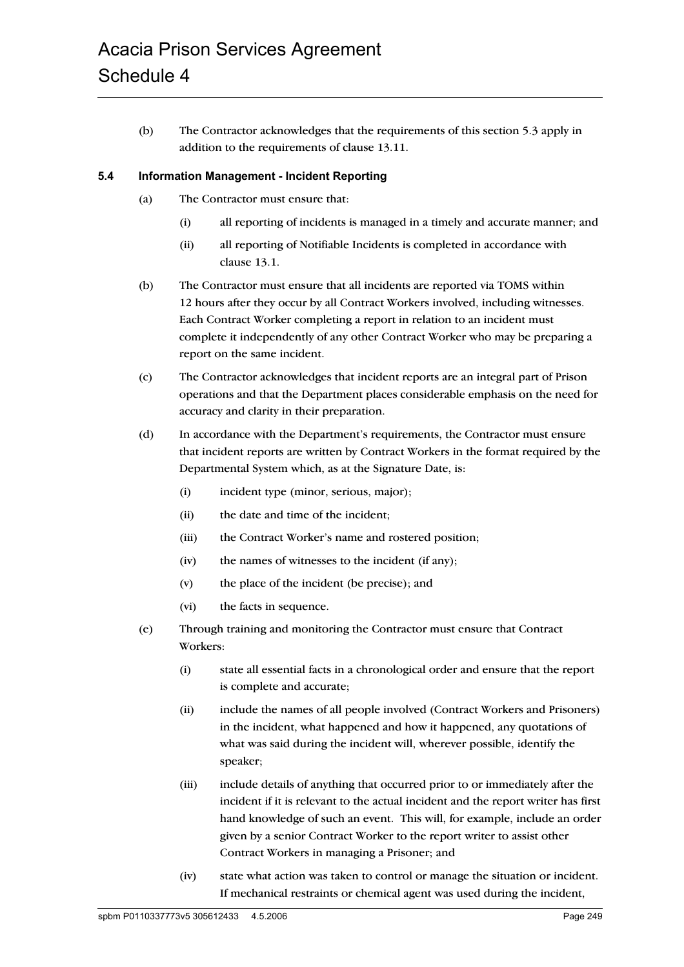(b) The Contractor acknowledges that the requirements of this section 5.3 apply in addition to the requirements of clause 13.11.

#### **5.4 Information Management - Incident Reporting**

- (a) The Contractor must ensure that:
	- (i) all reporting of incidents is managed in a timely and accurate manner; and
	- (ii) all reporting of Notifiable Incidents is completed in accordance with clause 13.1.
- (b) The Contractor must ensure that all incidents are reported via TOMS within 12 hours after they occur by all Contract Workers involved, including witnesses. Each Contract Worker completing a report in relation to an incident must complete it independently of any other Contract Worker who may be preparing a report on the same incident.
- (c) The Contractor acknowledges that incident reports are an integral part of Prison operations and that the Department places considerable emphasis on the need for accuracy and clarity in their preparation.
- (d) In accordance with the Department's requirements, the Contractor must ensure that incident reports are written by Contract Workers in the format required by the Departmental System which, as at the Signature Date, is:
	- (i) incident type (minor, serious, major);
	- (ii) the date and time of the incident;
	- (iii) the Contract Worker's name and rostered position;
	- (iv) the names of witnesses to the incident (if any);
	- (v) the place of the incident (be precise); and
	- (vi) the facts in sequence.
- (e) Through training and monitoring the Contractor must ensure that Contract Workers:
	- (i) state all essential facts in a chronological order and ensure that the report is complete and accurate;
	- (ii) include the names of all people involved (Contract Workers and Prisoners) in the incident, what happened and how it happened, any quotations of what was said during the incident will, wherever possible, identify the speaker;
	- (iii) include details of anything that occurred prior to or immediately after the incident if it is relevant to the actual incident and the report writer has first hand knowledge of such an event. This will, for example, include an order given by a senior Contract Worker to the report writer to assist other Contract Workers in managing a Prisoner; and
	- (iv) state what action was taken to control or manage the situation or incident. If mechanical restraints or chemical agent was used during the incident,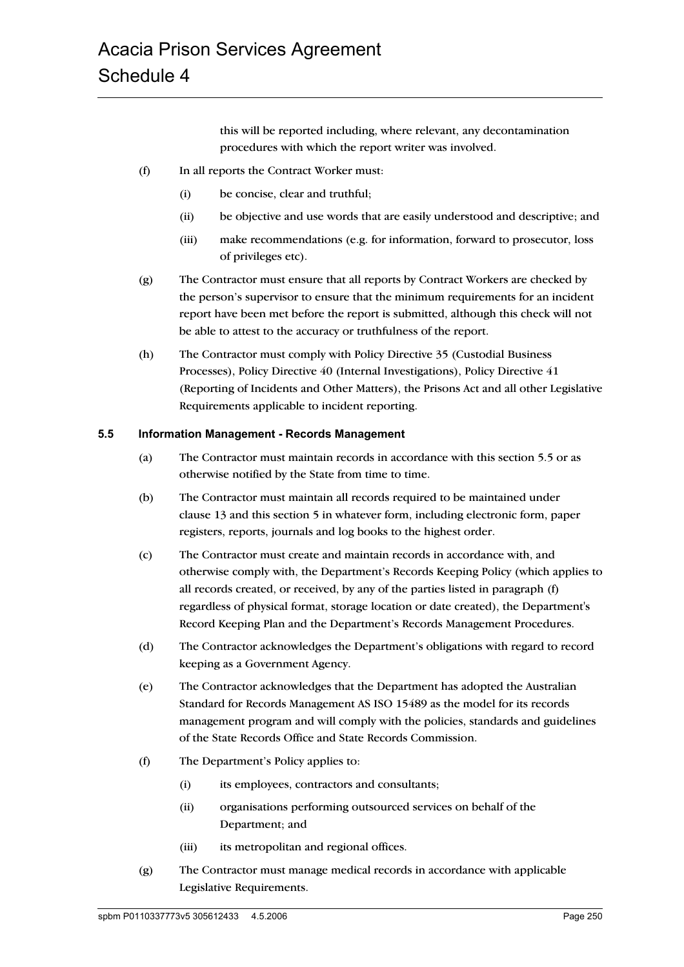this will be reported including, where relevant, any decontamination procedures with which the report writer was involved.

- (f) In all reports the Contract Worker must:
	- (i) be concise, clear and truthful;
	- (ii) be objective and use words that are easily understood and descriptive; and
	- (iii) make recommendations (e.g. for information, forward to prosecutor, loss of privileges etc).
- (g) The Contractor must ensure that all reports by Contract Workers are checked by the person's supervisor to ensure that the minimum requirements for an incident report have been met before the report is submitted, although this check will not be able to attest to the accuracy or truthfulness of the report.
- (h) The Contractor must comply with Policy Directive 35 (Custodial Business Processes), Policy Directive 40 (Internal Investigations), Policy Directive 41 (Reporting of Incidents and Other Matters), the Prisons Act and all other Legislative Requirements applicable to incident reporting.

### **5.5 Information Management - Records Management**

- (a) The Contractor must maintain records in accordance with this section 5.5 or as otherwise notified by the State from time to time.
- (b) The Contractor must maintain all records required to be maintained under clause 13 and this section 5 in whatever form, including electronic form, paper registers, reports, journals and log books to the highest order.
- (c) The Contractor must create and maintain records in accordance with, and otherwise comply with, the Department's Records Keeping Policy (which applies to all records created, or received, by any of the parties listed in paragraph (f) regardless of physical format, storage location or date created), the Department's Record Keeping Plan and the Department's Records Management Procedures.
- (d) The Contractor acknowledges the Department's obligations with regard to record keeping as a Government Agency.
- (e) The Contractor acknowledges that the Department has adopted the Australian Standard for Records Management AS ISO 15489 as the model for its records management program and will comply with the policies, standards and guidelines of the State Records Office and State Records Commission.
- (f) The Department's Policy applies to:
	- (i) its employees, contractors and consultants;
	- (ii) organisations performing outsourced services on behalf of the Department; and
	- (iii) its metropolitan and regional offices.
- (g) The Contractor must manage medical records in accordance with applicable Legislative Requirements.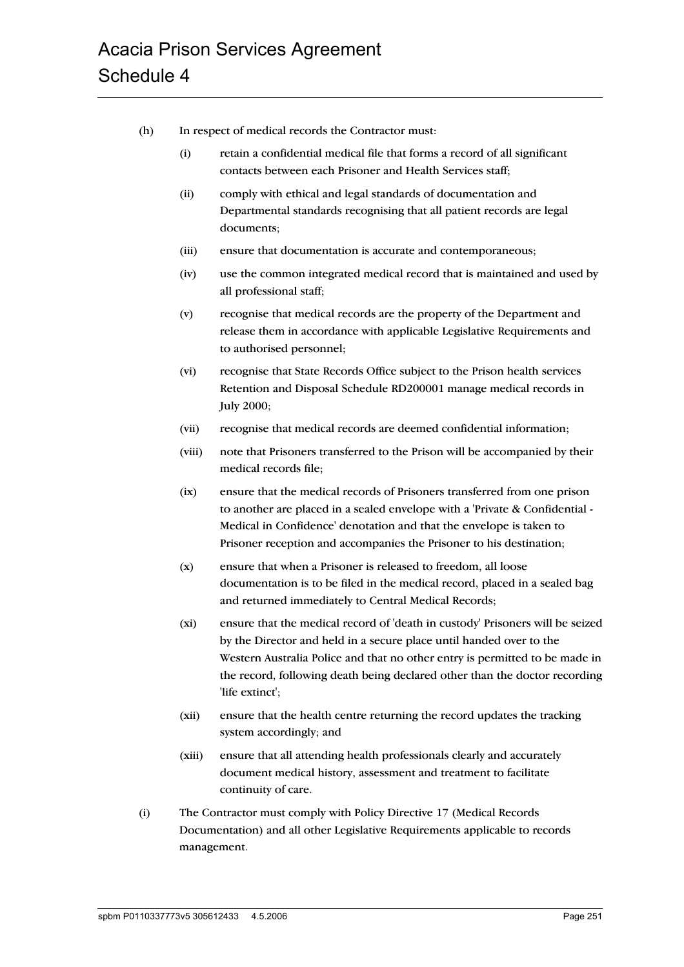- (h) In respect of medical records the Contractor must:
	- (i) retain a confidential medical file that forms a record of all significant contacts between each Prisoner and Health Services staff;
	- (ii) comply with ethical and legal standards of documentation and Departmental standards recognising that all patient records are legal documents;
	- (iii) ensure that documentation is accurate and contemporaneous;
	- (iv) use the common integrated medical record that is maintained and used by all professional staff;
	- (v) recognise that medical records are the property of the Department and release them in accordance with applicable Legislative Requirements and to authorised personnel;
	- (vi) recognise that State Records Office subject to the Prison health services Retention and Disposal Schedule RD200001 manage medical records in July 2000;
	- (vii) recognise that medical records are deemed confidential information;
	- (viii) note that Prisoners transferred to the Prison will be accompanied by their medical records file;
	- (ix) ensure that the medical records of Prisoners transferred from one prison to another are placed in a sealed envelope with a 'Private & Confidential - Medical in Confidence' denotation and that the envelope is taken to Prisoner reception and accompanies the Prisoner to his destination;
	- (x) ensure that when a Prisoner is released to freedom, all loose documentation is to be filed in the medical record, placed in a sealed bag and returned immediately to Central Medical Records;
	- (xi) ensure that the medical record of 'death in custody' Prisoners will be seized by the Director and held in a secure place until handed over to the Western Australia Police and that no other entry is permitted to be made in the record, following death being declared other than the doctor recording 'life extinct';
	- (xii) ensure that the health centre returning the record updates the tracking system accordingly; and
	- (xiii) ensure that all attending health professionals clearly and accurately document medical history, assessment and treatment to facilitate continuity of care.
- (i) The Contractor must comply with Policy Directive 17 (Medical Records Documentation) and all other Legislative Requirements applicable to records management.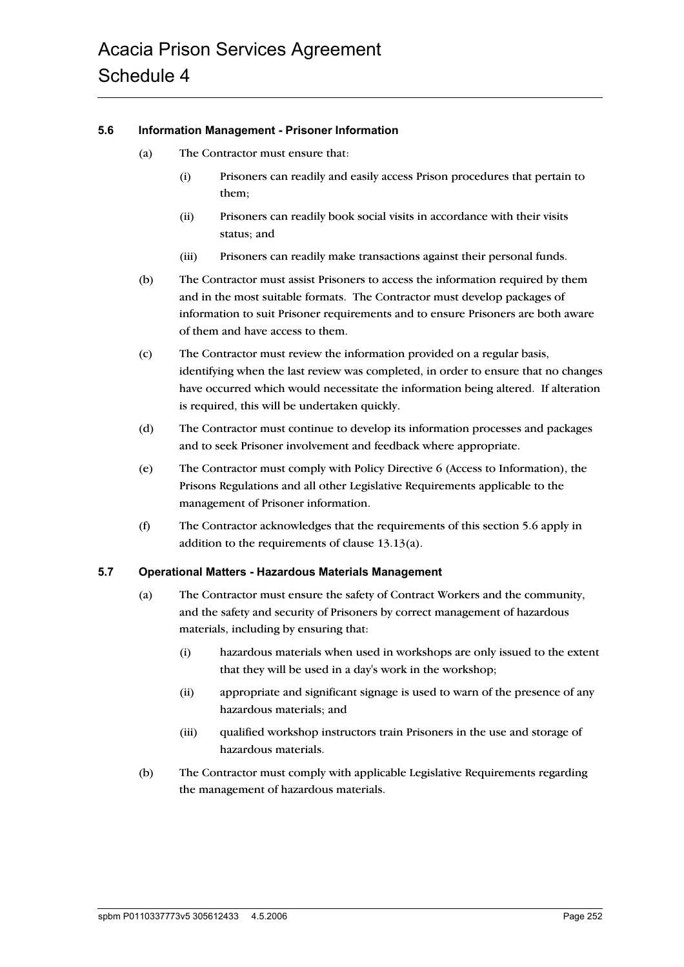#### **5.6 Information Management - Prisoner Information**

- (a) The Contractor must ensure that:
	- (i) Prisoners can readily and easily access Prison procedures that pertain to them;
	- (ii) Prisoners can readily book social visits in accordance with their visits status; and
	- (iii) Prisoners can readily make transactions against their personal funds.
- (b) The Contractor must assist Prisoners to access the information required by them and in the most suitable formats. The Contractor must develop packages of information to suit Prisoner requirements and to ensure Prisoners are both aware of them and have access to them.
- (c) The Contractor must review the information provided on a regular basis, identifying when the last review was completed, in order to ensure that no changes have occurred which would necessitate the information being altered. If alteration is required, this will be undertaken quickly.
- (d) The Contractor must continue to develop its information processes and packages and to seek Prisoner involvement and feedback where appropriate.
- (e) The Contractor must comply with Policy Directive 6 (Access to Information), the Prisons Regulations and all other Legislative Requirements applicable to the management of Prisoner information.
- (f) The Contractor acknowledges that the requirements of this section 5.6 apply in addition to the requirements of clause 13.13(a).

#### **5.7 Operational Matters - Hazardous Materials Management**

- (a) The Contractor must ensure the safety of Contract Workers and the community, and the safety and security of Prisoners by correct management of hazardous materials, including by ensuring that:
	- (i) hazardous materials when used in workshops are only issued to the extent that they will be used in a day's work in the workshop;
	- (ii) appropriate and significant signage is used to warn of the presence of any hazardous materials; and
	- (iii) qualified workshop instructors train Prisoners in the use and storage of hazardous materials.
- (b) The Contractor must comply with applicable Legislative Requirements regarding the management of hazardous materials.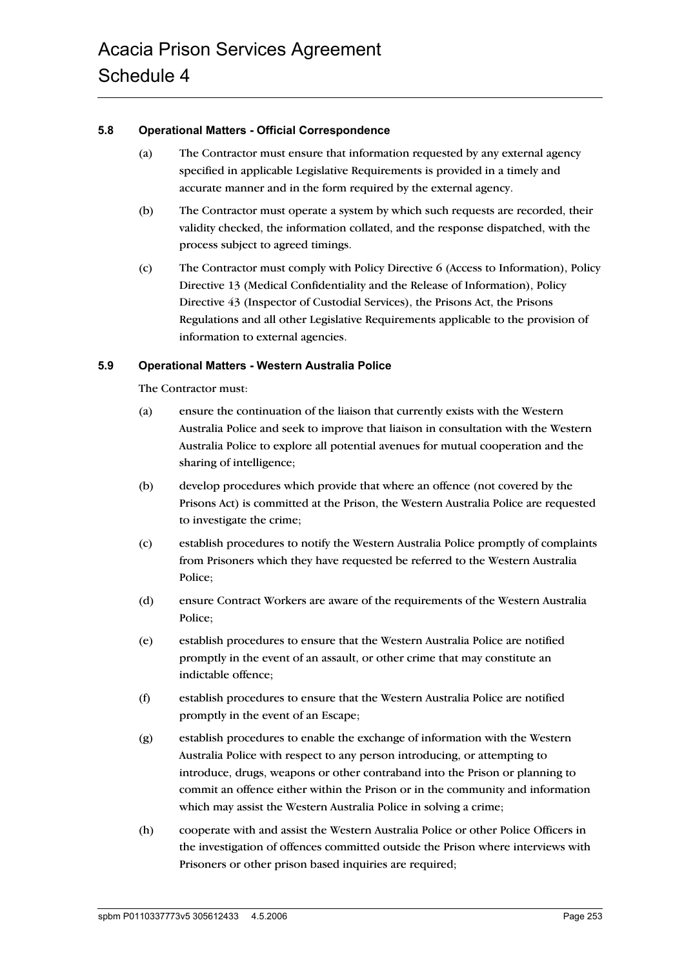#### **5.8 Operational Matters - Official Correspondence**

- (a) The Contractor must ensure that information requested by any external agency specified in applicable Legislative Requirements is provided in a timely and accurate manner and in the form required by the external agency.
- (b) The Contractor must operate a system by which such requests are recorded, their validity checked, the information collated, and the response dispatched, with the process subject to agreed timings.
- (c) The Contractor must comply with Policy Directive 6 (Access to Information), Policy Directive 13 (Medical Confidentiality and the Release of Information), Policy Directive 43 (Inspector of Custodial Services), the Prisons Act, the Prisons Regulations and all other Legislative Requirements applicable to the provision of information to external agencies.

#### **5.9 Operational Matters - Western Australia Police**

The Contractor must:

- (a) ensure the continuation of the liaison that currently exists with the Western Australia Police and seek to improve that liaison in consultation with the Western Australia Police to explore all potential avenues for mutual cooperation and the sharing of intelligence;
- (b) develop procedures which provide that where an offence (not covered by the Prisons Act) is committed at the Prison, the Western Australia Police are requested to investigate the crime;
- (c) establish procedures to notify the Western Australia Police promptly of complaints from Prisoners which they have requested be referred to the Western Australia Police;
- (d) ensure Contract Workers are aware of the requirements of the Western Australia Police;
- (e) establish procedures to ensure that the Western Australia Police are notified promptly in the event of an assault, or other crime that may constitute an indictable offence;
- (f) establish procedures to ensure that the Western Australia Police are notified promptly in the event of an Escape;
- (g) establish procedures to enable the exchange of information with the Western Australia Police with respect to any person introducing, or attempting to introduce, drugs, weapons or other contraband into the Prison or planning to commit an offence either within the Prison or in the community and information which may assist the Western Australia Police in solving a crime;
- (h) cooperate with and assist the Western Australia Police or other Police Officers in the investigation of offences committed outside the Prison where interviews with Prisoners or other prison based inquiries are required;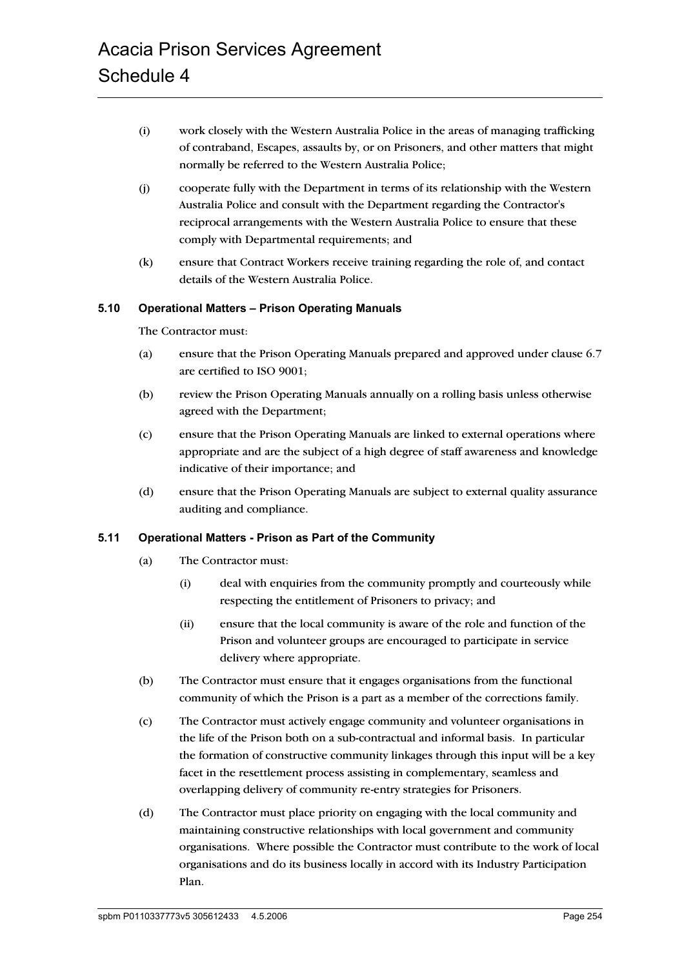- (i) work closely with the Western Australia Police in the areas of managing trafficking of contraband, Escapes, assaults by, or on Prisoners, and other matters that might normally be referred to the Western Australia Police;
- (j) cooperate fully with the Department in terms of its relationship with the Western Australia Police and consult with the Department regarding the Contractor's reciprocal arrangements with the Western Australia Police to ensure that these comply with Departmental requirements; and
- (k) ensure that Contract Workers receive training regarding the role of, and contact details of the Western Australia Police.

#### **5.10 Operational Matters – Prison Operating Manuals**

The Contractor must:

- (a) ensure that the Prison Operating Manuals prepared and approved under clause 6.7 are certified to ISO 9001;
- (b) review the Prison Operating Manuals annually on a rolling basis unless otherwise agreed with the Department;
- (c) ensure that the Prison Operating Manuals are linked to external operations where appropriate and are the subject of a high degree of staff awareness and knowledge indicative of their importance; and
- (d) ensure that the Prison Operating Manuals are subject to external quality assurance auditing and compliance.

#### **5.11 Operational Matters - Prison as Part of the Community**

- (a) The Contractor must:
	- (i) deal with enquiries from the community promptly and courteously while respecting the entitlement of Prisoners to privacy; and
	- (ii) ensure that the local community is aware of the role and function of the Prison and volunteer groups are encouraged to participate in service delivery where appropriate.
- (b) The Contractor must ensure that it engages organisations from the functional community of which the Prison is a part as a member of the corrections family.
- (c) The Contractor must actively engage community and volunteer organisations in the life of the Prison both on a sub-contractual and informal basis. In particular the formation of constructive community linkages through this input will be a key facet in the resettlement process assisting in complementary, seamless and overlapping delivery of community re-entry strategies for Prisoners.
- (d) The Contractor must place priority on engaging with the local community and maintaining constructive relationships with local government and community organisations. Where possible the Contractor must contribute to the work of local organisations and do its business locally in accord with its Industry Participation Plan.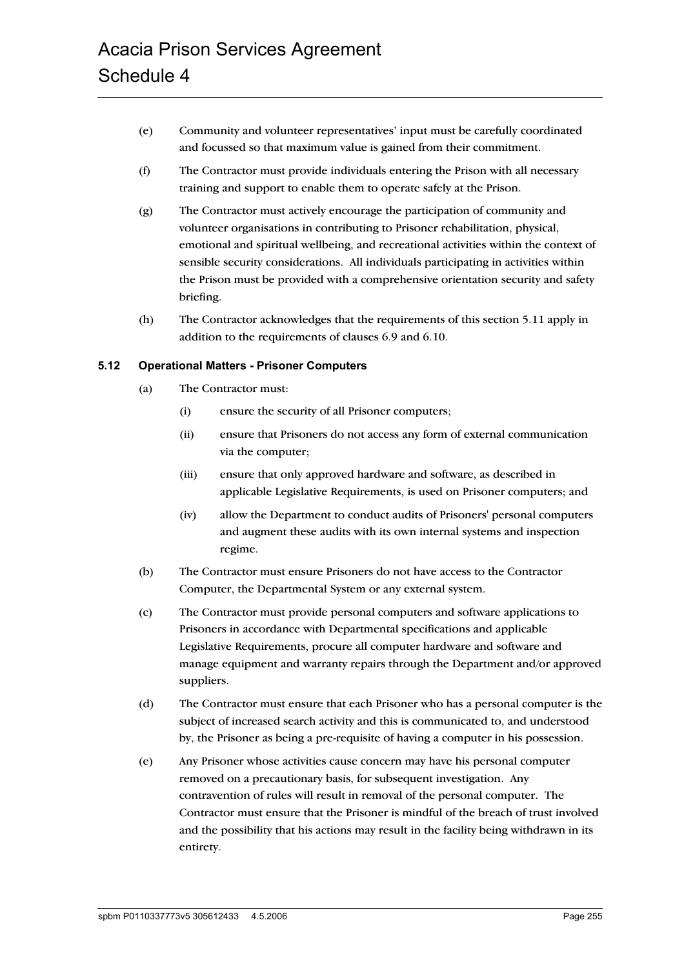- (e) Community and volunteer representatives' input must be carefully coordinated and focussed so that maximum value is gained from their commitment.
- (f) The Contractor must provide individuals entering the Prison with all necessary training and support to enable them to operate safely at the Prison.
- (g) The Contractor must actively encourage the participation of community and volunteer organisations in contributing to Prisoner rehabilitation, physical, emotional and spiritual wellbeing, and recreational activities within the context of sensible security considerations. All individuals participating in activities within the Prison must be provided with a comprehensive orientation security and safety briefing.
- (h) The Contractor acknowledges that the requirements of this section 5.11 apply in addition to the requirements of clauses 6.9 and 6.10.

#### **5.12 Operational Matters - Prisoner Computers**

- (a) The Contractor must:
	- (i) ensure the security of all Prisoner computers;
	- (ii) ensure that Prisoners do not access any form of external communication via the computer;
	- (iii) ensure that only approved hardware and software, as described in applicable Legislative Requirements, is used on Prisoner computers; and
	- (iv) allow the Department to conduct audits of Prisoners' personal computers and augment these audits with its own internal systems and inspection regime.
- (b) The Contractor must ensure Prisoners do not have access to the Contractor Computer, the Departmental System or any external system.
- (c) The Contractor must provide personal computers and software applications to Prisoners in accordance with Departmental specifications and applicable Legislative Requirements, procure all computer hardware and software and manage equipment and warranty repairs through the Department and/or approved suppliers.
- (d) The Contractor must ensure that each Prisoner who has a personal computer is the subject of increased search activity and this is communicated to, and understood by, the Prisoner as being a pre-requisite of having a computer in his possession.
- (e) Any Prisoner whose activities cause concern may have his personal computer removed on a precautionary basis, for subsequent investigation. Any contravention of rules will result in removal of the personal computer. The Contractor must ensure that the Prisoner is mindful of the breach of trust involved and the possibility that his actions may result in the facility being withdrawn in its entirety.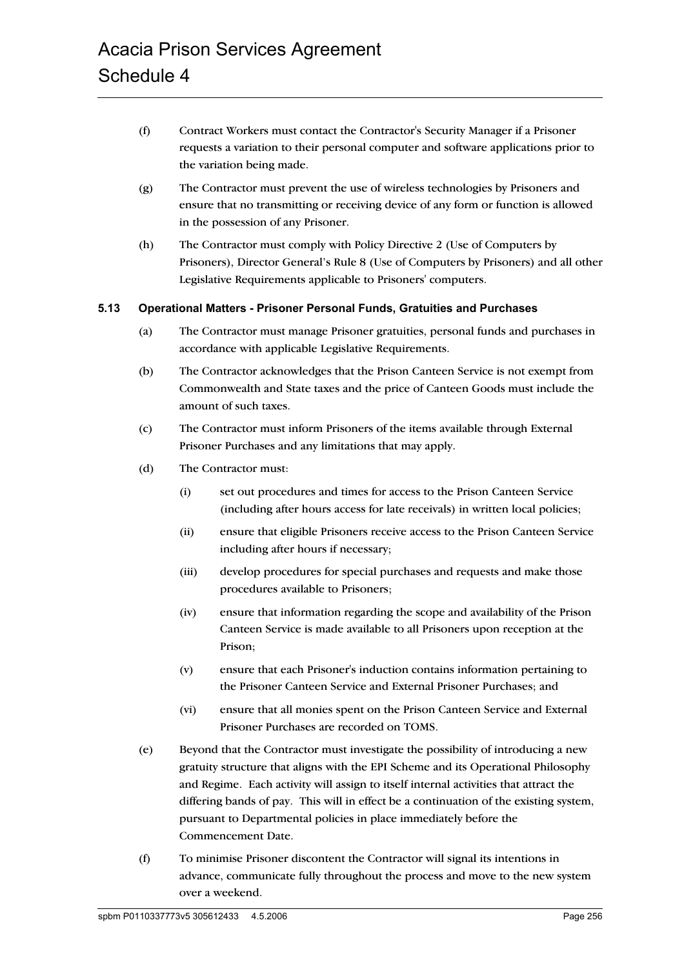- (f) Contract Workers must contact the Contractor's Security Manager if a Prisoner requests a variation to their personal computer and software applications prior to the variation being made.
- (g) The Contractor must prevent the use of wireless technologies by Prisoners and ensure that no transmitting or receiving device of any form or function is allowed in the possession of any Prisoner.
- (h) The Contractor must comply with Policy Directive 2 (Use of Computers by Prisoners), Director General's Rule 8 (Use of Computers by Prisoners) and all other Legislative Requirements applicable to Prisoners' computers.

#### **5.13 Operational Matters - Prisoner Personal Funds, Gratuities and Purchases**

- (a) The Contractor must manage Prisoner gratuities, personal funds and purchases in accordance with applicable Legislative Requirements.
- (b) The Contractor acknowledges that the Prison Canteen Service is not exempt from Commonwealth and State taxes and the price of Canteen Goods must include the amount of such taxes.
- (c) The Contractor must inform Prisoners of the items available through External Prisoner Purchases and any limitations that may apply.
- (d) The Contractor must:
	- (i) set out procedures and times for access to the Prison Canteen Service (including after hours access for late receivals) in written local policies;
	- (ii) ensure that eligible Prisoners receive access to the Prison Canteen Service including after hours if necessary;
	- (iii) develop procedures for special purchases and requests and make those procedures available to Prisoners;
	- (iv) ensure that information regarding the scope and availability of the Prison Canteen Service is made available to all Prisoners upon reception at the Prison;
	- (v) ensure that each Prisoner's induction contains information pertaining to the Prisoner Canteen Service and External Prisoner Purchases; and
	- (vi) ensure that all monies spent on the Prison Canteen Service and External Prisoner Purchases are recorded on TOMS.
- (e) Beyond that the Contractor must investigate the possibility of introducing a new gratuity structure that aligns with the EPI Scheme and its Operational Philosophy and Regime. Each activity will assign to itself internal activities that attract the differing bands of pay. This will in effect be a continuation of the existing system, pursuant to Departmental policies in place immediately before the Commencement Date.
- (f) To minimise Prisoner discontent the Contractor will signal its intentions in advance, communicate fully throughout the process and move to the new system over a weekend.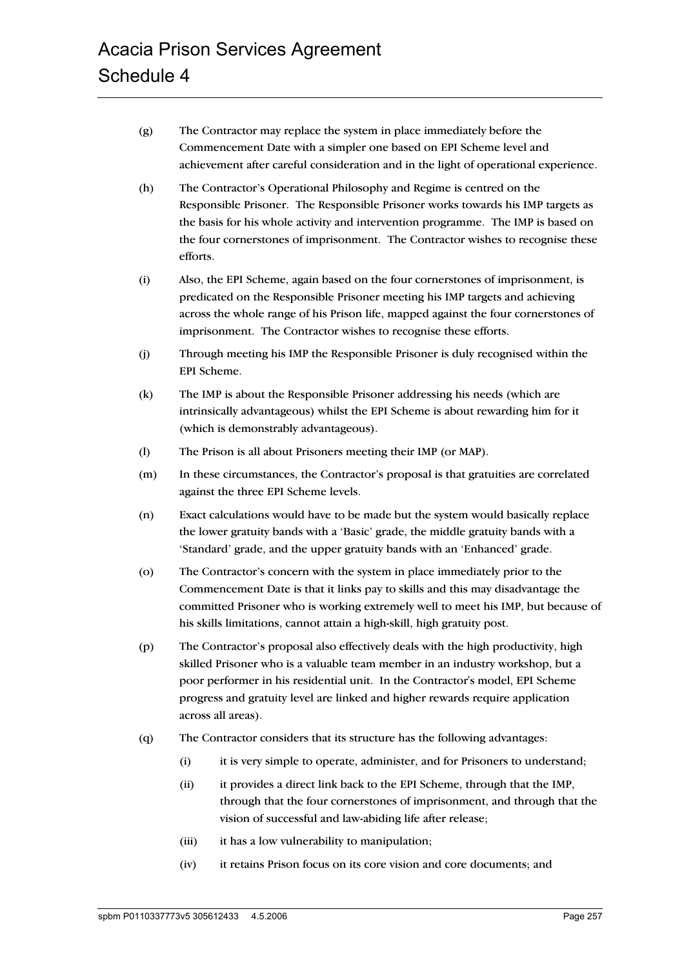- (g) The Contractor may replace the system in place immediately before the Commencement Date with a simpler one based on EPI Scheme level and achievement after careful consideration and in the light of operational experience.
- (h) The Contractor's Operational Philosophy and Regime is centred on the Responsible Prisoner. The Responsible Prisoner works towards his IMP targets as the basis for his whole activity and intervention programme. The IMP is based on the four cornerstones of imprisonment. The Contractor wishes to recognise these efforts.
- (i) Also, the EPI Scheme, again based on the four cornerstones of imprisonment, is predicated on the Responsible Prisoner meeting his IMP targets and achieving across the whole range of his Prison life, mapped against the four cornerstones of imprisonment. The Contractor wishes to recognise these efforts.
- (j) Through meeting his IMP the Responsible Prisoner is duly recognised within the EPI Scheme.
- (k) The IMP is about the Responsible Prisoner addressing his needs (which are intrinsically advantageous) whilst the EPI Scheme is about rewarding him for it (which is demonstrably advantageous).
- (l) The Prison is all about Prisoners meeting their IMP (or MAP).
- (m) In these circumstances, the Contractor's proposal is that gratuities are correlated against the three EPI Scheme levels.
- (n) Exact calculations would have to be made but the system would basically replace the lower gratuity bands with a 'Basic' grade, the middle gratuity bands with a 'Standard' grade, and the upper gratuity bands with an 'Enhanced' grade.
- (o) The Contractor's concern with the system in place immediately prior to the Commencement Date is that it links pay to skills and this may disadvantage the committed Prisoner who is working extremely well to meet his IMP, but because of his skills limitations, cannot attain a high-skill, high gratuity post.
- (p) The Contractor's proposal also effectively deals with the high productivity, high skilled Prisoner who is a valuable team member in an industry workshop, but a poor performer in his residential unit. In the Contractor's model, EPI Scheme progress and gratuity level are linked and higher rewards require application across all areas).
- (q) The Contractor considers that its structure has the following advantages:
	- (i) it is very simple to operate, administer, and for Prisoners to understand;
	- (ii) it provides a direct link back to the EPI Scheme, through that the IMP, through that the four cornerstones of imprisonment, and through that the vision of successful and law-abiding life after release;
	- (iii) it has a low vulnerability to manipulation;
	- (iv) it retains Prison focus on its core vision and core documents; and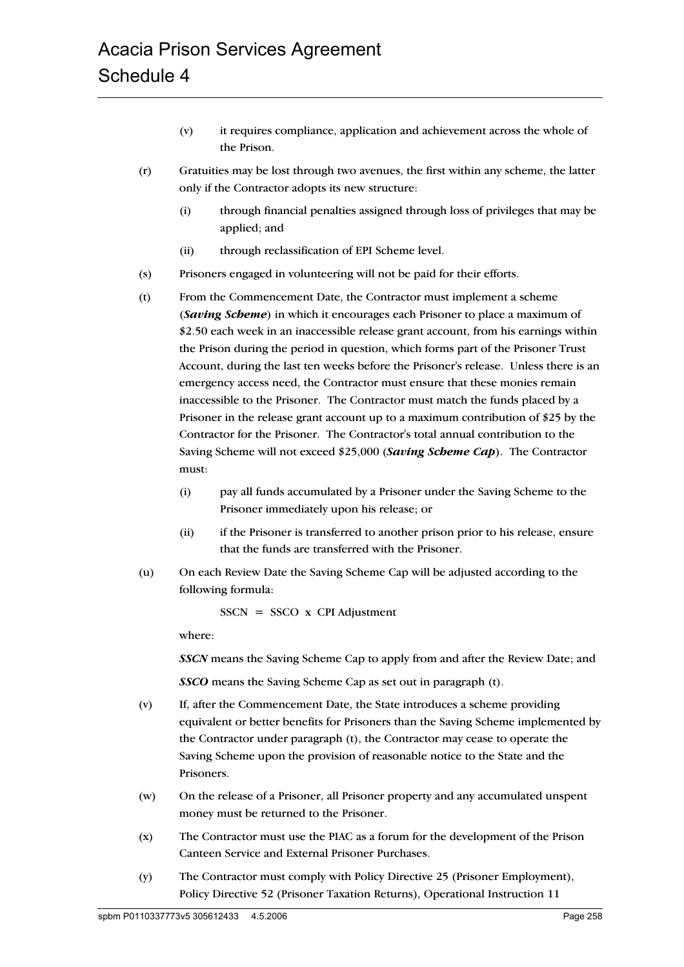- (v) it requires compliance, application and achievement across the whole of the Prison.
- (r) Gratuities may be lost through two avenues, the first within any scheme, the latter only if the Contractor adopts its new structure:
	- (i) through financial penalties assigned through loss of privileges that may be applied; and
	- (ii) through reclassification of EPI Scheme level.
- (s) Prisoners engaged in volunteering will not be paid for their efforts.
- (t) From the Commencement Date, the Contractor must implement a scheme (*Saving Scheme*) in which it encourages each Prisoner to place a maximum of \$2.50 each week in an inaccessible release grant account, from his earnings within the Prison during the period in question, which forms part of the Prisoner Trust Account, during the last ten weeks before the Prisoner's release. Unless there is an emergency access need, the Contractor must ensure that these monies remain inaccessible to the Prisoner. The Contractor must match the funds placed by a Prisoner in the release grant account up to a maximum contribution of \$25 by the Contractor for the Prisoner. The Contractor's total annual contribution to the Saving Scheme will not exceed \$25,000 (*Saving Scheme Cap*). The Contractor must:
	- (i) pay all funds accumulated by a Prisoner under the Saving Scheme to the Prisoner immediately upon his release; or
	- (ii) if the Prisoner is transferred to another prison prior to his release, ensure that the funds are transferred with the Prisoner.
- (u) On each Review Date the Saving Scheme Cap will be adjusted according to the following formula:

 $SSCN = SSCO \times CPI$  Adjustment

where:

*SSCN* means the Saving Scheme Cap to apply from and after the Review Date; and

*SSCO* means the Saving Scheme Cap as set out in paragraph (t).

- (v) If, after the Commencement Date, the State introduces a scheme providing equivalent or better benefits for Prisoners than the Saving Scheme implemented by the Contractor under paragraph (t), the Contractor may cease to operate the Saving Scheme upon the provision of reasonable notice to the State and the Prisoners.
- (w) On the release of a Prisoner, all Prisoner property and any accumulated unspent money must be returned to the Prisoner.
- (x) The Contractor must use the PIAC as a forum for the development of the Prison Canteen Service and External Prisoner Purchases.
- (y) The Contractor must comply with Policy Directive 25 (Prisoner Employment), Policy Directive 52 (Prisoner Taxation Returns), Operational Instruction 11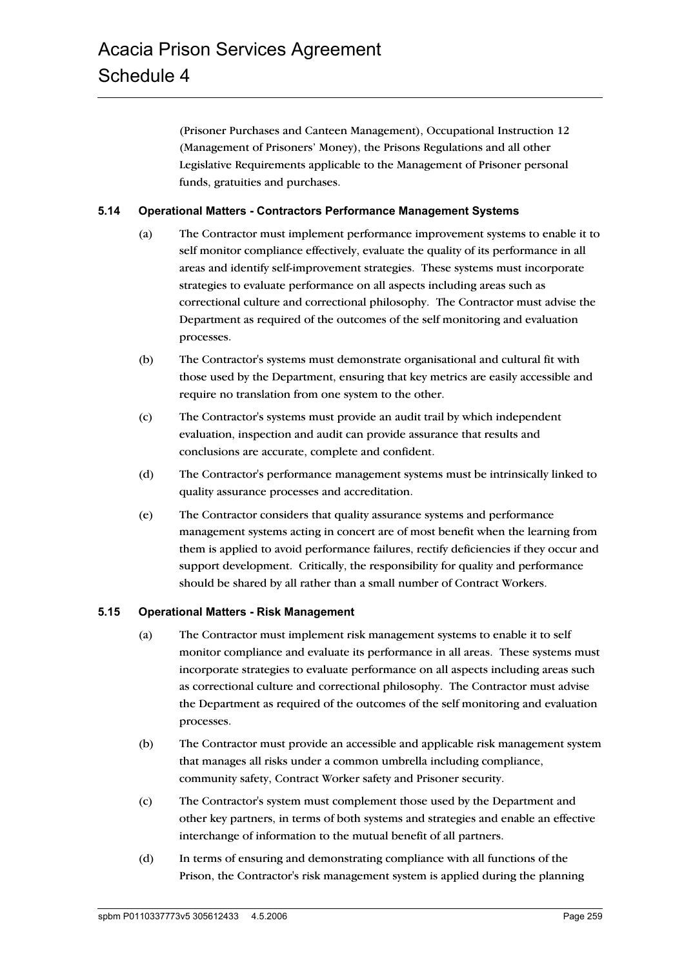(Prisoner Purchases and Canteen Management), Occupational Instruction 12 (Management of Prisoners' Money), the Prisons Regulations and all other Legislative Requirements applicable to the Management of Prisoner personal funds, gratuities and purchases.

### **5.14 Operational Matters - Contractors Performance Management Systems**

- (a) The Contractor must implement performance improvement systems to enable it to self monitor compliance effectively, evaluate the quality of its performance in all areas and identify self-improvement strategies. These systems must incorporate strategies to evaluate performance on all aspects including areas such as correctional culture and correctional philosophy. The Contractor must advise the Department as required of the outcomes of the self monitoring and evaluation processes.
- (b) The Contractor's systems must demonstrate organisational and cultural fit with those used by the Department, ensuring that key metrics are easily accessible and require no translation from one system to the other.
- (c) The Contractor's systems must provide an audit trail by which independent evaluation, inspection and audit can provide assurance that results and conclusions are accurate, complete and confident.
- (d) The Contractor's performance management systems must be intrinsically linked to quality assurance processes and accreditation.
- (e) The Contractor considers that quality assurance systems and performance management systems acting in concert are of most benefit when the learning from them is applied to avoid performance failures, rectify deficiencies if they occur and support development. Critically, the responsibility for quality and performance should be shared by all rather than a small number of Contract Workers.

#### **5.15 Operational Matters - Risk Management**

- (a) The Contractor must implement risk management systems to enable it to self monitor compliance and evaluate its performance in all areas. These systems must incorporate strategies to evaluate performance on all aspects including areas such as correctional culture and correctional philosophy. The Contractor must advise the Department as required of the outcomes of the self monitoring and evaluation processes.
- (b) The Contractor must provide an accessible and applicable risk management system that manages all risks under a common umbrella including compliance, community safety, Contract Worker safety and Prisoner security.
- (c) The Contractor's system must complement those used by the Department and other key partners, in terms of both systems and strategies and enable an effective interchange of information to the mutual benefit of all partners.
- (d) In terms of ensuring and demonstrating compliance with all functions of the Prison, the Contractor's risk management system is applied during the planning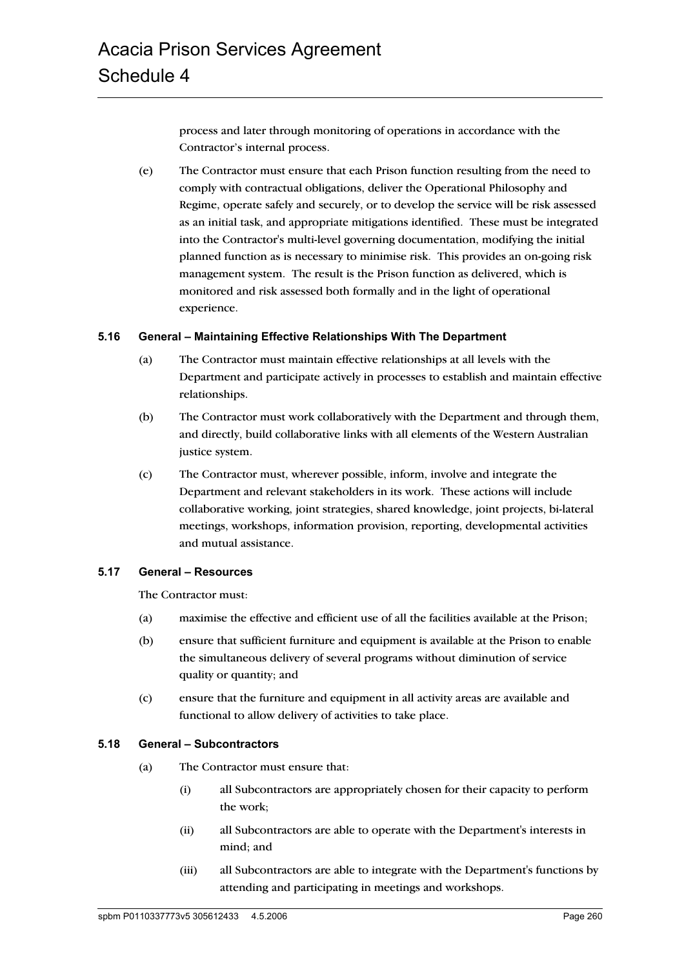process and later through monitoring of operations in accordance with the Contractor's internal process.

(e) The Contractor must ensure that each Prison function resulting from the need to comply with contractual obligations, deliver the Operational Philosophy and Regime, operate safely and securely, or to develop the service will be risk assessed as an initial task, and appropriate mitigations identified. These must be integrated into the Contractor's multi-level governing documentation, modifying the initial planned function as is necessary to minimise risk. This provides an on-going risk management system. The result is the Prison function as delivered, which is monitored and risk assessed both formally and in the light of operational experience.

### **5.16 General – Maintaining Effective Relationships With The Department**

- (a) The Contractor must maintain effective relationships at all levels with the Department and participate actively in processes to establish and maintain effective relationships.
- (b) The Contractor must work collaboratively with the Department and through them, and directly, build collaborative links with all elements of the Western Australian justice system.
- (c) The Contractor must, wherever possible, inform, involve and integrate the Department and relevant stakeholders in its work. These actions will include collaborative working, joint strategies, shared knowledge, joint projects, bi-lateral meetings, workshops, information provision, reporting, developmental activities and mutual assistance.

# **5.17 General – Resources**

The Contractor must:

- (a) maximise the effective and efficient use of all the facilities available at the Prison;
- (b) ensure that sufficient furniture and equipment is available at the Prison to enable the simultaneous delivery of several programs without diminution of service quality or quantity; and
- (c) ensure that the furniture and equipment in all activity areas are available and functional to allow delivery of activities to take place.

#### **5.18 General – Subcontractors**

- (a) The Contractor must ensure that:
	- (i) all Subcontractors are appropriately chosen for their capacity to perform the work;
	- (ii) all Subcontractors are able to operate with the Department's interests in mind; and
	- (iii) all Subcontractors are able to integrate with the Department's functions by attending and participating in meetings and workshops.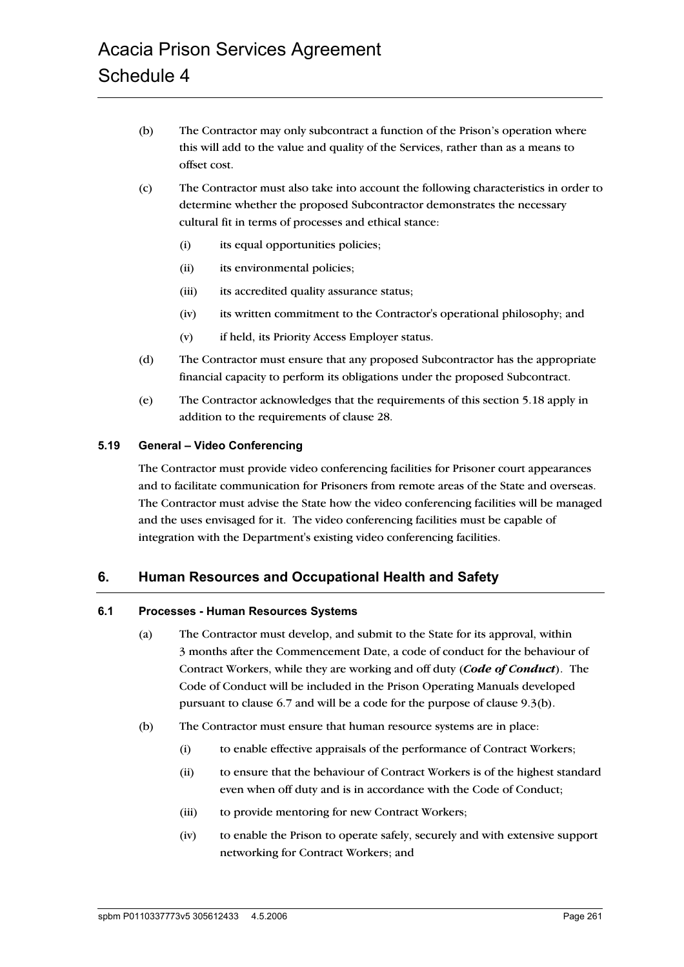- (b) The Contractor may only subcontract a function of the Prison's operation where this will add to the value and quality of the Services, rather than as a means to offset cost.
- (c) The Contractor must also take into account the following characteristics in order to determine whether the proposed Subcontractor demonstrates the necessary cultural fit in terms of processes and ethical stance:
	- (i) its equal opportunities policies;
	- (ii) its environmental policies;
	- (iii) its accredited quality assurance status;
	- (iv) its written commitment to the Contractor's operational philosophy; and
	- (v) if held, its Priority Access Employer status.
- (d) The Contractor must ensure that any proposed Subcontractor has the appropriate financial capacity to perform its obligations under the proposed Subcontract.
- (e) The Contractor acknowledges that the requirements of this section 5.18 apply in addition to the requirements of clause 28.

#### **5.19 General – Video Conferencing**

The Contractor must provide video conferencing facilities for Prisoner court appearances and to facilitate communication for Prisoners from remote areas of the State and overseas. The Contractor must advise the State how the video conferencing facilities will be managed and the uses envisaged for it. The video conferencing facilities must be capable of integration with the Department's existing video conferencing facilities.

# **6. Human Resources and Occupational Health and Safety**

#### **6.1 Processes - Human Resources Systems**

- (a) The Contractor must develop, and submit to the State for its approval, within 3 months after the Commencement Date, a code of conduct for the behaviour of Contract Workers, while they are working and off duty (*Code of Conduct*). The Code of Conduct will be included in the Prison Operating Manuals developed pursuant to clause 6.7 and will be a code for the purpose of clause 9.3(b).
- (b) The Contractor must ensure that human resource systems are in place:
	- (i) to enable effective appraisals of the performance of Contract Workers;
	- (ii) to ensure that the behaviour of Contract Workers is of the highest standard even when off duty and is in accordance with the Code of Conduct;
	- (iii) to provide mentoring for new Contract Workers;
	- (iv) to enable the Prison to operate safely, securely and with extensive support networking for Contract Workers; and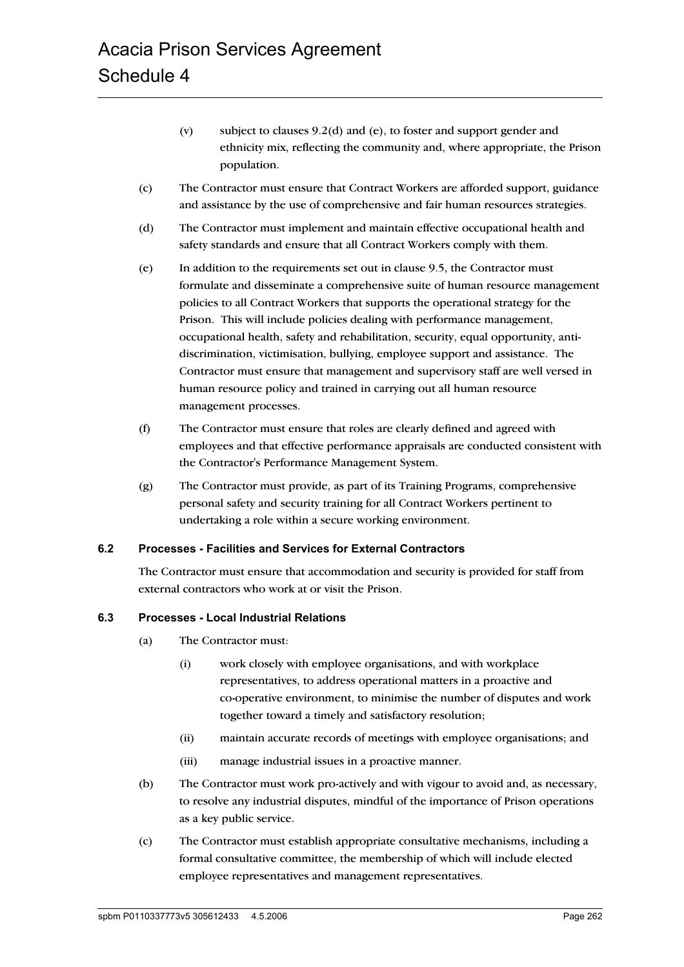- (v) subject to clauses 9.2(d) and (e), to foster and support gender and ethnicity mix, reflecting the community and, where appropriate, the Prison population.
- (c) The Contractor must ensure that Contract Workers are afforded support, guidance and assistance by the use of comprehensive and fair human resources strategies.
- (d) The Contractor must implement and maintain effective occupational health and safety standards and ensure that all Contract Workers comply with them.
- (e) In addition to the requirements set out in clause 9.5, the Contractor must formulate and disseminate a comprehensive suite of human resource management policies to all Contract Workers that supports the operational strategy for the Prison. This will include policies dealing with performance management, occupational health, safety and rehabilitation, security, equal opportunity, antidiscrimination, victimisation, bullying, employee support and assistance. The Contractor must ensure that management and supervisory staff are well versed in human resource policy and trained in carrying out all human resource management processes.
- (f) The Contractor must ensure that roles are clearly defined and agreed with employees and that effective performance appraisals are conducted consistent with the Contractor's Performance Management System.
- (g) The Contractor must provide, as part of its Training Programs, comprehensive personal safety and security training for all Contract Workers pertinent to undertaking a role within a secure working environment.

#### **6.2 Processes - Facilities and Services for External Contractors**

The Contractor must ensure that accommodation and security is provided for staff from external contractors who work at or visit the Prison.

#### **6.3 Processes - Local Industrial Relations**

- (a) The Contractor must:
	- (i) work closely with employee organisations, and with workplace representatives, to address operational matters in a proactive and co-operative environment, to minimise the number of disputes and work together toward a timely and satisfactory resolution;
	- (ii) maintain accurate records of meetings with employee organisations; and
	- (iii) manage industrial issues in a proactive manner.
- (b) The Contractor must work pro-actively and with vigour to avoid and, as necessary, to resolve any industrial disputes, mindful of the importance of Prison operations as a key public service.
- (c) The Contractor must establish appropriate consultative mechanisms, including a formal consultative committee, the membership of which will include elected employee representatives and management representatives.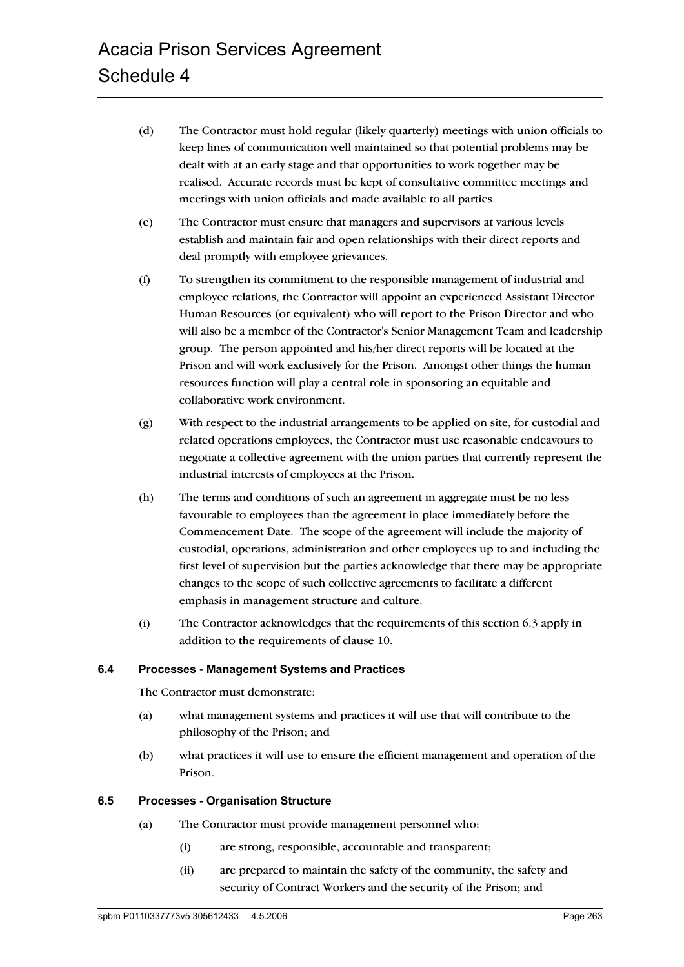- (d) The Contractor must hold regular (likely quarterly) meetings with union officials to keep lines of communication well maintained so that potential problems may be dealt with at an early stage and that opportunities to work together may be realised. Accurate records must be kept of consultative committee meetings and meetings with union officials and made available to all parties.
- (e) The Contractor must ensure that managers and supervisors at various levels establish and maintain fair and open relationships with their direct reports and deal promptly with employee grievances.
- (f) To strengthen its commitment to the responsible management of industrial and employee relations, the Contractor will appoint an experienced Assistant Director Human Resources (or equivalent) who will report to the Prison Director and who will also be a member of the Contractor's Senior Management Team and leadership group. The person appointed and his/her direct reports will be located at the Prison and will work exclusively for the Prison. Amongst other things the human resources function will play a central role in sponsoring an equitable and collaborative work environment.
- (g) With respect to the industrial arrangements to be applied on site, for custodial and related operations employees, the Contractor must use reasonable endeavours to negotiate a collective agreement with the union parties that currently represent the industrial interests of employees at the Prison.
- (h) The terms and conditions of such an agreement in aggregate must be no less favourable to employees than the agreement in place immediately before the Commencement Date. The scope of the agreement will include the majority of custodial, operations, administration and other employees up to and including the first level of supervision but the parties acknowledge that there may be appropriate changes to the scope of such collective agreements to facilitate a different emphasis in management structure and culture.
- (i) The Contractor acknowledges that the requirements of this section 6.3 apply in addition to the requirements of clause 10.

#### **6.4 Processes - Management Systems and Practices**

The Contractor must demonstrate:

- (a) what management systems and practices it will use that will contribute to the philosophy of the Prison; and
- (b) what practices it will use to ensure the efficient management and operation of the Prison.

#### **6.5 Processes - Organisation Structure**

- (a) The Contractor must provide management personnel who:
	- (i) are strong, responsible, accountable and transparent;
	- (ii) are prepared to maintain the safety of the community, the safety and security of Contract Workers and the security of the Prison; and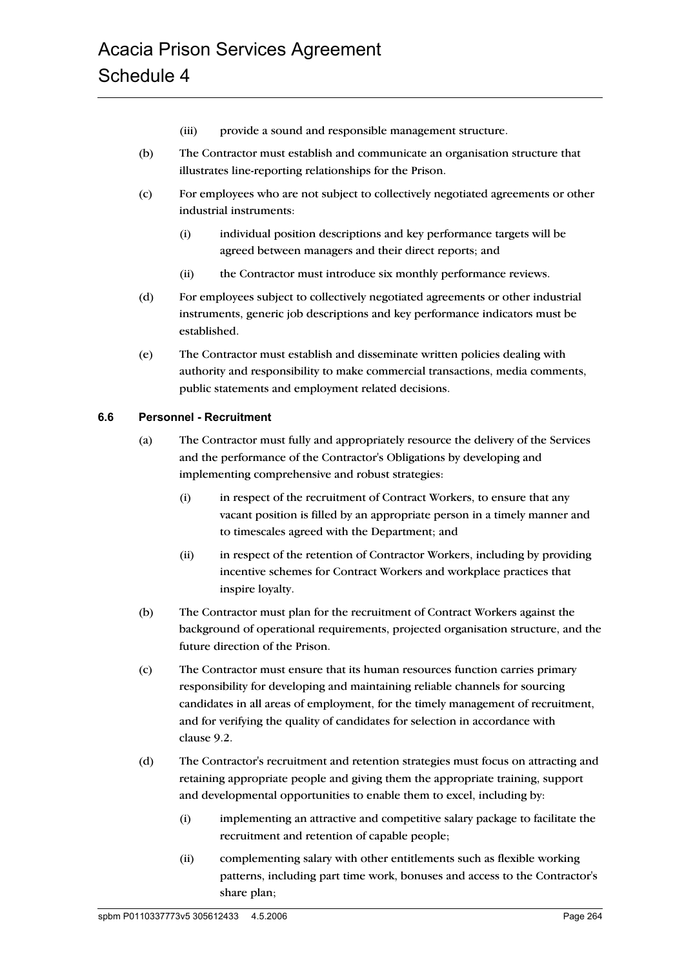- (iii) provide a sound and responsible management structure.
- (b) The Contractor must establish and communicate an organisation structure that illustrates line-reporting relationships for the Prison.
- (c) For employees who are not subject to collectively negotiated agreements or other industrial instruments:
	- (i) individual position descriptions and key performance targets will be agreed between managers and their direct reports; and
	- (ii) the Contractor must introduce six monthly performance reviews.
- (d) For employees subject to collectively negotiated agreements or other industrial instruments, generic job descriptions and key performance indicators must be established.
- (e) The Contractor must establish and disseminate written policies dealing with authority and responsibility to make commercial transactions, media comments, public statements and employment related decisions.

# **6.6 Personnel - Recruitment**

- (a) The Contractor must fully and appropriately resource the delivery of the Services and the performance of the Contractor's Obligations by developing and implementing comprehensive and robust strategies:
	- (i) in respect of the recruitment of Contract Workers, to ensure that any vacant position is filled by an appropriate person in a timely manner and to timescales agreed with the Department; and
	- (ii) in respect of the retention of Contractor Workers, including by providing incentive schemes for Contract Workers and workplace practices that inspire loyalty.
- (b) The Contractor must plan for the recruitment of Contract Workers against the background of operational requirements, projected organisation structure, and the future direction of the Prison.
- (c) The Contractor must ensure that its human resources function carries primary responsibility for developing and maintaining reliable channels for sourcing candidates in all areas of employment, for the timely management of recruitment, and for verifying the quality of candidates for selection in accordance with clause 9.2.
- (d) The Contractor's recruitment and retention strategies must focus on attracting and retaining appropriate people and giving them the appropriate training, support and developmental opportunities to enable them to excel, including by:
	- (i) implementing an attractive and competitive salary package to facilitate the recruitment and retention of capable people;
	- (ii) complementing salary with other entitlements such as flexible working patterns, including part time work, bonuses and access to the Contractor's share plan;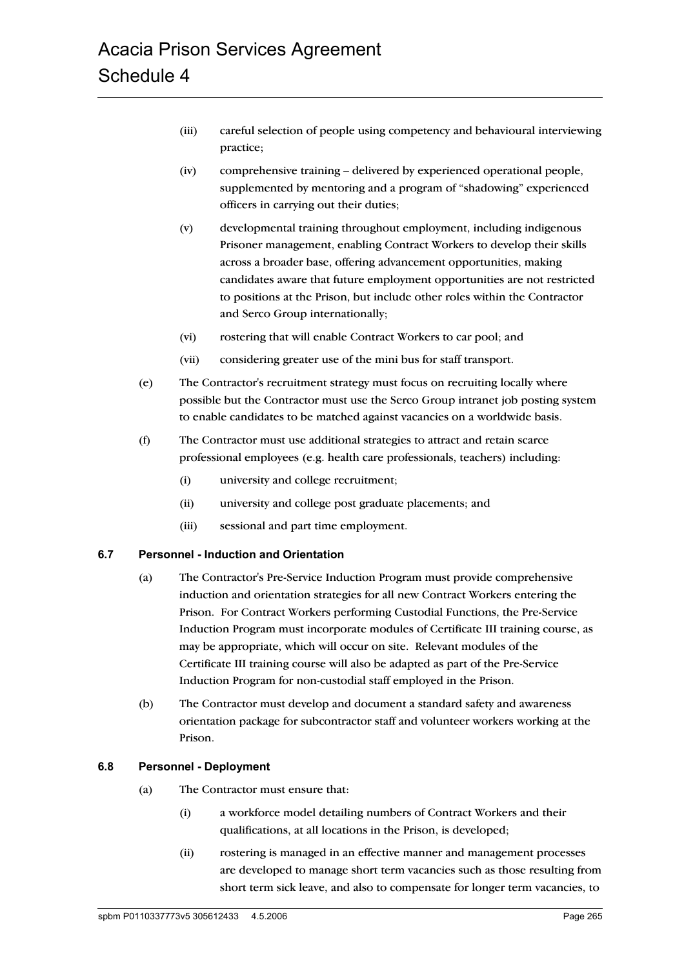- (iii) careful selection of people using competency and behavioural interviewing practice;
- (iv) comprehensive training delivered by experienced operational people, supplemented by mentoring and a program of "shadowing" experienced officers in carrying out their duties;
- (v) developmental training throughout employment, including indigenous Prisoner management, enabling Contract Workers to develop their skills across a broader base, offering advancement opportunities, making candidates aware that future employment opportunities are not restricted to positions at the Prison, but include other roles within the Contractor and Serco Group internationally;
- (vi) rostering that will enable Contract Workers to car pool; and
- (vii) considering greater use of the mini bus for staff transport.
- (e) The Contractor's recruitment strategy must focus on recruiting locally where possible but the Contractor must use the Serco Group intranet job posting system to enable candidates to be matched against vacancies on a worldwide basis.
- (f) The Contractor must use additional strategies to attract and retain scarce professional employees (e.g. health care professionals, teachers) including:
	- (i) university and college recruitment;
	- (ii) university and college post graduate placements; and
	- (iii) sessional and part time employment.

#### **6.7 Personnel - Induction and Orientation**

- (a) The Contractor's Pre-Service Induction Program must provide comprehensive induction and orientation strategies for all new Contract Workers entering the Prison. For Contract Workers performing Custodial Functions, the Pre-Service Induction Program must incorporate modules of Certificate III training course, as may be appropriate, which will occur on site. Relevant modules of the Certificate III training course will also be adapted as part of the Pre-Service Induction Program for non-custodial staff employed in the Prison.
- (b) The Contractor must develop and document a standard safety and awareness orientation package for subcontractor staff and volunteer workers working at the Prison.

#### **6.8 Personnel - Deployment**

- (a) The Contractor must ensure that:
	- (i) a workforce model detailing numbers of Contract Workers and their qualifications, at all locations in the Prison, is developed;
	- (ii) rostering is managed in an effective manner and management processes are developed to manage short term vacancies such as those resulting from short term sick leave, and also to compensate for longer term vacancies, to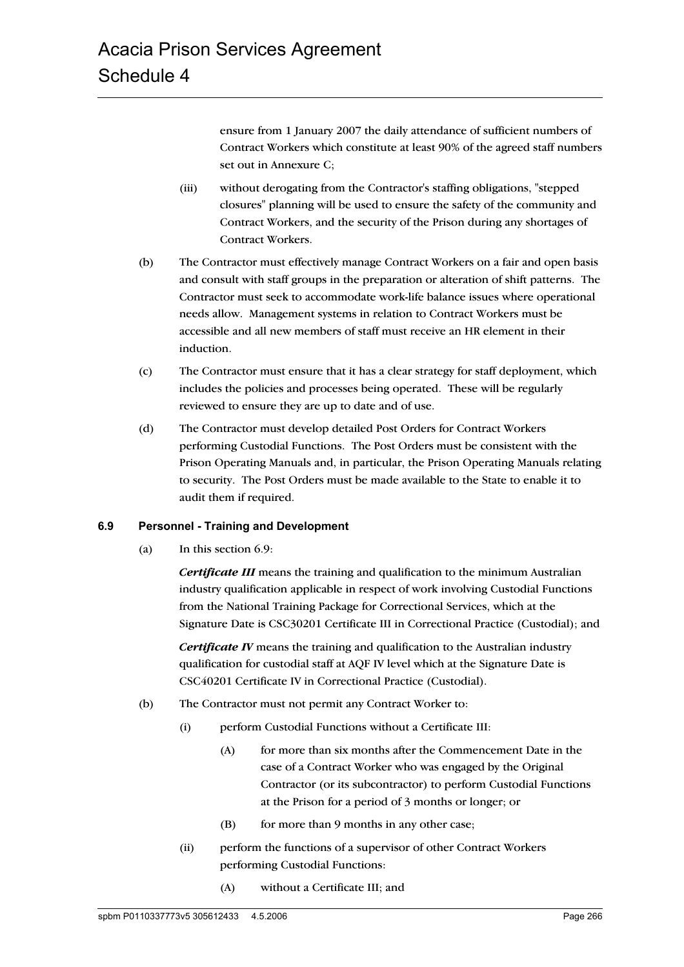ensure from 1 January 2007 the daily attendance of sufficient numbers of Contract Workers which constitute at least 90% of the agreed staff numbers set out in Annexure C;

- (iii) without derogating from the Contractor's staffing obligations, "stepped closures" planning will be used to ensure the safety of the community and Contract Workers, and the security of the Prison during any shortages of Contract Workers.
- (b) The Contractor must effectively manage Contract Workers on a fair and open basis and consult with staff groups in the preparation or alteration of shift patterns. The Contractor must seek to accommodate work-life balance issues where operational needs allow. Management systems in relation to Contract Workers must be accessible and all new members of staff must receive an HR element in their induction.
- (c) The Contractor must ensure that it has a clear strategy for staff deployment, which includes the policies and processes being operated. These will be regularly reviewed to ensure they are up to date and of use.
- (d) The Contractor must develop detailed Post Orders for Contract Workers performing Custodial Functions. The Post Orders must be consistent with the Prison Operating Manuals and, in particular, the Prison Operating Manuals relating to security. The Post Orders must be made available to the State to enable it to audit them if required.

#### **6.9 Personnel - Training and Development**

(a) In this section 6.9:

*Certificate III* means the training and qualification to the minimum Australian industry qualification applicable in respect of work involving Custodial Functions from the National Training Package for Correctional Services, which at the Signature Date is CSC30201 Certificate III in Correctional Practice (Custodial); and

*Certificate IV* means the training and qualification to the Australian industry qualification for custodial staff at AQF IV level which at the Signature Date is CSC40201 Certificate IV in Correctional Practice (Custodial).

- (b) The Contractor must not permit any Contract Worker to:
	- (i) perform Custodial Functions without a Certificate III:
		- (A) for more than six months after the Commencement Date in the case of a Contract Worker who was engaged by the Original Contractor (or its subcontractor) to perform Custodial Functions at the Prison for a period of 3 months or longer; or
		- $(B)$  for more than 9 months in any other case;
	- (ii) perform the functions of a supervisor of other Contract Workers performing Custodial Functions:
		- (A) without a Certificate III; and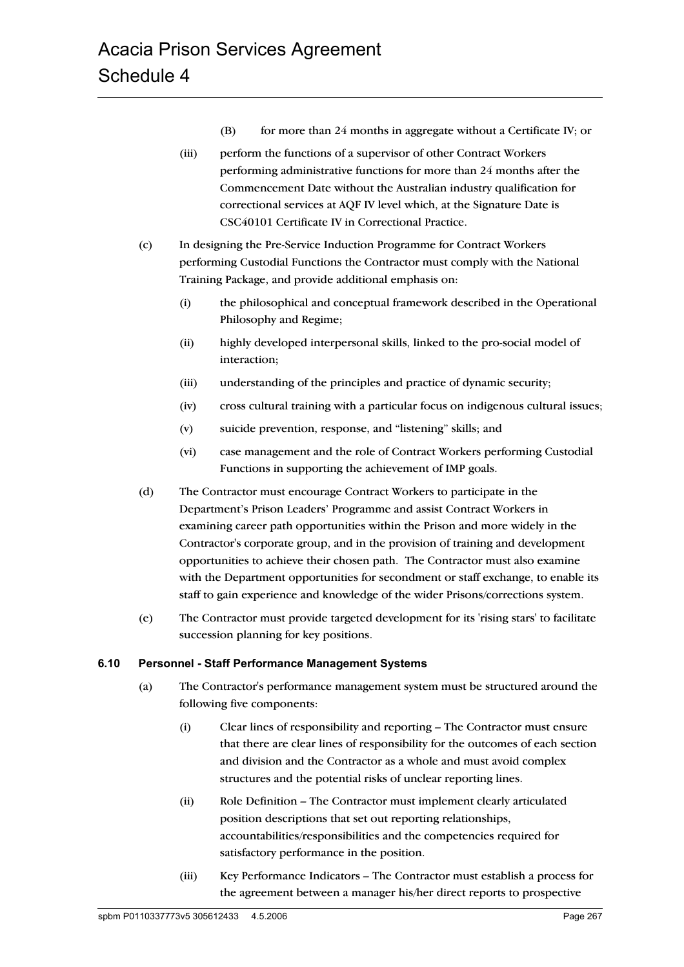- $(B)$  for more than 24 months in aggregate without a Certificate IV; or
- (iii) perform the functions of a supervisor of other Contract Workers performing administrative functions for more than 24 months after the Commencement Date without the Australian industry qualification for correctional services at AQF IV level which, at the Signature Date is CSC40101 Certificate IV in Correctional Practice.
- (c) In designing the Pre-Service Induction Programme for Contract Workers performing Custodial Functions the Contractor must comply with the National Training Package, and provide additional emphasis on:
	- (i) the philosophical and conceptual framework described in the Operational Philosophy and Regime;
	- (ii) highly developed interpersonal skills, linked to the pro-social model of interaction;
	- (iii) understanding of the principles and practice of dynamic security;
	- (iv) cross cultural training with a particular focus on indigenous cultural issues;
	- (v) suicide prevention, response, and "listening" skills; and
	- (vi) case management and the role of Contract Workers performing Custodial Functions in supporting the achievement of IMP goals.
- (d) The Contractor must encourage Contract Workers to participate in the Department's Prison Leaders' Programme and assist Contract Workers in examining career path opportunities within the Prison and more widely in the Contractor's corporate group, and in the provision of training and development opportunities to achieve their chosen path. The Contractor must also examine with the Department opportunities for secondment or staff exchange, to enable its staff to gain experience and knowledge of the wider Prisons/corrections system.
- (e) The Contractor must provide targeted development for its 'rising stars' to facilitate succession planning for key positions.

#### **6.10 Personnel - Staff Performance Management Systems**

- (a) The Contractor's performance management system must be structured around the following five components:
	- (i) Clear lines of responsibility and reporting The Contractor must ensure that there are clear lines of responsibility for the outcomes of each section and division and the Contractor as a whole and must avoid complex structures and the potential risks of unclear reporting lines.
	- (ii) Role Definition The Contractor must implement clearly articulated position descriptions that set out reporting relationships, accountabilities/responsibilities and the competencies required for satisfactory performance in the position.
	- (iii) Key Performance Indicators The Contractor must establish a process for the agreement between a manager his/her direct reports to prospective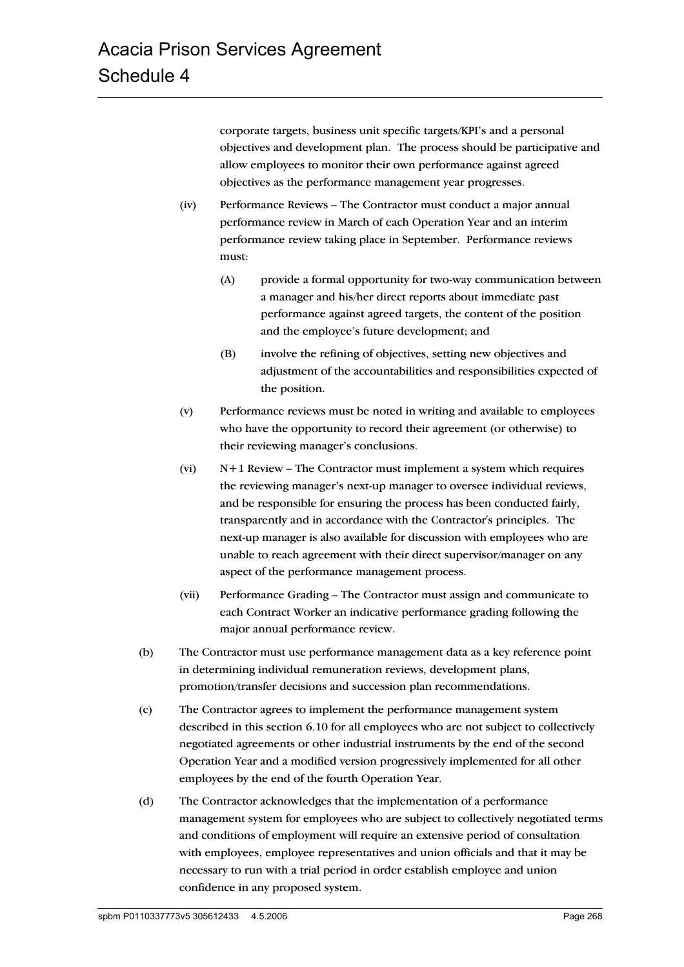corporate targets, business unit specific targets/KPI's and a personal objectives and development plan. The process should be participative and allow employees to monitor their own performance against agreed objectives as the performance management year progresses.

- (iv) Performance Reviews The Contractor must conduct a major annual performance review in March of each Operation Year and an interim performance review taking place in September. Performance reviews must:
	- (A) provide a formal opportunity for two-way communication between a manager and his/her direct reports about immediate past performance against agreed targets, the content of the position and the employee's future development; and
	- (B) involve the refining of objectives, setting new objectives and adjustment of the accountabilities and responsibilities expected of the position.
- (v) Performance reviews must be noted in writing and available to employees who have the opportunity to record their agreement (or otherwise) to their reviewing manager's conclusions.
- (vi) N+1 Review The Contractor must implement a system which requires the reviewing manager's next-up manager to oversee individual reviews, and be responsible for ensuring the process has been conducted fairly, transparently and in accordance with the Contractor's principles. The next-up manager is also available for discussion with employees who are unable to reach agreement with their direct supervisor/manager on any aspect of the performance management process.
- (vii) Performance Grading The Contractor must assign and communicate to each Contract Worker an indicative performance grading following the major annual performance review.
- (b) The Contractor must use performance management data as a key reference point in determining individual remuneration reviews, development plans, promotion/transfer decisions and succession plan recommendations.
- (c) The Contractor agrees to implement the performance management system described in this section 6.10 for all employees who are not subject to collectively negotiated agreements or other industrial instruments by the end of the second Operation Year and a modified version progressively implemented for all other employees by the end of the fourth Operation Year.
- (d) The Contractor acknowledges that the implementation of a performance management system for employees who are subject to collectively negotiated terms and conditions of employment will require an extensive period of consultation with employees, employee representatives and union officials and that it may be necessary to run with a trial period in order establish employee and union confidence in any proposed system.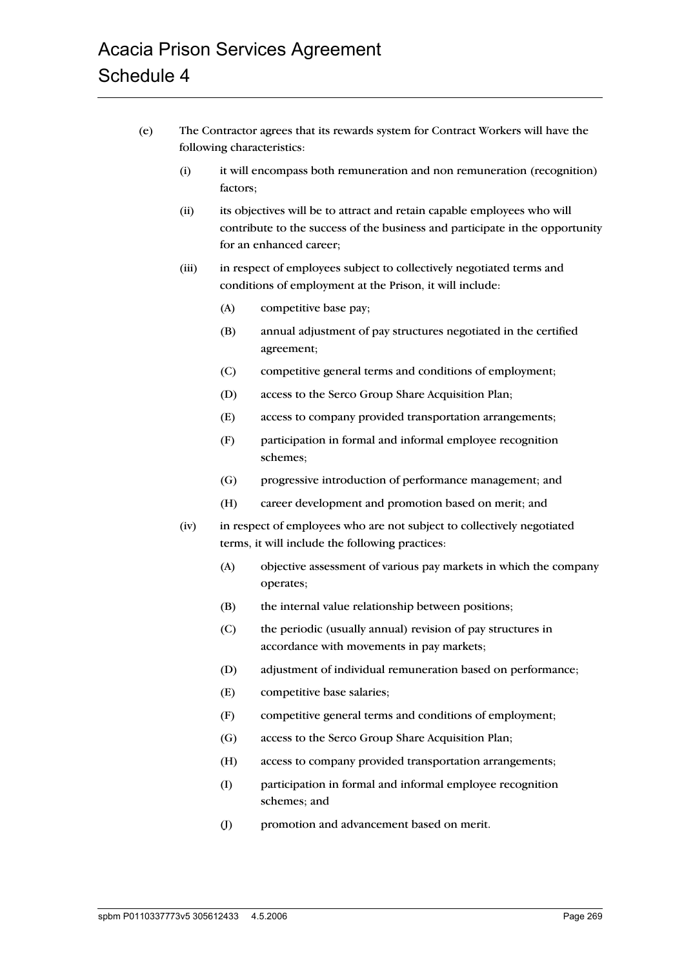- (e) The Contractor agrees that its rewards system for Contract Workers will have the following characteristics:
	- (i) it will encompass both remuneration and non remuneration (recognition) factors;
	- (ii) its objectives will be to attract and retain capable employees who will contribute to the success of the business and participate in the opportunity for an enhanced career;
	- (iii) in respect of employees subject to collectively negotiated terms and conditions of employment at the Prison, it will include:
		- (A) competitive base pay;
		- (B) annual adjustment of pay structures negotiated in the certified agreement;
		- (C) competitive general terms and conditions of employment;
		- (D) access to the Serco Group Share Acquisition Plan;
		- (E) access to company provided transportation arrangements;
		- (F) participation in formal and informal employee recognition schemes;
		- (G) progressive introduction of performance management; and
		- (H) career development and promotion based on merit; and
	- (iv) in respect of employees who are not subject to collectively negotiated terms, it will include the following practices:
		- (A) objective assessment of various pay markets in which the company operates;
		- (B) the internal value relationship between positions;
		- (C) the periodic (usually annual) revision of pay structures in accordance with movements in pay markets;
		- (D) adjustment of individual remuneration based on performance;
		- (E) competitive base salaries;
		- (F) competitive general terms and conditions of employment;
		- (G) access to the Serco Group Share Acquisition Plan;
		- (H) access to company provided transportation arrangements;
		- (I) participation in formal and informal employee recognition schemes; and
		- (J) promotion and advancement based on merit.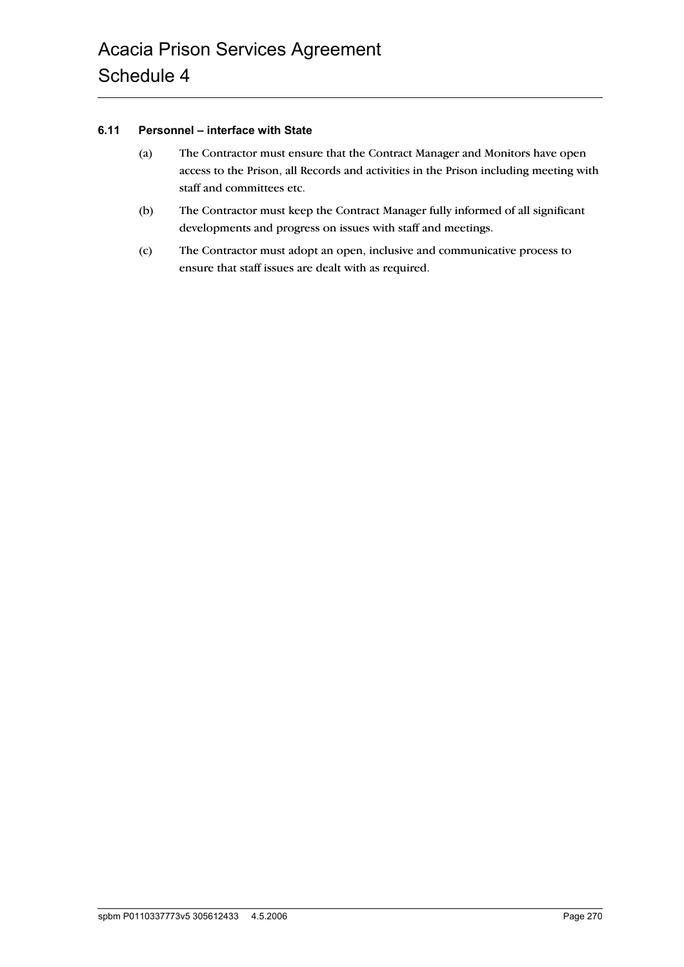#### **6.11 Personnel – interface with State**

- (a) The Contractor must ensure that the Contract Manager and Monitors have open access to the Prison, all Records and activities in the Prison including meeting with staff and committees etc.
- (b) The Contractor must keep the Contract Manager fully informed of all significant developments and progress on issues with staff and meetings.
- (c) The Contractor must adopt an open, inclusive and communicative process to ensure that staff issues are dealt with as required.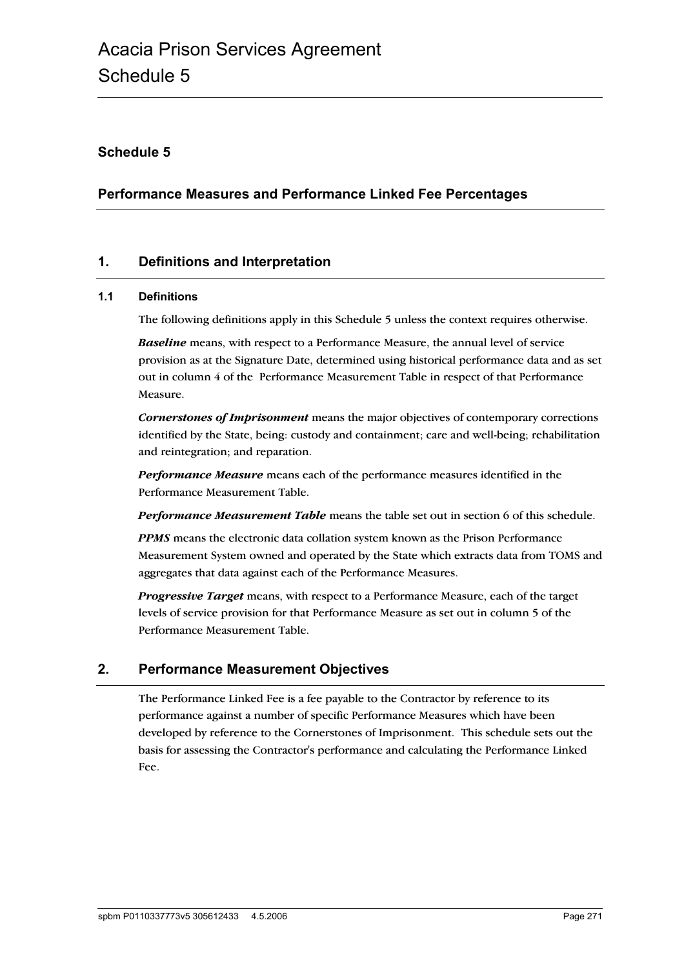# **Schedule 5**

# **Performance Measures and Performance Linked Fee Percentages**

# **1. Definitions and Interpretation**

#### **1.1 Definitions**

The following definitions apply in this Schedule 5 unless the context requires otherwise.

*Baseline* means, with respect to a Performance Measure, the annual level of service provision as at the Signature Date, determined using historical performance data and as set out in column 4 of the Performance Measurement Table in respect of that Performance Measure.

*Cornerstones of Imprisonment* means the major objectives of contemporary corrections identified by the State, being: custody and containment; care and well-being; rehabilitation and reintegration; and reparation.

*Performance Measure* means each of the performance measures identified in the Performance Measurement Table.

*Performance Measurement Table* means the table set out in section 6 of this schedule.

*PPMS* means the electronic data collation system known as the Prison Performance Measurement System owned and operated by the State which extracts data from TOMS and aggregates that data against each of the Performance Measures.

*Progressive Target* means, with respect to a Performance Measure, each of the target levels of service provision for that Performance Measure as set out in column 5 of the Performance Measurement Table.

# **2. Performance Measurement Objectives**

The Performance Linked Fee is a fee payable to the Contractor by reference to its performance against a number of specific Performance Measures which have been developed by reference to the Cornerstones of Imprisonment. This schedule sets out the basis for assessing the Contractor's performance and calculating the Performance Linked Fee.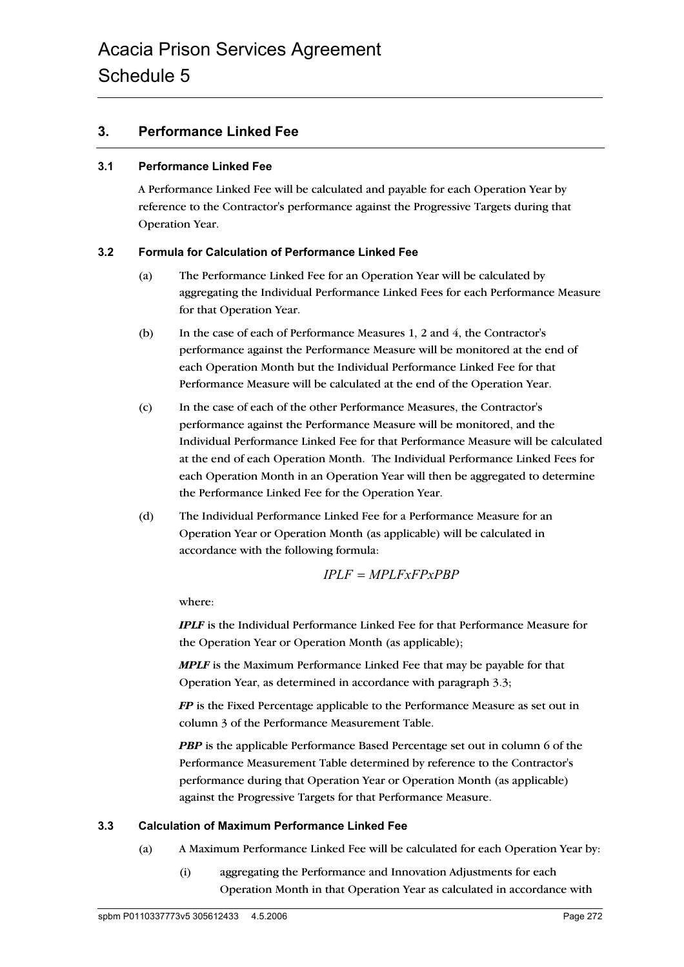# **3. Performance Linked Fee**

#### **3.1 Performance Linked Fee**

A Performance Linked Fee will be calculated and payable for each Operation Year by reference to the Contractor's performance against the Progressive Targets during that Operation Year.

#### **3.2 Formula for Calculation of Performance Linked Fee**

- (a) The Performance Linked Fee for an Operation Year will be calculated by aggregating the Individual Performance Linked Fees for each Performance Measure for that Operation Year.
- (b) In the case of each of Performance Measures 1, 2 and 4, the Contractor's performance against the Performance Measure will be monitored at the end of each Operation Month but the Individual Performance Linked Fee for that Performance Measure will be calculated at the end of the Operation Year.
- (c) In the case of each of the other Performance Measures, the Contractor's performance against the Performance Measure will be monitored, and the Individual Performance Linked Fee for that Performance Measure will be calculated at the end of each Operation Month. The Individual Performance Linked Fees for each Operation Month in an Operation Year will then be aggregated to determine the Performance Linked Fee for the Operation Year.
- (d) The Individual Performance Linked Fee for a Performance Measure for an Operation Year or Operation Month (as applicable) will be calculated in accordance with the following formula:

$$
IPLF = MPLFxFPxPBP
$$

where:

*IPLF* is the Individual Performance Linked Fee for that Performance Measure for the Operation Year or Operation Month (as applicable);

*MPLF* is the Maximum Performance Linked Fee that may be payable for that Operation Year, as determined in accordance with paragraph 3.3;

*FP* is the Fixed Percentage applicable to the Performance Measure as set out in column 3 of the Performance Measurement Table.

**PBP** is the applicable Performance Based Percentage set out in column 6 of the Performance Measurement Table determined by reference to the Contractor's performance during that Operation Year or Operation Month (as applicable) against the Progressive Targets for that Performance Measure.

#### **3.3 Calculation of Maximum Performance Linked Fee**

- (a) A Maximum Performance Linked Fee will be calculated for each Operation Year by:
	- (i) aggregating the Performance and Innovation Adjustments for each Operation Month in that Operation Year as calculated in accordance with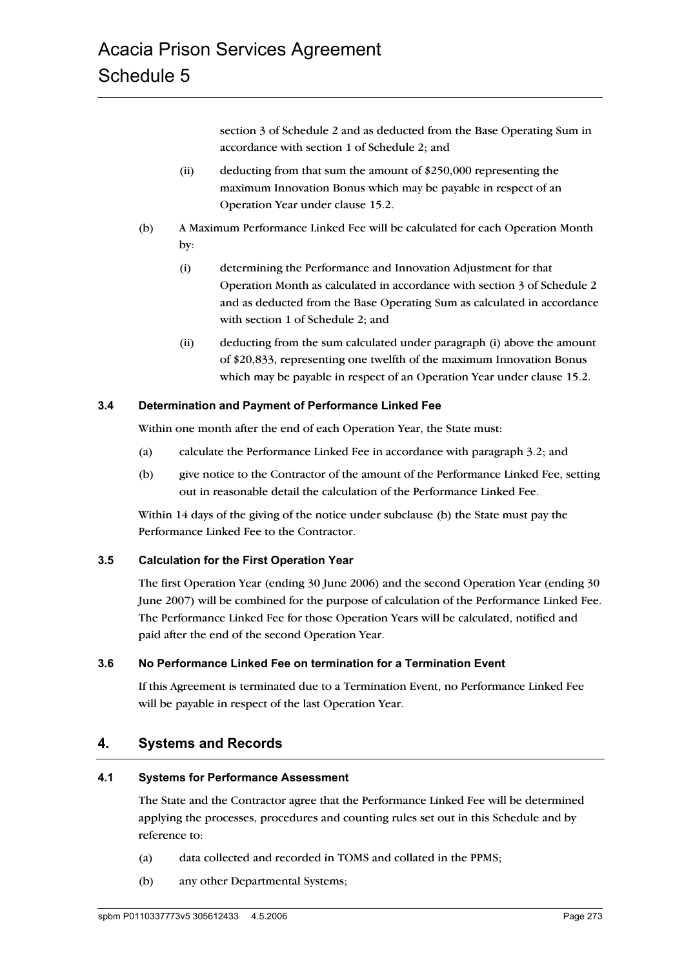section 3 of Schedule 2 and as deducted from the Base Operating Sum in accordance with section 1 of Schedule 2; and

- (ii) deducting from that sum the amount of \$250,000 representing the maximum Innovation Bonus which may be payable in respect of an Operation Year under clause 15.2.
- (b) A Maximum Performance Linked Fee will be calculated for each Operation Month by:
	- (i) determining the Performance and Innovation Adjustment for that Operation Month as calculated in accordance with section 3 of Schedule 2 and as deducted from the Base Operating Sum as calculated in accordance with section 1 of Schedule 2; and
	- (ii) deducting from the sum calculated under paragraph (i) above the amount of \$20,833, representing one twelfth of the maximum Innovation Bonus which may be payable in respect of an Operation Year under clause 15.2.

#### **3.4 Determination and Payment of Performance Linked Fee**

Within one month after the end of each Operation Year, the State must:

- (a) calculate the Performance Linked Fee in accordance with paragraph 3.2; and
- (b) give notice to the Contractor of the amount of the Performance Linked Fee, setting out in reasonable detail the calculation of the Performance Linked Fee.

Within 14 days of the giving of the notice under subclause (b) the State must pay the Performance Linked Fee to the Contractor.

#### **3.5 Calculation for the First Operation Year**

The first Operation Year (ending 30 June 2006) and the second Operation Year (ending 30 June 2007) will be combined for the purpose of calculation of the Performance Linked Fee. The Performance Linked Fee for those Operation Years will be calculated, notified and paid after the end of the second Operation Year.

#### **3.6 No Performance Linked Fee on termination for a Termination Event**

If this Agreement is terminated due to a Termination Event, no Performance Linked Fee will be payable in respect of the last Operation Year.

# **4. Systems and Records**

#### **4.1 Systems for Performance Assessment**

The State and the Contractor agree that the Performance Linked Fee will be determined applying the processes, procedures and counting rules set out in this Schedule and by reference to:

- (a) data collected and recorded in TOMS and collated in the PPMS;
- (b) any other Departmental Systems;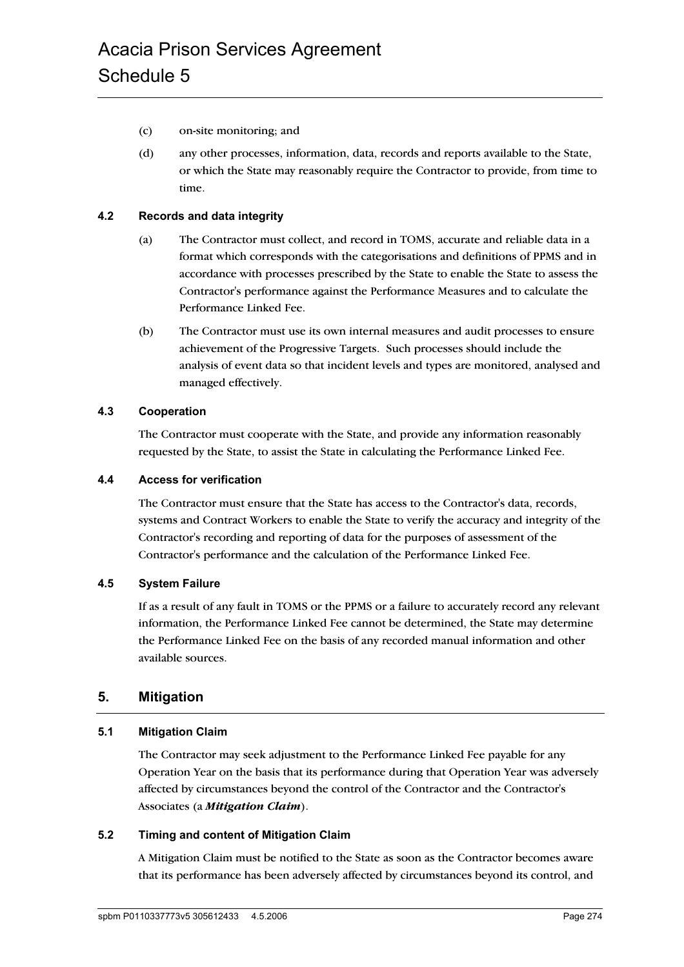- (c) on-site monitoring; and
- (d) any other processes, information, data, records and reports available to the State, or which the State may reasonably require the Contractor to provide, from time to time.

#### **4.2 Records and data integrity**

- (a) The Contractor must collect, and record in TOMS, accurate and reliable data in a format which corresponds with the categorisations and definitions of PPMS and in accordance with processes prescribed by the State to enable the State to assess the Contractor's performance against the Performance Measures and to calculate the Performance Linked Fee.
- (b) The Contractor must use its own internal measures and audit processes to ensure achievement of the Progressive Targets. Such processes should include the analysis of event data so that incident levels and types are monitored, analysed and managed effectively.

#### **4.3 Cooperation**

The Contractor must cooperate with the State, and provide any information reasonably requested by the State, to assist the State in calculating the Performance Linked Fee.

#### **4.4 Access for verification**

The Contractor must ensure that the State has access to the Contractor's data, records, systems and Contract Workers to enable the State to verify the accuracy and integrity of the Contractor's recording and reporting of data for the purposes of assessment of the Contractor's performance and the calculation of the Performance Linked Fee.

#### **4.5 System Failure**

If as a result of any fault in TOMS or the PPMS or a failure to accurately record any relevant information, the Performance Linked Fee cannot be determined, the State may determine the Performance Linked Fee on the basis of any recorded manual information and other available sources.

# **5. Mitigation**

#### **5.1 Mitigation Claim**

The Contractor may seek adjustment to the Performance Linked Fee payable for any Operation Year on the basis that its performance during that Operation Year was adversely affected by circumstances beyond the control of the Contractor and the Contractor's Associates (a *Mitigation Claim*).

#### **5.2 Timing and content of Mitigation Claim**

A Mitigation Claim must be notified to the State as soon as the Contractor becomes aware that its performance has been adversely affected by circumstances beyond its control, and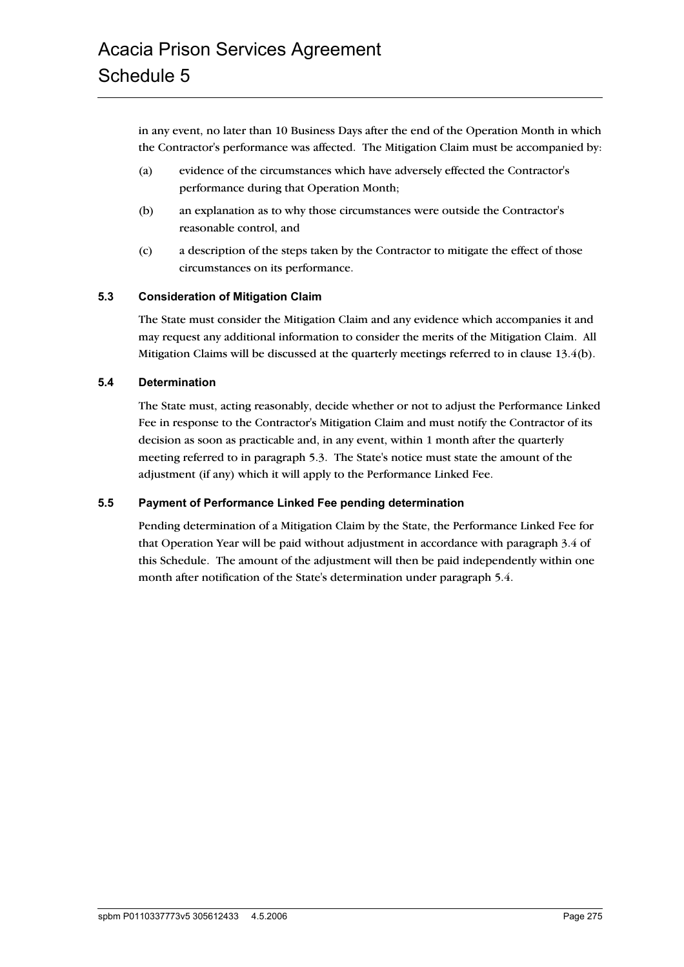in any event, no later than 10 Business Days after the end of the Operation Month in which the Contractor's performance was affected. The Mitigation Claim must be accompanied by:

- (a) evidence of the circumstances which have adversely effected the Contractor's performance during that Operation Month;
- (b) an explanation as to why those circumstances were outside the Contractor's reasonable control, and
- (c) a description of the steps taken by the Contractor to mitigate the effect of those circumstances on its performance.

#### **5.3 Consideration of Mitigation Claim**

The State must consider the Mitigation Claim and any evidence which accompanies it and may request any additional information to consider the merits of the Mitigation Claim. All Mitigation Claims will be discussed at the quarterly meetings referred to in clause 13.4(b).

#### **5.4 Determination**

The State must, acting reasonably, decide whether or not to adjust the Performance Linked Fee in response to the Contractor's Mitigation Claim and must notify the Contractor of its decision as soon as practicable and, in any event, within 1 month after the quarterly meeting referred to in paragraph 5.3. The State's notice must state the amount of the adjustment (if any) which it will apply to the Performance Linked Fee.

#### **5.5 Payment of Performance Linked Fee pending determination**

Pending determination of a Mitigation Claim by the State, the Performance Linked Fee for that Operation Year will be paid without adjustment in accordance with paragraph 3.4 of this Schedule. The amount of the adjustment will then be paid independently within one month after notification of the State's determination under paragraph 5.4.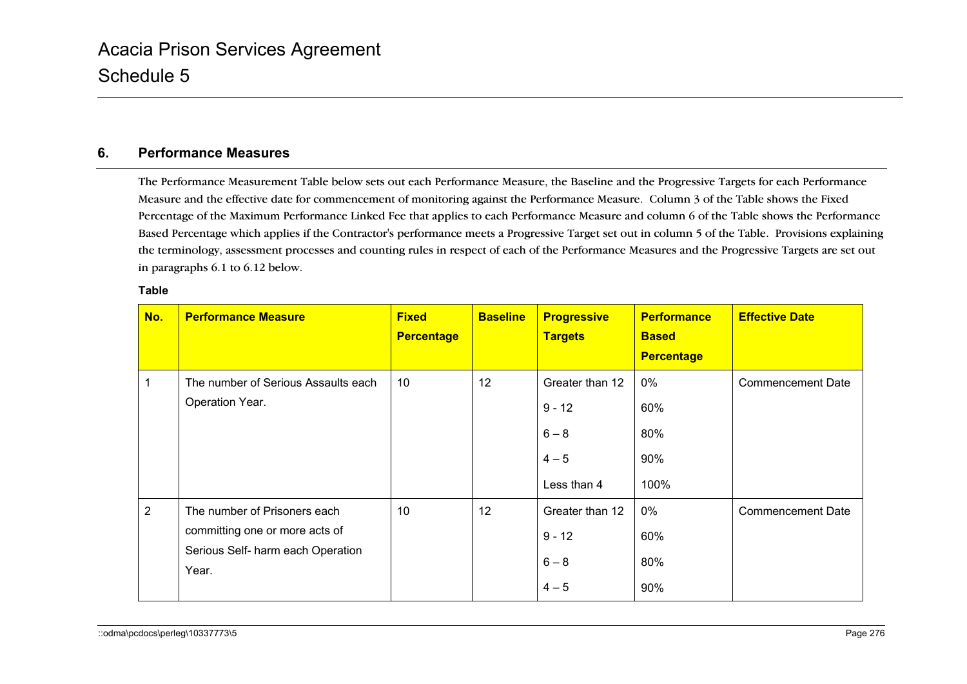# **6. Performance Measures**

The Performance Measurement Table below sets out each Performance Measure, the Baseline and the Progressive Targets for each Performance Measure and the effective date for commencement of monitoring against the Performance Measure. Column 3 of the Table shows the Fixed Percentage of the Maximum Performance Linked Fee that applies to each Performance Measure and column 6 of the Table shows the Performance Based Percentage which applies if the Contractor's performance meets a Progressive Target set out in column 5 of the Table. Provisions explaining the terminology, assessment processes and counting rules in respect of each of the Performance Measures and the Progressive Targets are set out in paragraphs 6.1 to 6.12 below.

| ۰,<br>×<br>۰,<br>×<br>۰, |  |
|--------------------------|--|
|--------------------------|--|

| No.            | <b>Performance Measure</b>                 | <b>Fixed</b><br><b>Percentage</b> | <b>Baseline</b> | <b>Progressive</b><br><b>Targets</b> | <b>Performance</b><br><b>Based</b><br><b>Percentage</b> | <b>Effective Date</b>    |
|----------------|--------------------------------------------|-----------------------------------|-----------------|--------------------------------------|---------------------------------------------------------|--------------------------|
| 1              | The number of Serious Assaults each        | 10                                | 12              | Greater than 12                      | 0%                                                      | Commencement Date        |
|                | Operation Year.                            |                                   |                 | $9 - 12$                             | 60%                                                     |                          |
|                |                                            |                                   |                 | $6 - 8$                              | 80%                                                     |                          |
|                |                                            |                                   |                 | $4 - 5$                              | 90%                                                     |                          |
|                |                                            |                                   |                 | Less than 4                          | 100%                                                    |                          |
| $\overline{2}$ | The number of Prisoners each               | 10                                | 12              | Greater than 12                      | 0%                                                      | <b>Commencement Date</b> |
|                | committing one or more acts of             |                                   |                 | $9 - 12$                             | 60%                                                     |                          |
|                | Serious Self- harm each Operation<br>Year. |                                   |                 | $6 - 8$                              | 80%                                                     |                          |
|                |                                            |                                   |                 | $4 - 5$                              | 90%                                                     |                          |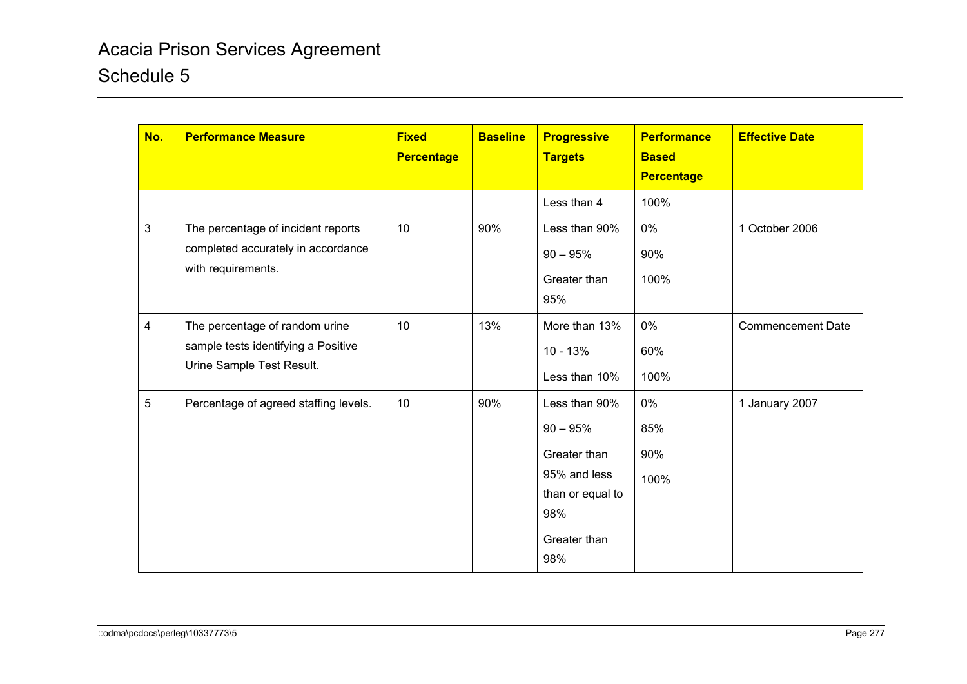| No.                     | <b>Performance Measure</b>                                                                         | <b>Fixed</b><br><b>Percentage</b> | <b>Baseline</b> | <b>Progressive</b><br><b>Targets</b>                                                                          | <b>Performance</b><br><b>Based</b><br><b>Percentage</b> | <b>Effective Date</b>    |
|-------------------------|----------------------------------------------------------------------------------------------------|-----------------------------------|-----------------|---------------------------------------------------------------------------------------------------------------|---------------------------------------------------------|--------------------------|
|                         |                                                                                                    |                                   |                 | Less than 4                                                                                                   | 100%                                                    |                          |
| 3                       | The percentage of incident reports<br>completed accurately in accordance<br>with requirements.     | 10                                | 90%             | Less than 90%<br>$90 - 95%$<br>Greater than<br>95%                                                            | $0\%$<br>90%<br>100%                                    | 1 October 2006           |
| $\overline{\mathbf{4}}$ | The percentage of random urine<br>sample tests identifying a Positive<br>Urine Sample Test Result. | 10                                | 13%             | More than 13%<br>$10 - 13%$<br>Less than 10%                                                                  | $0\%$<br>60%<br>100%                                    | <b>Commencement Date</b> |
| 5                       | Percentage of agreed staffing levels.                                                              | 10                                | 90%             | Less than 90%<br>$90 - 95%$<br>Greater than<br>95% and less<br>than or equal to<br>98%<br>Greater than<br>98% | 0%<br>85%<br>90%<br>100%                                | 1 January 2007           |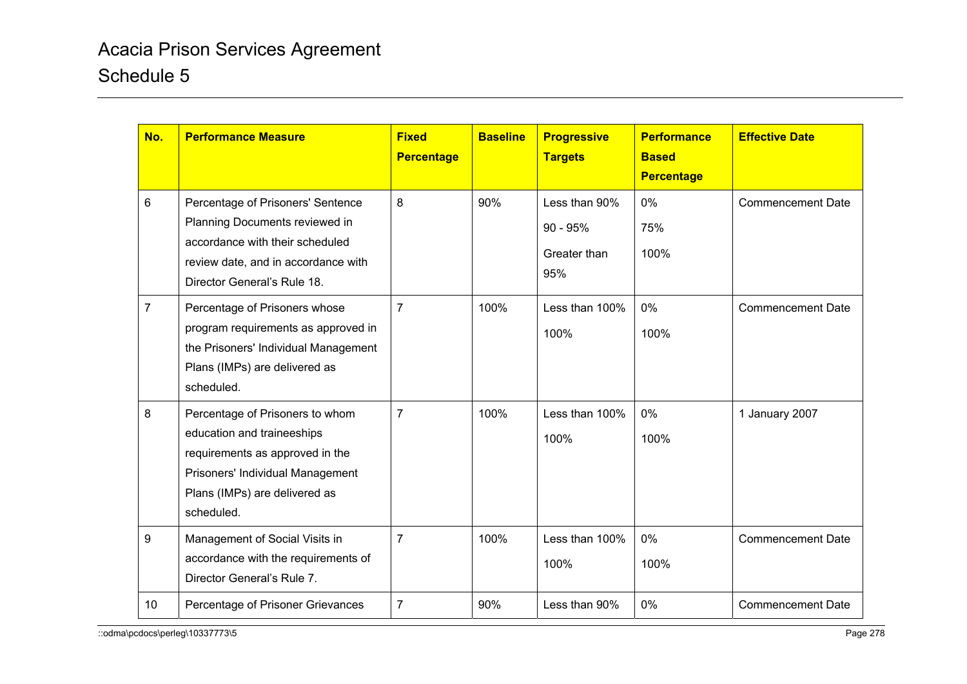| No.             | <b>Performance Measure</b>                                                                                                                                                          | <b>Fixed</b><br><b>Percentage</b> | <b>Baseline</b> | <b>Progressive</b><br><b>Targets</b>               | <b>Performance</b><br><b>Based</b><br><b>Percentage</b> | <b>Effective Date</b>    |
|-----------------|-------------------------------------------------------------------------------------------------------------------------------------------------------------------------------------|-----------------------------------|-----------------|----------------------------------------------------|---------------------------------------------------------|--------------------------|
| 6               | Percentage of Prisoners' Sentence<br>Planning Documents reviewed in<br>accordance with their scheduled<br>review date, and in accordance with<br>Director General's Rule 18.        | 8                                 | 90%             | Less than 90%<br>$90 - 95%$<br>Greater than<br>95% | $0\%$<br>75%<br>100%                                    | <b>Commencement Date</b> |
| $\overline{7}$  | Percentage of Prisoners whose<br>program requirements as approved in<br>the Prisoners' Individual Management<br>Plans (IMPs) are delivered as<br>scheduled.                         | $\overline{7}$                    | 100%            | Less than 100%<br>100%                             | 0%<br>100%                                              | <b>Commencement Date</b> |
| 8               | Percentage of Prisoners to whom<br>education and traineeships<br>requirements as approved in the<br>Prisoners' Individual Management<br>Plans (IMPs) are delivered as<br>scheduled. | $\overline{7}$                    | 100%            | Less than 100%<br>100%                             | $0\%$<br>100%                                           | 1 January 2007           |
| 9               | Management of Social Visits in<br>accordance with the requirements of<br>Director General's Rule 7.                                                                                 | $\overline{7}$                    | 100%            | Less than 100%<br>100%                             | 0%<br>100%                                              | <b>Commencement Date</b> |
| 10 <sup>1</sup> | Percentage of Prisoner Grievances                                                                                                                                                   | $\overline{7}$                    | 90%             | Less than 90%                                      | 0%                                                      | <b>Commencement Date</b> |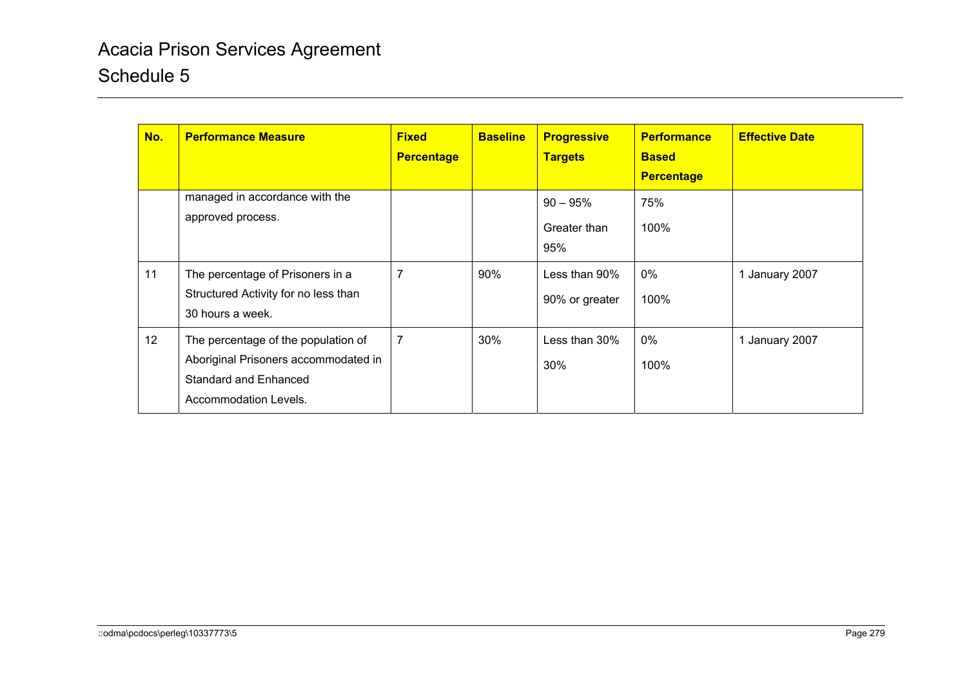| No. | <b>Performance Measure</b>                                                                                                           | <b>Fixed</b><br><b>Percentage</b> | <b>Baseline</b> | <b>Progressive</b><br><b>Targets</b> | <b>Performance</b><br><b>Based</b><br><b>Percentage</b> | <b>Effective Date</b> |
|-----|--------------------------------------------------------------------------------------------------------------------------------------|-----------------------------------|-----------------|--------------------------------------|---------------------------------------------------------|-----------------------|
|     | managed in accordance with the<br>approved process.                                                                                  |                                   |                 | $90 - 95%$<br>Greater than<br>95%    | 75%<br>100%                                             |                       |
| 11  | The percentage of Prisoners in a<br>Structured Activity for no less than<br>30 hours a week.                                         | 7                                 | 90%             | Less than 90%<br>90% or greater      | 0%<br>100%                                              | 1 January 2007        |
| 12  | The percentage of the population of<br>Aboriginal Prisoners accommodated in<br><b>Standard and Enhanced</b><br>Accommodation Levels. | 7                                 | 30%             | Less than 30%<br>30%                 | 0%<br>100%                                              | 1 January 2007        |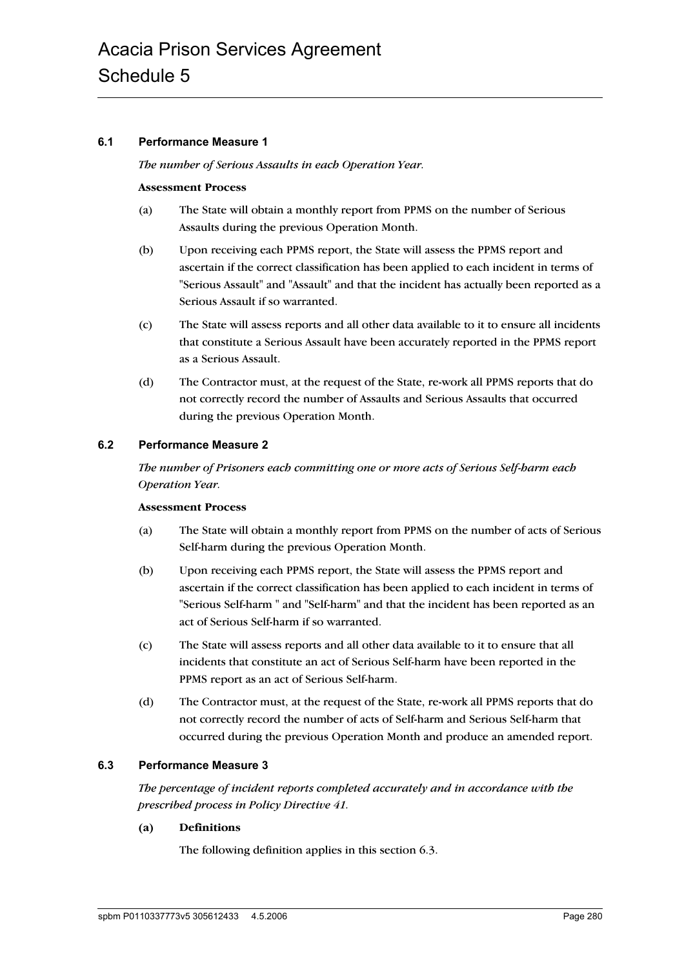#### **6.1 Performance Measure 1**

*The number of Serious Assaults in each Operation Year.*

#### **Assessment Process**

- (a) The State will obtain a monthly report from PPMS on the number of Serious Assaults during the previous Operation Month.
- (b) Upon receiving each PPMS report, the State will assess the PPMS report and ascertain if the correct classification has been applied to each incident in terms of "Serious Assault" and "Assault" and that the incident has actually been reported as a Serious Assault if so warranted.
- (c) The State will assess reports and all other data available to it to ensure all incidents that constitute a Serious Assault have been accurately reported in the PPMS report as a Serious Assault.
- (d) The Contractor must, at the request of the State, re-work all PPMS reports that do not correctly record the number of Assaults and Serious Assaults that occurred during the previous Operation Month.

#### **6.2 Performance Measure 2**

*The number of Prisoners each committing one or more acts of Serious Self-harm each Operation Year.*

#### **Assessment Process**

- (a) The State will obtain a monthly report from PPMS on the number of acts of Serious Self-harm during the previous Operation Month.
- (b) Upon receiving each PPMS report, the State will assess the PPMS report and ascertain if the correct classification has been applied to each incident in terms of "Serious Self-harm " and "Self-harm" and that the incident has been reported as an act of Serious Self-harm if so warranted.
- (c) The State will assess reports and all other data available to it to ensure that all incidents that constitute an act of Serious Self-harm have been reported in the PPMS report as an act of Serious Self-harm.
- (d) The Contractor must, at the request of the State, re-work all PPMS reports that do not correctly record the number of acts of Self-harm and Serious Self-harm that occurred during the previous Operation Month and produce an amended report.

#### **6.3 Performance Measure 3**

*The percentage of incident reports completed accurately and in accordance with the prescribed process in Policy Directive 41.*

#### **(a) Definitions**

The following definition applies in this section 6.3.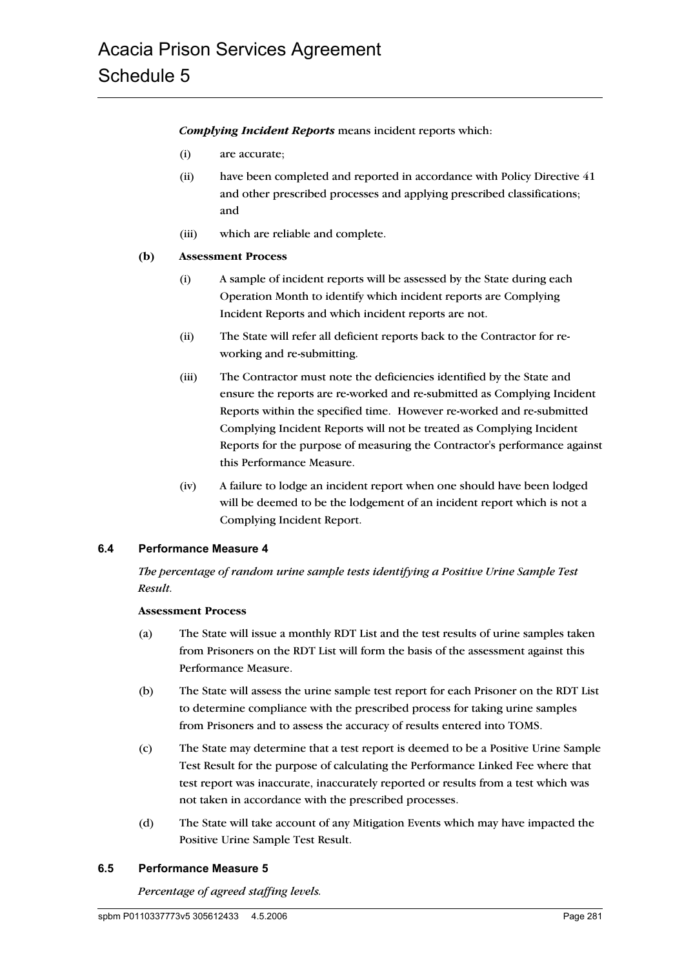*Complying Incident Reports* means incident reports which:

- (i) are accurate;
- (ii) have been completed and reported in accordance with Policy Directive 41 and other prescribed processes and applying prescribed classifications; and
- (iii) which are reliable and complete.

#### **(b) Assessment Process**

- (i) A sample of incident reports will be assessed by the State during each Operation Month to identify which incident reports are Complying Incident Reports and which incident reports are not.
- (ii) The State will refer all deficient reports back to the Contractor for reworking and re-submitting.
- (iii) The Contractor must note the deficiencies identified by the State and ensure the reports are re-worked and re-submitted as Complying Incident Reports within the specified time. However re-worked and re-submitted Complying Incident Reports will not be treated as Complying Incident Reports for the purpose of measuring the Contractor's performance against this Performance Measure.
- (iv) A failure to lodge an incident report when one should have been lodged will be deemed to be the lodgement of an incident report which is not a Complying Incident Report.

#### **6.4 Performance Measure 4**

*The percentage of random urine sample tests identifying a Positive Urine Sample Test Result.*

#### **Assessment Process**

- (a) The State will issue a monthly RDT List and the test results of urine samples taken from Prisoners on the RDT List will form the basis of the assessment against this Performance Measure.
- (b) The State will assess the urine sample test report for each Prisoner on the RDT List to determine compliance with the prescribed process for taking urine samples from Prisoners and to assess the accuracy of results entered into TOMS.
- (c) The State may determine that a test report is deemed to be a Positive Urine Sample Test Result for the purpose of calculating the Performance Linked Fee where that test report was inaccurate, inaccurately reported or results from a test which was not taken in accordance with the prescribed processes.
- (d) The State will take account of any Mitigation Events which may have impacted the Positive Urine Sample Test Result.

#### **6.5 Performance Measure 5**

*Percentage of agreed staffing levels.*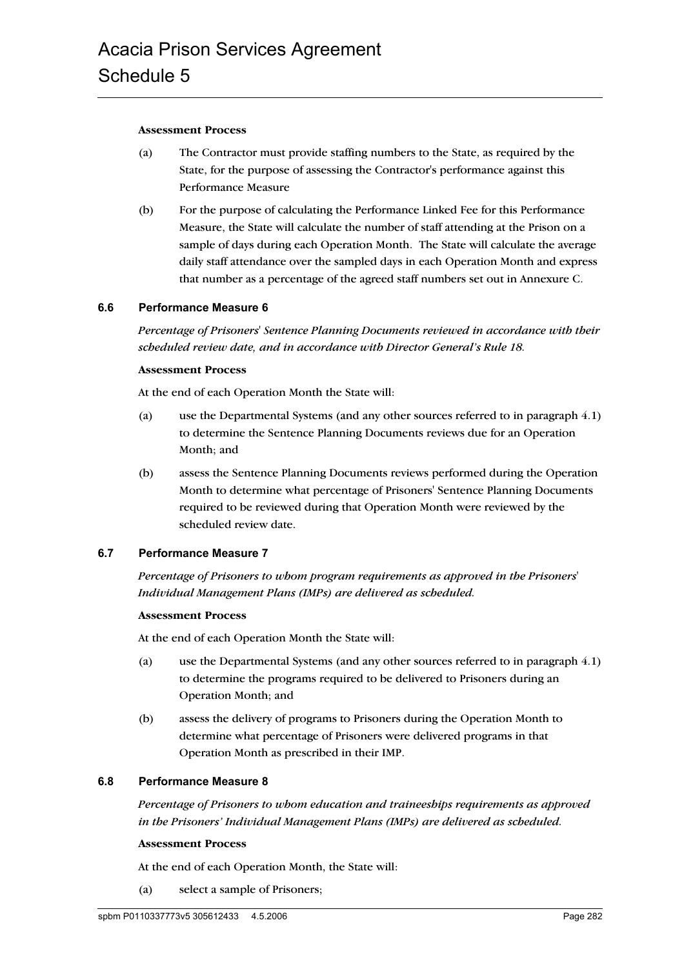#### **Assessment Process**

- (a) The Contractor must provide staffing numbers to the State, as required by the State, for the purpose of assessing the Contractor's performance against this Performance Measure
- (b) For the purpose of calculating the Performance Linked Fee for this Performance Measure, the State will calculate the number of staff attending at the Prison on a sample of days during each Operation Month. The State will calculate the average daily staff attendance over the sampled days in each Operation Month and express that number as a percentage of the agreed staff numbers set out in Annexure C.

#### **6.6 Performance Measure 6**

*Percentage of Prisoners' Sentence Planning Documents reviewed in accordance with their scheduled review date, and in accordance with Director General's Rule 18.*

#### **Assessment Process**

At the end of each Operation Month the State will:

- (a) use the Departmental Systems (and any other sources referred to in paragraph 4.1) to determine the Sentence Planning Documents reviews due for an Operation Month; and
- (b) assess the Sentence Planning Documents reviews performed during the Operation Month to determine what percentage of Prisoners' Sentence Planning Documents required to be reviewed during that Operation Month were reviewed by the scheduled review date.

#### **6.7 Performance Measure 7**

*Percentage of Prisoners to whom program requirements as approved in the Prisoners' Individual Management Plans (IMPs) are delivered as scheduled.*

#### **Assessment Process**

At the end of each Operation Month the State will:

- (a) use the Departmental Systems (and any other sources referred to in paragraph 4.1) to determine the programs required to be delivered to Prisoners during an Operation Month; and
- (b) assess the delivery of programs to Prisoners during the Operation Month to determine what percentage of Prisoners were delivered programs in that Operation Month as prescribed in their IMP.

#### **6.8 Performance Measure 8**

*Percentage of Prisoners to whom education and traineeships requirements as approved in the Prisoners' Individual Management Plans (IMPs) are delivered as scheduled.*

#### **Assessment Process**

At the end of each Operation Month, the State will:

(a) select a sample of Prisoners;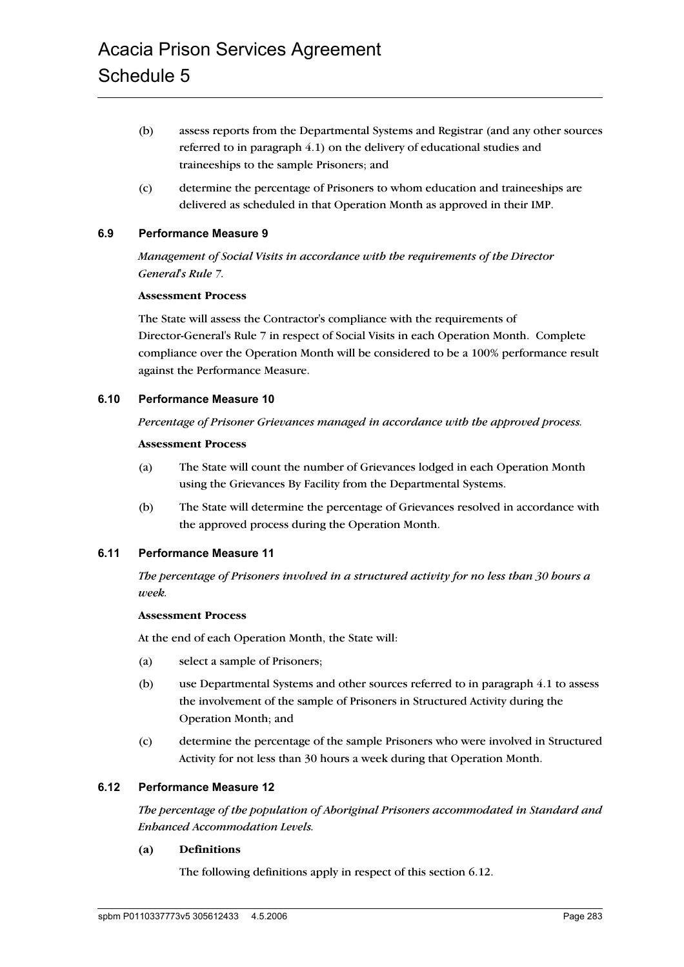- (b) assess reports from the Departmental Systems and Registrar (and any other sources referred to in paragraph 4.1) on the delivery of educational studies and traineeships to the sample Prisoners; and
- (c) determine the percentage of Prisoners to whom education and traineeships are delivered as scheduled in that Operation Month as approved in their IMP.

#### **6.9 Performance Measure 9**

*Management of Social Visits in accordance with the requirements of the Director General's Rule 7.*

#### **Assessment Process**

The State will assess the Contractor's compliance with the requirements of Director-General's Rule 7 in respect of Social Visits in each Operation Month. Complete compliance over the Operation Month will be considered to be a 100% performance result against the Performance Measure.

#### **6.10 Performance Measure 10**

*Percentage of Prisoner Grievances managed in accordance with the approved process.*

#### **Assessment Process**

- (a) The State will count the number of Grievances lodged in each Operation Month using the Grievances By Facility from the Departmental Systems.
- (b) The State will determine the percentage of Grievances resolved in accordance with the approved process during the Operation Month.

#### **6.11 Performance Measure 11**

*The percentage of Prisoners involved in a structured activity for no less than 30 hours a week.*

#### **Assessment Process**

At the end of each Operation Month, the State will:

- (a) select a sample of Prisoners;
- (b) use Departmental Systems and other sources referred to in paragraph 4.1 to assess the involvement of the sample of Prisoners in Structured Activity during the Operation Month; and
- (c) determine the percentage of the sample Prisoners who were involved in Structured Activity for not less than 30 hours a week during that Operation Month.

#### **6.12 Performance Measure 12**

*The percentage of the population of Aboriginal Prisoners accommodated in Standard and Enhanced Accommodation Levels.*

#### **(a) Definitions**

The following definitions apply in respect of this section 6.12.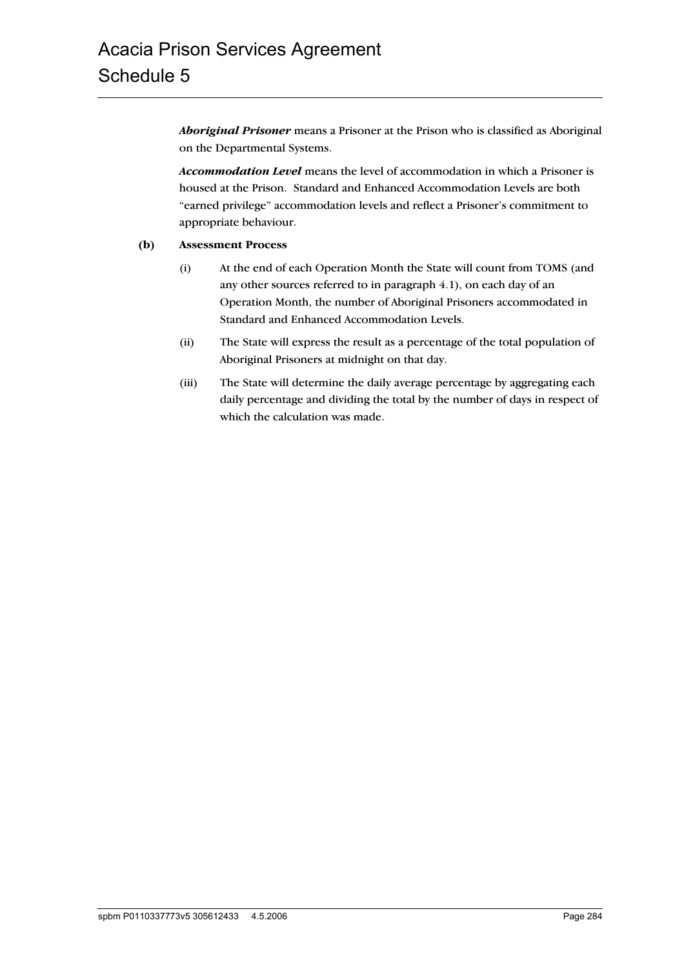*Aboriginal Prisoner* means a Prisoner at the Prison who is classified as Aboriginal on the Departmental Systems.

*Accommodation Level* means the level of accommodation in which a Prisoner is housed at the Prison. Standard and Enhanced Accommodation Levels are both "earned privilege" accommodation levels and reflect a Prisoner's commitment to appropriate behaviour.

#### **(b) Assessment Process**

- (i) At the end of each Operation Month the State will count from TOMS (and any other sources referred to in paragraph 4.1), on each day of an Operation Month, the number of Aboriginal Prisoners accommodated in Standard and Enhanced Accommodation Levels.
- (ii) The State will express the result as a percentage of the total population of Aboriginal Prisoners at midnight on that day.
- (iii) The State will determine the daily average percentage by aggregating each daily percentage and dividing the total by the number of days in respect of which the calculation was made.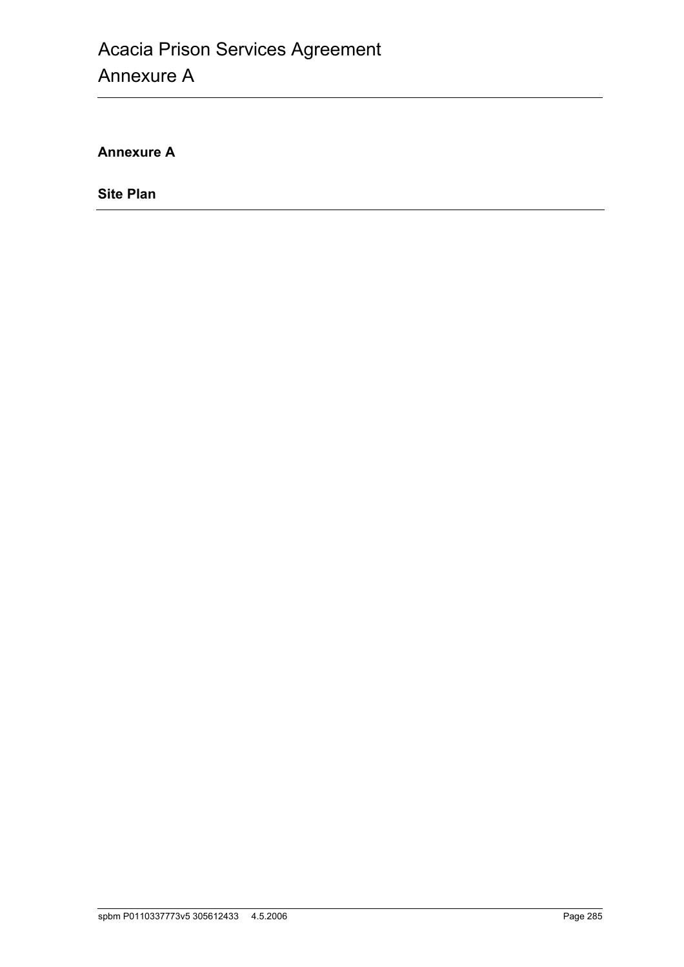**Annexure A**

**Site Plan**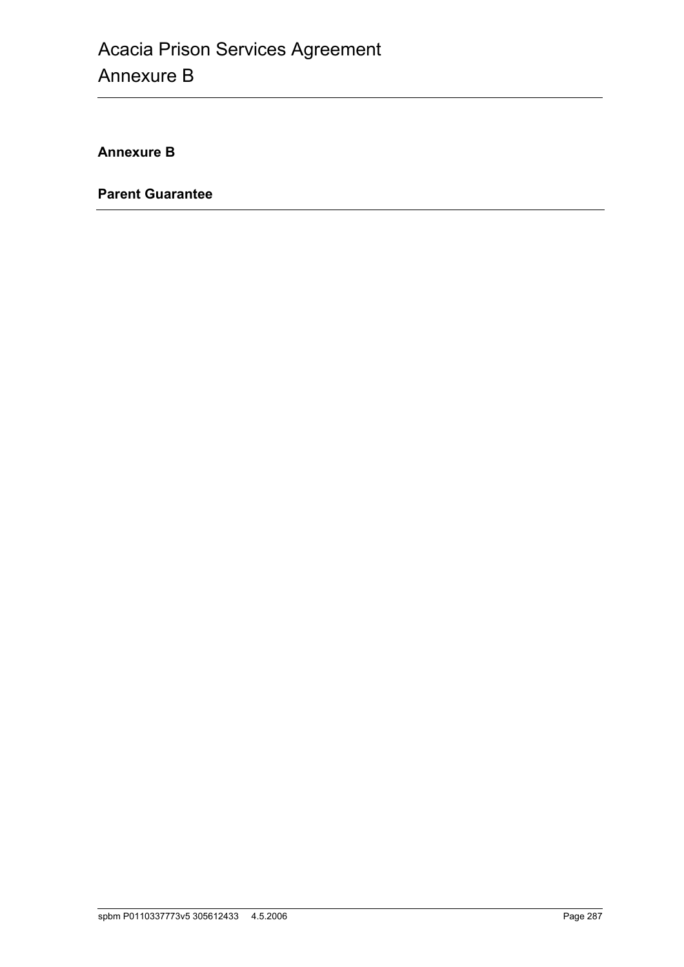**Annexure B**

**Parent Guarantee**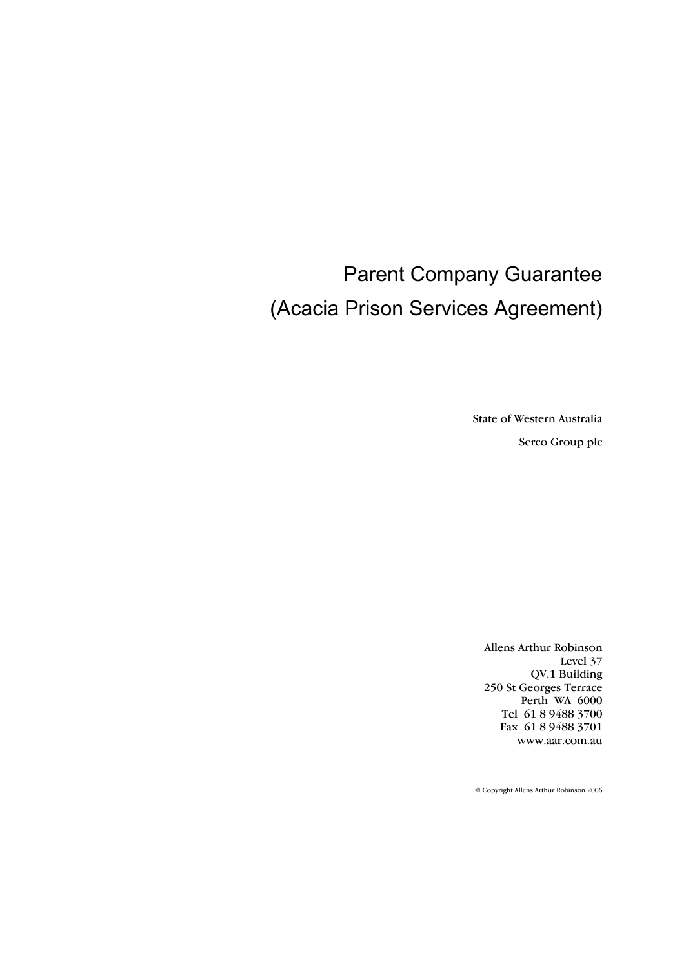# Parent Company Guarantee (Acacia Prison Services Agreement)

State of Western Australia Serco Group plc

Allens Arthur Robinson Level 37 QV.1 Building 250 St Georges Terrace Perth WA 6000 Tel 61 8 9488 3700 Fax 61 8 9488 3701 www.aar.com.au

© Copyright Allens Arthur Robinson 2006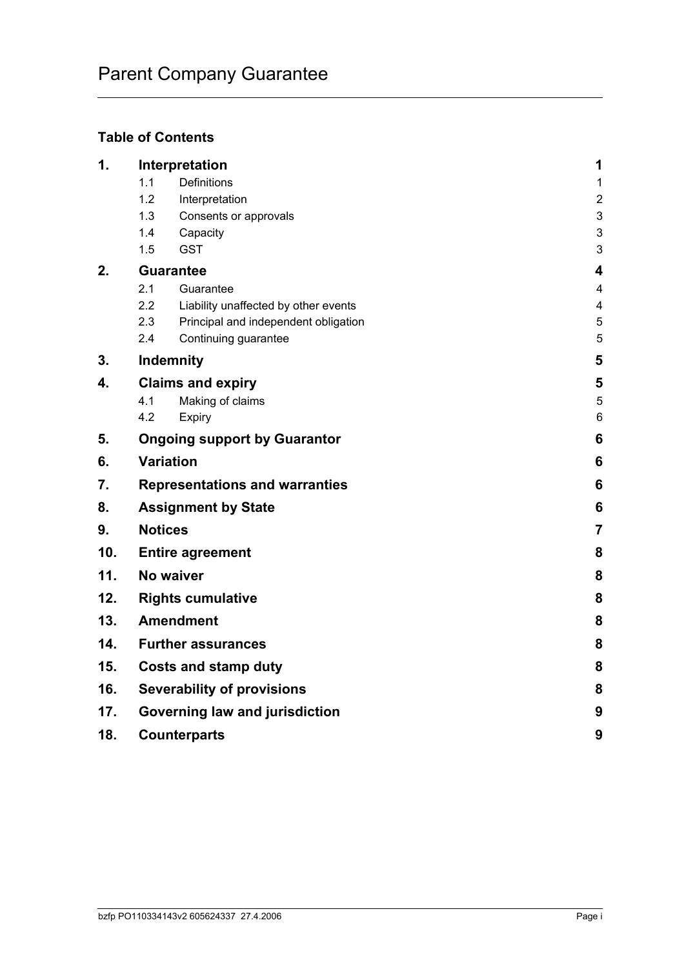# **Table of Contents**

| $\mathbf 1$ . | Interpretation                                           | 1                            |  |  |  |
|---------------|----------------------------------------------------------|------------------------------|--|--|--|
|               | Definitions<br>1.1                                       | $\mathbf{1}$                 |  |  |  |
|               | 1.2<br>Interpretation                                    | $\boldsymbol{2}$             |  |  |  |
|               | 1.3<br>Consents or approvals                             | $\mathsf 3$                  |  |  |  |
|               | 1.4<br>Capacity<br><b>GST</b><br>1.5                     | $\ensuremath{\mathsf{3}}$    |  |  |  |
|               |                                                          | 3                            |  |  |  |
| 2.            | <b>Guarantee</b><br>2.1                                  | 4                            |  |  |  |
|               | Guarantee<br>2.2<br>Liability unaffected by other events | 4<br>$\overline{\mathbf{4}}$ |  |  |  |
|               | 2.3<br>Principal and independent obligation              | $\sqrt{5}$                   |  |  |  |
|               | 2.4<br>Continuing guarantee                              | 5                            |  |  |  |
| 3.            | Indemnity                                                | 5                            |  |  |  |
| 4.            | <b>Claims and expiry</b>                                 | 5                            |  |  |  |
|               | 4.1<br>Making of claims                                  | 5                            |  |  |  |
|               | 4.2<br>Expiry                                            | $6\phantom{a}$               |  |  |  |
| 5.            | <b>Ongoing support by Guarantor</b>                      | 6                            |  |  |  |
| 6.            | <b>Variation</b>                                         | 6                            |  |  |  |
| 7.            | <b>Representations and warranties</b>                    |                              |  |  |  |
| 8.            | <b>Assignment by State</b>                               | 6                            |  |  |  |
| 9.            | <b>Notices</b>                                           | $\overline{7}$               |  |  |  |
| 10.           | <b>Entire agreement</b>                                  | 8                            |  |  |  |
| 11.           | No waiver                                                |                              |  |  |  |
| 12.           | <b>Rights cumulative</b>                                 |                              |  |  |  |
| 13.           | <b>Amendment</b>                                         |                              |  |  |  |
| 14.           | <b>Further assurances</b>                                |                              |  |  |  |
| 15.           | <b>Costs and stamp duty</b>                              |                              |  |  |  |
| 16.           | <b>Severability of provisions</b>                        |                              |  |  |  |
| 17.           | Governing law and jurisdiction                           |                              |  |  |  |
| 18.           | <b>Counterparts</b>                                      |                              |  |  |  |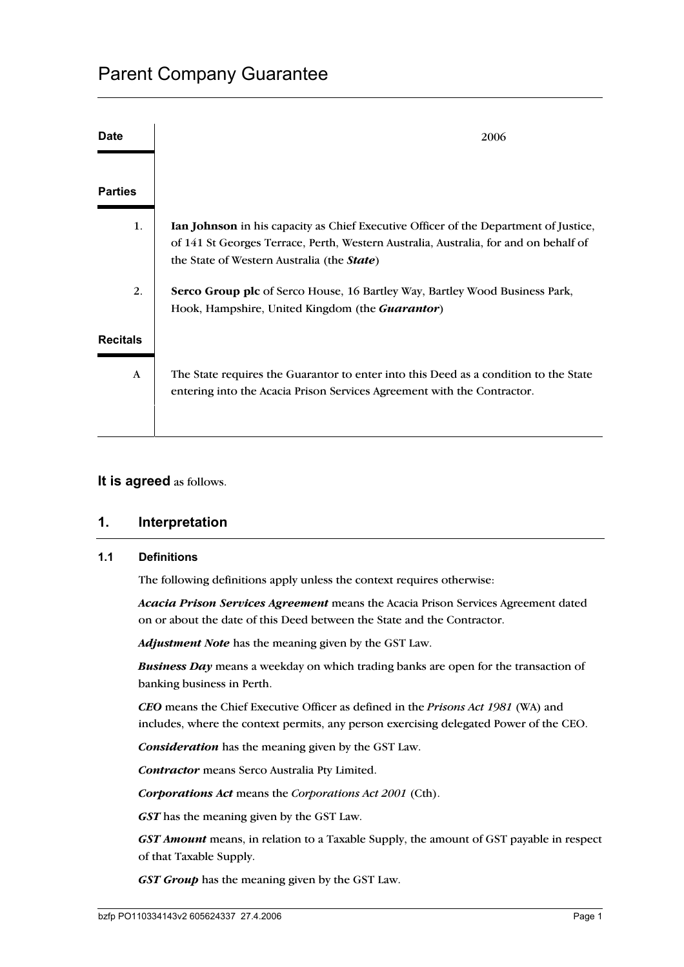| <b>Date</b>     | 2006                                                                                                                                                                                                                              |
|-----------------|-----------------------------------------------------------------------------------------------------------------------------------------------------------------------------------------------------------------------------------|
| <b>Parties</b>  |                                                                                                                                                                                                                                   |
| 1.              | <b>Ian Johnson</b> in his capacity as Chief Executive Officer of the Department of Justice,<br>of 141 St Georges Terrace, Perth, Western Australia, Australia, for and on behalf of<br>the State of Western Australia (the State) |
| 2.              | <b>Serco Group plc</b> of Serco House, 16 Bartley Way, Bartley Wood Business Park,<br>Hook, Hampshire, United Kingdom (the <i>Guarantor</i> )                                                                                     |
| <b>Recitals</b> |                                                                                                                                                                                                                                   |
| A               | The State requires the Guarantor to enter into this Deed as a condition to the State<br>entering into the Acacia Prison Services Agreement with the Contractor.                                                                   |

# **It is agreed** as follows.

# **1. Interpretation**

#### **1.1 Definitions**

The following definitions apply unless the context requires otherwise:

*Acacia Prison Services Agreement* means the Acacia Prison Services Agreement dated on or about the date of this Deed between the State and the Contractor.

*Adjustment Note* has the meaning given by the GST Law.

*Business Day* means a weekday on which trading banks are open for the transaction of banking business in Perth.

*CEO* means the Chief Executive Officer as defined in the *Prisons Act 1981* (WA) and includes, where the context permits, any person exercising delegated Power of the CEO.

*Consideration* has the meaning given by the GST Law.

*Contractor* means Serco Australia Pty Limited.

*Corporations Act* means the *Corporations Act 2001* (Cth).

*GST* has the meaning given by the GST Law.

*GST Amount* means, in relation to a Taxable Supply, the amount of GST payable in respect of that Taxable Supply.

*GST Group* has the meaning given by the GST Law.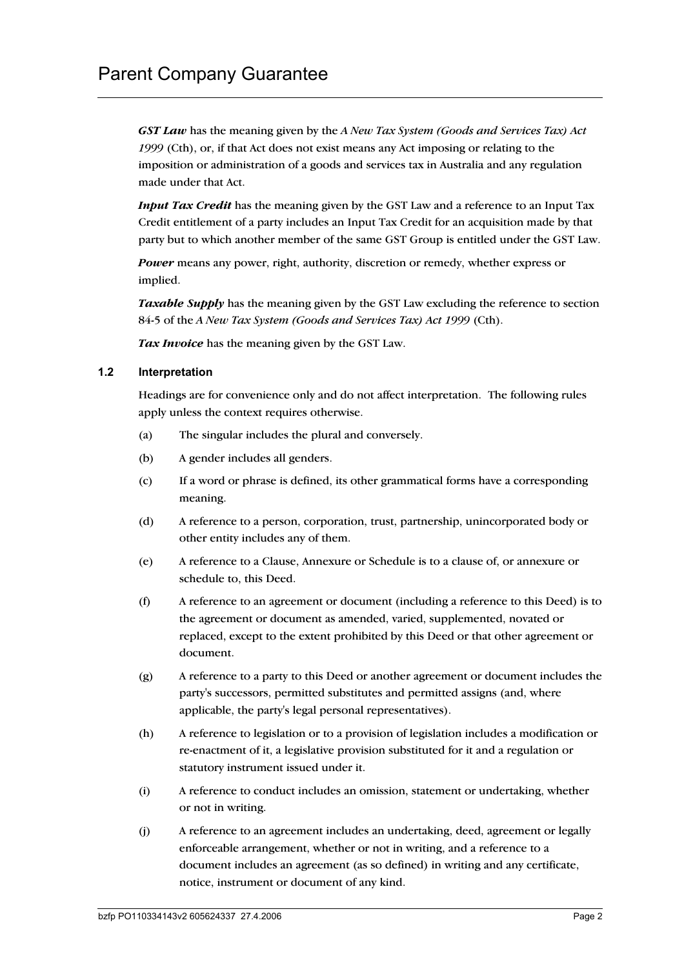*GST Law* has the meaning given by the *A New Tax System (Goods and Services Tax) Act 1999* (Cth), or, if that Act does not exist means any Act imposing or relating to the imposition or administration of a goods and services tax in Australia and any regulation made under that Act.

*Input Tax Credit* has the meaning given by the GST Law and a reference to an Input Tax Credit entitlement of a party includes an Input Tax Credit for an acquisition made by that party but to which another member of the same GST Group is entitled under the GST Law.

*Power* means any power, right, authority, discretion or remedy, whether express or implied.

*Taxable Supply* has the meaning given by the GST Law excluding the reference to section 84-5 of the *A New Tax System (Goods and Services Tax) Act 1999* (Cth).

*Tax Invoice* has the meaning given by the GST Law.

#### **1.2 Interpretation**

Headings are for convenience only and do not affect interpretation. The following rules apply unless the context requires otherwise.

- (a) The singular includes the plural and conversely.
- (b) A gender includes all genders.
- (c) If a word or phrase is defined, its other grammatical forms have a corresponding meaning.
- (d) A reference to a person, corporation, trust, partnership, unincorporated body or other entity includes any of them.
- (e) A reference to a Clause, Annexure or Schedule is to a clause of, or annexure or schedule to, this Deed.
- (f) A reference to an agreement or document (including a reference to this Deed) is to the agreement or document as amended, varied, supplemented, novated or replaced, except to the extent prohibited by this Deed or that other agreement or document.
- (g) A reference to a party to this Deed or another agreement or document includes the party's successors, permitted substitutes and permitted assigns (and, where applicable, the party's legal personal representatives).
- (h) A reference to legislation or to a provision of legislation includes a modification or re-enactment of it, a legislative provision substituted for it and a regulation or statutory instrument issued under it.
- (i) A reference to conduct includes an omission, statement or undertaking, whether or not in writing.
- (j) A reference to an agreement includes an undertaking, deed, agreement or legally enforceable arrangement, whether or not in writing, and a reference to a document includes an agreement (as so defined) in writing and any certificate, notice, instrument or document of any kind.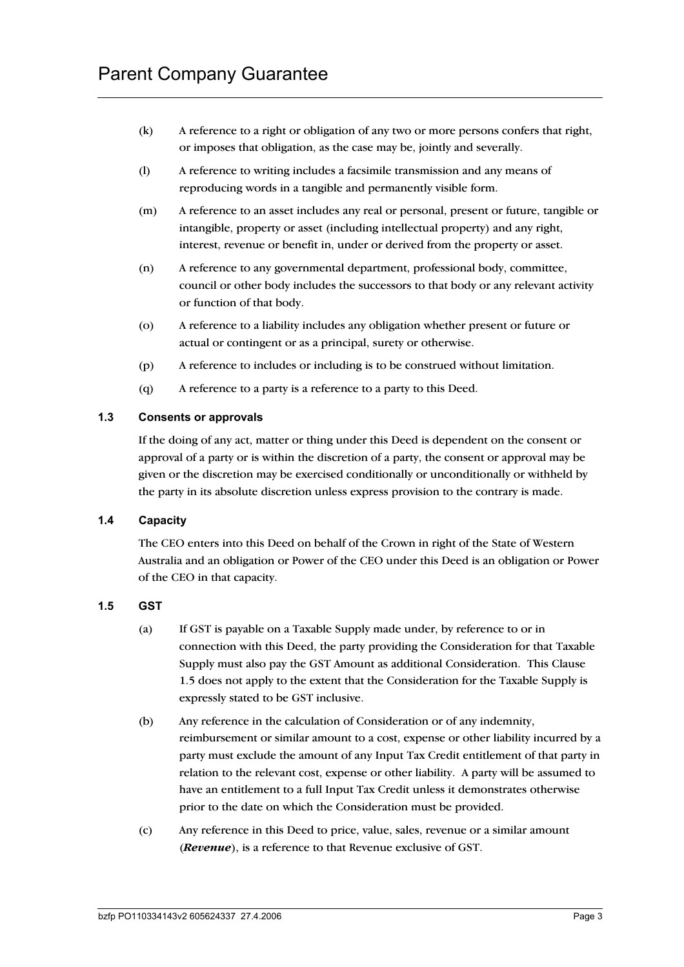- (k) A reference to a right or obligation of any two or more persons confers that right, or imposes that obligation, as the case may be, jointly and severally.
- (l) A reference to writing includes a facsimile transmission and any means of reproducing words in a tangible and permanently visible form.
- (m) A reference to an asset includes any real or personal, present or future, tangible or intangible, property or asset (including intellectual property) and any right, interest, revenue or benefit in, under or derived from the property or asset.
- (n) A reference to any governmental department, professional body, committee, council or other body includes the successors to that body or any relevant activity or function of that body.
- (o) A reference to a liability includes any obligation whether present or future or actual or contingent or as a principal, surety or otherwise.
- (p) A reference to includes or including is to be construed without limitation.
- (q) A reference to a party is a reference to a party to this Deed.

#### **1.3 Consents or approvals**

If the doing of any act, matter or thing under this Deed is dependent on the consent or approval of a party or is within the discretion of a party, the consent or approval may be given or the discretion may be exercised conditionally or unconditionally or withheld by the party in its absolute discretion unless express provision to the contrary is made.

#### **1.4 Capacity**

The CEO enters into this Deed on behalf of the Crown in right of the State of Western Australia and an obligation or Power of the CEO under this Deed is an obligation or Power of the CEO in that capacity.

#### **1.5 GST**

- (a) If GST is payable on a Taxable Supply made under, by reference to or in connection with this Deed, the party providing the Consideration for that Taxable Supply must also pay the GST Amount as additional Consideration. This Clause 1.5 does not apply to the extent that the Consideration for the Taxable Supply is expressly stated to be GST inclusive.
- (b) Any reference in the calculation of Consideration or of any indemnity, reimbursement or similar amount to a cost, expense or other liability incurred by a party must exclude the amount of any Input Tax Credit entitlement of that party in relation to the relevant cost, expense or other liability. A party will be assumed to have an entitlement to a full Input Tax Credit unless it demonstrates otherwise prior to the date on which the Consideration must be provided.
- (c) Any reference in this Deed to price, value, sales, revenue or a similar amount (*Revenue*), is a reference to that Revenue exclusive of GST.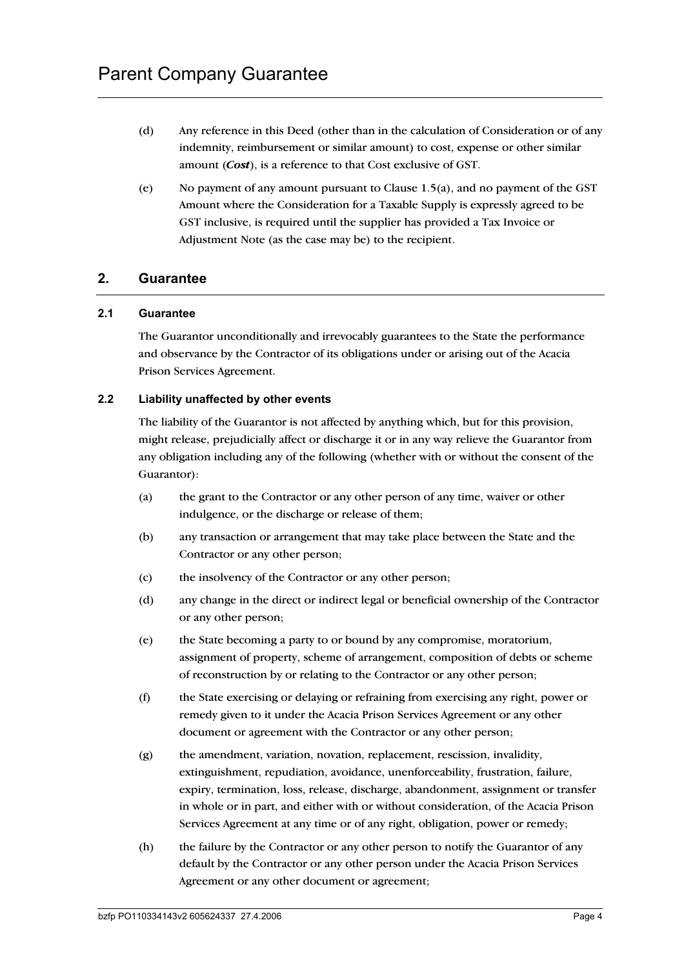- (d) Any reference in this Deed (other than in the calculation of Consideration or of any indemnity, reimbursement or similar amount) to cost, expense or other similar amount (*Cost*), is a reference to that Cost exclusive of GST.
- (e) No payment of any amount pursuant to Clause 1.5(a), and no payment of the GST Amount where the Consideration for a Taxable Supply is expressly agreed to be GST inclusive, is required until the supplier has provided a Tax Invoice or Adjustment Note (as the case may be) to the recipient.

# **2. Guarantee**

#### **2.1 Guarantee**

The Guarantor unconditionally and irrevocably guarantees to the State the performance and observance by the Contractor of its obligations under or arising out of the Acacia Prison Services Agreement.

#### **2.2 Liability unaffected by other events**

The liability of the Guarantor is not affected by anything which, but for this provision, might release, prejudicially affect or discharge it or in any way relieve the Guarantor from any obligation including any of the following (whether with or without the consent of the Guarantor):

- (a) the grant to the Contractor or any other person of any time, waiver or other indulgence, or the discharge or release of them;
- (b) any transaction or arrangement that may take place between the State and the Contractor or any other person;
- (c) the insolvency of the Contractor or any other person;
- (d) any change in the direct or indirect legal or beneficial ownership of the Contractor or any other person;
- (e) the State becoming a party to or bound by any compromise, moratorium, assignment of property, scheme of arrangement, composition of debts or scheme of reconstruction by or relating to the Contractor or any other person;
- (f) the State exercising or delaying or refraining from exercising any right, power or remedy given to it under the Acacia Prison Services Agreement or any other document or agreement with the Contractor or any other person;
- (g) the amendment, variation, novation, replacement, rescission, invalidity, extinguishment, repudiation, avoidance, unenforceability, frustration, failure, expiry, termination, loss, release, discharge, abandonment, assignment or transfer in whole or in part, and either with or without consideration, of the Acacia Prison Services Agreement at any time or of any right, obligation, power or remedy;
- (h) the failure by the Contractor or any other person to notify the Guarantor of any default by the Contractor or any other person under the Acacia Prison Services Agreement or any other document or agreement;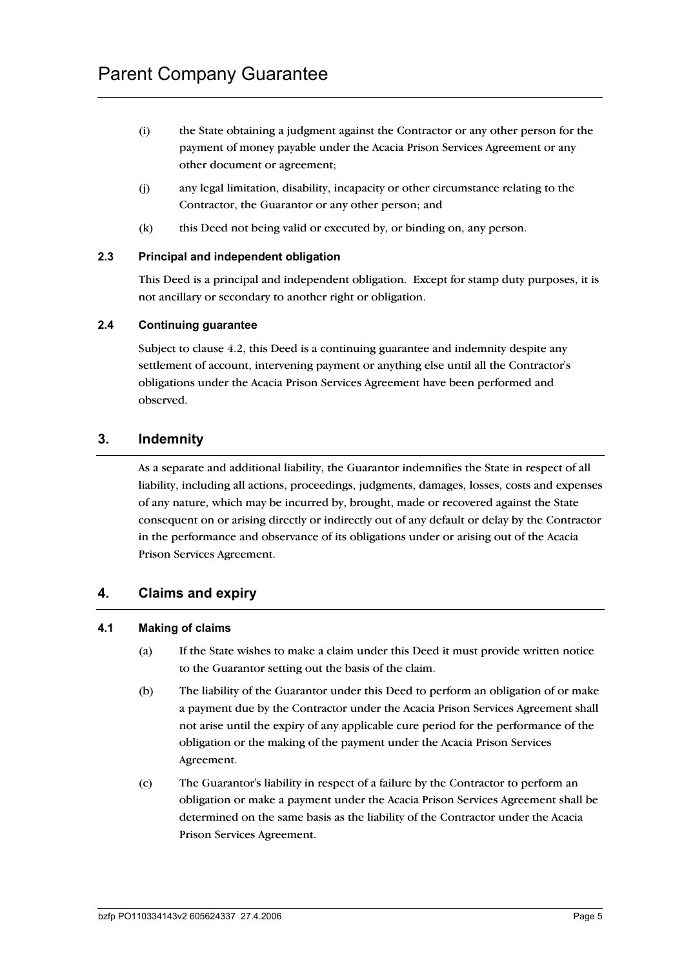- (i) the State obtaining a judgment against the Contractor or any other person for the payment of money payable under the Acacia Prison Services Agreement or any other document or agreement;
- (j) any legal limitation, disability, incapacity or other circumstance relating to the Contractor, the Guarantor or any other person; and
- (k) this Deed not being valid or executed by, or binding on, any person.

#### **2.3 Principal and independent obligation**

This Deed is a principal and independent obligation. Except for stamp duty purposes, it is not ancillary or secondary to another right or obligation.

#### **2.4 Continuing guarantee**

Subject to clause 4.2, this Deed is a continuing guarantee and indemnity despite any settlement of account, intervening payment or anything else until all the Contractor's obligations under the Acacia Prison Services Agreement have been performed and observed.

# **3. Indemnity**

As a separate and additional liability, the Guarantor indemnifies the State in respect of all liability, including all actions, proceedings, judgments, damages, losses, costs and expenses of any nature, which may be incurred by, brought, made or recovered against the State consequent on or arising directly or indirectly out of any default or delay by the Contractor in the performance and observance of its obligations under or arising out of the Acacia Prison Services Agreement.

# **4. Claims and expiry**

#### **4.1 Making of claims**

- (a) If the State wishes to make a claim under this Deed it must provide written notice to the Guarantor setting out the basis of the claim.
- (b) The liability of the Guarantor under this Deed to perform an obligation of or make a payment due by the Contractor under the Acacia Prison Services Agreement shall not arise until the expiry of any applicable cure period for the performance of the obligation or the making of the payment under the Acacia Prison Services Agreement.
- (c) The Guarantor's liability in respect of a failure by the Contractor to perform an obligation or make a payment under the Acacia Prison Services Agreement shall be determined on the same basis as the liability of the Contractor under the Acacia Prison Services Agreement.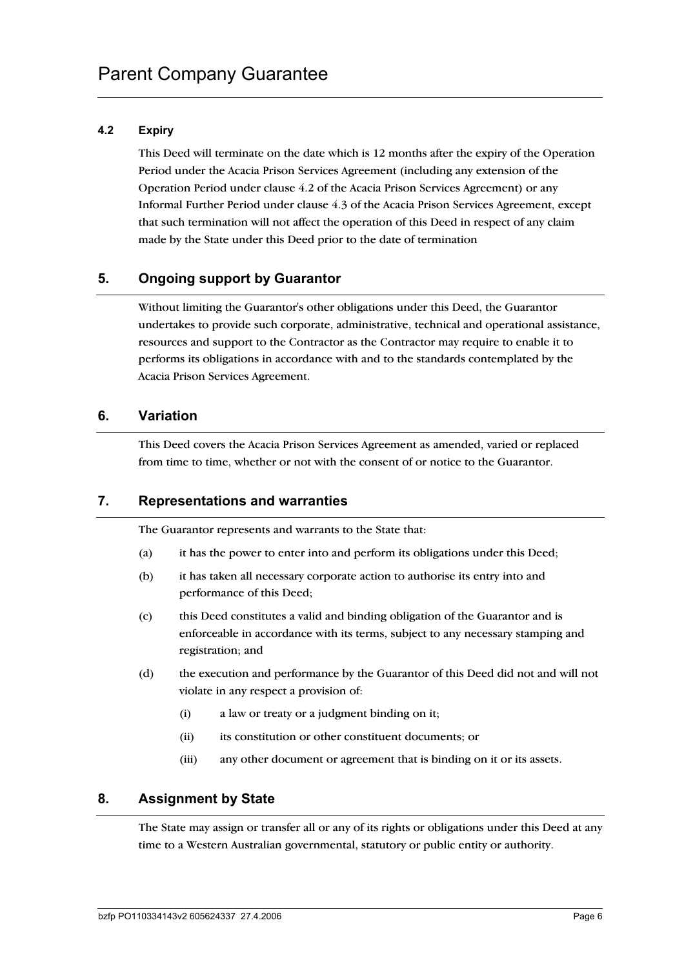# **4.2 Expiry**

This Deed will terminate on the date which is 12 months after the expiry of the Operation Period under the Acacia Prison Services Agreement (including any extension of the Operation Period under clause 4.2 of the Acacia Prison Services Agreement) or any Informal Further Period under clause 4.3 of the Acacia Prison Services Agreement, except that such termination will not affect the operation of this Deed in respect of any claim made by the State under this Deed prior to the date of termination

# **5. Ongoing support by Guarantor**

Without limiting the Guarantor's other obligations under this Deed, the Guarantor undertakes to provide such corporate, administrative, technical and operational assistance, resources and support to the Contractor as the Contractor may require to enable it to performs its obligations in accordance with and to the standards contemplated by the Acacia Prison Services Agreement.

#### **6. Variation**

This Deed covers the Acacia Prison Services Agreement as amended, varied or replaced from time to time, whether or not with the consent of or notice to the Guarantor.

# **7. Representations and warranties**

The Guarantor represents and warrants to the State that:

- (a) it has the power to enter into and perform its obligations under this Deed;
- (b) it has taken all necessary corporate action to authorise its entry into and performance of this Deed;
- (c) this Deed constitutes a valid and binding obligation of the Guarantor and is enforceable in accordance with its terms, subject to any necessary stamping and registration; and
- (d) the execution and performance by the Guarantor of this Deed did not and will not violate in any respect a provision of:
	- (i) a law or treaty or a judgment binding on it;
	- (ii) its constitution or other constituent documents; or
	- (iii) any other document or agreement that is binding on it or its assets.

# **8. Assignment by State**

The State may assign or transfer all or any of its rights or obligations under this Deed at any time to a Western Australian governmental, statutory or public entity or authority.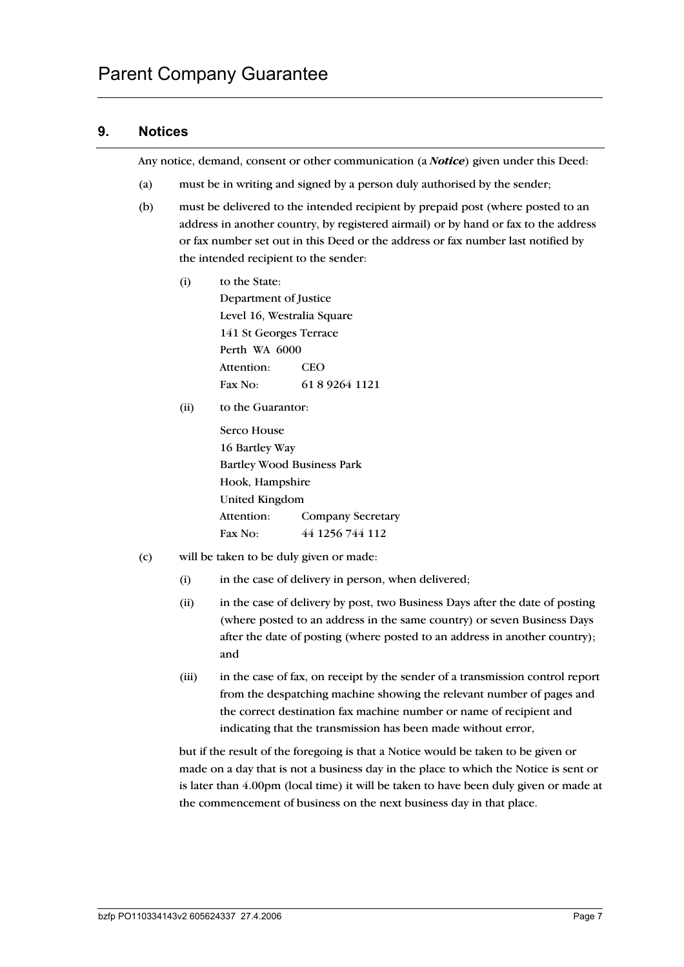# **9. Notices**

Any notice, demand, consent or other communication (a *Notice*) given under this Deed:

- (a) must be in writing and signed by a person duly authorised by the sender;
- (b) must be delivered to the intended recipient by prepaid post (where posted to an address in another country, by registered airmail) or by hand or fax to the address or fax number set out in this Deed or the address or fax number last notified by the intended recipient to the sender:
	- (i) to the State: Department of Justice Level 16, Westralia Square 141 St Georges Terrace Perth WA 6000 Attention: CEO Fax No: 61 8 9264 1121
	- (ii) to the Guarantor:

Serco House 16 Bartley Way Bartley Wood Business Park Hook, Hampshire United Kingdom Attention: Company Secretary Fax No: 44 1256 744 112

- (c) will be taken to be duly given or made:
	- (i) in the case of delivery in person, when delivered;
	- (ii) in the case of delivery by post, two Business Days after the date of posting (where posted to an address in the same country) or seven Business Days after the date of posting (where posted to an address in another country); and
	- (iii) in the case of fax, on receipt by the sender of a transmission control report from the despatching machine showing the relevant number of pages and the correct destination fax machine number or name of recipient and indicating that the transmission has been made without error,

but if the result of the foregoing is that a Notice would be taken to be given or made on a day that is not a business day in the place to which the Notice is sent or is later than 4.00pm (local time) it will be taken to have been duly given or made at the commencement of business on the next business day in that place.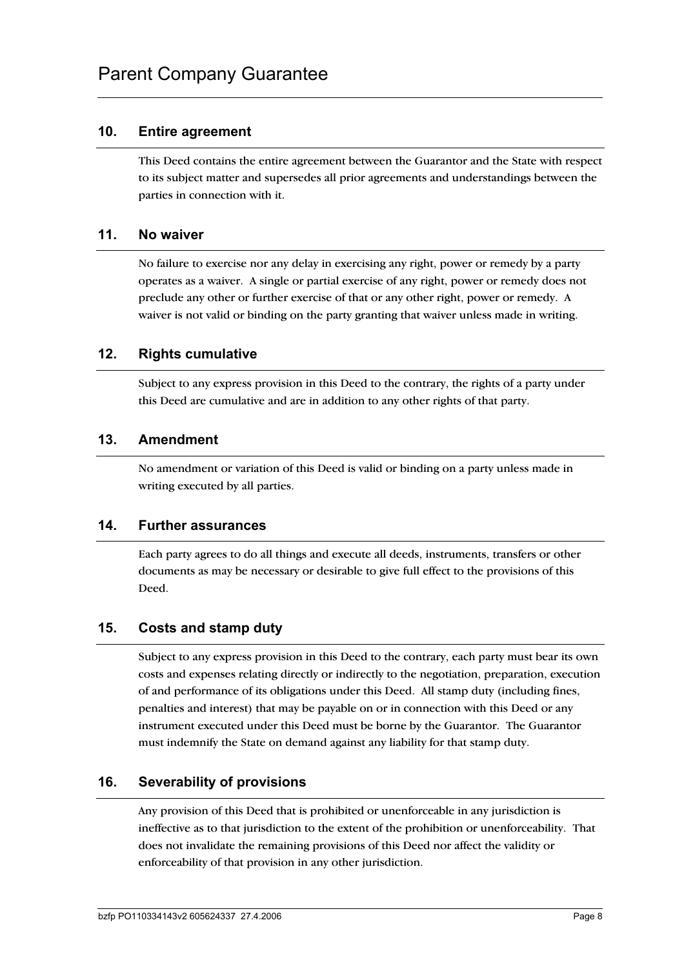## **10. Entire agreement**

This Deed contains the entire agreement between the Guarantor and the State with respect to its subject matter and supersedes all prior agreements and understandings between the parties in connection with it.

### **11. No waiver**

No failure to exercise nor any delay in exercising any right, power or remedy by a party operates as a waiver. A single or partial exercise of any right, power or remedy does not preclude any other or further exercise of that or any other right, power or remedy. A waiver is not valid or binding on the party granting that waiver unless made in writing.

### **12. Rights cumulative**

Subject to any express provision in this Deed to the contrary, the rights of a party under this Deed are cumulative and are in addition to any other rights of that party.

### **13. Amendment**

No amendment or variation of this Deed is valid or binding on a party unless made in writing executed by all parties.

### **14. Further assurances**

Each party agrees to do all things and execute all deeds, instruments, transfers or other documents as may be necessary or desirable to give full effect to the provisions of this Deed.

## **15. Costs and stamp duty**

Subject to any express provision in this Deed to the contrary, each party must bear its own costs and expenses relating directly or indirectly to the negotiation, preparation, execution of and performance of its obligations under this Deed. All stamp duty (including fines, penalties and interest) that may be payable on or in connection with this Deed or any instrument executed under this Deed must be borne by the Guarantor. The Guarantor must indemnify the State on demand against any liability for that stamp duty.

## **16. Severability of provisions**

Any provision of this Deed that is prohibited or unenforceable in any jurisdiction is ineffective as to that jurisdiction to the extent of the prohibition or unenforceability. That does not invalidate the remaining provisions of this Deed nor affect the validity or enforceability of that provision in any other jurisdiction.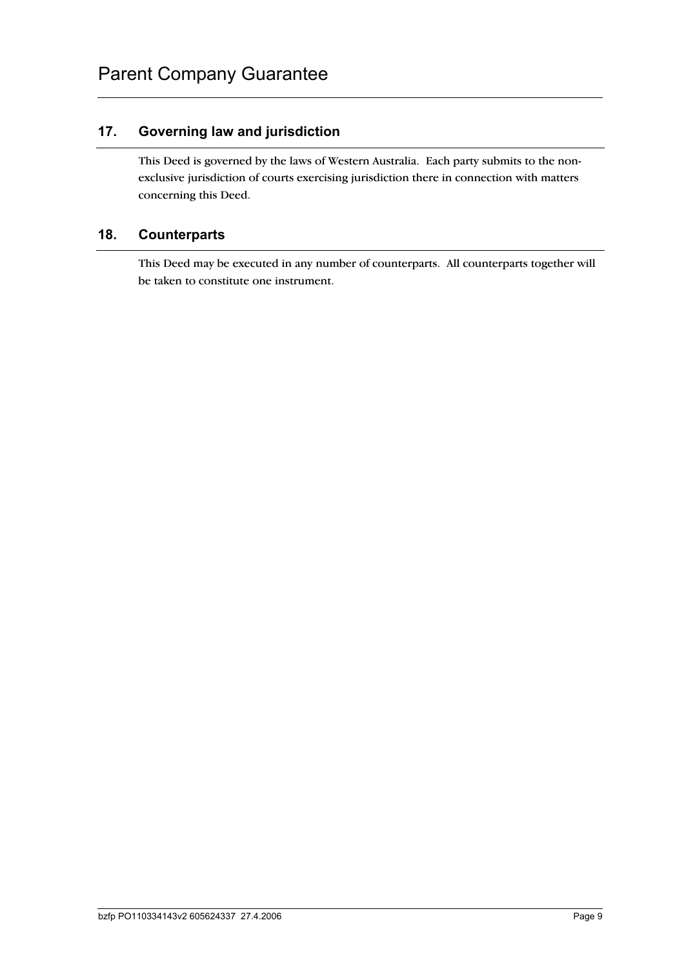## **17. Governing law and jurisdiction**

This Deed is governed by the laws of Western Australia. Each party submits to the nonexclusive jurisdiction of courts exercising jurisdiction there in connection with matters concerning this Deed.

## **18. Counterparts**

This Deed may be executed in any number of counterparts. All counterparts together will be taken to constitute one instrument.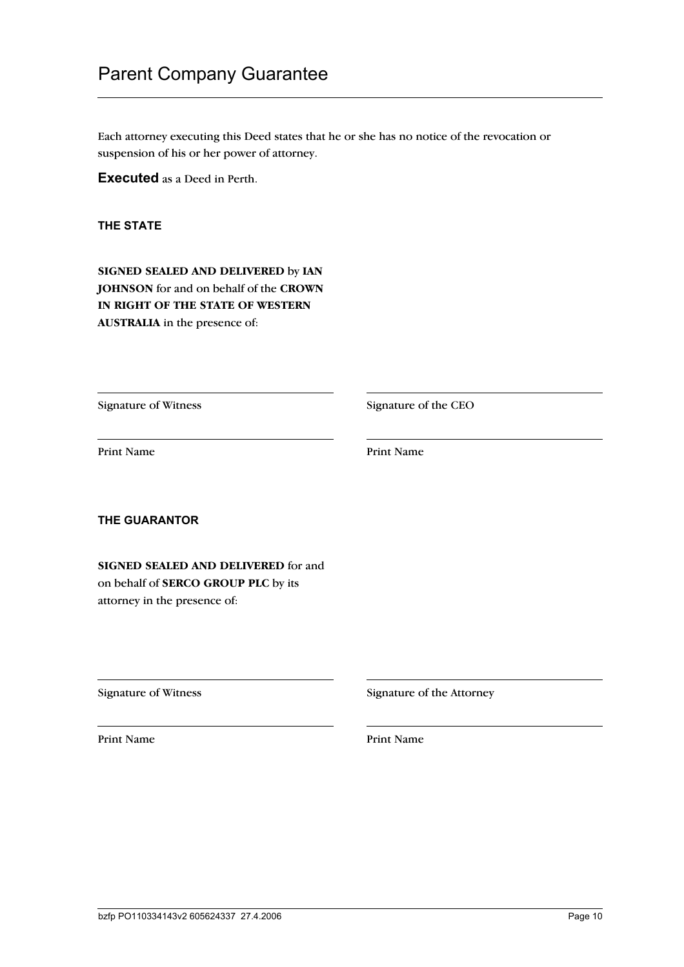# Parent Company Guarantee

Each attorney executing this Deed states that he or she has no notice of the revocation or suspension of his or her power of attorney.

**Executed** as a Deed in Perth.

**THE STATE**

**SIGNED SEALED AND DELIVERED** by **IAN JOHNSON** for and on behalf of the **CROWN IN RIGHT OF THE STATE OF WESTERN AUSTRALIA** in the presence of:

Signature of Witness Signature of the CEO

Print Name Print Name

**THE GUARANTOR**

**SIGNED SEALED AND DELIVERED** for and on behalf of **SERCO GROUP PLC** by its attorney in the presence of:

Print Name Print Name

Signature of Witness Signature of the Attorney